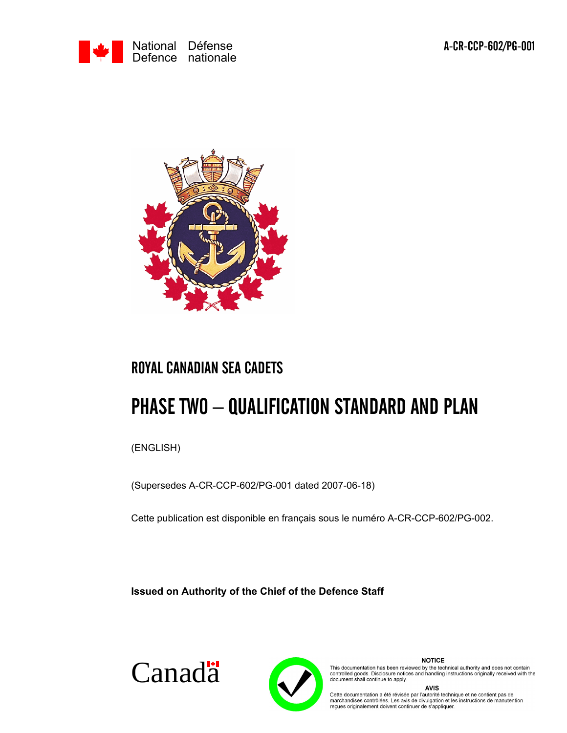



# ROYAL CANADIAN SEA CADETS

# PHASE TWO – QUALIFICATION STANDARD AND PLAN

(ENGLISH)

(Supersedes A-CR-CCP-602/PG-001 dated 2007-06-18)

Cette publication est disponible en français sous le numéro A-CR-CCP-602/PG-002.

**Issued on Authority of the Chief of the Defence Staff**





**NOTICE** This documentation has been reviewed by the technical authority and does not contain controlled goods. Disclosure notices and handling instructions originally received with the document shall continue to apply.

AVIS<br>Cette documentation a été révisée par l'autorité technique et ne contient pas de marchandises contrôlées. Les avis de divulgation et les instructions de manutention reçues originalement doivent continuer de s'appliquer.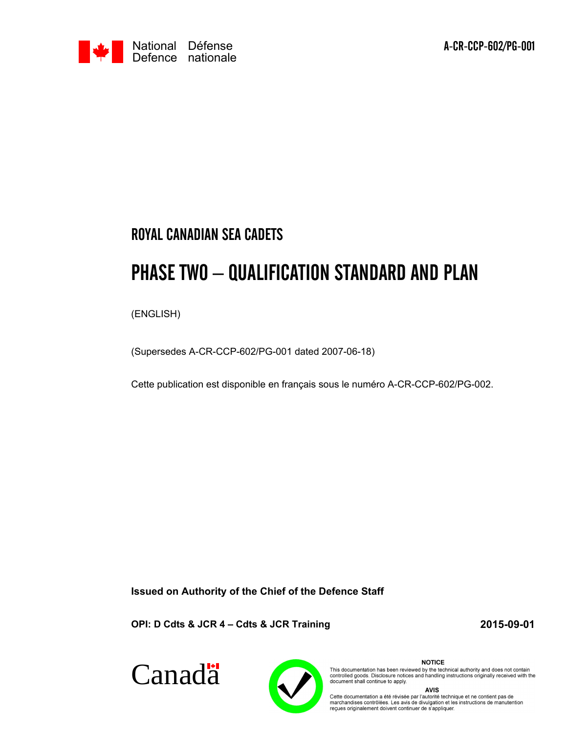

# ROYAL CANADIAN SEA CADETS

# PHASE TWO – QUALIFICATION STANDARD AND PLAN

(ENGLISH)

(Supersedes A-CR-CCP-602/PG-001 dated 2007-06-18)

Cette publication est disponible en français sous le numéro A-CR-CCP-602/PG-002.

**Issued on Authority of the Chief of the Defence Staff**

**OPI: D Cdts & JCR 4 – Cdts & JCR Training 2015-09-01**





**NOTICE** 

This documentation has been reviewed by the technical authority and does not contain<br>controlled goods. Disclosure notices and handling instructions originally received with the<br>document shall continue to apply.

**AVIS** 

Cette documentation a été révisée par l'autorité technique et ne contient pas de but continuous controllers. Les avis de divulgation et les instructions de manutention reçues originalement doivent continuer de s'appliquer.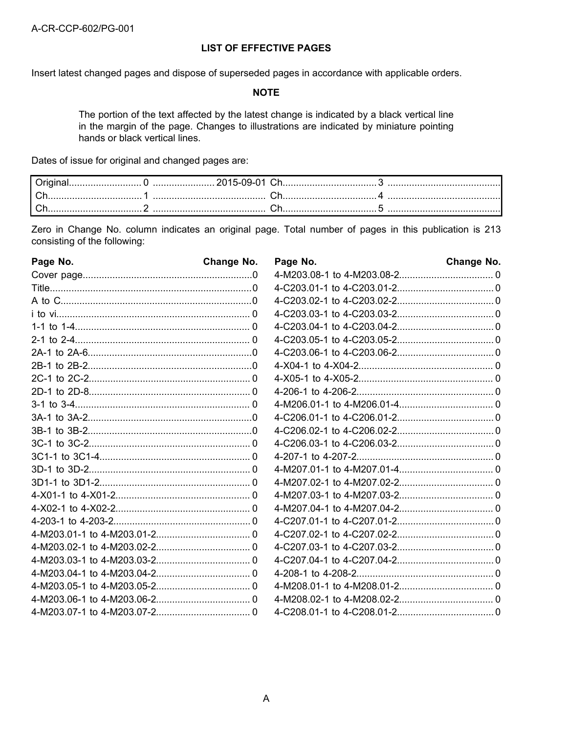# **LIST OF EFFECTIVE PAGES**

Insert latest changed pages and dispose of superseded pages in accordance with applicable orders.

## **NOTE**

The portion of the text affected by the latest change is indicated by a black vertical line in the margin of the page. Changes to illustrations are indicated by miniature pointing hands or black vertical lines.

Dates of issue for original and changed pages are:

Zero in Change No. column indicates an original page. Total number of pages in this publication is 213 consisting of the following:

| Page No. | Change No. | Page No. | Change No. |
|----------|------------|----------|------------|
|          |            |          |            |
|          |            |          |            |
|          |            |          |            |
|          |            |          |            |
|          |            |          |            |
|          |            |          |            |
|          |            |          |            |
|          |            |          |            |
|          |            |          |            |
|          |            |          |            |
|          |            |          |            |
|          |            |          |            |
|          |            |          |            |
|          |            |          |            |
|          |            |          |            |
|          |            |          |            |
|          |            |          |            |
|          |            |          |            |
|          |            |          |            |
|          |            |          |            |
|          |            |          |            |
|          |            |          |            |
|          |            |          |            |
|          |            |          |            |
|          |            |          |            |
|          |            |          |            |
|          |            |          |            |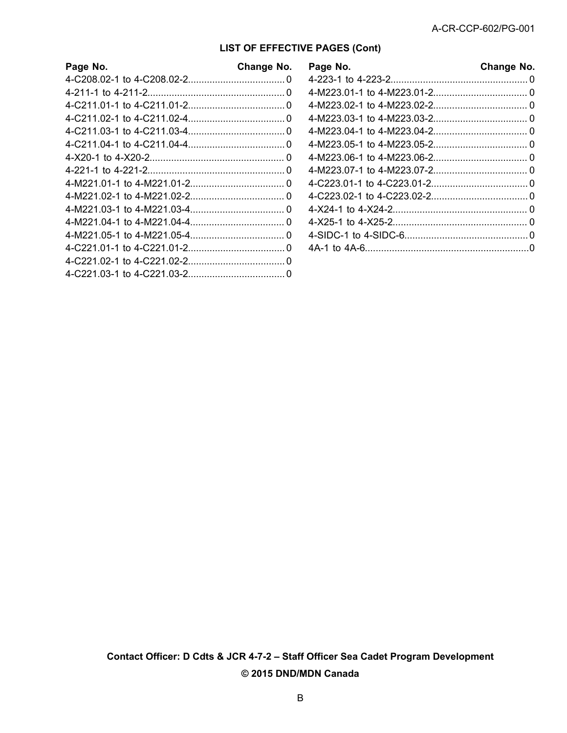# **LIST OF EFFECTIVE PAGES (Cont)**

| Page No. | Change No. |
|----------|------------|
|          |            |
|          |            |
|          |            |
|          |            |
|          |            |
|          |            |
|          |            |
|          |            |
|          |            |
|          |            |
|          |            |
|          |            |
|          |            |
|          |            |
|          |            |
|          |            |
|          |            |

| Page No. | Change No. |
|----------|------------|
|          |            |
|          |            |
|          |            |
|          |            |
|          |            |
|          |            |
|          |            |
|          |            |
|          |            |
|          |            |
|          |            |
|          |            |
|          |            |
|          |            |

# **Contact Officer: D Cdts & JCR 4-7-2 – Staff Officer Sea Cadet Program Development © 2015 DND/MDN Canada**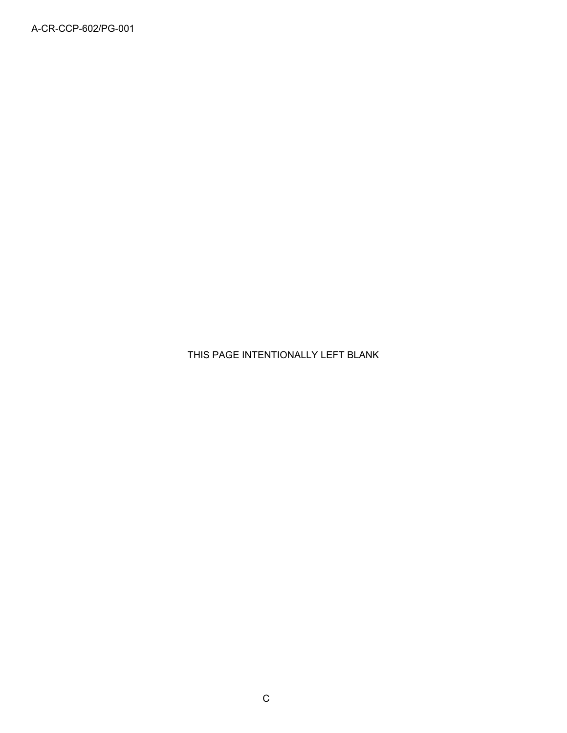THIS PAGE INTENTIONALLY LEFT BLANK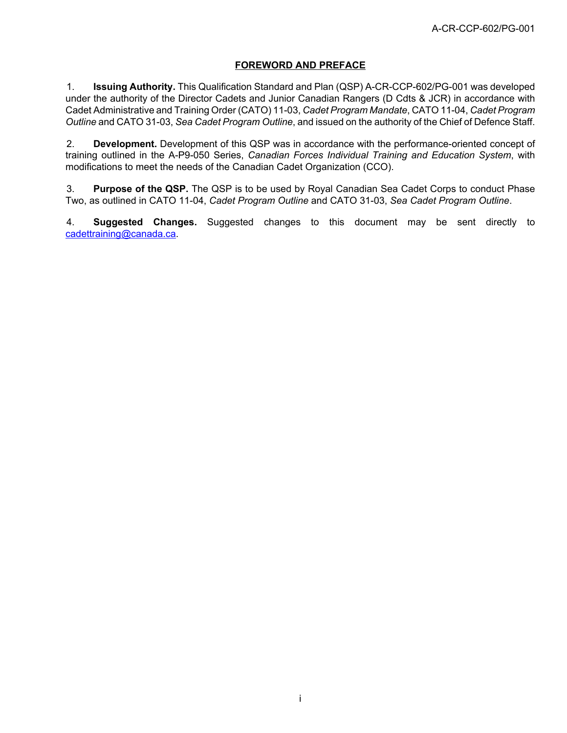# **FOREWORD AND PREFACE**

1. **Issuing Authority.** This Qualification Standard and Plan (QSP) A-CR-CCP-602/PG-001 was developed under the authority of the Director Cadets and Junior Canadian Rangers (D Cdts & JCR) in accordance with Cadet Administrative and Training Order (CATO) 11-03, *Cadet Program Mandate*, CATO 11-04, *Cadet Program Outline* and CATO 31-03, *Sea Cadet Program Outline*, and issued on the authority of the Chief of Defence Staff.

2. **Development.** Development of this QSP was in accordance with the performance-oriented concept of training outlined in the A-P9-050 Series, *Canadian Forces Individual Training and Education System*, with modifications to meet the needs of the Canadian Cadet Organization (CCO).

3. **Purpose of the QSP.** The QSP is to be used by Royal Canadian Sea Cadet Corps to conduct Phase Two, as outlined in CATO 11-04, *Cadet Program Outline* and CATO 31-03, *Sea Cadet Program Outline*.

4. **Suggested Changes.** Suggested changes to this document may be sent directly to cadettraining@canada.ca.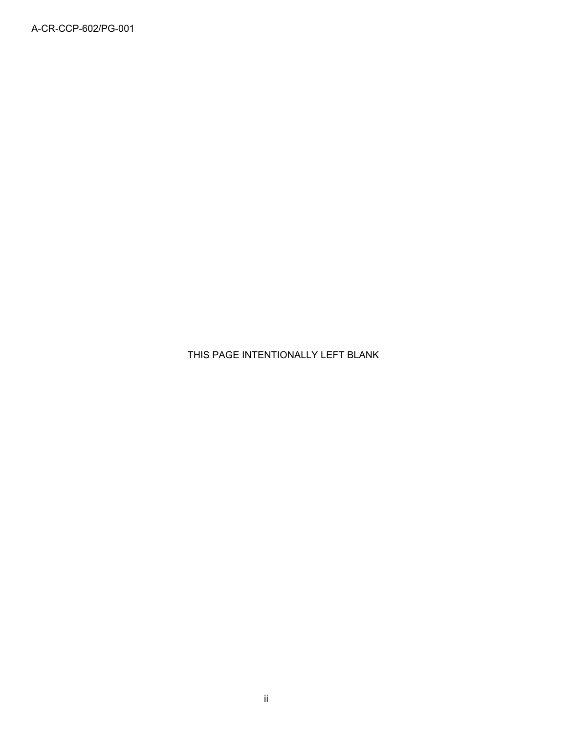THIS PAGE INTENTIONALLY LEFT BLANK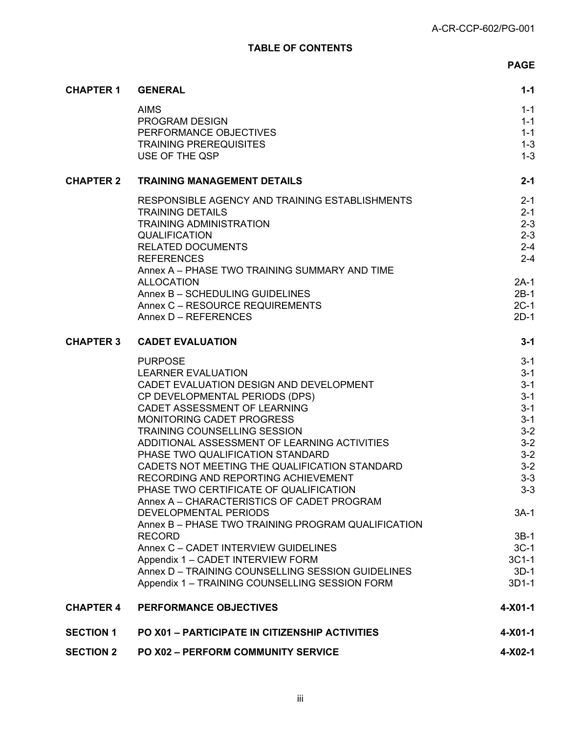|                  |                                                                                                                                                                                                                                                                                                                                                                                                                                                                                                                                                                                                                                                                                                                                                                                                    | <b>PAGE</b>                                                                                                                                                                            |
|------------------|----------------------------------------------------------------------------------------------------------------------------------------------------------------------------------------------------------------------------------------------------------------------------------------------------------------------------------------------------------------------------------------------------------------------------------------------------------------------------------------------------------------------------------------------------------------------------------------------------------------------------------------------------------------------------------------------------------------------------------------------------------------------------------------------------|----------------------------------------------------------------------------------------------------------------------------------------------------------------------------------------|
| <b>CHAPTER 1</b> | <b>GENERAL</b>                                                                                                                                                                                                                                                                                                                                                                                                                                                                                                                                                                                                                                                                                                                                                                                     | $1 - 1$                                                                                                                                                                                |
|                  | <b>AIMS</b><br><b>PROGRAM DESIGN</b><br>PERFORMANCE OBJECTIVES<br><b>TRAINING PREREQUISITES</b><br>USE OF THE QSP                                                                                                                                                                                                                                                                                                                                                                                                                                                                                                                                                                                                                                                                                  | $1 - 1$<br>$1 - 1$<br>$1 - 1$<br>$1 - 3$<br>$1 - 3$                                                                                                                                    |
| <b>CHAPTER 2</b> | <b>TRAINING MANAGEMENT DETAILS</b>                                                                                                                                                                                                                                                                                                                                                                                                                                                                                                                                                                                                                                                                                                                                                                 | $2 - 1$                                                                                                                                                                                |
|                  | RESPONSIBLE AGENCY AND TRAINING ESTABLISHMENTS<br><b>TRAINING DETAILS</b><br><b>TRAINING ADMINISTRATION</b><br><b>QUALIFICATION</b><br><b>RELATED DOCUMENTS</b><br><b>REFERENCES</b><br>Annex A - PHASE TWO TRAINING SUMMARY AND TIME<br><b>ALLOCATION</b><br>Annex B - SCHEDULING GUIDELINES<br>Annex C - RESOURCE REQUIREMENTS<br>Annex D - REFERENCES                                                                                                                                                                                                                                                                                                                                                                                                                                           | $2 - 1$<br>$2 - 1$<br>$2 - 3$<br>$2 - 3$<br>$2 - 4$<br>$2 - 4$<br>$2A-1$<br>$2B-1$<br>$2C-1$<br>$2D-1$                                                                                 |
| <b>CHAPTER 3</b> | <b>CADET EVALUATION</b>                                                                                                                                                                                                                                                                                                                                                                                                                                                                                                                                                                                                                                                                                                                                                                            | $3 - 1$                                                                                                                                                                                |
|                  | <b>PURPOSE</b><br><b>LEARNER EVALUATION</b><br>CADET EVALUATION DESIGN AND DEVELOPMENT<br>CP DEVELOPMENTAL PERIODS (DPS)<br>CADET ASSESSMENT OF LEARNING<br><b>MONITORING CADET PROGRESS</b><br><b>TRAINING COUNSELLING SESSION</b><br>ADDITIONAL ASSESSMENT OF LEARNING ACTIVITIES<br>PHASE TWO QUALIFICATION STANDARD<br>CADETS NOT MEETING THE QUALIFICATION STANDARD<br>RECORDING AND REPORTING ACHIEVEMENT<br>PHASE TWO CERTIFICATE OF QUALIFICATION<br>Annex A - CHARACTERISTICS OF CADET PROGRAM<br><b>DEVELOPMENTAL PERIODS</b><br>Annex B - PHASE TWO TRAINING PROGRAM QUALIFICATION<br><b>RECORD</b><br>Annex C - CADET INTERVIEW GUIDELINES<br>Appendix 1 - CADET INTERVIEW FORM<br>Annex D - TRAINING COUNSELLING SESSION GUIDELINES<br>Appendix 1 - TRAINING COUNSELLING SESSION FORM | $3 - 1$<br>$3 - 1$<br>$3 - 1$<br>$3 - 1$<br>$3 - 1$<br>$3 - 1$<br>$3-2$<br>$3-2$<br>$3-2$<br>$3 - 2$<br>$3-3$<br>$3 - 3$<br>$3A-1$<br>$3B-1$<br>$3C-1$<br>$3C1-1$<br>$3D-1$<br>$3D1-1$ |
| <b>CHAPTER 4</b> | PERFORMANCE OBJECTIVES                                                                                                                                                                                                                                                                                                                                                                                                                                                                                                                                                                                                                                                                                                                                                                             | 4-X01-1                                                                                                                                                                                |
| <b>SECTION 1</b> | <b>PO X01 - PARTICIPATE IN CITIZENSHIP ACTIVITIES</b>                                                                                                                                                                                                                                                                                                                                                                                                                                                                                                                                                                                                                                                                                                                                              | 4-X01-1                                                                                                                                                                                |
| <b>SECTION 2</b> | <b>PO X02 - PERFORM COMMUNITY SERVICE</b>                                                                                                                                                                                                                                                                                                                                                                                                                                                                                                                                                                                                                                                                                                                                                          | 4-X02-1                                                                                                                                                                                |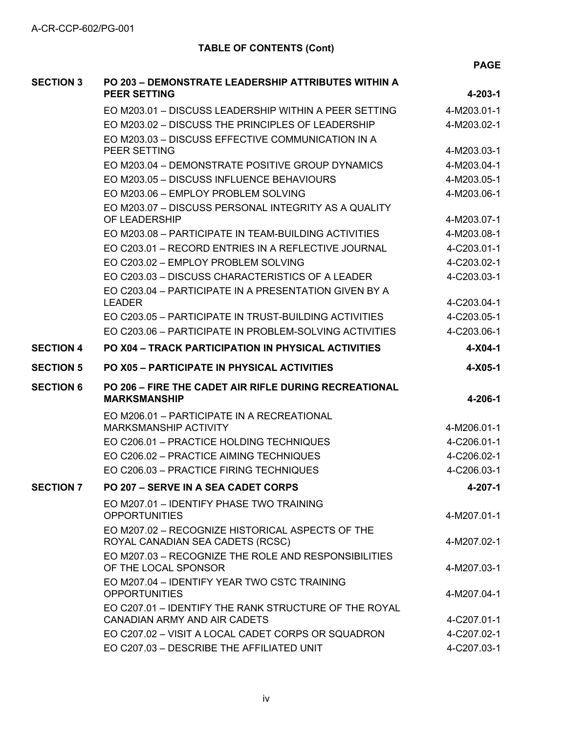# **TABLE OF CONTENTS (Cont)**

|                  |                                                                                      | <b>PAGE</b> |
|------------------|--------------------------------------------------------------------------------------|-------------|
| <b>SECTION 3</b> | PO 203 - DEMONSTRATE LEADERSHIP ATTRIBUTES WITHIN A<br><b>PEER SETTING</b>           | 4-203-1     |
|                  | EO M203.01 - DISCUSS LEADERSHIP WITHIN A PEER SETTING                                | 4-M203.01-1 |
|                  | EO M203.02 - DISCUSS THE PRINCIPLES OF LEADERSHIP                                    | 4-M203.02-1 |
|                  | EO M203.03 - DISCUSS EFFECTIVE COMMUNICATION IN A                                    |             |
|                  | PEER SETTING                                                                         | 4-M203.03-1 |
|                  | EO M203.04 - DEMONSTRATE POSITIVE GROUP DYNAMICS                                     | 4-M203.04-1 |
|                  | EO M203.05 - DISCUSS INFLUENCE BEHAVIOURS                                            | 4-M203.05-1 |
|                  | EO M203.06 - EMPLOY PROBLEM SOLVING                                                  | 4-M203.06-1 |
|                  | EO M203.07 - DISCUSS PERSONAL INTEGRITY AS A QUALITY                                 |             |
|                  | OF LEADERSHIP                                                                        | 4-M203.07-1 |
|                  | EO M203.08 - PARTICIPATE IN TEAM-BUILDING ACTIVITIES                                 | 4-M203.08-1 |
|                  | EO C203.01 - RECORD ENTRIES IN A REFLECTIVE JOURNAL                                  | 4-C203.01-1 |
|                  | EO C203.02 - EMPLOY PROBLEM SOLVING                                                  | 4-C203.02-1 |
|                  | EO C203.03 - DISCUSS CHARACTERISTICS OF A LEADER                                     | 4-C203.03-1 |
|                  | EO C203.04 - PARTICIPATE IN A PRESENTATION GIVEN BY A<br><b>LEADER</b>               | 4-C203.04-1 |
|                  | EO C203.05 - PARTICIPATE IN TRUST-BUILDING ACTIVITIES                                | 4-C203.05-1 |
|                  | EO C203.06 - PARTICIPATE IN PROBLEM-SOLVING ACTIVITIES                               | 4-C203.06-1 |
| <b>SECTION 4</b> | PO X04 - TRACK PARTICIPATION IN PHYSICAL ACTIVITIES                                  | 4-X04-1     |
| <b>SECTION 5</b> | <b>PO X05 - PARTICIPATE IN PHYSICAL ACTIVITIES</b>                                   | 4-X05-1     |
| <b>SECTION 6</b> | PO 206 - FIRE THE CADET AIR RIFLE DURING RECREATIONAL                                |             |
|                  | <b>MARKSMANSHIP</b>                                                                  | 4-206-1     |
|                  | EO M206.01 - PARTICIPATE IN A RECREATIONAL<br><b>MARKSMANSHIP ACTIVITY</b>           | 4-M206.01-1 |
|                  | EO C206.01 - PRACTICE HOLDING TECHNIQUES                                             | 4-C206.01-1 |
|                  | EO C206.02 - PRACTICE AIMING TECHNIQUES                                              | 4-C206.02-1 |
|                  | EO C206.03 - PRACTICE FIRING TECHNIQUES                                              | 4-C206.03-1 |
| <b>SECTION 7</b> | <b>PO 207 – SERVE IN A SEA CADET CORPS</b>                                           | 4-207-1     |
|                  | EO M207.01 - IDENTIFY PHASE TWO TRAINING<br><b>OPPORTUNITIES</b>                     | 4-M207.01-1 |
|                  | EO M207.02 - RECOGNIZE HISTORICAL ASPECTS OF THE<br>ROYAL CANADIAN SEA CADETS (RCSC) | 4-M207.02-1 |
|                  | EO M207.03 - RECOGNIZE THE ROLE AND RESPONSIBILITIES<br>OF THE LOCAL SPONSOR         | 4-M207.03-1 |
|                  | EO M207.04 - IDENTIFY YEAR TWO CSTC TRAINING<br><b>OPPORTUNITIES</b>                 | 4-M207.04-1 |
|                  | EO C207.01 - IDENTIFY THE RANK STRUCTURE OF THE ROYAL                                |             |
|                  | CANADIAN ARMY AND AIR CADETS                                                         | 4-C207.01-1 |
|                  | EO C207.02 - VISIT A LOCAL CADET CORPS OR SQUADRON                                   | 4-C207.02-1 |
|                  | EO C207.03 - DESCRIBE THE AFFILIATED UNIT                                            | 4-C207.03-1 |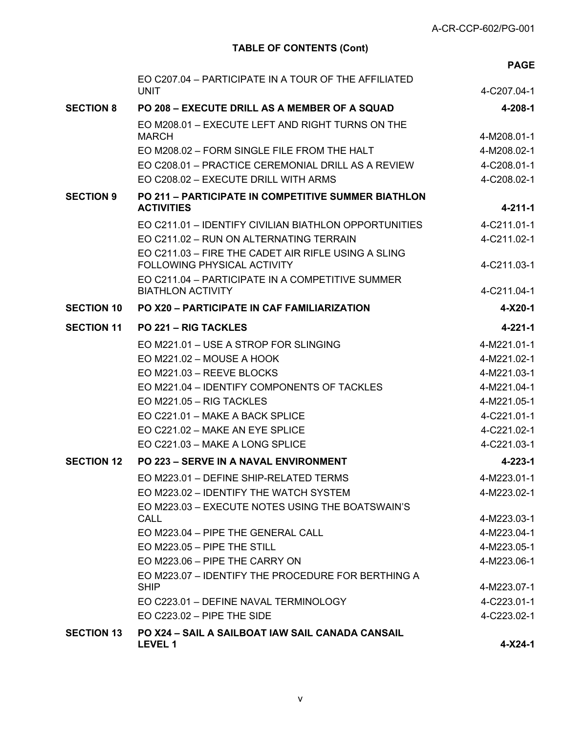# **TABLE OF CONTENTS (Cont)**

|                   |                                                                                           | <b>PAGE</b>   |
|-------------------|-------------------------------------------------------------------------------------------|---------------|
|                   | EO C207.04 - PARTICIPATE IN A TOUR OF THE AFFILIATED<br><b>UNIT</b>                       | 4-C207.04-1   |
| <b>SECTION 8</b>  | <b>PO 208 – EXECUTE DRILL AS A MEMBER OF A SQUAD</b>                                      | 4-208-1       |
|                   | EO M208.01 - EXECUTE LEFT AND RIGHT TURNS ON THE                                          |               |
|                   | <b>MARCH</b>                                                                              | 4-M208.01-1   |
|                   | EO M208.02 - FORM SINGLE FILE FROM THE HALT                                               | 4-M208.02-1   |
|                   | EO C208.01 - PRACTICE CEREMONIAL DRILL AS A REVIEW                                        | 4-C208.01-1   |
|                   | EO C208.02 - EXECUTE DRILL WITH ARMS                                                      | 4-C208.02-1   |
| <b>SECTION 9</b>  | <b>PO 211 - PARTICIPATE IN COMPETITIVE SUMMER BIATHLON</b>                                |               |
|                   | <b>ACTIVITIES</b>                                                                         | 4-211-1       |
|                   | EO C211.01 - IDENTIFY CIVILIAN BIATHLON OPPORTUNITIES                                     | 4-C211.01-1   |
|                   | EO C211.02 - RUN ON ALTERNATING TERRAIN                                                   | 4-C211.02-1   |
|                   | EO C211.03 - FIRE THE CADET AIR RIFLE USING A SLING<br><b>FOLLOWING PHYSICAL ACTIVITY</b> | 4-C211.03-1   |
|                   | EO C211.04 - PARTICIPATE IN A COMPETITIVE SUMMER                                          |               |
|                   | <b>BIATHLON ACTIVITY</b>                                                                  | 4-C211.04-1   |
| <b>SECTION 10</b> | <b>PO X20 - PARTICIPATE IN CAF FAMILIARIZATION</b>                                        | $4 - X20 - 1$ |
| <b>SECTION 11</b> | <b>PO 221 – RIG TACKLES</b>                                                               | $4 - 221 - 1$ |
|                   | EO M221.01 - USE A STROP FOR SLINGING                                                     | 4-M221.01-1   |
|                   | EO M221.02 - MOUSE A HOOK                                                                 | 4-M221.02-1   |
|                   | EO M221.03 - REEVE BLOCKS                                                                 | 4-M221.03-1   |
|                   | EO M221.04 - IDENTIFY COMPONENTS OF TACKLES                                               | 4-M221.04-1   |
|                   | EO M221.05 - RIG TACKLES                                                                  | 4-M221.05-1   |
|                   | EO C221.01 - MAKE A BACK SPLICE                                                           | 4-C221.01-1   |
|                   | EO C221.02 - MAKE AN EYE SPLICE                                                           | 4-C221.02-1   |
|                   | EO C221.03 - MAKE A LONG SPLICE                                                           | 4-C221.03-1   |
| <b>SECTION 12</b> | <b>PO 223 - SERVE IN A NAVAL ENVIRONMENT</b>                                              | $4 - 223 - 1$ |
|                   | EO M223.01 - DEFINE SHIP-RELATED TERMS                                                    | 4-M223.01-1   |
|                   | EO M223.02 - IDENTIFY THE WATCH SYSTEM                                                    | 4-M223.02-1   |
|                   | EO M223.03 - EXECUTE NOTES USING THE BOATSWAIN'S                                          |               |
|                   | <b>CALL</b>                                                                               | 4-M223.03-1   |
|                   | EO M223.04 - PIPE THE GENERAL CALL                                                        | 4-M223.04-1   |
|                   | $EO M223.05 - P IPE THE STILL$                                                            | 4-M223.05-1   |
|                   | EO M223.06 - PIPE THE CARRY ON                                                            | 4-M223.06-1   |
|                   | EO M223.07 - IDENTIFY THE PROCEDURE FOR BERTHING A<br><b>SHIP</b>                         | 4-M223.07-1   |
|                   | EO C223.01 - DEFINE NAVAL TERMINOLOGY                                                     | 4-C223.01-1   |
|                   | $EO$ $C223.02 - PIPE$ THE SIDE                                                            | 4-C223.02-1   |
| <b>SECTION 13</b> | PO X24 - SAIL A SAILBOAT IAW SAIL CANADA CANSAIL                                          |               |
|                   | LEVEL 1                                                                                   | $4 - X24 - 1$ |
|                   |                                                                                           |               |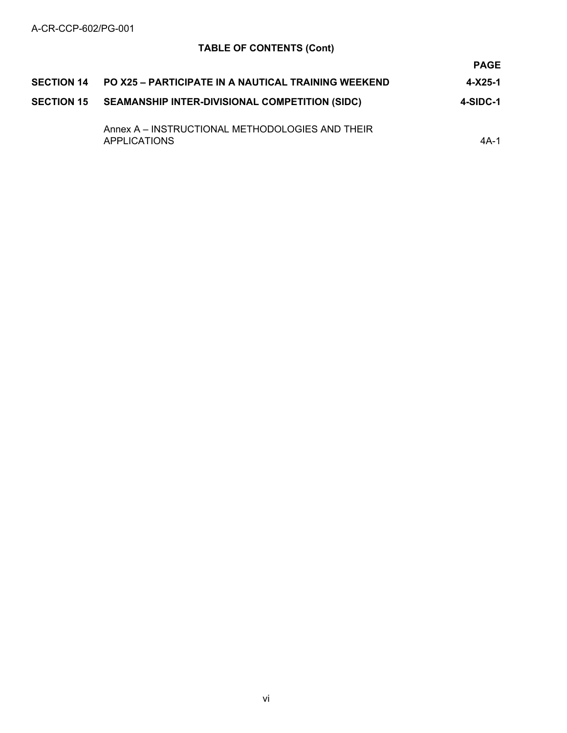# **TABLE OF CONTENTS (Cont)**

|                   |                                                                        | <b>PAGE</b>   |
|-------------------|------------------------------------------------------------------------|---------------|
| <b>SECTION 14</b> | <b>PO X25 – PARTICIPATE IN A NAUTICAL TRAINING WEEKEND</b>             | $4 - X25 - 1$ |
|                   | SECTION 15 SEAMANSHIP INTER-DIVISIONAL COMPETITION (SIDC)              | 4-SIDC-1      |
|                   | Annex A – INSTRUCTIONAL METHODOLOGIES AND THEIR<br><b>APPLICATIONS</b> | 4A-1          |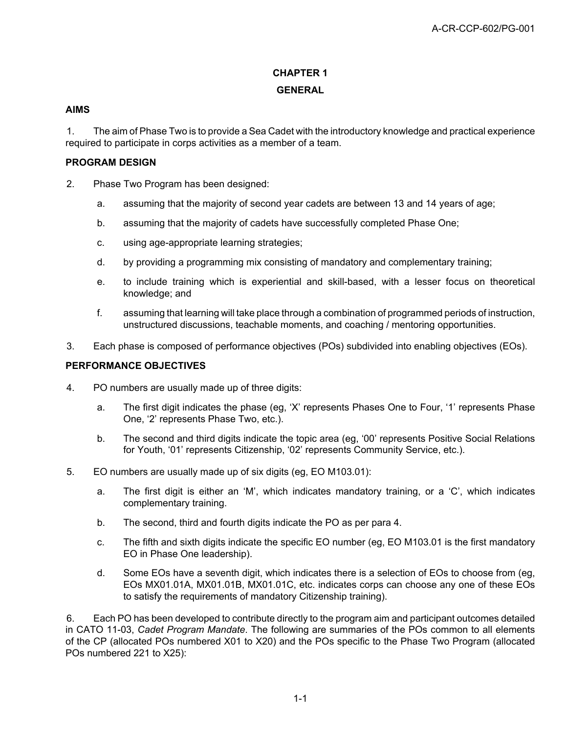# **CHAPTER 1**

# **GENERAL**

# <span id="page-12-0"></span>**AIMS**

1. The aim of Phase Two is to provide a Sea Cadet with the introductory knowledge and practical experience required to participate in corps activities as a member of a team.

# **PROGRAM DESIGN**

- 2. Phase Two Program has been designed:
	- a. assuming that the majority of second year cadets are between 13 and 14 years of age;
	- b. assuming that the majority of cadets have successfully completed Phase One;
	- c. using age-appropriate learning strategies;
	- d. by providing a programming mix consisting of mandatory and complementary training;
	- e. to include training which is experiential and skill-based, with a lesser focus on theoretical knowledge; and
	- f. assuming that learning will take place through a combination of programmed periods of instruction, unstructured discussions, teachable moments, and coaching / mentoring opportunities.
- 3. Each phase is composed of performance objectives (POs) subdivided into enabling objectives (EOs).

# **PERFORMANCE OBJECTIVES**

- 4. PO numbers are usually made up of three digits:
	- a. The first digit indicates the phase (eg, 'X' represents Phases One to Four, '1' represents Phase One, '2' represents Phase Two, etc.).
	- b. The second and third digits indicate the topic area (eg, '00' represents Positive Social Relations for Youth, '01' represents Citizenship, '02' represents Community Service, etc.).
- 5. EO numbers are usually made up of six digits (eg, EO M103.01):
	- a. The first digit is either an 'M', which indicates mandatory training, or a 'C', which indicates complementary training.
	- b. The second, third and fourth digits indicate the PO as per para 4.
	- c. The fifth and sixth digits indicate the specific EO number (eg, EO M103.01 is the first mandatory EO in Phase One leadership).
	- d. Some EOs have a seventh digit, which indicates there is a selection of EOs to choose from (eg, EOs MX01.01A, MX01.01B, MX01.01C, etc. indicates corps can choose any one of these EOs to satisfy the requirements of mandatory Citizenship training).

6. Each PO has been developed to contribute directly to the program aim and participant outcomes detailed in CATO 11-03, *Cadet Program Mandate*. The following are summaries of the POs common to all elements of the CP (allocated POs numbered X01 to X20) and the POs specific to the Phase Two Program (allocated POs numbered 221 to X25):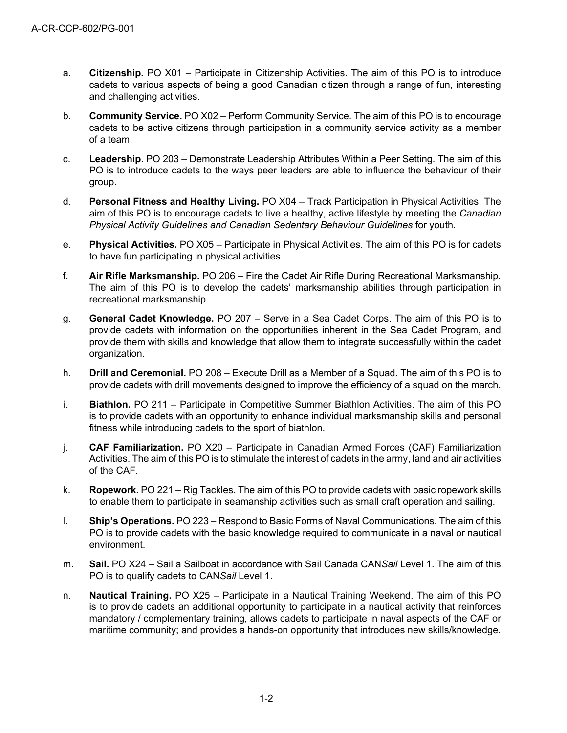- a. **Citizenship.** PO X01 Participate in Citizenship Activities. The aim of this PO is to introduce cadets to various aspects of being a good Canadian citizen through a range of fun, interesting and challenging activities.
- b. **Community Service.** PO X02 Perform Community Service. The aim of this PO is to encourage cadets to be active citizens through participation in a community service activity as a member of a team.
- c. **Leadership.** PO 203 Demonstrate Leadership Attributes Within a Peer Setting. The aim of this PO is to introduce cadets to the ways peer leaders are able to influence the behaviour of their group.
- d. **Personal Fitness and Healthy Living.** PO X04 Track Participation in Physical Activities. The aim of this PO is to encourage cadets to live a healthy, active lifestyle by meeting the *Canadian Physical Activity Guidelines and Canadian Sedentary Behaviour Guidelines* for youth.
- e. **Physical Activities.** PO X05 Participate in Physical Activities. The aim of this PO is for cadets to have fun participating in physical activities.
- f. **Air Rifle Marksmanship.** PO 206 Fire the Cadet Air Rifle During Recreational Marksmanship. The aim of this PO is to develop the cadets' marksmanship abilities through participation in recreational marksmanship.
- g. **General Cadet Knowledge.** PO 207 Serve in a Sea Cadet Corps. The aim of this PO is to provide cadets with information on the opportunities inherent in the Sea Cadet Program, and provide them with skills and knowledge that allow them to integrate successfully within the cadet organization.
- h. **Drill and Ceremonial.** PO 208 Execute Drill as a Member of a Squad. The aim of this PO is to provide cadets with drill movements designed to improve the efficiency of a squad on the march.
- i. **Biathlon.** PO 211 Participate in Competitive Summer Biathlon Activities. The aim of this PO is to provide cadets with an opportunity to enhance individual marksmanship skills and personal fitness while introducing cadets to the sport of biathlon.
- j. **CAF Familiarization.** PO X20 Participate in Canadian Armed Forces (CAF) Familiarization Activities. The aim of this PO is to stimulate the interest of cadets in the army, land and air activities of the CAF.
- k. **Ropework.** PO 221 Rig Tackles. The aim of this PO to provide cadets with basic ropework skills to enable them to participate in seamanship activities such as small craft operation and sailing.
- l. **Ship's Operations.** PO 223 Respond to Basic Forms of Naval Communications. The aim of this PO is to provide cadets with the basic knowledge required to communicate in a naval or nautical environment.
- m. **Sail.** PO X24 Sail a Sailboat in accordance with Sail Canada CAN*Sail* Level 1. The aim of this PO is to qualify cadets to CAN*Sail* Level 1.
- n. **Nautical Training.** PO X25 Participate in a Nautical Training Weekend. The aim of this PO is to provide cadets an additional opportunity to participate in a nautical activity that reinforces mandatory / complementary training, allows cadets to participate in naval aspects of the CAF or maritime community; and provides a hands-on opportunity that introduces new skills/knowledge.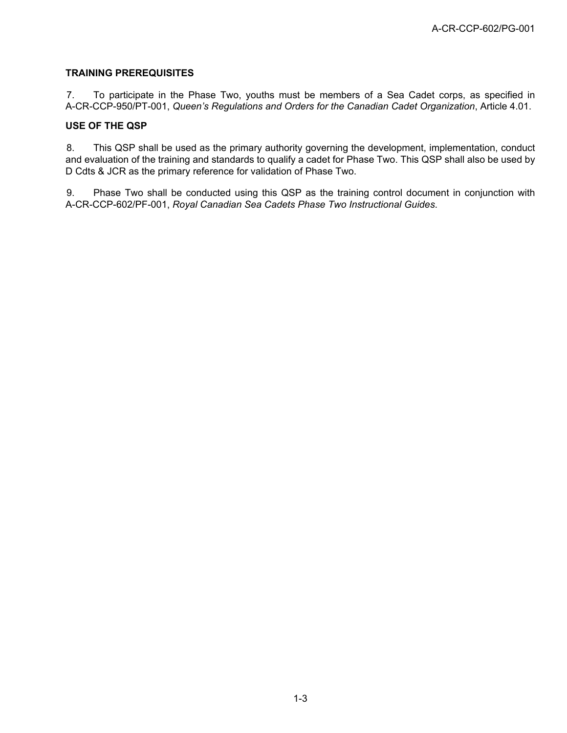# <span id="page-14-0"></span>**TRAINING PREREQUISITES**

7. To participate in the Phase Two, youths must be members of a Sea Cadet corps, as specified in A-CR-CCP-950/PT-001, *Queen's Regulations and Orders for the Canadian Cadet Organization*, Article 4.01.

## **USE OF THE QSP**

8. This QSP shall be used as the primary authority governing the development, implementation, conduct and evaluation of the training and standards to qualify a cadet for Phase Two. This QSP shall also be used by D Cdts & JCR as the primary reference for validation of Phase Two.

9. Phase Two shall be conducted using this QSP as the training control document in conjunction with A-CR-CCP-602/PF-001, *Royal Canadian Sea Cadets Phase Two Instructional Guides*.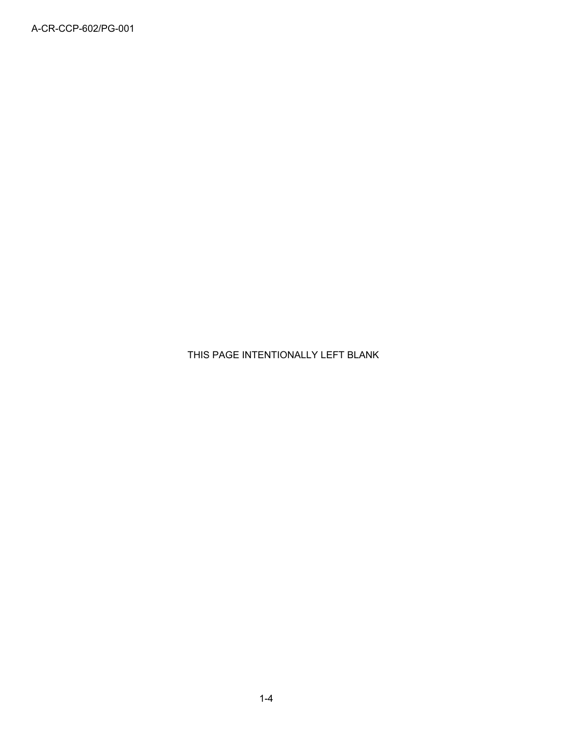THIS PAGE INTENTIONALLY LEFT BLANK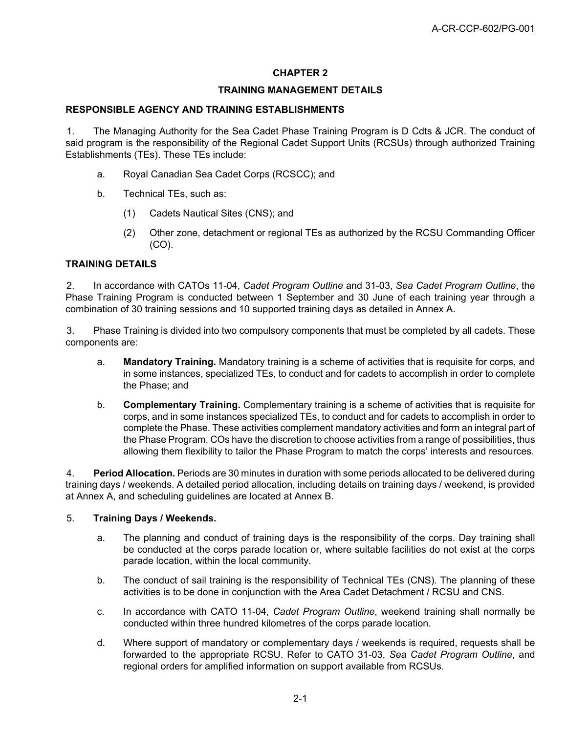# **CHAPTER 2**

#### **TRAINING MANAGEMENT DETAILS**

#### <span id="page-16-0"></span>**RESPONSIBLE AGENCY AND TRAINING ESTABLISHMENTS**

1. The Managing Authority for the Sea Cadet Phase Training Program is D Cdts & JCR. The conduct of said program is the responsibility of the Regional Cadet Support Units (RCSUs) through authorized Training Establishments (TEs). These TEs include:

- a. Royal Canadian Sea Cadet Corps (RCSCC); and
- b. Technical TEs, such as:
	- (1) Cadets Nautical Sites (CNS); and
	- (2) Other zone, detachment or regional TEs as authorized by the RCSU Commanding Officer (CO).

# **TRAINING DETAILS**

2. In accordance with CATOs 11-04, *Cadet Program Outline* and 31-03, *Sea Cadet Program Outline*, the Phase Training Program is conducted between 1 September and 30 June of each training year through a combination of 30 training sessions and 10 supported training days as detailed in Annex A.

3. Phase Training is divided into two compulsory components that must be completed by all cadets. These components are:

- a. **Mandatory Training.** Mandatory training is a scheme of activities that is requisite for corps, and in some instances, specialized TEs, to conduct and for cadets to accomplish in order to complete the Phase; and
- b. **Complementary Training.** Complementary training is a scheme of activities that is requisite for corps, and in some instances specialized TEs, to conduct and for cadets to accomplish in order to complete the Phase. These activities complement mandatory activities and form an integral part of the Phase Program. COs have the discretion to choose activities from a range of possibilities, thus allowing them flexibility to tailor the Phase Program to match the corps' interests and resources.

4. **Period Allocation.** Periods are 30 minutes in duration with some periods allocated to be delivered during training days / weekends. A detailed period allocation, including details on training days / weekend, is provided at Annex A, and scheduling guidelines are located at Annex B.

# 5. **Training Days / Weekends.**

- a. The planning and conduct of training days is the responsibility of the corps. Day training shall be conducted at the corps parade location or, where suitable facilities do not exist at the corps parade location, within the local community.
- b. The conduct of sail training is the responsibility of Technical TEs (CNS). The planning of these activities is to be done in conjunction with the Area Cadet Detachment / RCSU and CNS.
- c. In accordance with CATO 11-04, *Cadet Program Outline*, weekend training shall normally be conducted within three hundred kilometres of the corps parade location.
- d. Where support of mandatory or complementary days / weekends is required, requests shall be forwarded to the appropriate RCSU. Refer to CATO 31-03, *Sea Cadet Program Outline*, and regional orders for amplified information on support available from RCSUs.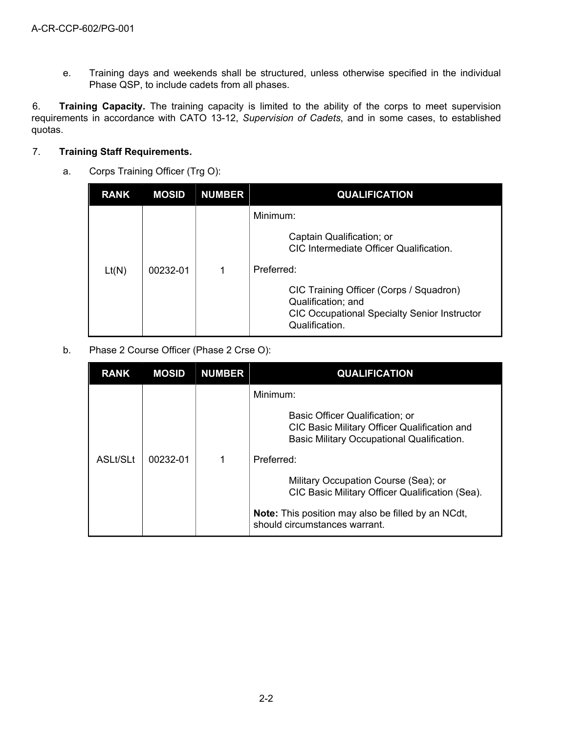e. Training days and weekends shall be structured, unless otherwise specified in the individual Phase QSP, to include cadets from all phases.

6. **Training Capacity.** The training capacity is limited to the ability of the corps to meet supervision requirements in accordance with CATO 13-12, *Supervision of Cadets*, and in some cases, to established quotas.

# 7. **Training Staff Requirements.**

a. Corps Training Officer (Trg O):

| <b>RANK</b> | <b>MOSID</b> | <b>NUMBER</b> | <b>QUALIFICATION</b>                                                                                                                                                                                                                     |
|-------------|--------------|---------------|------------------------------------------------------------------------------------------------------------------------------------------------------------------------------------------------------------------------------------------|
| Lt(N)       | 00232-01     | 1             | Minimum:<br>Captain Qualification; or<br>CIC Intermediate Officer Qualification.<br>Preferred:<br>CIC Training Officer (Corps / Squadron)<br>Qualification; and<br><b>CIC Occupational Specialty Senior Instructor</b><br>Qualification. |

b. Phase 2 Course Officer (Phase 2 Crse O):

| <b>RANK</b> | <b>MOSID</b> | <b>NUMBER</b> | <b>QUALIFICATION</b>                                                                                                          |
|-------------|--------------|---------------|-------------------------------------------------------------------------------------------------------------------------------|
|             |              |               | Minimum:                                                                                                                      |
|             |              |               | Basic Officer Qualification; or<br>CIC Basic Military Officer Qualification and<br>Basic Military Occupational Qualification. |
| ASLt/SLt    | 00232-01     | 1             | Preferred:                                                                                                                    |
|             |              |               | Military Occupation Course (Sea); or<br>CIC Basic Military Officer Qualification (Sea).                                       |
|             |              |               | <b>Note:</b> This position may also be filled by an NCdt,<br>should circumstances warrant.                                    |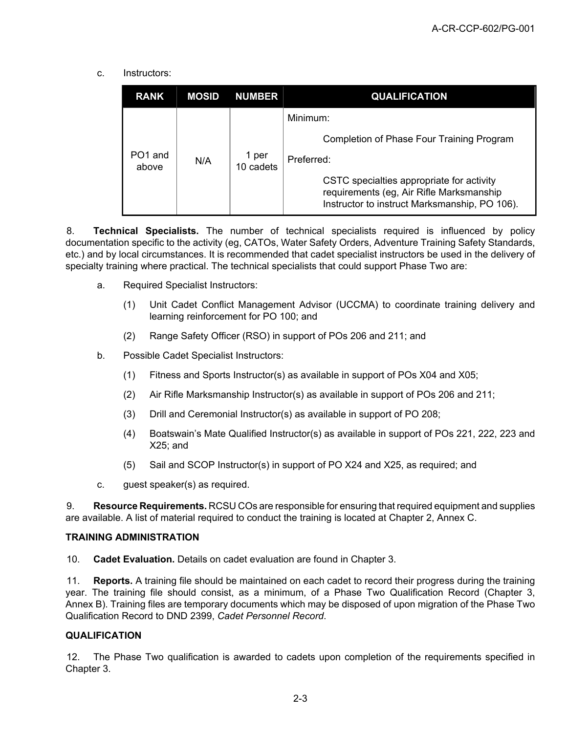<span id="page-18-0"></span>c. Instructors:

| <b>RANK</b>                  | <b>MOSID</b> | <b>NUMBER</b>      | <b>QUALIFICATION</b>                                                                                                                                                                                          |
|------------------------------|--------------|--------------------|---------------------------------------------------------------------------------------------------------------------------------------------------------------------------------------------------------------|
| PO <sub>1</sub> and<br>above | N/A          | 1 per<br>10 cadets | Minimum:<br>Completion of Phase Four Training Program<br>Preferred:<br>CSTC specialties appropriate for activity<br>requirements (eg, Air Rifle Marksmanship<br>Instructor to instruct Marksmanship, PO 106). |

8. **Technical Specialists.** The number of technical specialists required is influenced by policy documentation specific to the activity (eg, CATOs, Water Safety Orders, Adventure Training Safety Standards, etc.) and by local circumstances. It is recommended that cadet specialist instructors be used in the delivery of specialty training where practical. The technical specialists that could support Phase Two are:

- a. Required Specialist Instructors:
	- (1) Unit Cadet Conflict Management Advisor (UCCMA) to coordinate training delivery and learning reinforcement for PO 100; and
	- (2) Range Safety Officer (RSO) in support of POs 206 and 211; and
- b. Possible Cadet Specialist Instructors:
	- (1) Fitness and Sports Instructor(s) as available in support of POs X04 and X05;
	- (2) Air Rifle Marksmanship Instructor(s) as available in support of POs 206 and 211;
	- (3) Drill and Ceremonial Instructor(s) as available in support of PO 208;
	- (4) Boatswain's Mate Qualified Instructor(s) as available in support of POs 221, 222, 223 and X25; and
	- (5) Sail and SCOP Instructor(s) in support of PO X24 and X25, as required; and
- c. guest speaker(s) as required.

9. **Resource Requirements.** RCSU COs are responsible for ensuring that required equipment and supplies are available. A list of material required to conduct the training is located at Chapter 2, Annex C.

# **TRAINING ADMINISTRATION**

10. **Cadet Evaluation.** Details on cadet evaluation are found in Chapter 3.

11. **Reports.** A training file should be maintained on each cadet to record their progress during the training year. The training file should consist, as a minimum, of a Phase Two Qualification Record (Chapter 3, Annex B). Training files are temporary documents which may be disposed of upon migration of the Phase Two Qualification Record to DND 2399, *Cadet Personnel Record*.

# **QUALIFICATION**

12. The Phase Two qualification is awarded to cadets upon completion of the requirements specified in Chapter 3.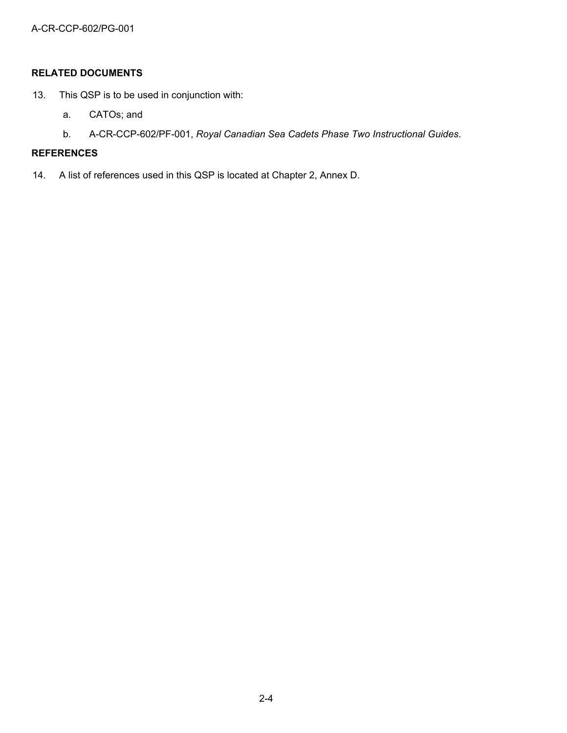# <span id="page-19-0"></span>**RELATED DOCUMENTS**

- 13. This QSP is to be used in conjunction with:
	- a. CATOs; and
	- b. A-CR-CCP-602/PF-001, *Royal Canadian Sea Cadets Phase Two Instructional Guides*.

# **REFERENCES**

14. A list of references used in this QSP is located at Chapter 2, Annex D.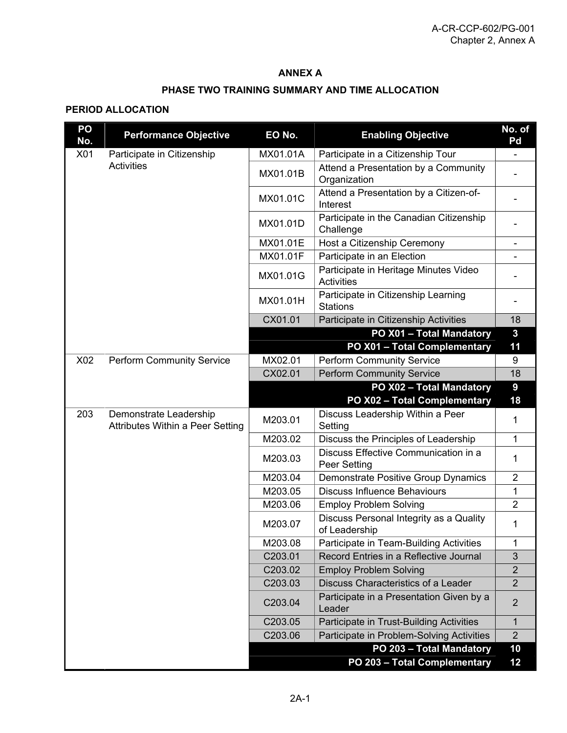# **ANNEX A**

# **PHASE TWO TRAINING SUMMARY AND TIME ALLOCATION**

# <span id="page-20-0"></span>**PERIOD ALLOCATION**

| PO<br>No. | <b>Performance Objective</b>                               | EO No.   | <b>Enabling Objective</b>                                   | No. of<br>Pd   |
|-----------|------------------------------------------------------------|----------|-------------------------------------------------------------|----------------|
| X01       | Participate in Citizenship                                 | MX01.01A | Participate in a Citizenship Tour                           |                |
|           | <b>Activities</b>                                          | MX01.01B | Attend a Presentation by a Community<br>Organization        |                |
|           |                                                            | MX01.01C | Attend a Presentation by a Citizen-of-<br>Interest          |                |
|           |                                                            | MX01.01D | Participate in the Canadian Citizenship<br>Challenge        |                |
|           |                                                            | MX01.01E | Host a Citizenship Ceremony                                 |                |
|           |                                                            | MX01.01F | Participate in an Election                                  |                |
|           |                                                            | MX01.01G | Participate in Heritage Minutes Video<br><b>Activities</b>  |                |
|           |                                                            | MX01.01H | Participate in Citizenship Learning<br><b>Stations</b>      |                |
|           |                                                            | CX01.01  | Participate in Citizenship Activities                       | 18             |
|           |                                                            |          | PO X01 - Total Mandatory                                    | $\mathbf{3}$   |
|           |                                                            |          | PO X01 - Total Complementary                                | 11             |
| X02       | <b>Perform Community Service</b>                           | MX02.01  | <b>Perform Community Service</b>                            | 9              |
|           |                                                            | CX02.01  | <b>Perform Community Service</b>                            | 18             |
|           |                                                            |          | PO X02 - Total Mandatory                                    | 9              |
|           |                                                            |          | PO X02 - Total Complementary                                | 18             |
| 203       | Demonstrate Leadership<br>Attributes Within a Peer Setting | M203.01  | Discuss Leadership Within a Peer<br>Setting                 | $\mathbf{1}$   |
|           |                                                            | M203.02  | Discuss the Principles of Leadership                        | $\mathbf{1}$   |
|           |                                                            | M203.03  | Discuss Effective Communication in a<br><b>Peer Setting</b> | 1              |
|           |                                                            | M203.04  | Demonstrate Positive Group Dynamics                         | $\overline{2}$ |
|           |                                                            | M203.05  | <b>Discuss Influence Behaviours</b>                         | $\mathbf{1}$   |
|           |                                                            | M203.06  | <b>Employ Problem Solving</b>                               | $\overline{2}$ |
|           |                                                            | M203.07  | Discuss Personal Integrity as a Quality<br>of Leadership    | 1              |
|           |                                                            | M203.08  | Participate in Team-Building Activities                     | 1              |
|           |                                                            | C203.01  | Record Entries in a Reflective Journal                      | 3              |
|           |                                                            | C203.02  | <b>Employ Problem Solving</b>                               | 2              |
|           |                                                            | C203.03  | Discuss Characteristics of a Leader                         | $\overline{2}$ |
|           |                                                            | C203.04  | Participate in a Presentation Given by a<br>Leader          | $\overline{2}$ |
|           |                                                            | C203.05  | Participate in Trust-Building Activities                    | $\mathbf{1}$   |
|           |                                                            | C203.06  | Participate in Problem-Solving Activities                   | $\overline{2}$ |
|           |                                                            |          | PO 203 - Total Mandatory                                    | 10             |
|           |                                                            |          | PO 203 - Total Complementary                                | 12             |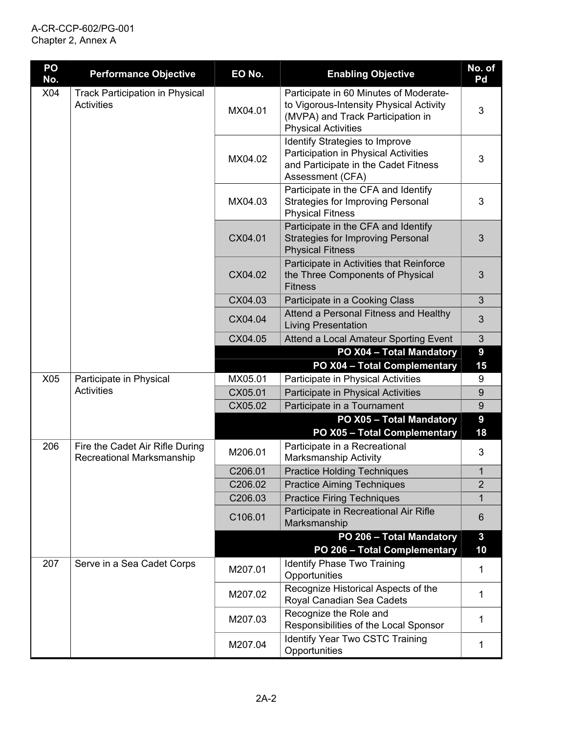| PO<br>No. | <b>Performance Objective</b>                                 | EO No.  | <b>Enabling Objective</b>                                                                                                                            | No. of<br>Pd   |
|-----------|--------------------------------------------------------------|---------|------------------------------------------------------------------------------------------------------------------------------------------------------|----------------|
| X04       | <b>Track Participation in Physical</b><br>Activities         | MX04.01 | Participate in 60 Minutes of Moderate-<br>to Vigorous-Intensity Physical Activity<br>(MVPA) and Track Participation in<br><b>Physical Activities</b> | 3              |
|           |                                                              | MX04.02 | Identify Strategies to Improve<br>Participation in Physical Activities<br>and Participate in the Cadet Fitness<br>Assessment (CFA)                   | 3              |
|           |                                                              | MX04.03 | Participate in the CFA and Identify<br><b>Strategies for Improving Personal</b><br><b>Physical Fitness</b>                                           | 3              |
|           |                                                              | CX04.01 | Participate in the CFA and Identify<br><b>Strategies for Improving Personal</b><br><b>Physical Fitness</b>                                           | 3              |
|           |                                                              | CX04.02 | Participate in Activities that Reinforce<br>the Three Components of Physical<br><b>Fitness</b>                                                       | 3              |
|           |                                                              | CX04.03 | Participate in a Cooking Class                                                                                                                       | 3              |
|           |                                                              | CX04.04 | Attend a Personal Fitness and Healthy<br><b>Living Presentation</b>                                                                                  | 3              |
|           |                                                              | CX04.05 | Attend a Local Amateur Sporting Event                                                                                                                | 3              |
|           |                                                              |         | PO X04 - Total Mandatory                                                                                                                             | 9              |
|           |                                                              |         | PO X04 - Total Complementary                                                                                                                         | 15             |
| X05       | Participate in Physical                                      | MX05.01 | Participate in Physical Activities                                                                                                                   | 9              |
|           | <b>Activities</b>                                            | CX05.01 | Participate in Physical Activities                                                                                                                   | $9\,$          |
|           |                                                              | CX05.02 | Participate in a Tournament                                                                                                                          | 9              |
|           |                                                              |         | PO X05 - Total Mandatory                                                                                                                             | 9              |
|           |                                                              |         | PO X05 - Total Complementary                                                                                                                         | 18             |
| 206       | Fire the Cadet Air Rifle During<br>Recreational Marksmanship | M206.01 | Participate in a Recreational<br>Marksmanship Activity                                                                                               | 3              |
|           |                                                              | C206.01 | <b>Practice Holding Techniques</b>                                                                                                                   | 1              |
|           |                                                              | C206.02 | <b>Practice Aiming Techniques</b>                                                                                                                    | $\overline{2}$ |
|           |                                                              | C206.03 | <b>Practice Firing Techniques</b>                                                                                                                    | 1              |
|           |                                                              | C106.01 | Participate in Recreational Air Rifle<br>Marksmanship                                                                                                | $6\phantom{1}$ |
|           |                                                              |         | PO 206 - Total Mandatory                                                                                                                             | $\mathbf{3}$   |
|           |                                                              |         | PO 206 - Total Complementary                                                                                                                         | 10             |
| 207       | Serve in a Sea Cadet Corps                                   | M207.01 | <b>Identify Phase Two Training</b><br>Opportunities                                                                                                  | 1              |
|           |                                                              | M207.02 | Recognize Historical Aspects of the<br>Royal Canadian Sea Cadets                                                                                     | $\mathbf{1}$   |
|           |                                                              | M207.03 | Recognize the Role and<br>Responsibilities of the Local Sponsor                                                                                      | 1              |
|           |                                                              | M207.04 | <b>Identify Year Two CSTC Training</b><br>Opportunities                                                                                              | 1              |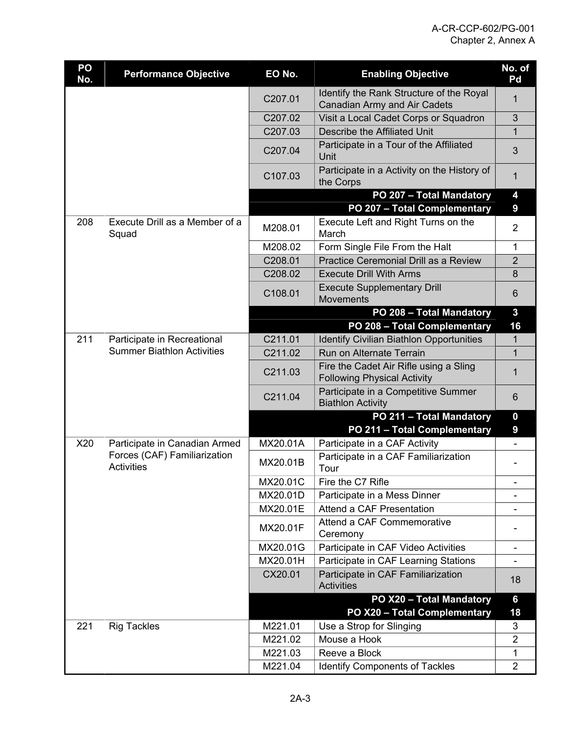| PO<br>No. | <b>Performance Objective</b>                                     | EO No.   | <b>Enabling Objective</b>                                                    | No. of<br>Pd     |
|-----------|------------------------------------------------------------------|----------|------------------------------------------------------------------------------|------------------|
|           |                                                                  | C207.01  | Identify the Rank Structure of the Royal<br>Canadian Army and Air Cadets     | 1                |
|           |                                                                  | C207.02  | Visit a Local Cadet Corps or Squadron                                        | 3                |
|           |                                                                  | C207.03  | Describe the Affiliated Unit                                                 | $\mathbf{1}$     |
|           |                                                                  | C207.04  | Participate in a Tour of the Affiliated<br>Unit                              | 3                |
|           |                                                                  | C107.03  | Participate in a Activity on the History of<br>the Corps                     | 1                |
|           |                                                                  |          | PO 207 - Total Mandatory                                                     | 4                |
|           |                                                                  |          | PO 207 - Total Complementary                                                 | 9                |
| 208       | Execute Drill as a Member of a<br>Squad                          | M208.01  | Execute Left and Right Turns on the<br>March                                 | $\overline{2}$   |
|           |                                                                  | M208.02  | Form Single File From the Halt                                               | 1                |
|           |                                                                  | C208.01  | Practice Ceremonial Drill as a Review                                        | $\overline{2}$   |
|           |                                                                  | C208.02  | <b>Execute Drill With Arms</b>                                               | 8                |
|           |                                                                  | C108.01  | <b>Execute Supplementary Drill</b><br><b>Movements</b>                       | $6\phantom{1}$   |
|           |                                                                  |          | PO 208 - Total Mandatory                                                     | $\overline{3}$   |
|           |                                                                  |          | PO 208 - Total Complementary                                                 | 16               |
| 211       | Participate in Recreational<br><b>Summer Biathlon Activities</b> | C211.01  | <b>Identify Civilian Biathlon Opportunities</b>                              | 1                |
|           |                                                                  | C211.02  | Run on Alternate Terrain                                                     | 1                |
|           |                                                                  | C211.03  | Fire the Cadet Air Rifle using a Sling<br><b>Following Physical Activity</b> | $\mathbf{1}$     |
|           |                                                                  | C211.04  | Participate in a Competitive Summer<br><b>Biathlon Activity</b>              | $6\phantom{1}$   |
|           |                                                                  |          | PO 211 - Total Mandatory                                                     | $\boldsymbol{0}$ |
|           |                                                                  |          | PO 211 - Total Complementary                                                 | 9                |
| X20       | Participate in Canadian Armed                                    | MX20.01A | Participate in a CAF Activity                                                |                  |
|           | Forces (CAF) Familiarization<br><b>Activities</b>                | MX20.01B | Participate in a CAF Familiarization<br>Tour                                 |                  |
|           |                                                                  | MX20.01C | Fire the C7 Rifle                                                            |                  |
|           |                                                                  | MX20.01D | Participate in a Mess Dinner                                                 |                  |
|           |                                                                  | MX20.01E | Attend a CAF Presentation                                                    |                  |
|           |                                                                  | MX20.01F | Attend a CAF Commemorative<br>Ceremony                                       |                  |
|           |                                                                  | MX20.01G | Participate in CAF Video Activities                                          |                  |
|           |                                                                  | MX20.01H | Participate in CAF Learning Stations                                         |                  |
|           |                                                                  | CX20.01  | Participate in CAF Familiarization<br><b>Activities</b>                      | 18               |
|           |                                                                  |          | PO X20 - Total Mandatory                                                     | $6\phantom{a}$   |
|           |                                                                  |          | PO X20 - Total Complementary                                                 | 18               |
| 221       | <b>Rig Tackles</b>                                               | M221.01  | Use a Strop for Slinging                                                     | 3                |
|           |                                                                  | M221.02  | Mouse a Hook                                                                 | $\overline{2}$   |
|           |                                                                  | M221.03  | Reeve a Block                                                                | 1                |
|           |                                                                  | M221.04  | Identify Components of Tackles                                               | $\overline{2}$   |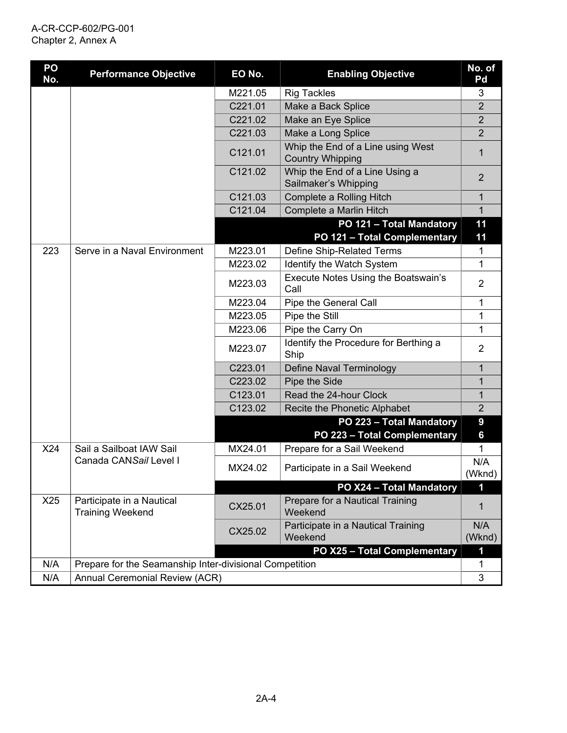| PO<br>No. | <b>Performance Objective</b>                            | EO No.  | <b>Enabling Objective</b>                                    | No. of<br>Pd   |
|-----------|---------------------------------------------------------|---------|--------------------------------------------------------------|----------------|
|           |                                                         | M221.05 | <b>Rig Tackles</b>                                           | 3              |
|           |                                                         | C221.01 | Make a Back Splice                                           | $\overline{2}$ |
|           |                                                         | C221.02 | Make an Eye Splice                                           | $\overline{2}$ |
|           |                                                         | C221.03 | Make a Long Splice                                           | $\overline{2}$ |
|           |                                                         | C121.01 | Whip the End of a Line using West<br><b>Country Whipping</b> | 1              |
|           |                                                         | C121.02 | Whip the End of a Line Using a<br>Sailmaker's Whipping       | $\overline{2}$ |
|           |                                                         | C121.03 | Complete a Rolling Hitch                                     | 1              |
|           |                                                         | C121.04 | Complete a Marlin Hitch                                      | $\mathbf{1}$   |
|           |                                                         |         | PO 121 - Total Mandatory                                     | 11             |
|           |                                                         |         | PO 121 - Total Complementary                                 | 11             |
| 223       | Serve in a Naval Environment                            | M223.01 | Define Ship-Related Terms                                    | 1              |
|           |                                                         | M223.02 | Identify the Watch System                                    | 1              |
|           |                                                         | M223.03 | Execute Notes Using the Boatswain's<br>Call                  | $\overline{2}$ |
|           |                                                         | M223.04 | Pipe the General Call                                        | 1              |
|           |                                                         | M223.05 | Pipe the Still                                               | 1              |
|           |                                                         | M223.06 | Pipe the Carry On                                            | 1              |
|           |                                                         | M223.07 | Identify the Procedure for Berthing a<br>Ship                | $\overline{2}$ |
|           |                                                         | C223.01 | Define Naval Terminology                                     | 1              |
|           |                                                         | C223.02 | Pipe the Side                                                | $\mathbf{1}$   |
|           |                                                         | C123.01 | Read the 24-hour Clock                                       | 1              |
|           |                                                         | C123.02 | Recite the Phonetic Alphabet                                 | $\overline{2}$ |
|           |                                                         |         | PO 223 - Total Mandatory                                     | 9              |
|           |                                                         |         | PO 223 - Total Complementary                                 | 6              |
| X24       | Sail a Sailboat IAW Sail                                | MX24.01 | Prepare for a Sail Weekend                                   | 1              |
|           | Canada CANSail Level I                                  | MX24.02 | Participate in a Sail Weekend                                | N/A<br>(Wknd)  |
|           |                                                         |         | PO X24 - Total Mandatory                                     | 1              |
| X25       | Participate in a Nautical<br><b>Training Weekend</b>    | CX25.01 | Prepare for a Nautical Training<br>Weekend                   | 1              |
|           |                                                         | CX25.02 | Participate in a Nautical Training<br>Weekend                | N/A<br>(Wknd)  |
|           |                                                         |         | PO X25 - Total Complementary                                 | 1              |
| N/A       | Prepare for the Seamanship Inter-divisional Competition |         | 1                                                            |                |
| N/A       | Annual Ceremonial Review (ACR)                          |         |                                                              | 3              |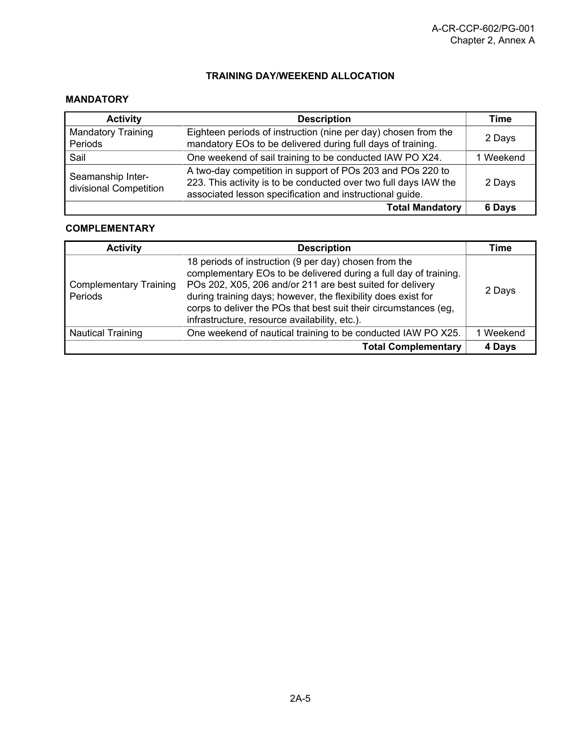# **TRAINING DAY/WEEKEND ALLOCATION**

# **MANDATORY**

| <b>Activity</b>                             | <b>Description</b>                                                                                                                                                                         | <b>Time</b> |
|---------------------------------------------|--------------------------------------------------------------------------------------------------------------------------------------------------------------------------------------------|-------------|
| <b>Mandatory Training</b><br>Periods        | Eighteen periods of instruction (nine per day) chosen from the<br>mandatory EOs to be delivered during full days of training.                                                              | 2 Days      |
| Sail                                        | One weekend of sail training to be conducted IAW PO X24.                                                                                                                                   | 1 Weekend   |
| Seamanship Inter-<br>divisional Competition | A two-day competition in support of POs 203 and POs 220 to<br>223. This activity is to be conducted over two full days IAW the<br>associated lesson specification and instructional guide. | 2 Days      |
|                                             | <b>Total Mandatory</b>                                                                                                                                                                     | 6 Days      |

# **COMPLEMENTARY**

| <b>Activity</b>                          | <b>Description</b>                                                                                                                                                                                                                                                                                                                                                           | Time    |
|------------------------------------------|------------------------------------------------------------------------------------------------------------------------------------------------------------------------------------------------------------------------------------------------------------------------------------------------------------------------------------------------------------------------------|---------|
| <b>Complementary Training</b><br>Periods | 18 periods of instruction (9 per day) chosen from the<br>complementary EOs to be delivered during a full day of training.<br>POs 202, X05, 206 and/or 211 are best suited for delivery<br>during training days; however, the flexibility does exist for<br>corps to deliver the POs that best suit their circumstances (eg,<br>infrastructure, resource availability, etc.). | 2 Days  |
| <b>Nautical Training</b>                 | One weekend of nautical training to be conducted IAW PO X25.                                                                                                                                                                                                                                                                                                                 | Weekend |
|                                          | <b>Total Complementary</b>                                                                                                                                                                                                                                                                                                                                                   | 4 Days  |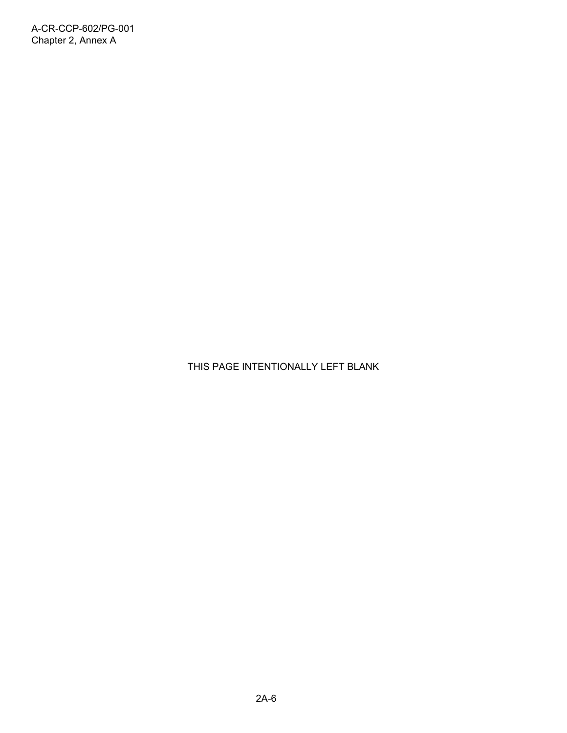THIS PAGE INTENTIONALLY LEFT BLANK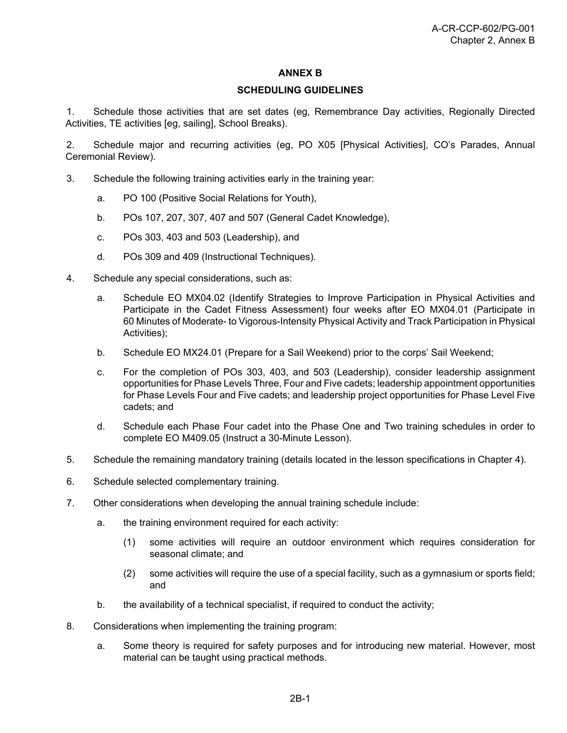# **ANNEX B**

#### **SCHEDULING GUIDELINES**

<span id="page-26-0"></span>1. Schedule those activities that are set dates (eg, Remembrance Day activities, Regionally Directed Activities, TE activities [eg, sailing], School Breaks).

2. Schedule major and recurring activities (eg, PO X05 [Physical Activities], CO's Parades, Annual Ceremonial Review).

- 3. Schedule the following training activities early in the training year:
	- a. PO 100 (Positive Social Relations for Youth),
	- b. POs 107, 207, 307, 407 and 507 (General Cadet Knowledge),
	- c. POs 303, 403 and 503 (Leadership), and
	- d. POs 309 and 409 (Instructional Techniques).
- 4. Schedule any special considerations, such as:
	- a. Schedule EO MX04.02 (Identify Strategies to Improve Participation in Physical Activities and Participate in the Cadet Fitness Assessment) four weeks after EO MX04.01 (Participate in 60 Minutes of Moderate- to Vigorous-Intensity Physical Activity and Track Participation in Physical Activities);
	- b. Schedule EO MX24.01 (Prepare for a Sail Weekend) prior to the corps' Sail Weekend;
	- c. For the completion of POs 303, 403, and 503 (Leadership), consider leadership assignment opportunities for Phase Levels Three, Four and Five cadets; leadership appointment opportunities for Phase Levels Four and Five cadets; and leadership project opportunities for Phase Level Five cadets; and
	- d. Schedule each Phase Four cadet into the Phase One and Two training schedules in order to complete EO M409.05 (Instruct a 30-Minute Lesson).
- 5. Schedule the remaining mandatory training (details located in the lesson specifications in Chapter 4).
- 6. Schedule selected complementary training.
- 7. Other considerations when developing the annual training schedule include:
	- a. the training environment required for each activity:
		- (1) some activities will require an outdoor environment which requires consideration for seasonal climate; and
		- (2) some activities will require the use of a special facility, such as a gymnasium or sports field; and
	- b. the availability of a technical specialist, if required to conduct the activity;
- 8. Considerations when implementing the training program:
	- a. Some theory is required for safety purposes and for introducing new material. However, most material can be taught using practical methods.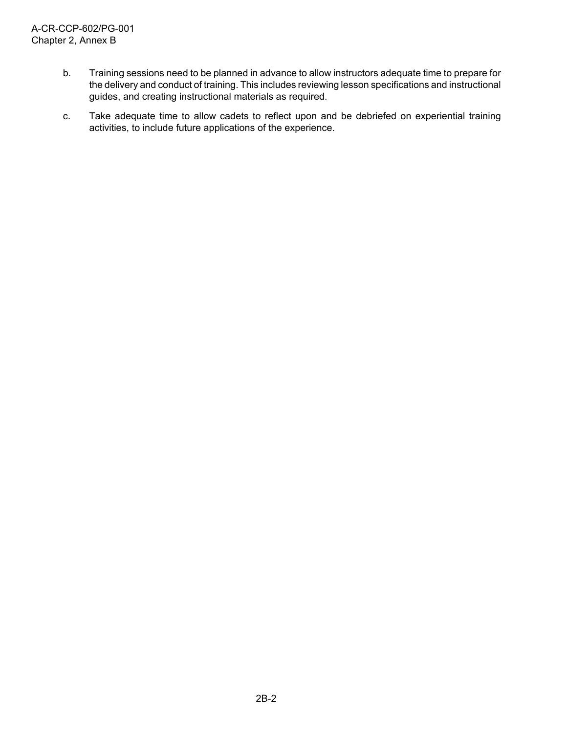- b. Training sessions need to be planned in advance to allow instructors adequate time to prepare for the delivery and conduct of training. This includes reviewing lesson specifications and instructional guides, and creating instructional materials as required.
- c. Take adequate time to allow cadets to reflect upon and be debriefed on experiential training activities, to include future applications of the experience.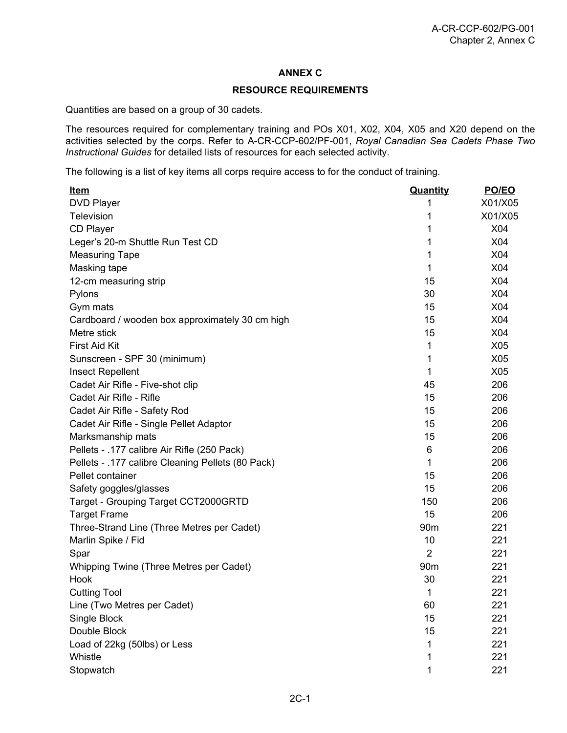# **ANNEX C**

### **RESOURCE REQUIREMENTS**

<span id="page-28-0"></span>Quantities are based on a group of 30 cadets.

The resources required for complementary training and POs X01, X02, X04, X05 and X20 depend on the activities selected by the corps. Refer to A-CR-CCP-602/PF-001, *Royal Canadian Sea Cadets Phase Two Instructional Guides* for detailed lists of resources for each selected activity.

The following is a list of key items all corps require access to for the conduct of training.

| <b>Item</b>                                       | <b>Quantity</b> | PO/EO   |
|---------------------------------------------------|-----------------|---------|
| <b>DVD Player</b>                                 | 1               | X01/X05 |
| Television                                        | 1               | X01/X05 |
| CD Player                                         | 1               | X04     |
| Leger's 20-m Shuttle Run Test CD                  | 1               | X04     |
| <b>Measuring Tape</b>                             | 1               | X04     |
| Masking tape                                      | 1               | X04     |
| 12-cm measuring strip                             | 15              | X04     |
| Pylons                                            | 30              | X04     |
| Gym mats                                          | 15              | X04     |
| Cardboard / wooden box approximately 30 cm high   | 15              | X04     |
| Metre stick                                       | 15              | X04     |
| First Aid Kit                                     | 1               | X05     |
| Sunscreen - SPF 30 (minimum)                      | 1               | X05     |
| <b>Insect Repellent</b>                           | 1               | X05     |
| Cadet Air Rifle - Five-shot clip                  | 45              | 206     |
| Cadet Air Rifle - Rifle                           | 15              | 206     |
| Cadet Air Rifle - Safety Rod                      | 15              | 206     |
| Cadet Air Rifle - Single Pellet Adaptor           | 15              | 206     |
| Marksmanship mats                                 | 15              | 206     |
| Pellets - .177 calibre Air Rifle (250 Pack)       | 6               | 206     |
| Pellets - .177 calibre Cleaning Pellets (80 Pack) | 1               | 206     |
| Pellet container                                  | 15              | 206     |
| Safety goggles/glasses                            | 15              | 206     |
| Target - Grouping Target CCT2000GRTD              | 150             | 206     |
| <b>Target Frame</b>                               | 15              | 206     |
| Three-Strand Line (Three Metres per Cadet)        | 90 <sub>m</sub> | 221     |
| Marlin Spike / Fid                                | 10              | 221     |
| Spar                                              | $\overline{2}$  | 221     |
| Whipping Twine (Three Metres per Cadet)           | 90 <sub>m</sub> | 221     |
| Hook                                              | 30              | 221     |
| <b>Cutting Tool</b>                               | 1               | 221     |
| Line (Two Metres per Cadet)                       | 60              | 221     |
| Single Block                                      | 15              | 221     |
| Double Block                                      | 15              | 221     |
| Load of 22kg (50lbs) or Less                      | 1               | 221     |
| Whistle                                           | 1               | 221     |
| Stopwatch                                         | 1               | 221     |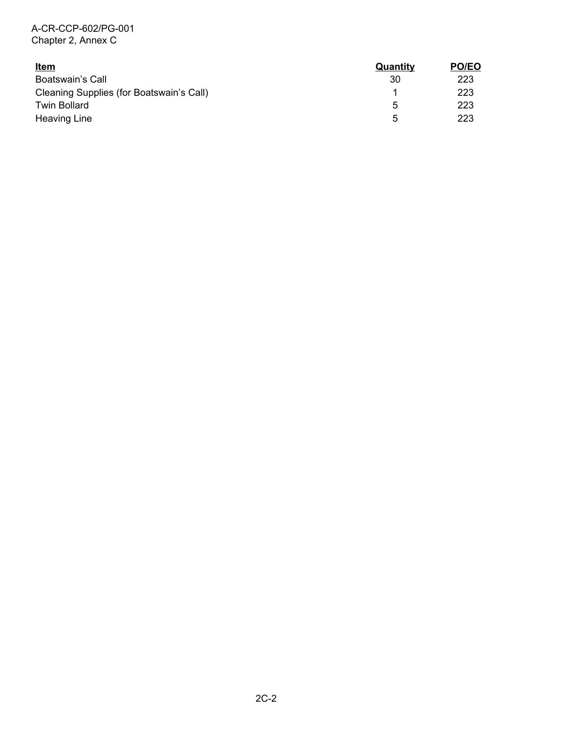A-CR-CCP-602/PG-001 Chapter 2, Annex C

| <u>Item</u>                              | Quantity | PO/EO |
|------------------------------------------|----------|-------|
| Boatswain's Call                         | 30       | 223   |
| Cleaning Supplies (for Boatswain's Call) |          | 223   |
| <b>Twin Bollard</b>                      | 5        | 223   |
| Heaving Line                             | 5        | 223   |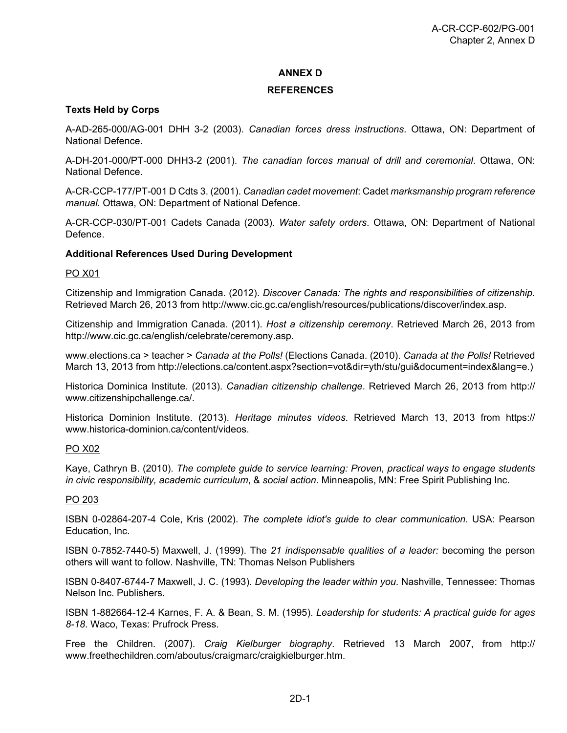#### **ANNEX D**

#### **REFERENCES**

## <span id="page-30-0"></span>**Texts Held by Corps**

A-AD-265-000/AG-001 DHH 3-2 (2003). *Canadian forces dress instructions*. Ottawa, ON: Department of National Defence.

A-DH-201-000/PT-000 DHH3-2 (2001). *The canadian forces manual of drill and ceremonial*. Ottawa, ON: National Defence.

A-CR-CCP-177/PT-001 D Cdts 3. (2001). *Canadian cadet movement*: Cadet *marksmanship program reference manual*. Ottawa, ON: Department of National Defence.

A-CR-CCP-030/PT-001 Cadets Canada (2003). *Water safety orders*. Ottawa, ON: Department of National Defence.

# **Additional References Used During Development**

#### PO X01

Citizenship and Immigration Canada. (2012). *Discover Canada: The rights and responsibilities of citizenship*. Retrieved March 26, 2013 from http://www.cic.gc.ca/english/resources/publications/discover/index.asp.

Citizenship and Immigration Canada. (2011). *Host a citizenship ceremony*. Retrieved March 26, 2013 from http://www.cic.gc.ca/english/celebrate/ceremony.asp.

www.elections.ca > teacher > *Canada at the Polls!* (Elections Canada. (2010). *Canada at the Polls!* Retrieved March 13, 2013 from http://elections.ca/content.aspx?section=vot&dir=yth/stu/gui&document=index&lang=e.)

Historica Dominica Institute. (2013). *Canadian citizenship challenge*. Retrieved March 26, 2013 from http:// www.citizenshipchallenge.ca/.

Historica Dominion Institute. (2013). *Heritage minutes videos*. Retrieved March 13, 2013 from https:// www.historica-dominion.ca/content/videos.

# PO X02

Kaye, Cathryn B. (2010). *The complete guide to service learning: Proven, practical ways to engage students in civic responsibility, academic curriculum*, & *social action*. Minneapolis, MN: Free Spirit Publishing Inc.

#### PO 203

ISBN 0-02864-207-4 Cole, Kris (2002). *The complete idiot's guide to clear communication*. USA: Pearson Education, Inc.

ISBN 0-7852-7440-5) Maxwell, J. (1999). The *21 indispensable qualities of a leader:* becoming the person others will want to follow. Nashville, TN: Thomas Nelson Publishers

ISBN 0-8407-6744-7 Maxwell, J. C. (1993). *Developing the leader within you*. Nashville, Tennessee: Thomas Nelson Inc. Publishers.

ISBN 1-882664-12-4 Karnes, F. A. & Bean, S. M. (1995). *Leadership for students: A practical guide for ages 8-18*. Waco, Texas: Prufrock Press.

Free the Children. (2007). *Craig Kielburger biography*. Retrieved 13 March 2007, from http:// www.freethechildren.com/aboutus/craigmarc/craigkielburger.htm.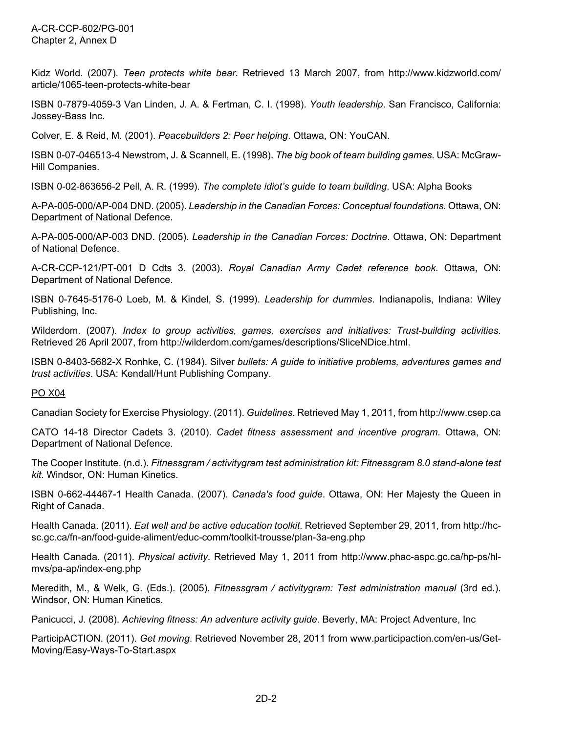Kidz World. (2007). *Teen protects white bear*. Retrieved 13 March 2007, from http://www.kidzworld.com/ article/1065-teen-protects-white-bear

ISBN 0-7879-4059-3 Van Linden, J. A. & Fertman, C. I. (1998). *Youth leadership*. San Francisco, California: Jossey-Bass Inc.

Colver, E. & Reid, M. (2001). *Peacebuilders 2: Peer helping*. Ottawa, ON: YouCAN.

ISBN 0-07-046513-4 Newstrom, J. & Scannell, E. (1998). *The big book of team building games*. USA: McGraw-Hill Companies.

ISBN 0-02-863656-2 Pell, A. R. (1999). *The complete idiot's guide to team building*. USA: Alpha Books

A-PA-005-000/AP-004 DND. (2005). *Leadership in the Canadian Forces: Conceptual foundations*. Ottawa, ON: Department of National Defence.

A-PA-005-000/AP-003 DND. (2005). *Leadership in the Canadian Forces: Doctrine*. Ottawa, ON: Department of National Defence.

A-CR-CCP-121/PT-001 D Cdts 3. (2003). *Royal Canadian Army Cadet reference book*. Ottawa, ON: Department of National Defence.

ISBN 0-7645-5176-0 Loeb, M. & Kindel, S. (1999). *Leadership for dummies*. Indianapolis, Indiana: Wiley Publishing, Inc.

Wilderdom. (2007). *Index to group activities, games, exercises and initiatives: Trust-building activities*. Retrieved 26 April 2007, from http://wilderdom.com/games/descriptions/SliceNDice.html.

ISBN 0-8403-5682-X Ronhke, C. (1984). Silver *bullets: A guide to initiative problems, adventures games and trust activities*. USA: Kendall/Hunt Publishing Company.

#### PO X04

Canadian Society for Exercise Physiology. (2011). *Guidelines*. Retrieved May 1, 2011, from http://www.csep.ca

CATO 14-18 Director Cadets 3. (2010). *Cadet fitness assessment and incentive program*. Ottawa, ON: Department of National Defence.

The Cooper Institute. (n.d.). *Fitnessgram / activitygram test administration kit: Fitnessgram 8.0 stand-alone test kit*. Windsor, ON: Human Kinetics.

ISBN 0-662-44467-1 Health Canada. (2007). *Canada's food guide*. Ottawa, ON: Her Majesty the Queen in Right of Canada.

Health Canada. (2011). *Eat well and be active education toolkit*. Retrieved September 29, 2011, from http://hcsc.gc.ca/fn-an/food-guide-aliment/educ-comm/toolkit-trousse/plan-3a-eng.php

Health Canada. (2011). *Physical activity*. Retrieved May 1, 2011 from http://www.phac-aspc.gc.ca/hp-ps/hlmvs/pa-ap/index-eng.php

Meredith, M., & Welk, G. (Eds.). (2005). *Fitnessgram / activitygram: Test administration manual* (3rd ed.). Windsor, ON: Human Kinetics.

Panicucci, J. (2008). *Achieving fitness: An adventure activity guide*. Beverly, MA: Project Adventure, Inc

ParticipACTION. (2011). *Get moving*. Retrieved November 28, 2011 from www.participaction.com/en-us/Get-Moving/Easy-Ways-To-Start.aspx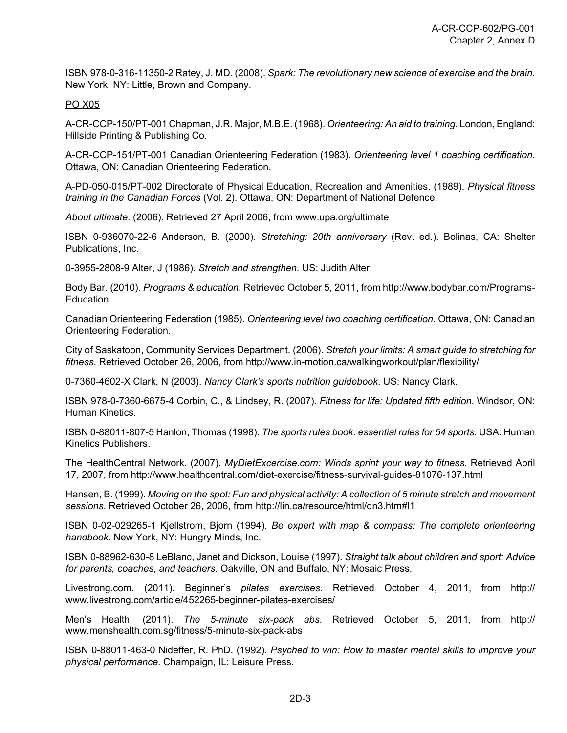ISBN 978-0-316-11350-2 Ratey, J. MD. (2008). *Spark: The revolutionary new science of exercise and the brain*. New York, NY: Little, Brown and Company.

## PO X05

A-CR-CCP-150/PT-001 Chapman, J.R. Major, M.B.E. (1968). *Orienteering: An aid to training*. London, England: Hillside Printing & Publishing Co.

A-CR-CCP-151/PT-001 Canadian Orienteering Federation (1983). *Orienteering level 1 coaching certification*. Ottawa, ON: Canadian Orienteering Federation.

A-PD-050-015/PT-002 Directorate of Physical Education, Recreation and Amenities. (1989). *Physical fitness training in the Canadian Forces* (Vol. 2). Ottawa, ON: Department of National Defence.

*About ultimate*. (2006). Retrieved 27 April 2006, from www.upa.org/ultimate

ISBN 0-936070-22-6 Anderson, B. (2000). *Stretching: 20th anniversary* (Rev. ed.). Bolinas, CA: Shelter Publications, Inc.

0-3955-2808-9 Alter, J (1986). *Stretch and strengthen*. US: Judith Alter.

Body Bar. (2010). *Programs & education*. Retrieved October 5, 2011, from http://www.bodybar.com/Programs-**Education** 

Canadian Orienteering Federation (1985). *Orienteering level two coaching certification*. Ottawa, ON: Canadian Orienteering Federation.

City of Saskatoon, Community Services Department. (2006). *Stretch your limits: A smart guide to stretching for fitness*. Retrieved October 26, 2006, from http://www.in-motion.ca/walkingworkout/plan/flexibility/

0-7360-4602-X Clark, N (2003). *Nancy Clark's sports nutrition guidebook*. US: Nancy Clark.

ISBN 978-0-7360-6675-4 Corbin, C., & Lindsey, R. (2007). *Fitness for life: Updated fifth edition*. Windsor, ON: Human Kinetics.

ISBN 0-88011-807-5 Hanlon, Thomas (1998). *The sports rules book: essential rules for 54 sports*. USA: Human Kinetics Publishers.

The HealthCentral Network. (2007). *MyDietExcercise.com: Winds sprint your way to fitness*. Retrieved April 17, 2007, from http://www.healthcentral.com/diet-exercise/fitness-survival-guides-81076-137.html

Hansen, B. (1999). *Moving on the spot: Fun and physical activity: A collection of 5 minute stretch and movement sessions*. Retrieved October 26, 2006, from http://lin.ca/resource/html/dn3.htm#l1

ISBN 0-02-029265-1 Kjellstrom, Bjorn (1994). *Be expert with map & compass: The complete orienteering handbook*. New York, NY: Hungry Minds, Inc.

ISBN 0-88962-630-8 LeBlanc, Janet and Dickson, Louise (1997). *Straight talk about children and sport: Advice for parents, coaches, and teachers*. Oakville, ON and Buffalo, NY: Mosaic Press.

Livestrong.com. (2011). Beginner's *pilates exercises*. Retrieved October 4, 2011, from http:// www.livestrong.com/article/452265-beginner-pilates-exercises/

Men's Health. (2011). *The 5-minute six-pack abs*. Retrieved October 5, 2011, from http:// www.menshealth.com.sg/fitness/5-minute-six-pack-abs

ISBN 0-88011-463-0 Nideffer, R. PhD. (1992). *Psyched to win: How to master mental skills to improve your physical performance*. Champaign, IL: Leisure Press.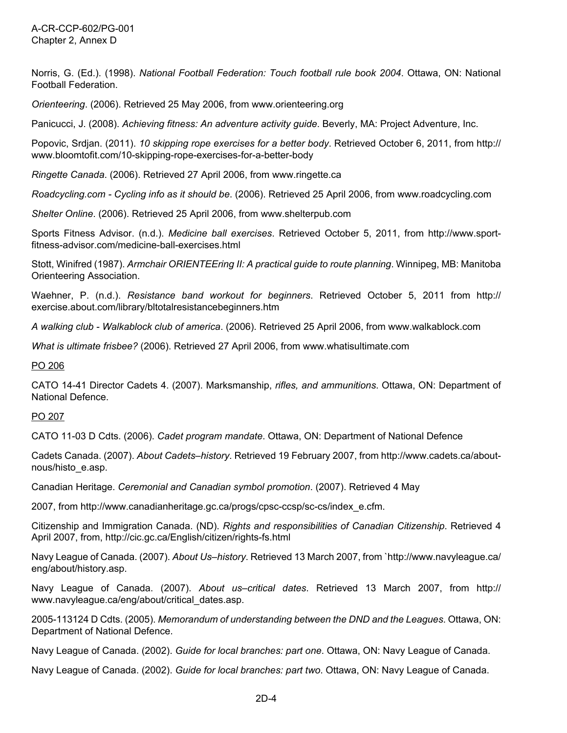Norris, G. (Ed.). (1998). *National Football Federation: Touch football rule book 2004*. Ottawa, ON: National Football Federation.

*Orienteering*. (2006). Retrieved 25 May 2006, from www.orienteering.org

Panicucci, J. (2008). *Achieving fitness: An adventure activity guide*. Beverly, MA: Project Adventure, Inc.

Popovic, Srdjan. (2011). *10 skipping rope exercises for a better body*. Retrieved October 6, 2011, from http:// www.bloomtofit.com/10-skipping-rope-exercises-for-a-better-body

*Ringette Canada*. (2006). Retrieved 27 April 2006, from www.ringette.ca

*Roadcycling.com - Cycling info as it should be*. (2006). Retrieved 25 April 2006, from www.roadcycling.com

*Shelter Online*. (2006). Retrieved 25 April 2006, from www.shelterpub.com

Sports Fitness Advisor. (n.d.). *Medicine ball exercises*. Retrieved October 5, 2011, from http://www.sportfitness-advisor.com/medicine-ball-exercises.html

Stott, Winifred (1987). *Armchair ORIENTEEring II: A practical guide to route planning*. Winnipeg, MB: Manitoba Orienteering Association.

Waehner, P. (n.d.). *Resistance band workout for beginners*. Retrieved October 5, 2011 from http:// exercise.about.com/library/bltotalresistancebeginners.htm

*A walking club - Walkablock club of america*. (2006). Retrieved 25 April 2006, from www.walkablock.com

*What is ultimate frisbee?* (2006). Retrieved 27 April 2006, from www.whatisultimate.com

PO 206

CATO 14-41 Director Cadets 4. (2007). Marksmanship, *rifles, and ammunitions*. Ottawa, ON: Department of National Defence.

# PO 207

CATO 11-03 D Cdts. (2006). *Cadet program mandate*. Ottawa, ON: Department of National Defence

Cadets Canada. (2007). *About Cadets–history*. Retrieved 19 February 2007, from http://www.cadets.ca/aboutnous/histo\_e.asp.

Canadian Heritage. *Ceremonial and Canadian symbol promotion*. (2007). Retrieved 4 May

2007, from http://www.canadianheritage.gc.ca/progs/cpsc-ccsp/sc-cs/index\_e.cfm.

Citizenship and Immigration Canada. (ND). *Rights and responsibilities of Canadian Citizenship*. Retrieved 4 April 2007, from, http://cic.gc.ca/English/citizen/rights-fs.html

Navy League of Canada. (2007). *About Us–history*. Retrieved 13 March 2007, from `http://www.navyleague.ca/ eng/about/history.asp.

Navy League of Canada. (2007). *About us–critical dates*. Retrieved 13 March 2007, from http:// www.navyleague.ca/eng/about/critical\_dates.asp.

2005-113124 D Cdts. (2005). *Memorandum of understanding between the DND and the Leagues*. Ottawa, ON: Department of National Defence.

Navy League of Canada. (2002). *Guide for local branches: part one*. Ottawa, ON: Navy League of Canada.

Navy League of Canada. (2002). *Guide for local branches: part two*. Ottawa, ON: Navy League of Canada.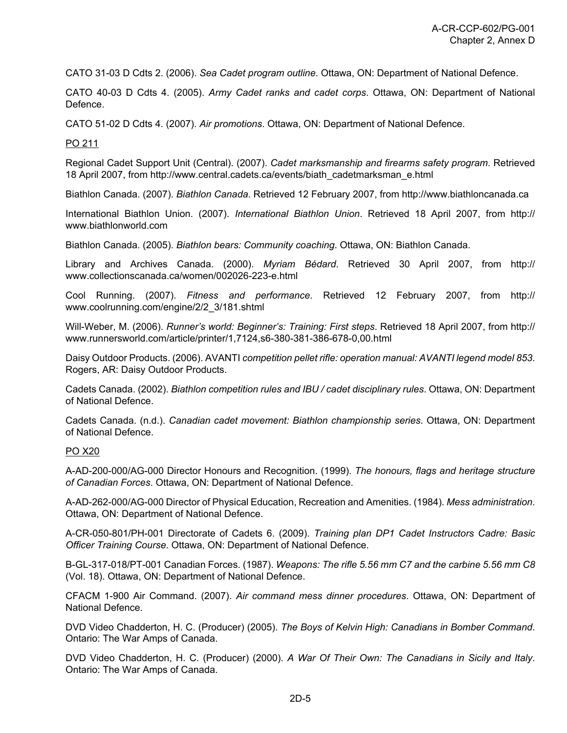CATO 31-03 D Cdts 2. (2006). *Sea Cadet program outline*. Ottawa, ON: Department of National Defence.

CATO 40-03 D Cdts 4. (2005). *Army Cadet ranks and cadet corps*. Ottawa, ON: Department of National Defence.

CATO 51-02 D Cdts 4. (2007). *Air promotions*. Ottawa, ON: Department of National Defence.

PO 211

Regional Cadet Support Unit (Central). (2007). *Cadet marksmanship and firearms safety program*. Retrieved 18 April 2007, from http://www.central.cadets.ca/events/biath\_cadetmarksman\_e.html

Biathlon Canada. (2007). *Biathlon Canada*. Retrieved 12 February 2007, from http://www.biathloncanada.ca

International Biathlon Union. (2007). *International Biathlon Union*. Retrieved 18 April 2007, from http:// www.biathlonworld.com

Biathlon Canada. (2005). *Biathlon bears: Community coaching*. Ottawa, ON: Biathlon Canada.

Library and Archives Canada. (2000). *Myriam Bédard*. Retrieved 30 April 2007, from http:// www.collectionscanada.ca/women/002026-223-e.html

Cool Running. (2007). *Fitness and performance*. Retrieved 12 February 2007, from http:// www.coolrunning.com/engine/2/2\_3/181.shtml

Will-Weber, M. (2006). *Runner's world: Beginner's: Training: First steps*. Retrieved 18 April 2007, from http:// www.runnersworld.com/article/printer/1,7124,s6-380-381-386-678-0,00.html

Daisy Outdoor Products. (2006). AVANTI *competition pellet rifle: operation manual: AVANTI legend model 853*. Rogers, AR: Daisy Outdoor Products.

Cadets Canada. (2002). *Biathlon competition rules and IBU / cadet disciplinary rules*. Ottawa, ON: Department of National Defence.

Cadets Canada. (n.d.). *Canadian cadet movement: Biathlon championship series*. Ottawa, ON: Department of National Defence.

# PO X20

A-AD-200-000/AG-000 Director Honours and Recognition. (1999). *The honours, flags and heritage structure of Canadian Forces*. Ottawa, ON: Department of National Defence.

A-AD-262-000/AG-000 Director of Physical Education, Recreation and Amenities. (1984). *Mess administration*. Ottawa, ON: Department of National Defence.

A-CR-050-801/PH-001 Directorate of Cadets 6. (2009). *Training plan DP1 Cadet Instructors Cadre: Basic Officer Training Course*. Ottawa, ON: Department of National Defence.

B-GL-317-018/PT-001 Canadian Forces. (1987). *Weapons: The rifle 5.56 mm C7 and the carbine 5.56 mm C8* (Vol. 18). Ottawa, ON: Department of National Defence.

CFACM 1-900 Air Command. (2007). *Air command mess dinner procedures*. Ottawa, ON: Department of National Defence.

DVD Video Chadderton, H. C. (Producer) (2005). *The Boys of Kelvin High: Canadians in Bomber Command*. Ontario: The War Amps of Canada.

DVD Video Chadderton, H. C. (Producer) (2000). *A War Of Their Own: The Canadians in Sicily and Italy*. Ontario: The War Amps of Canada.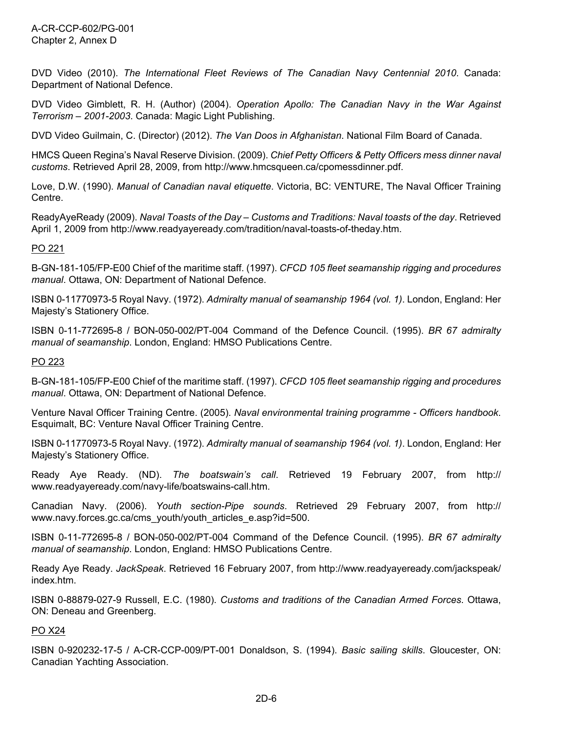DVD Video (2010). *The International Fleet Reviews of The Canadian Navy Centennial 2010*. Canada: Department of National Defence.

DVD Video Gimblett, R. H. (Author) (2004). *Operation Apollo: The Canadian Navy in the War Against Terrorism – 2001-2003*. Canada: Magic Light Publishing.

DVD Video Guilmain, C. (Director) (2012). *The Van Doos in Afghanistan*. National Film Board of Canada.

HMCS Queen Regina's Naval Reserve Division. (2009). *Chief Petty Officers & Petty Officers mess dinner naval customs*. Retrieved April 28, 2009, from http://www.hmcsqueen.ca/cpomessdinner.pdf.

Love, D.W. (1990). *Manual of Canadian naval etiquette*. Victoria, BC: VENTURE, The Naval Officer Training Centre.

ReadyAyeReady (2009). *Naval Toasts of the Day – Customs and Traditions: Naval toasts of the day*. Retrieved April 1, 2009 from http://www.readyayeready.com/tradition/naval-toasts-of-theday.htm.

# PO 221

B-GN-181-105/FP-E00 Chief of the maritime staff. (1997). *CFCD 105 fleet seamanship rigging and procedures manual*. Ottawa, ON: Department of National Defence.

ISBN 0-11770973-5 Royal Navy. (1972). *Admiralty manual of seamanship 1964 (vol. 1)*. London, England: Her Majesty's Stationery Office.

ISBN 0-11-772695-8 / BON-050-002/PT-004 Command of the Defence Council. (1995). *BR 67 admiralty manual of seamanship*. London, England: HMSO Publications Centre.

# PO 223

B-GN-181-105/FP-E00 Chief of the maritime staff. (1997). *CFCD 105 fleet seamanship rigging and procedures manual*. Ottawa, ON: Department of National Defence.

Venture Naval Officer Training Centre. (2005). *Naval environmental training programme - Officers handbook*. Esquimalt, BC: Venture Naval Officer Training Centre.

ISBN 0-11770973-5 Royal Navy. (1972). *Admiralty manual of seamanship 1964 (vol. 1)*. London, England: Her Majesty's Stationery Office.

Ready Aye Ready. (ND). *The boatswain's call*. Retrieved 19 February 2007, from http:// www.readyayeready.com/navy-life/boatswains-call.htm.

Canadian Navy. (2006). *Youth section-Pipe sounds*. Retrieved 29 February 2007, from http:// www.navy.forces.gc.ca/cms\_youth/youth\_articles\_e.asp?id=500.

ISBN 0-11-772695-8 / BON-050-002/PT-004 Command of the Defence Council. (1995). *BR 67 admiralty manual of seamanship*. London, England: HMSO Publications Centre.

Ready Aye Ready. *JackSpeak*. Retrieved 16 February 2007, from http://www.readyayeready.com/jackspeak/ index.htm.

ISBN 0-88879-027-9 Russell, E.C. (1980). *Customs and traditions of the Canadian Armed Forces*. Ottawa, ON: Deneau and Greenberg.

# PO X24

ISBN 0-920232-17-5 / A-CR-CCP-009/PT-001 Donaldson, S. (1994). *Basic sailing skills*. Gloucester, ON: Canadian Yachting Association.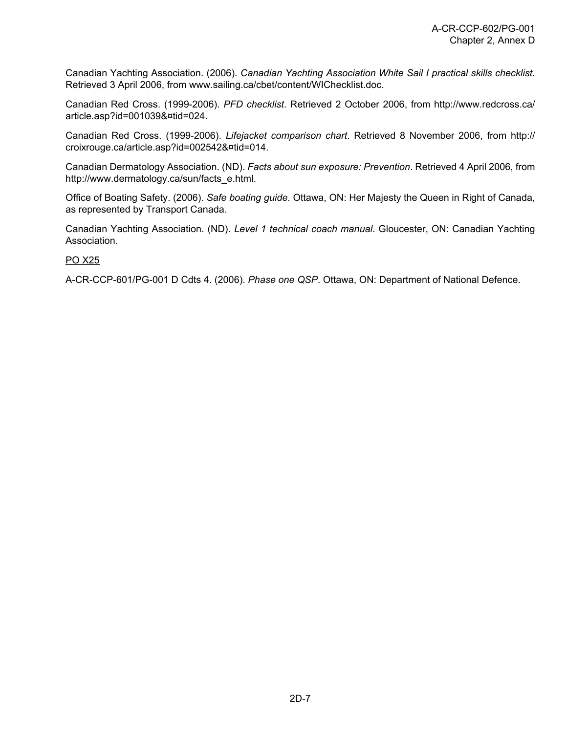Canadian Yachting Association. (2006). *Canadian Yachting Association White Sail I practical skills checklist*. Retrieved 3 April 2006, from www.sailing.ca/cbet/content/WIChecklist.doc.

Canadian Red Cross. (1999-2006). *PFD checklist*. Retrieved 2 October 2006, from http://www.redcross.ca/ article.asp?id=001039&¤tid=024.

Canadian Red Cross. (1999-2006). *Lifejacket comparison chart*. Retrieved 8 November 2006, from http:// croixrouge.ca/article.asp?id=002542&¤tid=014.

Canadian Dermatology Association. (ND). *Facts about sun exposure: Prevention*. Retrieved 4 April 2006, from http://www.dermatology.ca/sun/facts\_e.html.

Office of Boating Safety. (2006). *Safe boating guide*. Ottawa, ON: Her Majesty the Queen in Right of Canada, as represented by Transport Canada.

Canadian Yachting Association. (ND). *Level 1 technical coach manual*. Gloucester, ON: Canadian Yachting Association.

#### PO X25

A-CR-CCP-601/PG-001 D Cdts 4. (2006). *Phase one QSP*. Ottawa, ON: Department of National Defence.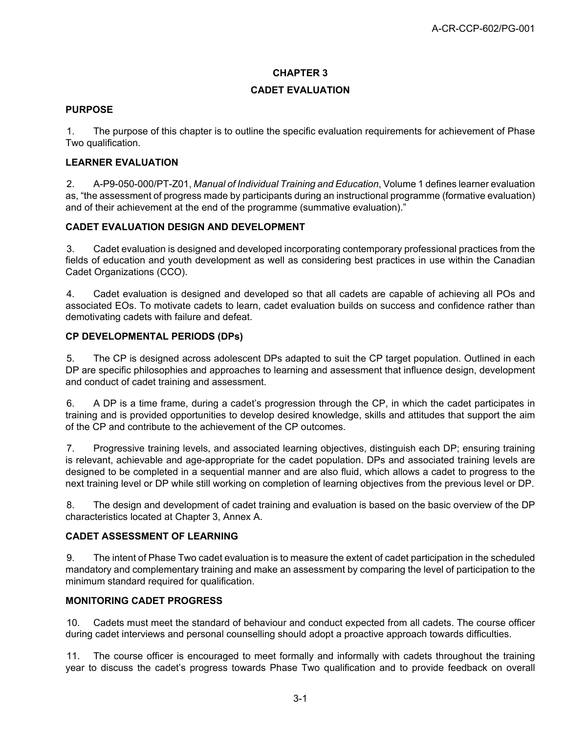## **CHAPTER 3**

## **CADET EVALUATION**

## **PURPOSE**

1. The purpose of this chapter is to outline the specific evaluation requirements for achievement of Phase Two qualification.

## **LEARNER EVALUATION**

2. A-P9-050-000/PT-Z01, *Manual of Individual Training and Education*, Volume 1 defines learner evaluation as, "the assessment of progress made by participants during an instructional programme (formative evaluation) and of their achievement at the end of the programme (summative evaluation)."

## **CADET EVALUATION DESIGN AND DEVELOPMENT**

3. Cadet evaluation is designed and developed incorporating contemporary professional practices from the fields of education and youth development as well as considering best practices in use within the Canadian Cadet Organizations (CCO).

4. Cadet evaluation is designed and developed so that all cadets are capable of achieving all POs and associated EOs. To motivate cadets to learn, cadet evaluation builds on success and confidence rather than demotivating cadets with failure and defeat.

## **CP DEVELOPMENTAL PERIODS (DPs)**

5. The CP is designed across adolescent DPs adapted to suit the CP target population. Outlined in each DP are specific philosophies and approaches to learning and assessment that influence design, development and conduct of cadet training and assessment.

6. A DP is a time frame, during a cadet's progression through the CP, in which the cadet participates in training and is provided opportunities to develop desired knowledge, skills and attitudes that support the aim of the CP and contribute to the achievement of the CP outcomes.

7. Progressive training levels, and associated learning objectives, distinguish each DP; ensuring training is relevant, achievable and age-appropriate for the cadet population. DPs and associated training levels are designed to be completed in a sequential manner and are also fluid, which allows a cadet to progress to the next training level or DP while still working on completion of learning objectives from the previous level or DP.

8. The design and development of cadet training and evaluation is based on the basic overview of the DP characteristics located at Chapter 3, Annex A.

#### **CADET ASSESSMENT OF LEARNING**

9. The intent of Phase Two cadet evaluation is to measure the extent of cadet participation in the scheduled mandatory and complementary training and make an assessment by comparing the level of participation to the minimum standard required for qualification.

#### **MONITORING CADET PROGRESS**

10. Cadets must meet the standard of behaviour and conduct expected from all cadets. The course officer during cadet interviews and personal counselling should adopt a proactive approach towards difficulties.

11. The course officer is encouraged to meet formally and informally with cadets throughout the training year to discuss the cadet's progress towards Phase Two qualification and to provide feedback on overall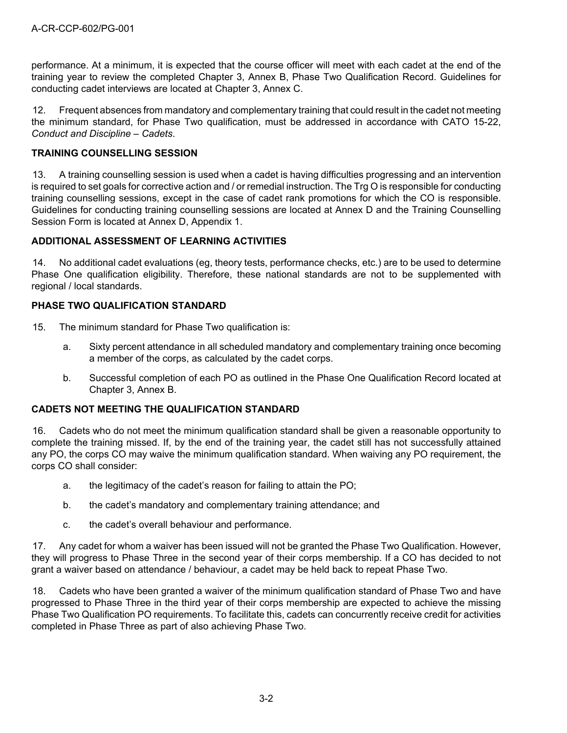performance. At a minimum, it is expected that the course officer will meet with each cadet at the end of the training year to review the completed Chapter 3, Annex B, Phase Two Qualification Record. Guidelines for conducting cadet interviews are located at Chapter 3, Annex C.

12. Frequent absences from mandatory and complementary training that could result in the cadet not meeting the minimum standard, for Phase Two qualification, must be addressed in accordance with CATO 15-22, *Conduct and Discipline – Cadets*.

## **TRAINING COUNSELLING SESSION**

13. A training counselling session is used when a cadet is having difficulties progressing and an intervention is required to set goals for corrective action and / or remedial instruction. The Trg O is responsible for conducting training counselling sessions, except in the case of cadet rank promotions for which the CO is responsible. Guidelines for conducting training counselling sessions are located at Annex D and the Training Counselling Session Form is located at Annex D, Appendix 1.

## **ADDITIONAL ASSESSMENT OF LEARNING ACTIVITIES**

14. No additional cadet evaluations (eg, theory tests, performance checks, etc.) are to be used to determine Phase One qualification eligibility. Therefore, these national standards are not to be supplemented with regional / local standards.

## **PHASE TWO QUALIFICATION STANDARD**

- 15. The minimum standard for Phase Two qualification is:
	- a. Sixty percent attendance in all scheduled mandatory and complementary training once becoming a member of the corps, as calculated by the cadet corps.
	- b. Successful completion of each PO as outlined in the Phase One Qualification Record located at Chapter 3, Annex B.

### **CADETS NOT MEETING THE QUALIFICATION STANDARD**

16. Cadets who do not meet the minimum qualification standard shall be given a reasonable opportunity to complete the training missed. If, by the end of the training year, the cadet still has not successfully attained any PO, the corps CO may waive the minimum qualification standard. When waiving any PO requirement, the corps CO shall consider:

- a. the legitimacy of the cadet's reason for failing to attain the PO;
- b. the cadet's mandatory and complementary training attendance; and
- c. the cadet's overall behaviour and performance.

17. Any cadet for whom a waiver has been issued will not be granted the Phase Two Qualification. However, they will progress to Phase Three in the second year of their corps membership. If a CO has decided to not grant a waiver based on attendance / behaviour, a cadet may be held back to repeat Phase Two.

18. Cadets who have been granted a waiver of the minimum qualification standard of Phase Two and have progressed to Phase Three in the third year of their corps membership are expected to achieve the missing Phase Two Qualification PO requirements. To facilitate this, cadets can concurrently receive credit for activities completed in Phase Three as part of also achieving Phase Two.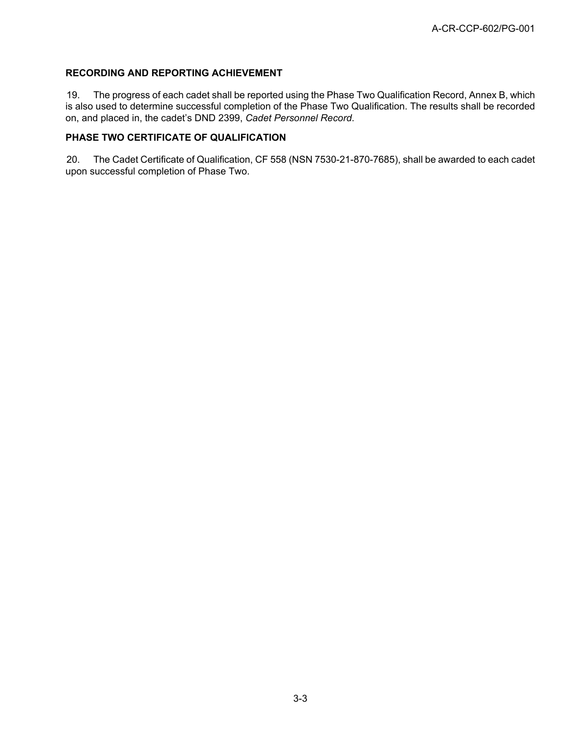## **RECORDING AND REPORTING ACHIEVEMENT**

19. The progress of each cadet shall be reported using the Phase Two Qualification Record, Annex B, which is also used to determine successful completion of the Phase Two Qualification. The results shall be recorded on, and placed in, the cadet's DND 2399, *Cadet Personnel Record*.

## **PHASE TWO CERTIFICATE OF QUALIFICATION**

20. The Cadet Certificate of Qualification, CF 558 (NSN 7530-21-870-7685), shall be awarded to each cadet upon successful completion of Phase Two.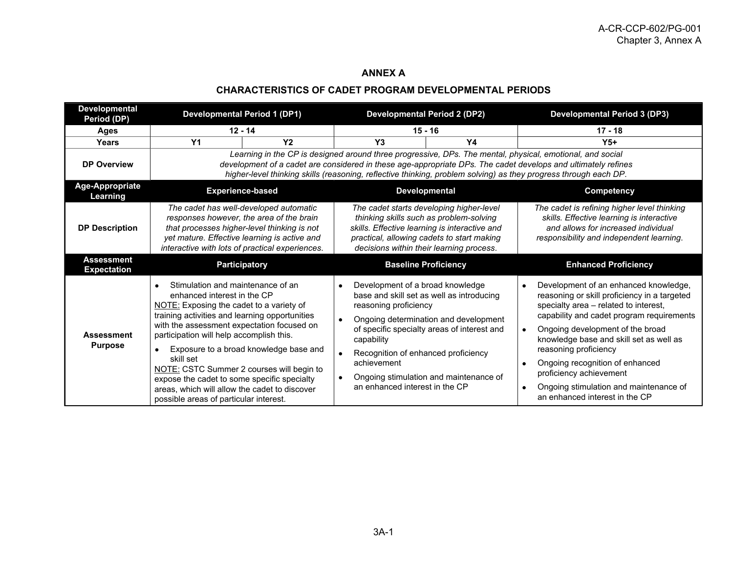# **ANNEX A**

# **CHARACTERISTICS OF CADET PROGRAM DEVELOPMENTAL PERIODS**

| <b>Developmental</b><br>Period (DP)     | <b>Developmental Period 1 (DP1)</b>                                                                                                                                                                                                                                                                                                                                                                                                                          |                                        |                                                                                                                                                                                                                                                                                                                                                | <b>Developmental Period 2 (DP2)</b>                                                                                                                                                                          |                                                                                                                                |                                                                                                                                                                             | <b>Developmental Period 3 (DP3)</b>                                                                                                                                                                                                                                                                                                                                                                                           |  |
|-----------------------------------------|--------------------------------------------------------------------------------------------------------------------------------------------------------------------------------------------------------------------------------------------------------------------------------------------------------------------------------------------------------------------------------------------------------------------------------------------------------------|----------------------------------------|------------------------------------------------------------------------------------------------------------------------------------------------------------------------------------------------------------------------------------------------------------------------------------------------------------------------------------------------|--------------------------------------------------------------------------------------------------------------------------------------------------------------------------------------------------------------|--------------------------------------------------------------------------------------------------------------------------------|-----------------------------------------------------------------------------------------------------------------------------------------------------------------------------|-------------------------------------------------------------------------------------------------------------------------------------------------------------------------------------------------------------------------------------------------------------------------------------------------------------------------------------------------------------------------------------------------------------------------------|--|
| Ages                                    | $12 - 14$                                                                                                                                                                                                                                                                                                                                                                                                                                                    |                                        |                                                                                                                                                                                                                                                                                                                                                | $15 - 16$                                                                                                                                                                                                    |                                                                                                                                |                                                                                                                                                                             | $17 - 18$                                                                                                                                                                                                                                                                                                                                                                                                                     |  |
| Years                                   | Y <sub>1</sub>                                                                                                                                                                                                                                                                                                                                                                                                                                               | Y <sub>2</sub>                         |                                                                                                                                                                                                                                                                                                                                                | Y <sub>3</sub>                                                                                                                                                                                               | Y4                                                                                                                             |                                                                                                                                                                             | $Y5+$                                                                                                                                                                                                                                                                                                                                                                                                                         |  |
| <b>DP Overview</b>                      |                                                                                                                                                                                                                                                                                                                                                                                                                                                              |                                        | Learning in the CP is designed around three progressive, DPs. The mental, physical, emotional, and social<br>development of a cadet are considered in these age-appropriate DPs. The cadet develops and ultimately refines<br>higher-level thinking skills (reasoning, reflective thinking, problem solving) as they progress through each DP. |                                                                                                                                                                                                              |                                                                                                                                |                                                                                                                                                                             |                                                                                                                                                                                                                                                                                                                                                                                                                               |  |
| <b>Age-Appropriate</b><br>Learning      | <b>Experience-based</b>                                                                                                                                                                                                                                                                                                                                                                                                                                      |                                        | <b>Developmental</b>                                                                                                                                                                                                                                                                                                                           |                                                                                                                                                                                                              |                                                                                                                                | Competency                                                                                                                                                                  |                                                                                                                                                                                                                                                                                                                                                                                                                               |  |
| <b>DP Description</b>                   | The cadet has well-developed automatic<br>responses however, the area of the brain<br>that processes higher-level thinking is not<br>yet mature. Effective learning is active and<br>interactive with lots of practical experiences.                                                                                                                                                                                                                         |                                        | The cadet starts developing higher-level<br>thinking skills such as problem-solving<br>skills. Effective learning is interactive and<br>practical, allowing cadets to start making<br>decisions within their learning process.                                                                                                                 |                                                                                                                                                                                                              |                                                                                                                                | The cadet is refining higher level thinking<br>skills. Effective learning is interactive<br>and allows for increased individual<br>responsibility and independent learning. |                                                                                                                                                                                                                                                                                                                                                                                                                               |  |
| <b>Assessment</b><br><b>Expectation</b> |                                                                                                                                                                                                                                                                                                                                                                                                                                                              | <b>Participatory</b>                   |                                                                                                                                                                                                                                                                                                                                                | <b>Baseline Proficiency</b>                                                                                                                                                                                  |                                                                                                                                |                                                                                                                                                                             | <b>Enhanced Proficiency</b>                                                                                                                                                                                                                                                                                                                                                                                                   |  |
| <b>Assessment</b><br><b>Purpose</b>     | Stimulation and maintenance of an<br>enhanced interest in the CP<br>NOTE: Exposing the cadet to a variety of<br>training activities and learning opportunities<br>with the assessment expectation focused on<br>participation will help accomplish this.<br>skill set<br>NOTE: CSTC Summer 2 courses will begin to<br>expose the cadet to some specific specialty<br>areas, which will allow the cadet to discover<br>possible areas of particular interest. | Exposure to a broad knowledge base and | $\bullet$<br>$\bullet$<br>$\bullet$<br>$\bullet$                                                                                                                                                                                                                                                                                               | Development of a broad knowledge<br>base and skill set as well as introducing<br>reasoning proficiency<br>capability<br>Recognition of enhanced proficiency<br>achievement<br>an enhanced interest in the CP | Ongoing determination and development<br>of specific specialty areas of interest and<br>Ongoing stimulation and maintenance of |                                                                                                                                                                             | Development of an enhanced knowledge,<br>reasoning or skill proficiency in a targeted<br>specialty area - related to interest,<br>capability and cadet program requirements<br>Ongoing development of the broad<br>knowledge base and skill set as well as<br>reasoning proficiency<br>Ongoing recognition of enhanced<br>proficiency achievement<br>Ongoing stimulation and maintenance of<br>an enhanced interest in the CP |  |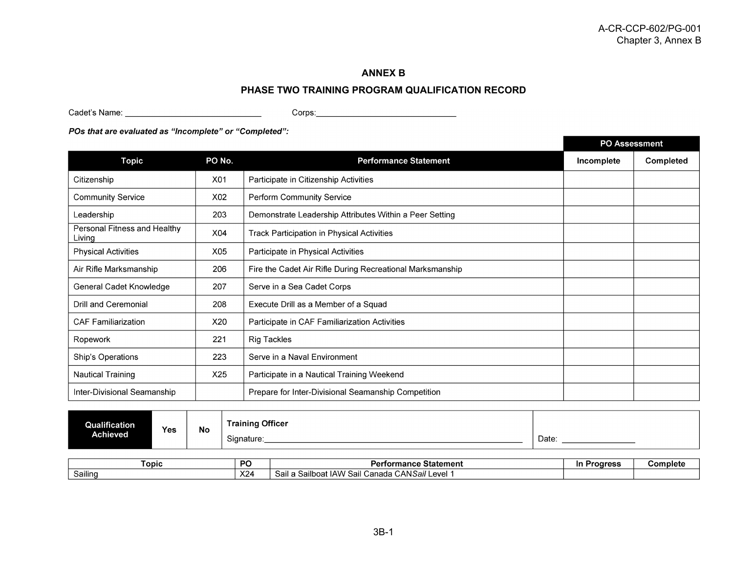## **ANNEX B**

# **PHASE TWO TRAINING PROGRAM QUALIFICATION RECORD**

POs that are evaluated as "Incomplete" or "Completed":

|                                        |                 |                                                           | <b>PO Assessment</b> |           |
|----------------------------------------|-----------------|-----------------------------------------------------------|----------------------|-----------|
| <b>Topic</b>                           | PO No.          | <b>Performance Statement</b>                              | Incomplete           | Completed |
| Citizenship                            | X01             | Participate in Citizenship Activities                     |                      |           |
| <b>Community Service</b>               | X <sub>02</sub> | Perform Community Service                                 |                      |           |
| Leadership                             | 203             | Demonstrate Leadership Attributes Within a Peer Setting   |                      |           |
| Personal Fitness and Healthy<br>Living | X <sub>04</sub> | <b>Track Participation in Physical Activities</b>         |                      |           |
| <b>Physical Activities</b>             | X05             | Participate in Physical Activities                        |                      |           |
| Air Rifle Marksmanship                 | 206             | Fire the Cadet Air Rifle During Recreational Marksmanship |                      |           |
| General Cadet Knowledge                | 207             | Serve in a Sea Cadet Corps                                |                      |           |
| Drill and Ceremonial                   | 208             | Execute Drill as a Member of a Squad                      |                      |           |
| <b>CAF Familiarization</b>             | X20             | Participate in CAF Familiarization Activities             |                      |           |
| Ropework                               | 221             | <b>Rig Tackles</b>                                        |                      |           |
| Ship's Operations                      | 223             | Serve in a Naval Environment                              |                      |           |
| <b>Nautical Training</b>               | X25             | Participate in a Nautical Training Weekend                |                      |           |
| Inter-Divisional Seamanship            |                 | Prepare for Inter-Divisional Seamanship Competition       |                      |           |

| Qualification   | Yes | No | Officer<br>raining |       |
|-----------------|-----|----|--------------------|-------|
| <b>Achieved</b> |     |    | Signature:         | Date: |

| ™opic   | DC                 | : Statement<br>.tormance<br>Per                                                                          | 'roaress | Complete |
|---------|--------------------|----------------------------------------------------------------------------------------------------------|----------|----------|
| Sailing | $\sqrt{2}$<br>AZC. | <b>IAW</b><br>CANSail<br>.anada<br>sail<br>sail '<br>' Level<br>5.16.22<br>oar.<br>ivud<br>$\cup$ a<br>c |          |          |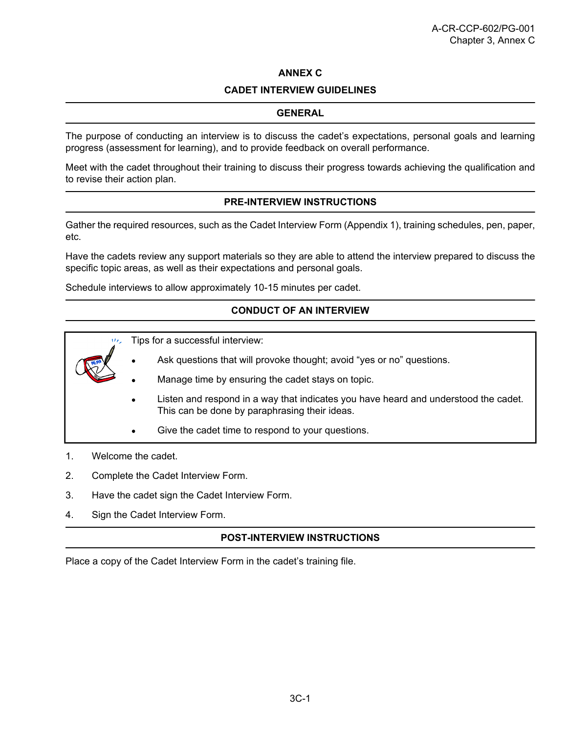### **ANNEX C**

#### **CADET INTERVIEW GUIDELINES**

#### **GENERAL**

The purpose of conducting an interview is to discuss the cadet's expectations, personal goals and learning progress (assessment for learning), and to provide feedback on overall performance.

Meet with the cadet throughout their training to discuss their progress towards achieving the qualification and to revise their action plan.

#### **PRE-INTERVIEW INSTRUCTIONS**

Gather the required resources, such as the Cadet Interview Form (Appendix 1), training schedules, pen, paper, etc.

Have the cadets review any support materials so they are able to attend the interview prepared to discuss the specific topic areas, as well as their expectations and personal goals.

Schedule interviews to allow approximately 10-15 minutes per cadet.

#### **CONDUCT OF AN INTERVIEW**

- Tips for a successful interview:
	- Ask questions that will provoke thought; avoid "yes or no" questions.
	- Manage time by ensuring the cadet stays on topic.
	- Listen and respond in a way that indicates you have heard and understood the cadet.  $\bullet$ This can be done by paraphrasing their ideas.
	- Give the cadet time to respond to your questions.  $\bullet$
- 1. Welcome the cadet.
- 2. Complete the Cadet Interview Form.
- 3. Have the cadet sign the Cadet Interview Form.
- 4. Sign the Cadet Interview Form.

#### **POST-INTERVIEW INSTRUCTIONS**

Place a copy of the Cadet Interview Form in the cadet's training file.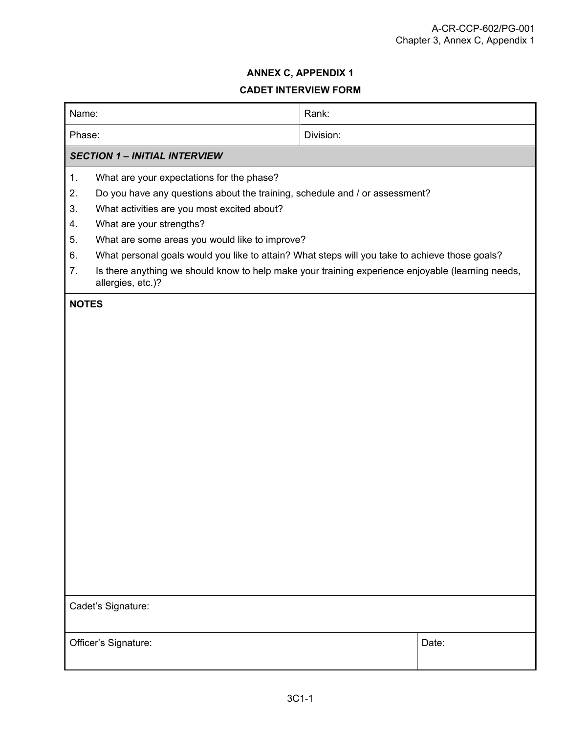# **ANNEX C, APPENDIX 1**

# **CADET INTERVIEW FORM**

| Name:        |                                                                                                                        | Rank:     |       |  |  |  |
|--------------|------------------------------------------------------------------------------------------------------------------------|-----------|-------|--|--|--|
| Phase:       |                                                                                                                        | Division: |       |  |  |  |
|              | <b>SECTION 1 - INITIAL INTERVIEW</b>                                                                                   |           |       |  |  |  |
| 1.           | What are your expectations for the phase?                                                                              |           |       |  |  |  |
| 2.           | Do you have any questions about the training, schedule and / or assessment?                                            |           |       |  |  |  |
| 3.           | What activities are you most excited about?                                                                            |           |       |  |  |  |
| 4.           | What are your strengths?                                                                                               |           |       |  |  |  |
| 5.           | What are some areas you would like to improve?                                                                         |           |       |  |  |  |
| 6.           | What personal goals would you like to attain? What steps will you take to achieve those goals?                         |           |       |  |  |  |
| 7.           | Is there anything we should know to help make your training experience enjoyable (learning needs,<br>allergies, etc.)? |           |       |  |  |  |
| <b>NOTES</b> |                                                                                                                        |           |       |  |  |  |
|              |                                                                                                                        |           |       |  |  |  |
|              |                                                                                                                        |           |       |  |  |  |
|              |                                                                                                                        |           |       |  |  |  |
|              |                                                                                                                        |           |       |  |  |  |
|              |                                                                                                                        |           |       |  |  |  |
|              |                                                                                                                        |           |       |  |  |  |
|              |                                                                                                                        |           |       |  |  |  |
|              |                                                                                                                        |           |       |  |  |  |
|              |                                                                                                                        |           |       |  |  |  |
|              |                                                                                                                        |           |       |  |  |  |
|              |                                                                                                                        |           |       |  |  |  |
|              |                                                                                                                        |           |       |  |  |  |
|              |                                                                                                                        |           |       |  |  |  |
|              |                                                                                                                        |           |       |  |  |  |
|              |                                                                                                                        |           |       |  |  |  |
|              |                                                                                                                        |           |       |  |  |  |
|              |                                                                                                                        |           |       |  |  |  |
|              |                                                                                                                        |           |       |  |  |  |
|              |                                                                                                                        |           |       |  |  |  |
|              | Cadet's Signature:                                                                                                     |           |       |  |  |  |
|              | Officer's Signature:                                                                                                   |           | Date: |  |  |  |
|              |                                                                                                                        |           |       |  |  |  |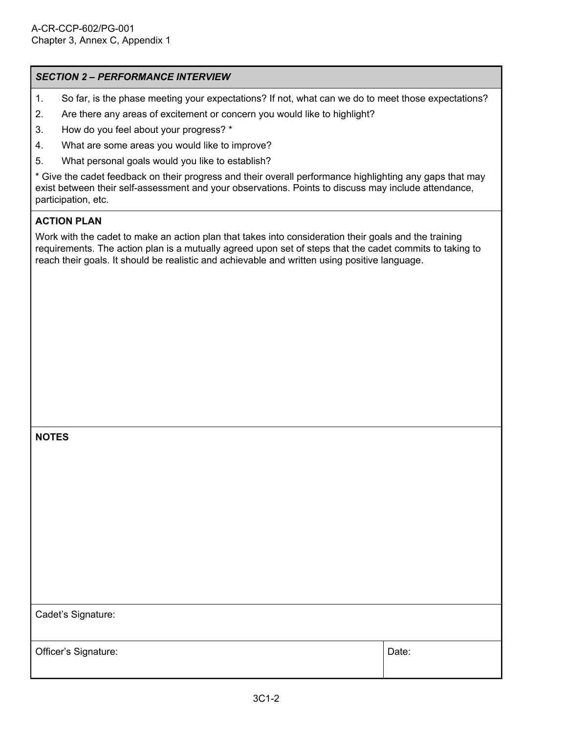## *SECTION 2 – PERFORMANCE INTERVIEW*

- 1. So far, is the phase meeting your expectations? If not, what can we do to meet those expectations?
- 2. Are there any areas of excitement or concern you would like to highlight?
- 3. How do you feel about your progress? \*
- 4. What are some areas you would like to improve?
- 5. What personal goals would you like to establish?

\* Give the cadet feedback on their progress and their overall performance highlighting any gaps that may exist between their self-assessment and your observations. Points to discuss may include attendance, participation, etc.

## **ACTION PLAN**

Work with the cadet to make an action plan that takes into consideration their goals and the training requirements. The action plan is a mutually agreed upon set of steps that the cadet commits to taking to reach their goals. It should be realistic and achievable and written using positive language.

| <b>NOTES</b>         |       |
|----------------------|-------|
|                      |       |
| Cadet's Signature:   |       |
|                      |       |
| Officer's Signature: | Date: |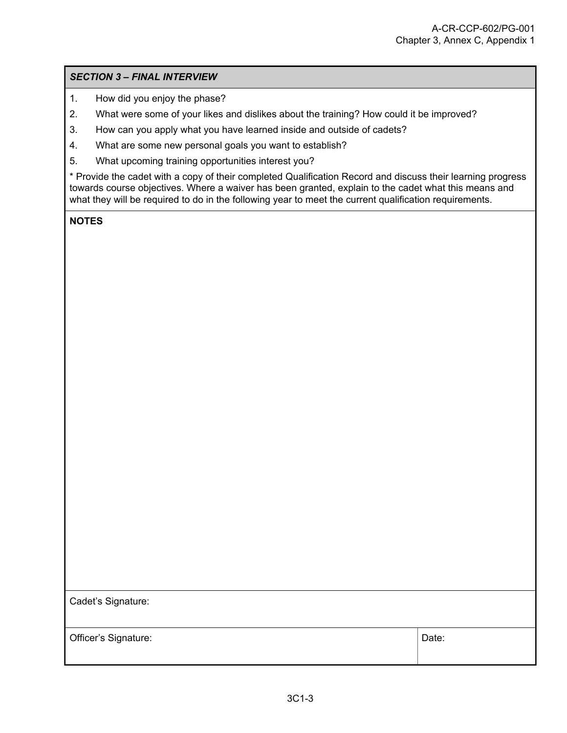## *SECTION 3 – FINAL INTERVIEW*

- 1. How did you enjoy the phase?
- 2. What were some of your likes and dislikes about the training? How could it be improved?
- 3. How can you apply what you have learned inside and outside of cadets?
- 4. What are some new personal goals you want to establish?
- 5. What upcoming training opportunities interest you?

\* Provide the cadet with a copy of their completed Qualification Record and discuss their learning progress towards course objectives. Where a waiver has been granted, explain to the cadet what this means and what they will be required to do in the following year to meet the current qualification requirements.

#### **NOTES**

Cadet's Signature:

Officer's Signature:  $\vert$  Date: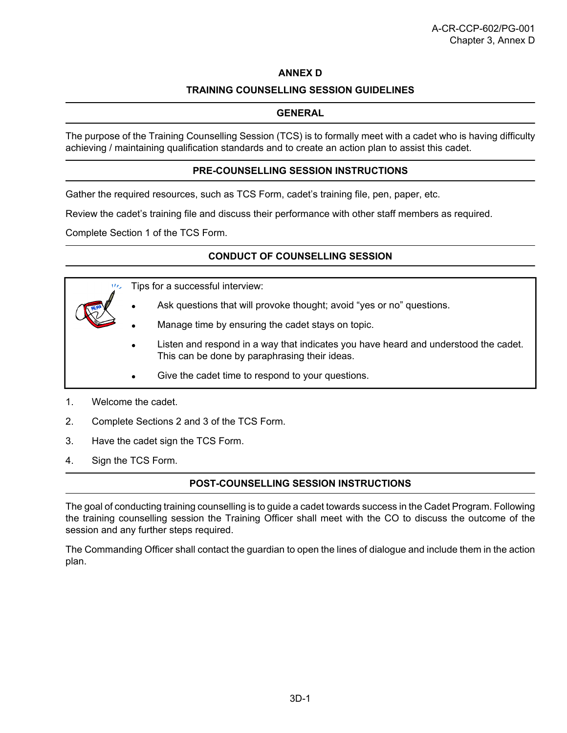#### **ANNEX D**

#### **TRAINING COUNSELLING SESSION GUIDELINES**

#### **GENERAL**

The purpose of the Training Counselling Session (TCS) is to formally meet with a cadet who is having difficulty achieving / maintaining qualification standards and to create an action plan to assist this cadet.

#### **PRE-COUNSELLING SESSION INSTRUCTIONS**

Gather the required resources, such as TCS Form, cadet's training file, pen, paper, etc.

Review the cadet's training file and discuss their performance with other staff members as required.

Complete Section 1 of the TCS Form.

#### **CONDUCT OF COUNSELLING SESSION**

- Tips for a successful interview:
	- Ask questions that will provoke thought; avoid "yes or no" questions.
	- Manage time by ensuring the cadet stays on topic.
	- Listen and respond in a way that indicates you have heard and understood the cadet. This can be done by paraphrasing their ideas.
	- Give the cadet time to respond to your questions.  $\bullet$
- 1. Welcome the cadet.
- 2. Complete Sections 2 and 3 of the TCS Form.
- 3. Have the cadet sign the TCS Form.
- 4. Sign the TCS Form.

#### **POST-COUNSELLING SESSION INSTRUCTIONS**

The goal of conducting training counselling is to guide a cadet towards success in the Cadet Program. Following the training counselling session the Training Officer shall meet with the CO to discuss the outcome of the session and any further steps required.

The Commanding Officer shall contact the guardian to open the lines of dialogue and include them in the action plan.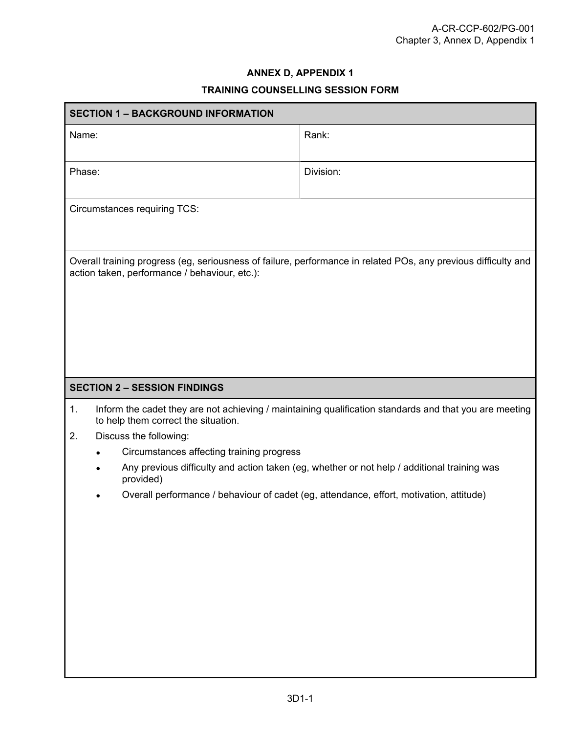# **ANNEX D, APPENDIX 1**

# **TRAINING COUNSELLING SESSION FORM**

| <b>SECTION 1 - BACKGROUND INFORMATION</b> |                                                                                      |                                                                                                                |  |  |  |  |  |  |
|-------------------------------------------|--------------------------------------------------------------------------------------|----------------------------------------------------------------------------------------------------------------|--|--|--|--|--|--|
| Name:                                     |                                                                                      | Rank:                                                                                                          |  |  |  |  |  |  |
| Phase:                                    |                                                                                      | Division:                                                                                                      |  |  |  |  |  |  |
|                                           | <b>Circumstances requiring TCS:</b>                                                  |                                                                                                                |  |  |  |  |  |  |
|                                           | action taken, performance / behaviour, etc.):<br><b>SECTION 2 - SESSION FINDINGS</b> | Overall training progress (eg, seriousness of failure, performance in related POs, any previous difficulty and |  |  |  |  |  |  |
| 1.                                        |                                                                                      | Inform the cadet they are not achieving / maintaining qualification standards and that you are meeting         |  |  |  |  |  |  |
| 2.                                        | to help them correct the situation.<br>Discuss the following:                        |                                                                                                                |  |  |  |  |  |  |
|                                           | Circumstances affecting training progress                                            |                                                                                                                |  |  |  |  |  |  |
|                                           | provided)                                                                            | Any previous difficulty and action taken (eg, whether or not help / additional training was                    |  |  |  |  |  |  |
|                                           |                                                                                      | Overall performance / behaviour of cadet (eg, attendance, effort, motivation, attitude)                        |  |  |  |  |  |  |
|                                           |                                                                                      |                                                                                                                |  |  |  |  |  |  |
|                                           |                                                                                      |                                                                                                                |  |  |  |  |  |  |
|                                           |                                                                                      |                                                                                                                |  |  |  |  |  |  |
|                                           |                                                                                      |                                                                                                                |  |  |  |  |  |  |
|                                           |                                                                                      |                                                                                                                |  |  |  |  |  |  |
|                                           |                                                                                      |                                                                                                                |  |  |  |  |  |  |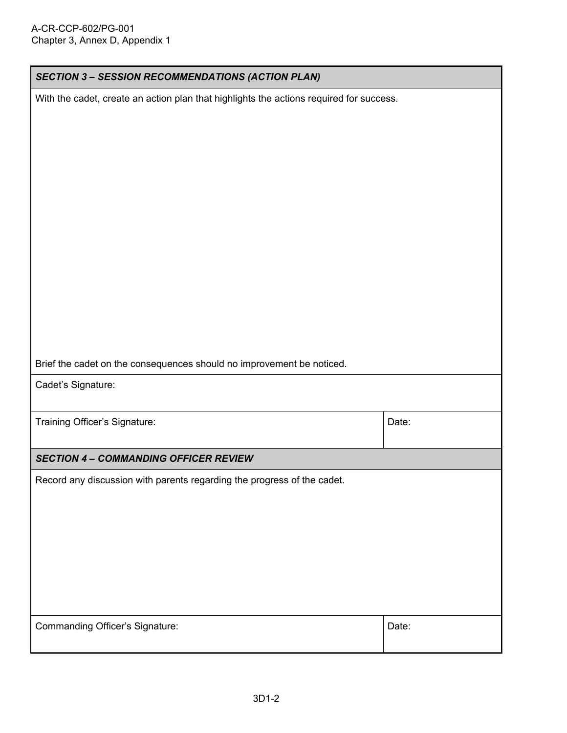| <b>SECTION 3 - SESSION RECOMMENDATIONS (ACTION PLAN)</b>                                |       |  |  |  |  |
|-----------------------------------------------------------------------------------------|-------|--|--|--|--|
| With the cadet, create an action plan that highlights the actions required for success. |       |  |  |  |  |
| Brief the cadet on the consequences should no improvement be noticed.                   |       |  |  |  |  |
| Cadet's Signature:                                                                      |       |  |  |  |  |
| Training Officer's Signature:                                                           | Date: |  |  |  |  |
| <b>SECTION 4 - COMMANDING OFFICER REVIEW</b>                                            |       |  |  |  |  |
| Record any discussion with parents regarding the progress of the cadet.                 |       |  |  |  |  |
| Commanding Officer's Signature:                                                         | Date: |  |  |  |  |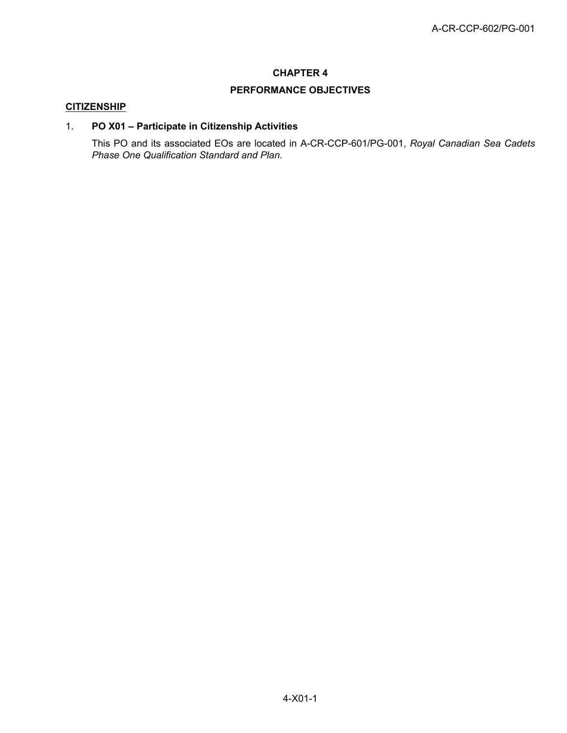# **CHAPTER 4**

### **PERFORMANCE OBJECTIVES**

#### **CITIZENSHIP**

## 1. **PO X01 – Participate in Citizenship Activities**

This PO and its associated EOs are located in A-CR-CCP-601/PG-001, *Royal Canadian Sea Cadets Phase One Qualification Standard and Plan*.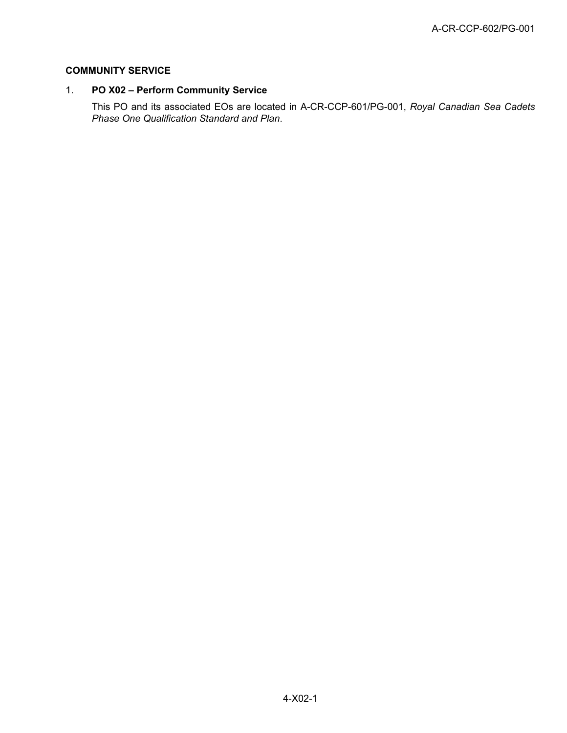#### **COMMUNITY SERVICE**

## 1. **PO X02 – Perform Community Service**

This PO and its associated EOs are located in A-CR-CCP-601/PG-001, *Royal Canadian Sea Cadets Phase One Qualification Standard and Plan*.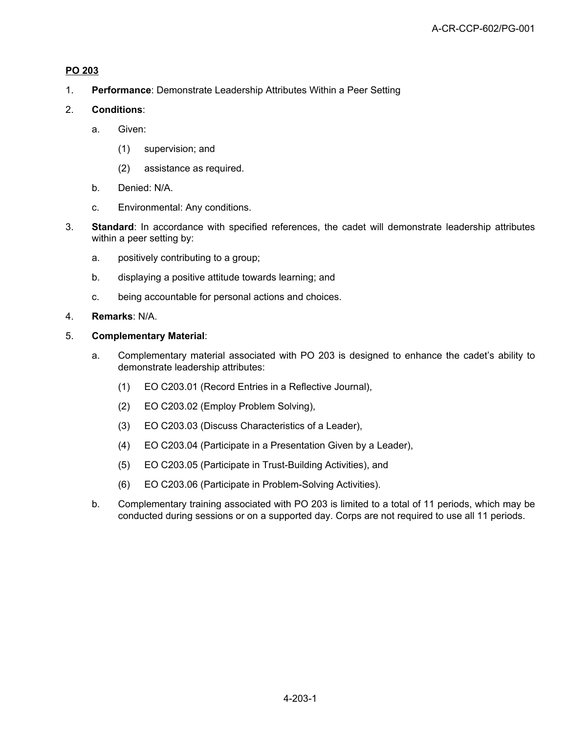## **PO 203**

- 1. **Performance**: Demonstrate Leadership Attributes Within a Peer Setting
- 2. **Conditions**:
	- a. Given:
		- (1) supervision; and
		- (2) assistance as required.
	- b. Denied: N/A.
	- c. Environmental: Any conditions.
- 3. **Standard**: In accordance with specified references, the cadet will demonstrate leadership attributes within a peer setting by:
	- a. positively contributing to a group;
	- b. displaying a positive attitude towards learning; and
	- c. being accountable for personal actions and choices.
- 4. **Remarks**: N/A.

## 5. **Complementary Material**:

- a. Complementary material associated with PO 203 is designed to enhance the cadet's ability to demonstrate leadership attributes:
	- (1) EO C203.01 (Record Entries in a Reflective Journal),
	- (2) EO C203.02 (Employ Problem Solving),
	- (3) EO C203.03 (Discuss Characteristics of a Leader),
	- (4) EO C203.04 (Participate in a Presentation Given by a Leader),
	- (5) EO C203.05 (Participate in Trust-Building Activities), and
	- (6) EO C203.06 (Participate in Problem-Solving Activities).
- b. Complementary training associated with PO 203 is limited to a total of 11 periods, which may be conducted during sessions or on a supported day. Corps are not required to use all 11 periods.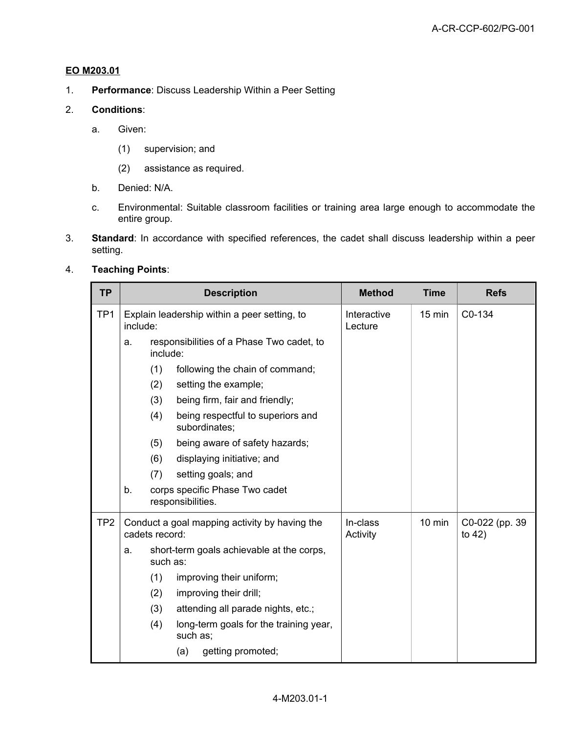#### **EO M203.01**

1. **Performance**: Discuss Leadership Within a Peer Setting

## 2. **Conditions**:

- a. Given:
	- (1) supervision; and
	- (2) assistance as required.
- b. Denied: N/A.
- c. Environmental: Suitable classroom facilities or training area large enough to accommodate the entire group.
- 3. **Standard**: In accordance with specified references, the cadet shall discuss leadership within a peer setting.

## 4. **Teaching Points**:

| <b>TP</b>       |                                                          |                                                                            |                                 | <b>Description</b>                                 | <b>Method</b>          | <b>Time</b> | <b>Refs</b>                |
|-----------------|----------------------------------------------------------|----------------------------------------------------------------------------|---------------------------------|----------------------------------------------------|------------------------|-------------|----------------------------|
| TP <sub>1</sub> | Explain leadership within a peer setting, to<br>include: |                                                                            |                                 |                                                    | Interactive<br>Lecture | 15 min      | C0-134                     |
|                 | a.                                                       | include:                                                                   |                                 | responsibilities of a Phase Two cadet, to          |                        |             |                            |
|                 |                                                          | (1)                                                                        | following the chain of command; |                                                    |                        |             |                            |
|                 |                                                          | (2)                                                                        |                                 | setting the example;                               |                        |             |                            |
|                 |                                                          | (3)                                                                        |                                 | being firm, fair and friendly;                     |                        |             |                            |
|                 |                                                          | (4)                                                                        |                                 | being respectful to superiors and<br>subordinates; |                        |             |                            |
|                 |                                                          | (5)<br>being aware of safety hazards;<br>displaying initiative; and<br>(6) |                                 |                                                    |                        |             |                            |
|                 |                                                          |                                                                            |                                 |                                                    |                        |             |                            |
|                 |                                                          | (7)                                                                        |                                 | setting goals; and                                 |                        |             |                            |
|                 | b.                                                       |                                                                            | responsibilities.               | corps specific Phase Two cadet                     |                        |             |                            |
| TP <sub>2</sub> |                                                          | cadets record:                                                             |                                 | Conduct a goal mapping activity by having the      | In-class<br>Activity   | 10 min      | C0-022 (pp. 39<br>to $42)$ |
|                 | a.                                                       | short-term goals achievable at the corps,<br>such as:                      |                                 |                                                    |                        |             |                            |
|                 |                                                          | (1)                                                                        |                                 | improving their uniform;                           |                        |             |                            |
|                 |                                                          | (2)                                                                        |                                 | improving their drill;                             |                        |             |                            |
|                 |                                                          | attending all parade nights, etc.;<br>(3)                                  |                                 |                                                    |                        |             |                            |
|                 |                                                          | (4)                                                                        | such as;                        | long-term goals for the training year,             |                        |             |                            |
|                 |                                                          |                                                                            | (a)                             | getting promoted;                                  |                        |             |                            |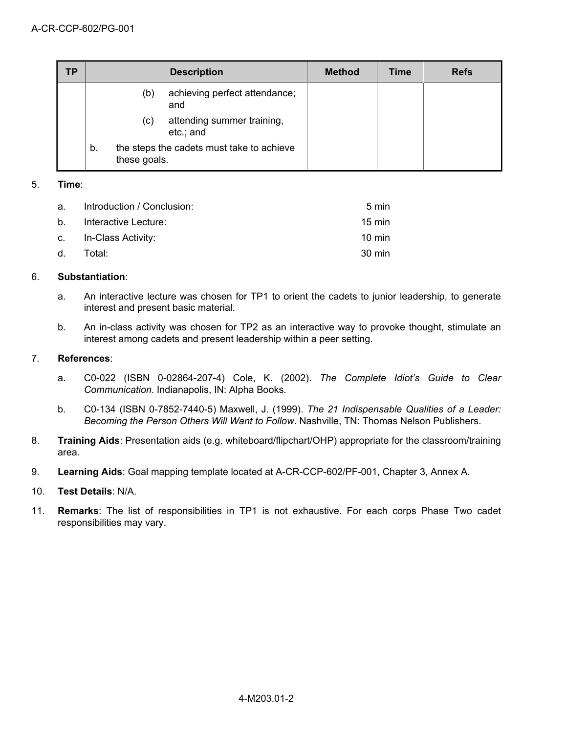| ΤP |                            | <b>Description</b>                        | <b>Method</b> | Time | <b>Refs</b> |
|----|----------------------------|-------------------------------------------|---------------|------|-------------|
|    | (b)                        | achieving perfect attendance;<br>and      |               |      |             |
|    | $\left( \mathrm{c}\right)$ | attending summer training,<br>etc.; and   |               |      |             |
|    | b.<br>these goals.         | the steps the cadets must take to achieve |               |      |             |

## 5. **Time**:

| a. | Introduction / Conclusion: | 5 min            |
|----|----------------------------|------------------|
|    | b. Interactive Lecture:    | $15 \text{ min}$ |
|    | c. In-Class Activity:      | $10 \text{ min}$ |
| d. | ⊟ Total:                   | 30 min           |

#### 6. **Substantiation**:

- a. An interactive lecture was chosen for TP1 to orient the cadets to junior leadership, to generate interest and present basic material.
- b. An in-class activity was chosen for TP2 as an interactive way to provoke thought, stimulate an interest among cadets and present leadership within a peer setting.

## 7. **References**:

- a. C0-022 (ISBN 0-02864-207-4) Cole, K. (2002). *The Complete Idiot's Guide to Clear Communication*. Indianapolis, IN: Alpha Books.
- b. C0-134 (ISBN 0-7852-7440-5) Maxwell, J. (1999). *The 21 Indispensable Qualities of a Leader: Becoming the Person Others Will Want to Follow*. Nashville, TN: Thomas Nelson Publishers.
- 8. **Training Aids**: Presentation aids (e.g. whiteboard/flipchart/OHP) appropriate for the classroom/training area.
- 9. **Learning Aids**: Goal mapping template located at A-CR-CCP-602/PF-001, Chapter 3, Annex A.
- 10. **Test Details**: N/A.
- 11. **Remarks**: The list of responsibilities in TP1 is not exhaustive. For each corps Phase Two cadet responsibilities may vary.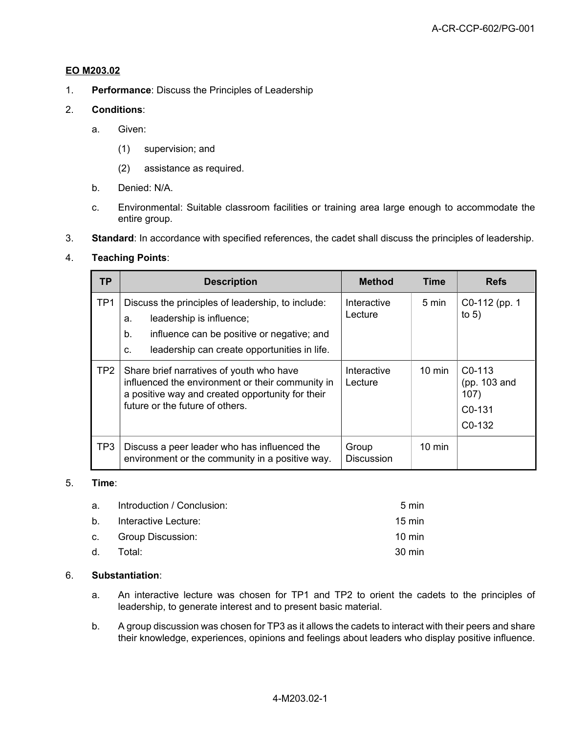## **EO M203.02**

1. **Performance**: Discuss the Principles of Leadership

## 2. **Conditions**:

- a. Given:
	- (1) supervision; and
	- (2) assistance as required.
- b. Denied: N/A.
- c. Environmental: Suitable classroom facilities or training area large enough to accommodate the entire group.
- 3. **Standard**: In accordance with specified references, the cadet shall discuss the principles of leadership.

## 4. **Teaching Points**:

| ΤP              | <b>Description</b>                                                                                                                                                                            | Method                     | Time             | <b>Refs</b>                                                                               |
|-----------------|-----------------------------------------------------------------------------------------------------------------------------------------------------------------------------------------------|----------------------------|------------------|-------------------------------------------------------------------------------------------|
| TP <sub>1</sub> | Discuss the principles of leadership, to include:<br>leadership is influence;<br>a.<br>influence can be positive or negative; and<br>b.<br>leadership can create opportunities in life.<br>C. | Interactive<br>Lecture     | 5 min            | C0-112 (pp. 1<br>to $5)$                                                                  |
| TP2             | Share brief narratives of youth who have<br>influenced the environment or their community in<br>a positive way and created opportunity for their<br>future or the future of others.           | Interactive<br>Lecture     | $10 \text{ min}$ | C <sub>0</sub> -113<br>(pp. 103 and<br>107)<br>C <sub>0</sub> -131<br>C <sub>0</sub> -132 |
| TP3             | Discuss a peer leader who has influenced the<br>environment or the community in a positive way.                                                                                               | Group<br><b>Discussion</b> | $10 \text{ min}$ |                                                                                           |

#### 5. **Time**:

| а. | Introduction / Conclusion: | 5 min  |
|----|----------------------------|--------|
|    | b. Interactive Lecture:    | 15 min |
|    | c. Group Discussion:       | 10 min |
| d. | ⊟Total:                    | 30 min |

# 6. **Substantiation**:

- a. An interactive lecture was chosen for TP1 and TP2 to orient the cadets to the principles of leadership, to generate interest and to present basic material.
- b. A group discussion was chosen for TP3 as it allows the cadets to interact with their peers and share their knowledge, experiences, opinions and feelings about leaders who display positive influence.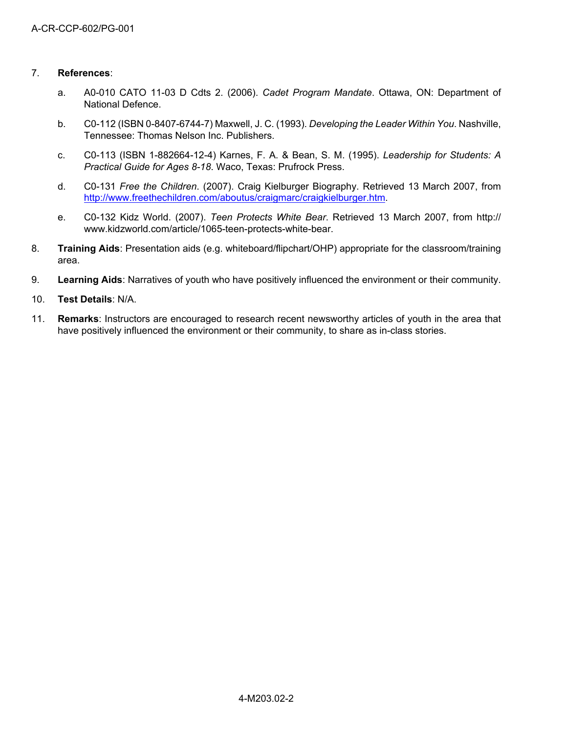## 7. **References**:

- a. A0-010 CATO 11-03 D Cdts 2. (2006). *Cadet Program Mandate*. Ottawa, ON: Department of National Defence.
- b. C0-112 (ISBN 0-8407-6744-7) Maxwell, J. C. (1993). *Developing the Leader Within You*. Nashville, Tennessee: Thomas Nelson Inc. Publishers.
- c. C0-113 (ISBN 1-882664-12-4) Karnes, F. A. & Bean, S. M. (1995). *Leadership for Students: A Practical Guide for Ages 8-18*. Waco, Texas: Prufrock Press.
- d. C0-131 *Free the Children*. (2007). Craig Kielburger Biography. Retrieved 13 March 2007, from http://www.freethechildren.com/aboutus/craigmarc/craigkielburger.htm.
- e. C0-132 Kidz World. (2007). *Teen Protects White Bear*. Retrieved 13 March 2007, from http:// www.kidzworld.com/article/1065-teen-protects-white-bear.
- 8. **Training Aids**: Presentation aids (e.g. whiteboard/flipchart/OHP) appropriate for the classroom/training area.
- 9. **Learning Aids**: Narratives of youth who have positively influenced the environment or their community.
- 10. **Test Details**: N/A.
- 11. **Remarks**: Instructors are encouraged to research recent newsworthy articles of youth in the area that have positively influenced the environment or their community, to share as in-class stories.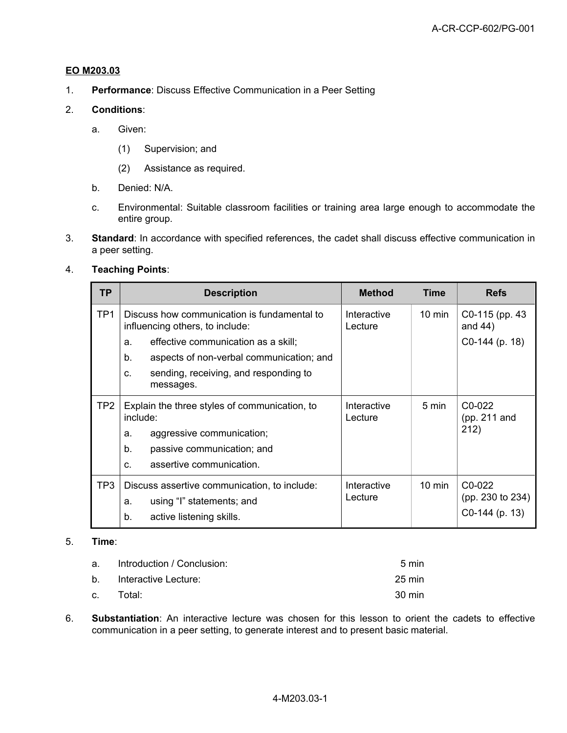### **EO M203.03**

1. **Performance**: Discuss Effective Communication in a Peer Setting

## 2. **Conditions**:

- a. Given:
	- (1) Supervision; and
	- (2) Assistance as required.
- b. Denied: N/A.
- c. Environmental: Suitable classroom facilities or training area large enough to accommodate the entire group.
- 3. **Standard**: In accordance with specified references, the cadet shall discuss effective communication in a peer setting.

## 4. **Teaching Points**:

| ΤP              | <b>Description</b>                                                                                                                                                                                                                        | <b>Method</b>          | Time             | <b>Refs</b>                                        |
|-----------------|-------------------------------------------------------------------------------------------------------------------------------------------------------------------------------------------------------------------------------------------|------------------------|------------------|----------------------------------------------------|
| TP <sub>1</sub> | Discuss how communication is fundamental to<br>influencing others, to include:<br>effective communication as a skill;<br>a.<br>b.<br>aspects of non-verbal communication; and<br>sending, receiving, and responding to<br>C.<br>messages. | Interactive<br>Lecture | $10 \text{ min}$ | C0-115 (pp. 43)<br>and $44$ )<br>$C0$ -144 (p. 18) |
| TP <sub>2</sub> | Explain the three styles of communication, to<br>include:<br>aggressive communication;<br>a.<br>b.<br>passive communication; and<br>assertive communication.<br>C.                                                                        | Interactive<br>Lecture | 5 min            | C <sub>0</sub> -022<br>(pp. 211 and<br>212)        |
| TP3             | Discuss assertive communication, to include:<br>using "I" statements; and<br>a.<br>b.<br>active listening skills.                                                                                                                         | Interactive<br>Lecture | $10 \text{ min}$ | $C0-022$<br>(pp. 230 to 234)<br>C0-144 (p. 13)     |

## 5. **Time**:

| а. | Introduction / Conclusion: | 5 min  |
|----|----------------------------|--------|
|    | b. Interactive Lecture:    | 25 min |
|    | c. Total:                  | 30 min |

6. **Substantiation**: An interactive lecture was chosen for this lesson to orient the cadets to effective communication in a peer setting, to generate interest and to present basic material.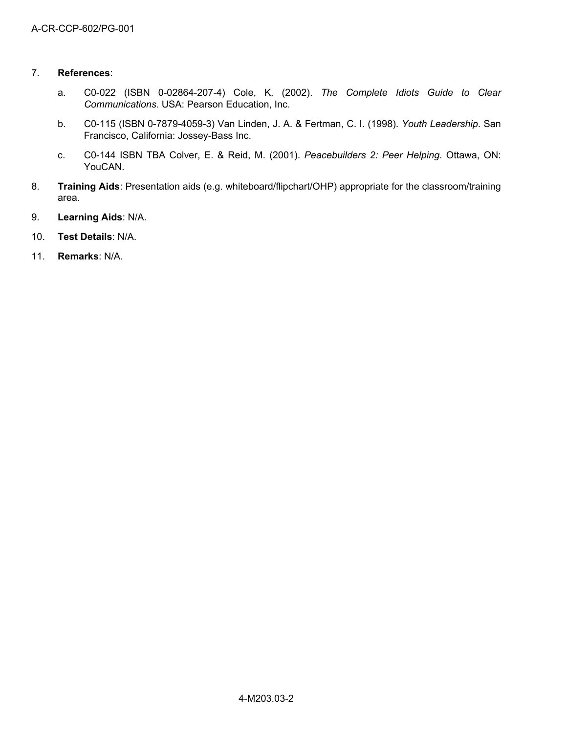## 7. **References**:

- a. C0-022 (ISBN 0-02864-207-4) Cole, K. (2002). *The Complete Idiots Guide to Clear Communications*. USA: Pearson Education, Inc.
- b. C0-115 (ISBN 0-7879-4059-3) Van Linden, J. A. & Fertman, C. I. (1998). *Youth Leadership*. San Francisco, California: Jossey-Bass Inc.
- c. C0-144 ISBN TBA Colver, E. & Reid, M. (2001). *Peacebuilders 2: Peer Helping*. Ottawa, ON: YouCAN.
- 8. **Training Aids**: Presentation aids (e.g. whiteboard/flipchart/OHP) appropriate for the classroom/training area.
- 9. **Learning Aids**: N/A.
- 10. **Test Details**: N/A.
- 11. **Remarks**: N/A.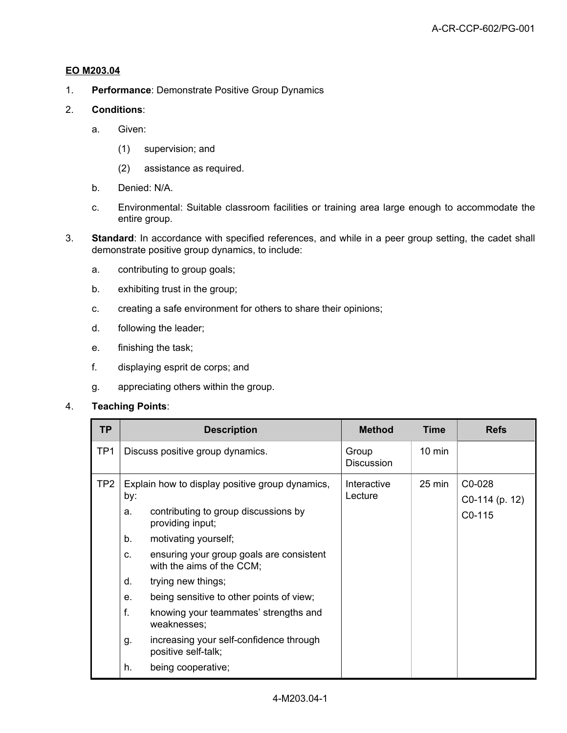### **EO M203.04**

1. **Performance**: Demonstrate Positive Group Dynamics

## 2. **Conditions**:

- a. Given:
	- (1) supervision; and
	- (2) assistance as required.
- b. Denied: N/A.
- c. Environmental: Suitable classroom facilities or training area large enough to accommodate the entire group.
- 3. **Standard**: In accordance with specified references, and while in a peer group setting, the cadet shall demonstrate positive group dynamics, to include:
	- a. contributing to group goals;
	- b. exhibiting trust in the group;
	- c. creating a safe environment for others to share their opinions;
	- d. following the leader;
	- e. finishing the task;
	- f. displaying esprit de corps; and
	- g. appreciating others within the group.

#### 4. **Teaching Points**:

| TP              |                                  | <b>Description</b>                                                    | <b>Method</b>              | Time             | <b>Refs</b>    |
|-----------------|----------------------------------|-----------------------------------------------------------------------|----------------------------|------------------|----------------|
| TP <sub>1</sub> | Discuss positive group dynamics. |                                                                       | Group<br><b>Discussion</b> | $10 \text{ min}$ |                |
| TP <sub>2</sub> |                                  | Explain how to display positive group dynamics,                       | Interactive                | 25 min           | C0-028         |
|                 | by:                              |                                                                       | Lecture                    |                  | C0-114 (p. 12) |
|                 | a.                               | contributing to group discussions by<br>providing input;              |                            |                  | $CO-115$       |
|                 | b.                               | motivating yourself;                                                  |                            |                  |                |
|                 | C.                               | ensuring your group goals are consistent<br>with the aims of the CCM; |                            |                  |                |
|                 | d.                               | trying new things;                                                    |                            |                  |                |
|                 | е.                               | being sensitive to other points of view;                              |                            |                  |                |
|                 | f.                               | knowing your teammates' strengths and<br>weaknesses;                  |                            |                  |                |
|                 | g.                               | increasing your self-confidence through<br>positive self-talk;        |                            |                  |                |
|                 | h.                               | being cooperative;                                                    |                            |                  |                |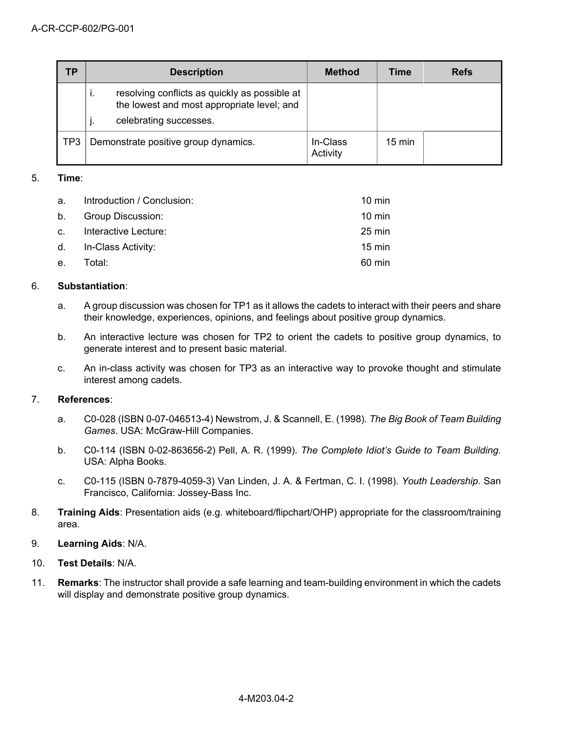| ΤP  | <b>Description</b>                                                                                                          | <b>Method</b>        | Time             | <b>Refs</b> |
|-----|-----------------------------------------------------------------------------------------------------------------------------|----------------------|------------------|-------------|
|     | resolving conflicts as quickly as possible at<br>Τ.<br>the lowest and most appropriate level; and<br>celebrating successes. |                      |                  |             |
| TP3 | Demonstrate positive group dynamics.                                                                                        | In-Class<br>Activity | $15 \text{ min}$ |             |

## 5. **Time**:

|    | a. Introduction / Conclusion: | $10 \text{ min}$ |
|----|-------------------------------|------------------|
|    | b. Group Discussion:          | $10 \text{ min}$ |
|    | c. Interactive Lecture:       | 25 min           |
|    | d. In-Class Activity:         | $15 \text{ min}$ |
| e. | Total:                        | 60 min           |

#### 6. **Substantiation**:

- a. A group discussion was chosen for TP1 as it allows the cadets to interact with their peers and share their knowledge, experiences, opinions, and feelings about positive group dynamics.
- b. An interactive lecture was chosen for TP2 to orient the cadets to positive group dynamics, to generate interest and to present basic material.
- c. An in-class activity was chosen for TP3 as an interactive way to provoke thought and stimulate interest among cadets.

### 7. **References**:

- a. C0-028 (ISBN 0-07-046513-4) Newstrom, J. & Scannell, E. (1998). *The Big Book of Team Building Games*. USA: McGraw-Hill Companies.
- b. C0-114 (ISBN 0-02-863656-2) Pell, A. R. (1999). *The Complete Idiot's Guide to Team Building.* USA: Alpha Books.
- c. C0-115 (ISBN 0-7879-4059-3) Van Linden, J. A. & Fertman, C. I. (1998). *Youth Leadership*. San Francisco, California: Jossey-Bass Inc.
- 8. **Training Aids**: Presentation aids (e.g. whiteboard/flipchart/OHP) appropriate for the classroom/training area.
- 9. **Learning Aids**: N/A.
- 10. **Test Details**: N/A.
- 11. **Remarks**: The instructor shall provide a safe learning and team-building environment in which the cadets will display and demonstrate positive group dynamics.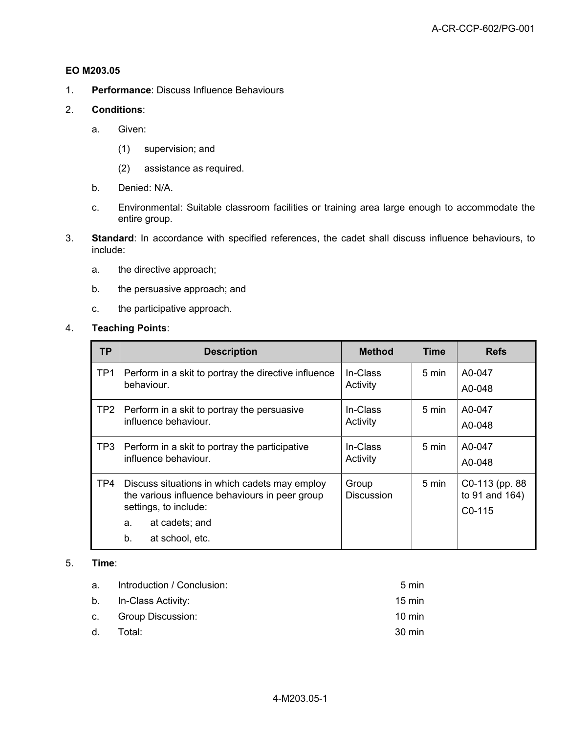### **EO M203.05**

1. **Performance**: Discuss Influence Behaviours

### 2. **Conditions**:

- a. Given:
	- (1) supervision; and
	- (2) assistance as required.
- b. Denied: N/A.
- c. Environmental: Suitable classroom facilities or training area large enough to accommodate the entire group.
- 3. **Standard**: In accordance with specified references, the cadet shall discuss influence behaviours, to include:
	- a. the directive approach;
	- b. the persuasive approach; and
	- c. the participative approach.

#### 4. **Teaching Points**:

| TP  | <b>Description</b>                                                      | <b>Method</b>     | Time  | <b>Refs</b>                |
|-----|-------------------------------------------------------------------------|-------------------|-------|----------------------------|
| TP1 | Perform in a skit to portray the directive influence                    | In-Class          | 5 min | A0-047                     |
|     | behaviour.                                                              | Activity          |       | A0-048                     |
| TP2 | Perform in a skit to portray the persuasive                             | In-Class          | 5 min | A0-047                     |
|     | influence behaviour.                                                    | Activity          |       | A0-048                     |
| TP3 | Perform in a skit to portray the participative                          | In-Class          | 5 min | A0-047                     |
|     | influence behaviour.                                                    | Activity          |       | A0-048                     |
| TP4 | Discuss situations in which cadets may employ                           | Group             | 5 min | C0-113 (pp. 88             |
|     | the various influence behaviours in peer group<br>settings, to include: | <b>Discussion</b> |       | to 91 and 164)<br>$C0-115$ |
|     | at cadets; and<br>a.                                                    |                   |       |                            |
|     | b.<br>at school, etc.                                                   |                   |       |                            |

#### 5. **Time**:

| a. | Introduction / Conclusion: | 5 min            |
|----|----------------------------|------------------|
|    | b. In-Class Activity:      | $15 \text{ min}$ |
|    | c. Group Discussion:       | $10 \text{ min}$ |
| d. | Total:                     | 30 min           |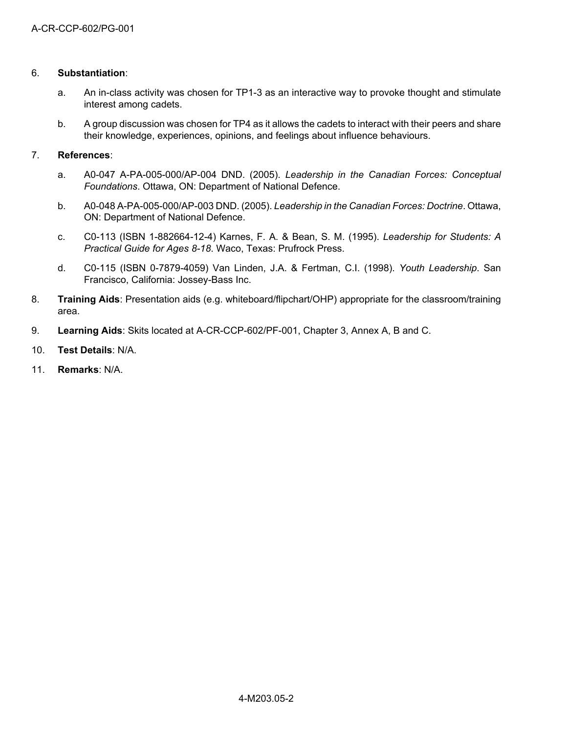## 6. **Substantiation**:

- a. An in-class activity was chosen for TP1-3 as an interactive way to provoke thought and stimulate interest among cadets.
- b. A group discussion was chosen for TP4 as it allows the cadets to interact with their peers and share their knowledge, experiences, opinions, and feelings about influence behaviours.

## 7. **References**:

- a. A0-047 A-PA-005-000/AP-004 DND. (2005). *Leadership in the Canadian Forces: Conceptual Foundations*. Ottawa, ON: Department of National Defence.
- b. A0-048 A-PA-005-000/AP-003 DND. (2005). *Leadership in the Canadian Forces: Doctrine*. Ottawa, ON: Department of National Defence.
- c. C0-113 (ISBN 1-882664-12-4) Karnes, F. A. & Bean, S. M. (1995). *Leadership for Students: A Practical Guide for Ages 8-18*. Waco, Texas: Prufrock Press.
- d. C0-115 (ISBN 0-7879-4059) Van Linden, J.A. & Fertman, C.I. (1998). *Youth Leadership*. San Francisco, California: Jossey-Bass Inc.
- 8. **Training Aids**: Presentation aids (e.g. whiteboard/flipchart/OHP) appropriate for the classroom/training area.
- 9. **Learning Aids**: Skits located at A-CR-CCP-602/PF-001, Chapter 3, Annex A, B and C.
- 10. **Test Details**: N/A.
- 11. **Remarks**: N/A.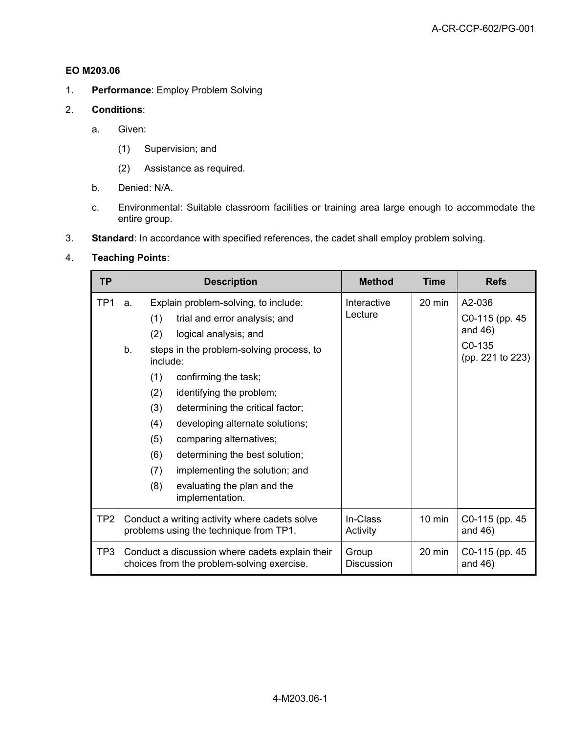## **EO M203.06**

1. **Performance**: Employ Problem Solving

## 2. **Conditions**:

- a. Given:
	- (1) Supervision; and
	- (2) Assistance as required.
- b. Denied: N/A.
- c. Environmental: Suitable classroom facilities or training area large enough to accommodate the entire group.
- 3. **Standard**: In accordance with specified references, the cadet shall employ problem solving.

# 4. **Teaching Points**:

| <b>TP</b>       |          |                                                                                | <b>Description</b>                                                                                                                                                                                                                                                                                                                                                                                                     | <b>Method</b>              | <b>Time</b>      | <b>Refs</b>                                                            |
|-----------------|----------|--------------------------------------------------------------------------------|------------------------------------------------------------------------------------------------------------------------------------------------------------------------------------------------------------------------------------------------------------------------------------------------------------------------------------------------------------------------------------------------------------------------|----------------------------|------------------|------------------------------------------------------------------------|
| TP <sub>1</sub> | a.<br>b. | (1)<br>(2)<br>include:<br>(1)<br>(2)<br>(3)<br>(4)<br>(5)<br>(6)<br>(7)<br>(8) | Explain problem-solving, to include:<br>trial and error analysis; and<br>logical analysis; and<br>steps in the problem-solving process, to<br>confirming the task;<br>identifying the problem;<br>determining the critical factor;<br>developing alternate solutions;<br>comparing alternatives;<br>determining the best solution;<br>implementing the solution; and<br>evaluating the plan and the<br>implementation. | Interactive<br>Lecture     | 20 min           | A2-036<br>C0-115 (pp. 45<br>and $46$ )<br>$C0-135$<br>(pp. 221 to 223) |
| TP <sub>2</sub> |          |                                                                                | Conduct a writing activity where cadets solve<br>problems using the technique from TP1.                                                                                                                                                                                                                                                                                                                                | In-Class<br>Activity       | $10 \text{ min}$ | C0-115 (pp. 45<br>and $46$ )                                           |
| TP3             |          |                                                                                | Conduct a discussion where cadets explain their<br>choices from the problem-solving exercise.                                                                                                                                                                                                                                                                                                                          | Group<br><b>Discussion</b> | 20 min           | C0-115 (pp. 45<br>and 46)                                              |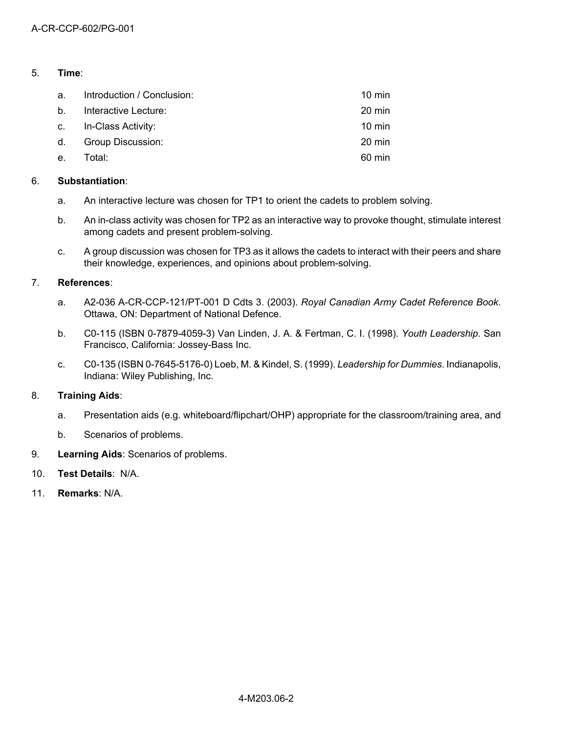# 5. **Time**:

| a.          | Introduction / Conclusion: | $10 \text{ min}$ |
|-------------|----------------------------|------------------|
| b.          | Interactive Lecture:       | 20 min           |
|             | c. In-Class Activity:      | $10 \text{ min}$ |
|             | d. Group Discussion:       | 20 min           |
| $e_{\cdot}$ | Total:                     | 60 min           |

## 6. **Substantiation**:

- a. An interactive lecture was chosen for TP1 to orient the cadets to problem solving.
- b. An in-class activity was chosen for TP2 as an interactive way to provoke thought, stimulate interest among cadets and present problem-solving.
- c. A group discussion was chosen for TP3 as it allows the cadets to interact with their peers and share their knowledge, experiences, and opinions about problem-solving.

## 7. **References**:

- a. A2-036 A-CR-CCP-121/PT-001 D Cdts 3. (2003). *Royal Canadian Army Cadet Reference Book*. Ottawa, ON: Department of National Defence.
- b. C0-115 (ISBN 0-7879-4059-3) Van Linden, J. A. & Fertman, C. I. (1998). *Youth Leadership*. San Francisco, California: Jossey-Bass Inc.
- c. C0-135 (ISBN 0-7645-5176-0) Loeb, M. & Kindel, S. (1999). *Leadership for Dummies*. Indianapolis, Indiana: Wiley Publishing, Inc.

### 8. **Training Aids**:

- a. Presentation aids (e.g. whiteboard/flipchart/OHP) appropriate for the classroom/training area, and
- b. Scenarios of problems.
- 9. **Learning Aids**: Scenarios of problems.
- 10. **Test Details**: N/A.
- 11. **Remarks**: N/A.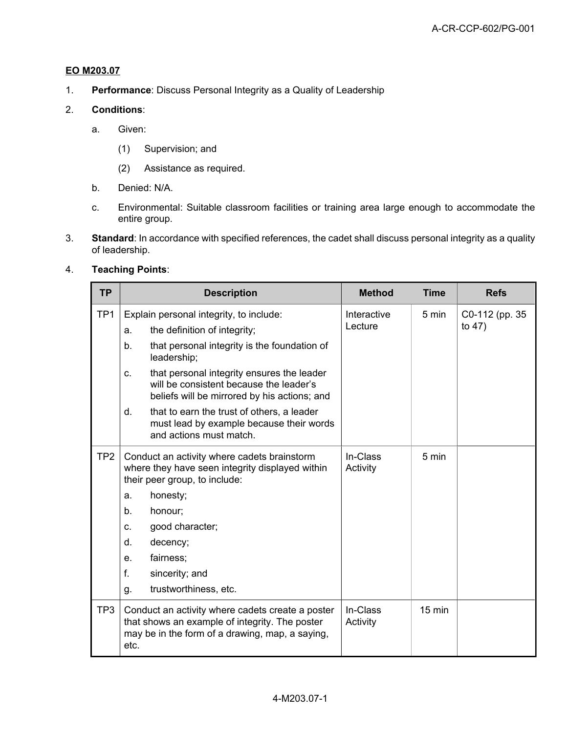## **EO M203.07**

1. **Performance**: Discuss Personal Integrity as a Quality of Leadership

## 2. **Conditions**:

- a. Given:
	- (1) Supervision; and
	- (2) Assistance as required.
- b. Denied: N/A.
- c. Environmental: Suitable classroom facilities or training area large enough to accommodate the entire group.
- 3. **Standard**: In accordance with specified references, the cadet shall discuss personal integrity as a quality of leadership.

# 4. **Teaching Points**:

| <b>TP</b>       | <b>Description</b>                                                                                                                                            |  | <b>Method</b>        | <b>Time</b> | <b>Refs</b>    |
|-----------------|---------------------------------------------------------------------------------------------------------------------------------------------------------------|--|----------------------|-------------|----------------|
| TP <sub>1</sub> | Explain personal integrity, to include:                                                                                                                       |  | Interactive          | 5 min       | C0-112 (pp. 35 |
|                 | the definition of integrity;<br>a.                                                                                                                            |  | Lecture              |             | to $47$ )      |
|                 | that personal integrity is the foundation of<br>b.<br>leadership;                                                                                             |  |                      |             |                |
|                 | that personal integrity ensures the leader<br>C.<br>will be consistent because the leader's<br>beliefs will be mirrored by his actions; and                   |  |                      |             |                |
|                 | that to earn the trust of others, a leader<br>d.<br>must lead by example because their words<br>and actions must match.                                       |  |                      |             |                |
| TP <sub>2</sub> | Conduct an activity where cadets brainstorm<br>where they have seen integrity displayed within<br>their peer group, to include:                               |  | In-Class<br>Activity | 5 min       |                |
|                 | honesty;<br>a.                                                                                                                                                |  |                      |             |                |
|                 | honour;<br>$b_{\cdot}$                                                                                                                                        |  |                      |             |                |
|                 | good character;<br>C.                                                                                                                                         |  |                      |             |                |
|                 | d.<br>decency;                                                                                                                                                |  |                      |             |                |
|                 | fairness:<br>e.                                                                                                                                               |  |                      |             |                |
|                 | f.<br>sincerity; and                                                                                                                                          |  |                      |             |                |
|                 | trustworthiness, etc.<br>g.                                                                                                                                   |  |                      |             |                |
| TP3             | Conduct an activity where cadets create a poster<br>that shows an example of integrity. The poster<br>may be in the form of a drawing, map, a saying,<br>etc. |  | In-Class<br>Activity | $15$ min    |                |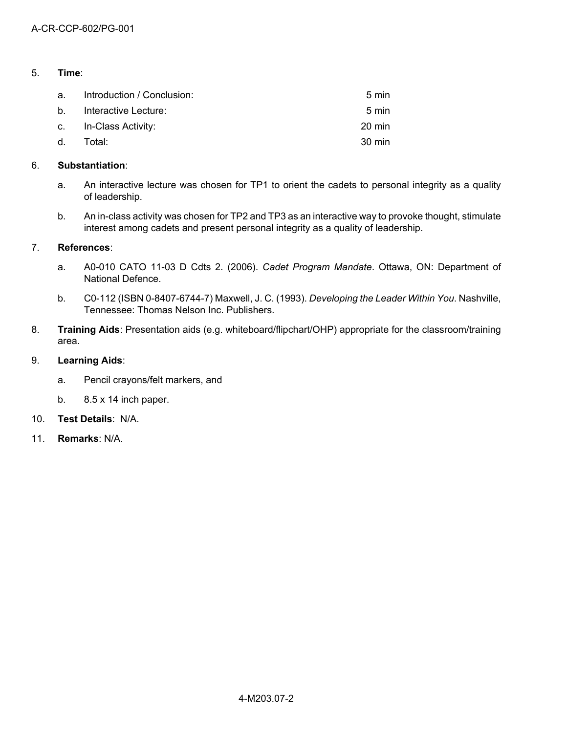# 5. **Time**:

| a. Introduction / Conclusion: | 5 min  |
|-------------------------------|--------|
| b. Interactive Lecture:       | 5 min  |
| c. In-Class Activity:         | 20 min |
| d. Total:                     | 30 min |

## 6. **Substantiation**:

- a. An interactive lecture was chosen for TP1 to orient the cadets to personal integrity as a quality of leadership.
- b. An in-class activity was chosen for TP2 and TP3 as an interactive way to provoke thought, stimulate interest among cadets and present personal integrity as a quality of leadership.

## 7. **References**:

- a. A0-010 CATO 11-03 D Cdts 2. (2006). *Cadet Program Mandate*. Ottawa, ON: Department of National Defence.
- b. C0-112 (ISBN 0-8407-6744-7) Maxwell, J. C. (1993). *Developing the Leader Within You*. Nashville, Tennessee: Thomas Nelson Inc. Publishers.
- 8. **Training Aids**: Presentation aids (e.g. whiteboard/flipchart/OHP) appropriate for the classroom/training area.

## 9. **Learning Aids**:

- a. Pencil crayons/felt markers, and
- b. 8.5 x 14 inch paper.
- 10. **Test Details**: N/A.
- 11. **Remarks**: N/A.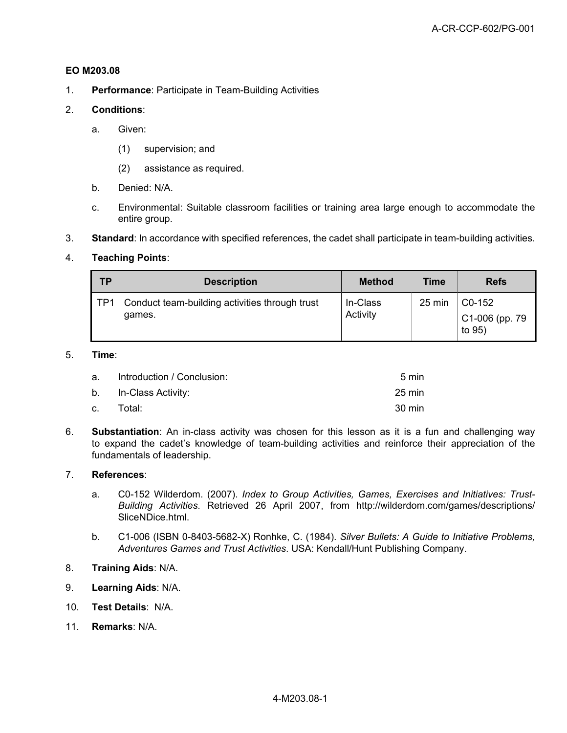### **EO M203.08**

1. **Performance**: Participate in Team-Building Activities

## 2. **Conditions**:

- a. Given:
	- (1) supervision; and
	- (2) assistance as required.
- b. Denied: N/A.
- c. Environmental: Suitable classroom facilities or training area large enough to accommodate the entire group.
- 3. **Standard**: In accordance with specified references, the cadet shall participate in team-building activities.

#### 4. **Teaching Points**:

| <b>TP</b>       | <b>Description</b>                                       | <b>Method</b>        | Time   | <b>Refs</b>                            |
|-----------------|----------------------------------------------------------|----------------------|--------|----------------------------------------|
| TP <sub>1</sub> | Conduct team-building activities through trust<br>games. | In-Class<br>Activity | 25 min | $C0-152$<br>$C1-006$ (pp. 79<br>to 95) |

#### 5. **Time**:

| a. Introduction / Conclusion: | 5 min  |
|-------------------------------|--------|
| b. In-Class Activity:         | 25 min |
| c. Total:                     | 30 min |

6. **Substantiation**: An in-class activity was chosen for this lesson as it is a fun and challenging way to expand the cadet's knowledge of team-building activities and reinforce their appreciation of the fundamentals of leadership.

#### 7. **References**:

- a. C0-152 Wilderdom. (2007). *Index to Group Activities, Games, Exercises and Initiatives: Trust-Building Activities*. Retrieved 26 April 2007, from http://wilderdom.com/games/descriptions/ SliceNDice.html.
- b. C1-006 (ISBN 0-8403-5682-X) Ronhke, C. (1984). *Silver Bullets: A Guide to Initiative Problems, Adventures Games and Trust Activities*. USA: Kendall/Hunt Publishing Company.
- 8. **Training Aids**: N/A.
- 9. **Learning Aids**: N/A.
- 10. **Test Details**: N/A.
- 11. **Remarks**: N/A.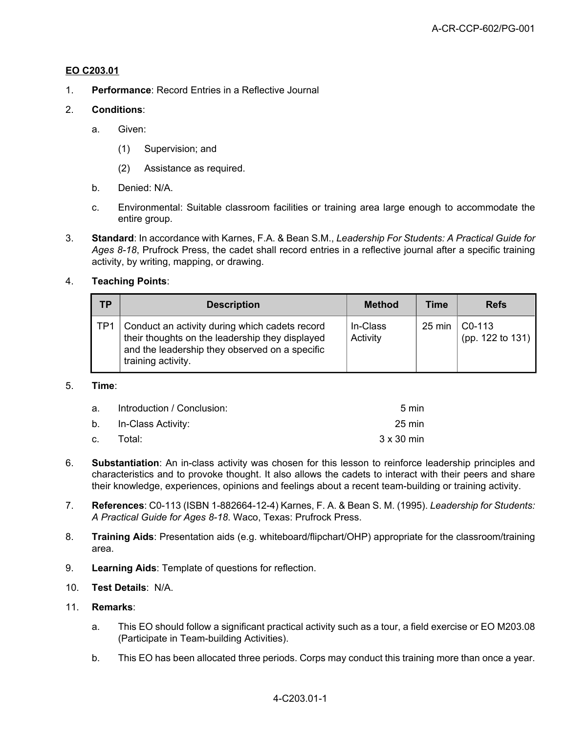### **EO C203.01**

1. **Performance**: Record Entries in a Reflective Journal

### 2. **Conditions**:

- a. Given:
	- (1) Supervision; and
	- (2) Assistance as required.
- b. Denied: N/A.
- c. Environmental: Suitable classroom facilities or training area large enough to accommodate the entire group.
- 3. **Standard**: In accordance with Karnes, F.A. & Bean S.M., *Leadership For Students: A Practical Guide for Ages 8-18*, Prufrock Press, the cadet shall record entries in a reflective journal after a specific training activity, by writing, mapping, or drawing.

#### 4. **Teaching Points**:

| <b>TP</b>       | <b>Description</b>                                                                                                                                                        | <b>Method</b>        | <b>Time</b> | <b>Refs</b>                             |
|-----------------|---------------------------------------------------------------------------------------------------------------------------------------------------------------------------|----------------------|-------------|-----------------------------------------|
| TP <sub>1</sub> | Conduct an activity during which cadets record<br>their thoughts on the leadership they displayed<br>and the leadership they observed on a specific<br>training activity. | In-Class<br>Activity | 25 min      | C <sub>0</sub> -113<br>(pp. 122 to 131) |

### 5. **Time**:

|      | a. Introduction / Conclusion: | 5 min             |
|------|-------------------------------|-------------------|
|      | b. In-Class Activity:         | $25 \text{ min}$  |
| C. C | Total:                        | $3 \times 30$ min |

- 6. **Substantiation**: An in-class activity was chosen for this lesson to reinforce leadership principles and characteristics and to provoke thought. It also allows the cadets to interact with their peers and share their knowledge, experiences, opinions and feelings about a recent team-building or training activity.
- 7. **References**: C0-113 (ISBN 1-882664-12-4) Karnes, F. A. & Bean S. M. (1995). *Leadership for Students: A Practical Guide for Ages 8-18*. Waco, Texas: Prufrock Press.
- 8. **Training Aids**: Presentation aids (e.g. whiteboard/flipchart/OHP) appropriate for the classroom/training area.
- 9. **Learning Aids**: Template of questions for reflection.
- 10. **Test Details**: N/A.
- 11. **Remarks**:
	- a. This EO should follow a significant practical activity such as a tour, a field exercise or EO M203.08 (Participate in Team-building Activities).
	- b. This EO has been allocated three periods. Corps may conduct this training more than once a year.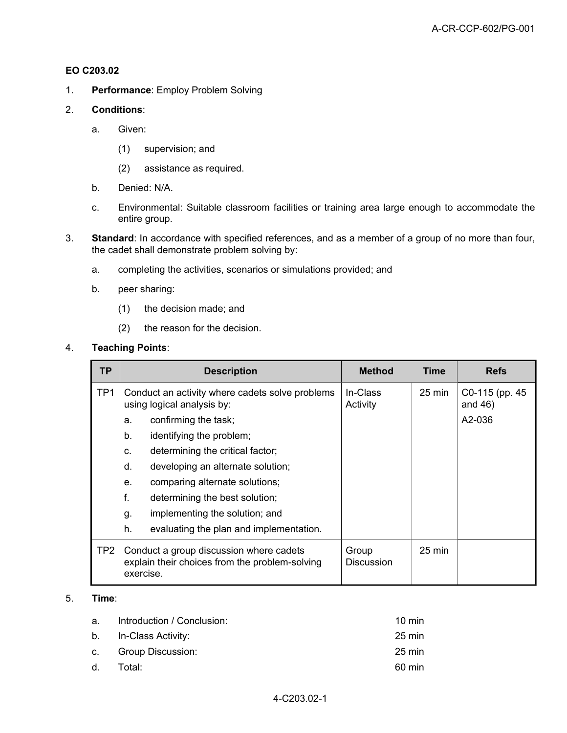## **EO C203.02**

1. **Performance**: Employ Problem Solving

## 2. **Conditions**:

- a. Given:
	- (1) supervision; and
	- (2) assistance as required.
- b. Denied: N/A.
- c. Environmental: Suitable classroom facilities or training area large enough to accommodate the entire group.
- 3. **Standard**: In accordance with specified references, and as a member of a group of no more than four, the cadet shall demonstrate problem solving by:
	- a. completing the activities, scenarios or simulations provided; and
	- b. peer sharing:
		- (1) the decision made; and
		- (2) the reason for the decision.

### 4. **Teaching Points**:

| ΤP  | <b>Description</b>                                                                                     | <b>Method</b>              | Time             | <b>Refs</b>                   |
|-----|--------------------------------------------------------------------------------------------------------|----------------------------|------------------|-------------------------------|
| TP1 | Conduct an activity where cadets solve problems<br>using logical analysis by:                          | In-Class<br>Activity       | $25 \text{ min}$ | C0-115 (pp. 45)<br>and $46$ ) |
|     | confirming the task;<br>a.                                                                             |                            |                  | A2-036                        |
|     | identifying the problem;<br>b.                                                                         |                            |                  |                               |
|     | determining the critical factor;<br>C.                                                                 |                            |                  |                               |
|     | d.<br>developing an alternate solution;                                                                |                            |                  |                               |
|     | comparing alternate solutions;<br>е.                                                                   |                            |                  |                               |
|     | f.<br>determining the best solution;                                                                   |                            |                  |                               |
|     | implementing the solution; and<br>g.                                                                   |                            |                  |                               |
|     | h.<br>evaluating the plan and implementation.                                                          |                            |                  |                               |
| TP2 | Conduct a group discussion where cadets<br>explain their choices from the problem-solving<br>exercise. | Group<br><b>Discussion</b> | $25 \text{ min}$ |                               |

#### 5. **Time**:

|      | a. Introduction / Conclusion: | $10 \text{ min}$ |
|------|-------------------------------|------------------|
|      | b. In-Class Activity:         | 25 min           |
|      | c. Group Discussion:          | 25 min           |
| d. I | ⊺otal:                        | 60 min           |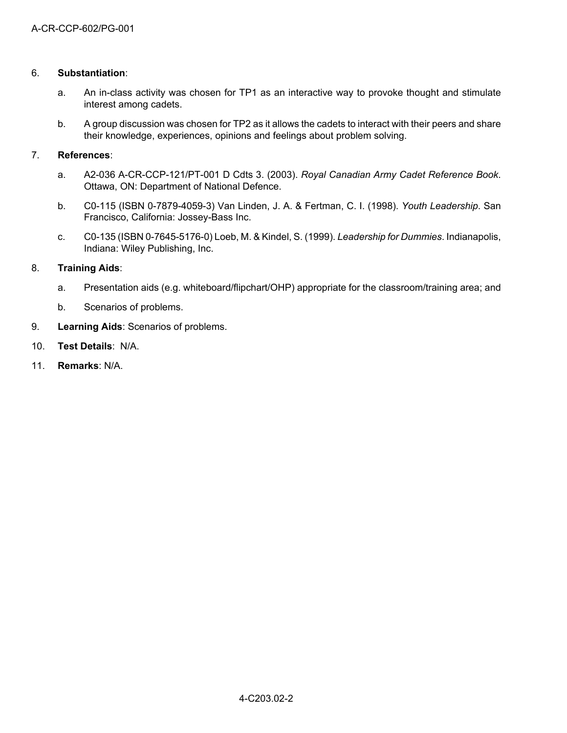## 6. **Substantiation**:

- a. An in-class activity was chosen for TP1 as an interactive way to provoke thought and stimulate interest among cadets.
- b. A group discussion was chosen for TP2 as it allows the cadets to interact with their peers and share their knowledge, experiences, opinions and feelings about problem solving.

## 7. **References**:

- a. A2-036 A-CR-CCP-121/PT-001 D Cdts 3. (2003). *Royal Canadian Army Cadet Reference Book*. Ottawa, ON: Department of National Defence.
- b. C0-115 (ISBN 0-7879-4059-3) Van Linden, J. A. & Fertman, C. I. (1998). *Youth Leadership*. San Francisco, California: Jossey-Bass Inc.
- c. C0-135 (ISBN 0-7645-5176-0) Loeb, M. & Kindel, S. (1999). *Leadership for Dummies*. Indianapolis, Indiana: Wiley Publishing, Inc.

## 8. **Training Aids**:

- a. Presentation aids (e.g. whiteboard/flipchart/OHP) appropriate for the classroom/training area; and
- b. Scenarios of problems.
- 9. **Learning Aids**: Scenarios of problems.
- 10. **Test Details**: N/A.
- 11. **Remarks**: N/A.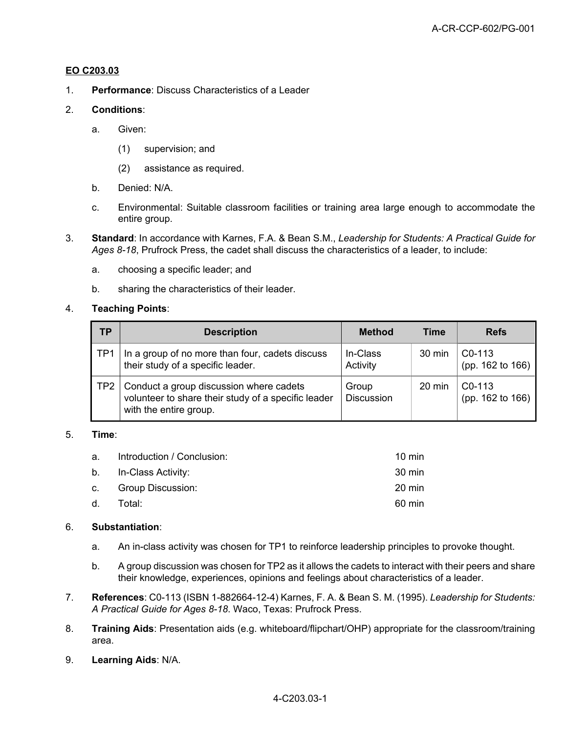## **EO C203.03**

1. **Performance**: Discuss Characteristics of a Leader

### 2. **Conditions**:

- a. Given:
	- (1) supervision; and
	- (2) assistance as required.
- b. Denied: N/A.
- c. Environmental: Suitable classroom facilities or training area large enough to accommodate the entire group.
- 3. **Standard**: In accordance with Karnes, F.A. & Bean S.M., *Leadership for Students: A Practical Guide for Ages 8-18*, Prufrock Press, the cadet shall discuss the characteristics of a leader, to include:
	- a. choosing a specific leader; and
	- b. sharing the characteristics of their leader.

#### 4. **Teaching Points**:

| TP              | <b>Description</b>                                                                                                       | <b>Method</b>        | Time             | <b>Refs</b>                             |
|-----------------|--------------------------------------------------------------------------------------------------------------------------|----------------------|------------------|-----------------------------------------|
| TP <sub>1</sub> | In a group of no more than four, cadets discuss<br>their study of a specific leader.                                     | In-Class<br>Activity | $30 \text{ min}$ | C <sub>0</sub> -113<br>(pp. 162 to 166) |
| TP2             | Conduct a group discussion where cadets<br>volunteer to share their study of a specific leader<br>with the entire group. | Group<br>Discussion  | 20 min           | C <sub>0</sub> -113<br>(pp. 162 to 166) |

### 5. **Time**:

|      | a. Introduction / Conclusion: | $10 \text{ min}$ |
|------|-------------------------------|------------------|
|      | b. In-Class Activity:         | 30 min           |
|      | c. Group Discussion:          | 20 min           |
| d. I | Total:                        | 60 min           |

#### 6. **Substantiation**:

- a. An in-class activity was chosen for TP1 to reinforce leadership principles to provoke thought.
- b. A group discussion was chosen for TP2 as it allows the cadets to interact with their peers and share their knowledge, experiences, opinions and feelings about characteristics of a leader.
- 7. **References**: C0-113 (ISBN 1-882664-12-4) Karnes, F. A. & Bean S. M. (1995). *Leadership for Students: A Practical Guide for Ages 8-18*. Waco, Texas: Prufrock Press.
- 8. **Training Aids**: Presentation aids (e.g. whiteboard/flipchart/OHP) appropriate for the classroom/training area.
- 9. **Learning Aids**: N/A.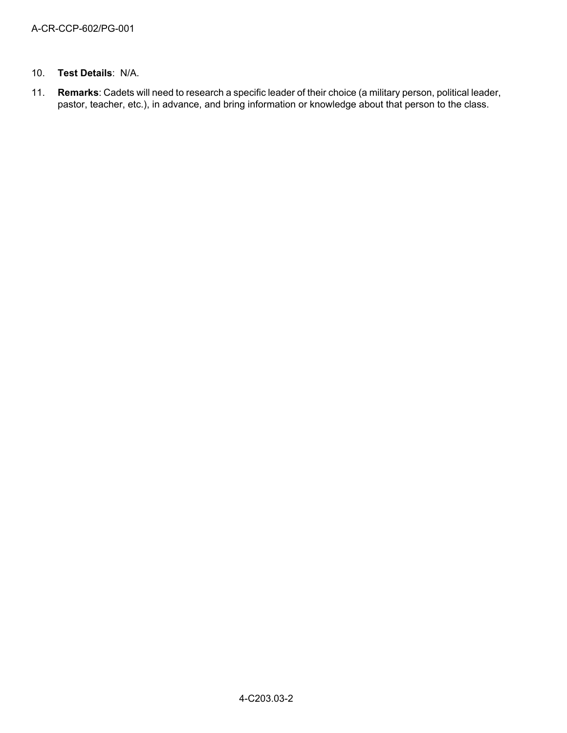- 10. **Test Details**: N/A.
- 11. **Remarks**: Cadets will need to research a specific leader of their choice (a military person, political leader, pastor, teacher, etc.), in advance, and bring information or knowledge about that person to the class.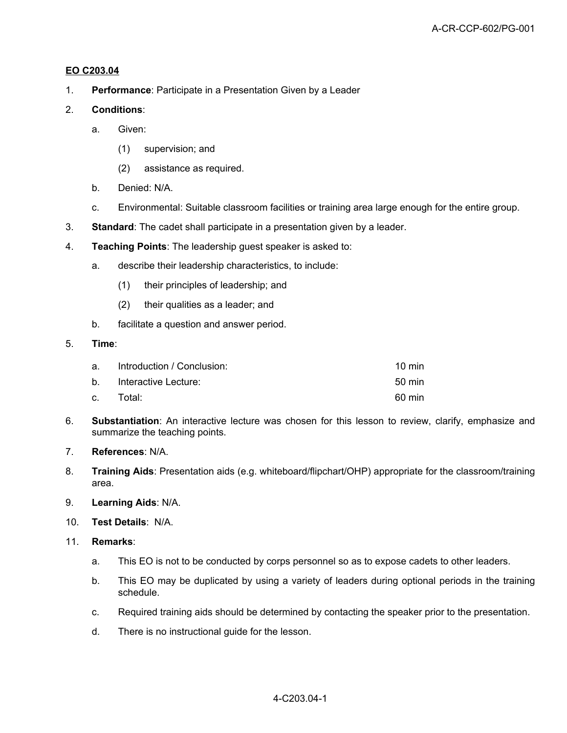## **EO C203.04**

- 1. **Performance**: Participate in a Presentation Given by a Leader
- 2. **Conditions**:
	- a. Given:
		- (1) supervision; and
		- (2) assistance as required.
	- b. Denied: N/A.
	- c. Environmental: Suitable classroom facilities or training area large enough for the entire group.
- 3. **Standard**: The cadet shall participate in a presentation given by a leader.
- 4. **Teaching Points**: The leadership guest speaker is asked to:
	- a. describe their leadership characteristics, to include:
		- (1) their principles of leadership; and
		- (2) their qualities as a leader; and
	- b. facilitate a question and answer period.
- 5. **Time**:

| a. Introduction / Conclusion: | 10 min  |
|-------------------------------|---------|
| b. Interactive Lecture:       | .50 min |
| c. Total:                     | 60 min  |

- 6. **Substantiation**: An interactive lecture was chosen for this lesson to review, clarify, emphasize and summarize the teaching points.
- 7. **References**: N/A.
- 8. **Training Aids**: Presentation aids (e.g. whiteboard/flipchart/OHP) appropriate for the classroom/training area.
- 9. **Learning Aids**: N/A.
- 10. **Test Details**: N/A.
- 11. **Remarks**:
	- a. This EO is not to be conducted by corps personnel so as to expose cadets to other leaders.
	- b. This EO may be duplicated by using a variety of leaders during optional periods in the training schedule.
	- c. Required training aids should be determined by contacting the speaker prior to the presentation.
	- d. There is no instructional guide for the lesson.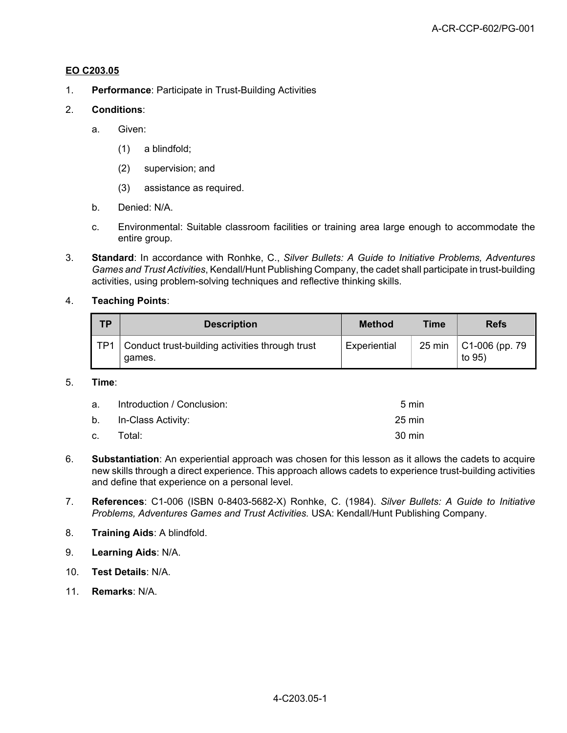### **EO C203.05**

1. **Performance**: Participate in Trust-Building Activities

#### 2. **Conditions**:

- a. Given:
	- (1) a blindfold;
	- (2) supervision; and
	- (3) assistance as required.
- b. Denied: N/A.
- c. Environmental: Suitable classroom facilities or training area large enough to accommodate the entire group.
- 3. **Standard**: In accordance with Ronhke, C., *Silver Bullets: A Guide to Initiative Problems, Adventures Games and Trust Activities*, Kendall/Hunt Publishing Company, the cadet shall participate in trust-building activities, using problem-solving techniques and reflective thinking skills.

#### 4. **Teaching Points**:

| ТP  | <b>Description</b>                                        | <b>Method</b> | Time   | <b>Refs</b>                      |
|-----|-----------------------------------------------------------|---------------|--------|----------------------------------|
| TP1 | Conduct trust-building activities through trust<br>games. | Experiential  | 25 min | $\vert$ C1-006 (pp. 79<br>to 95) |

#### 5. **Time**:

| a. Introduction / Conclusion: | 5 min  |
|-------------------------------|--------|
| b. In-Class Activity:         | 25 min |
| c. Total:                     | 30 min |

- 6. **Substantiation**: An experiential approach was chosen for this lesson as it allows the cadets to acquire new skills through a direct experience. This approach allows cadets to experience trust-building activities and define that experience on a personal level.
- 7. **References**: C1-006 (ISBN 0-8403-5682-X) Ronhke, C. (1984). *Silver Bullets: A Guide to Initiative Problems, Adventures Games and Trust Activities.* USA: Kendall/Hunt Publishing Company.
- 8. **Training Aids**: A blindfold.
- 9. **Learning Aids**: N/A.
- 10. **Test Details**: N/A.
- 11. **Remarks**: N/A.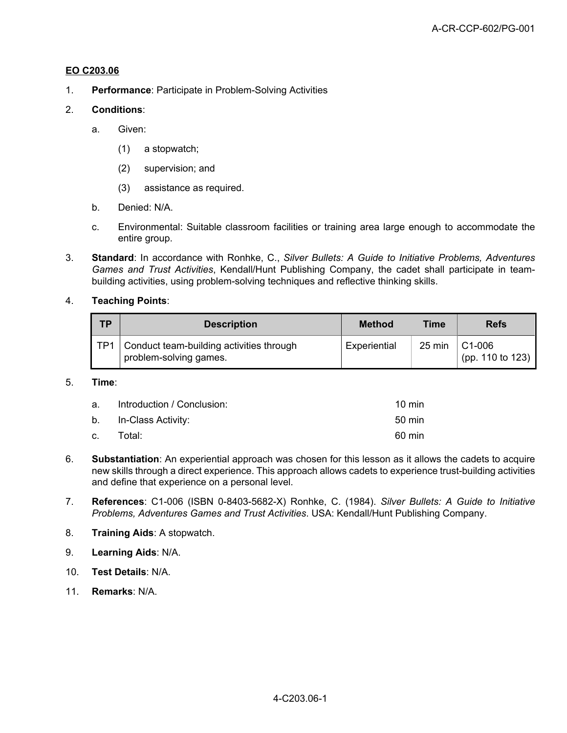### **EO C203.06**

1. **Performance**: Participate in Problem-Solving Activities

#### 2. **Conditions**:

- a. Given:
	- (1) a stopwatch;
	- (2) supervision; and
	- (3) assistance as required.
- b. Denied: N/A.
- c. Environmental: Suitable classroom facilities or training area large enough to accommodate the entire group.
- 3. **Standard**: In accordance with Ronhke, C., *Silver Bullets: A Guide to Initiative Problems, Adventures Games and Trust Activities*, Kendall/Hunt Publishing Company, the cadet shall participate in teambuilding activities, using problem-solving techniques and reflective thinking skills.

#### 4. **Teaching Points**:

| ТP  | <b>Description</b>                                                 | <b>Method</b> | <b>Time</b> | <b>Refs</b>                |
|-----|--------------------------------------------------------------------|---------------|-------------|----------------------------|
| TP1 | Conduct team-building activities through<br>problem-solving games. | Experiential  | 25 min      | C1-006<br>(pp. 110 to 123) |

#### 5. **Time**:

| a. Introduction / Conclusion: | $10 \text{ min}$ |
|-------------------------------|------------------|
| b. In-Class Activity:         | 50 min           |
| c. Total:                     | 60 min           |

- 6. **Substantiation**: An experiential approach was chosen for this lesson as it allows the cadets to acquire new skills through a direct experience. This approach allows cadets to experience trust-building activities and define that experience on a personal level.
- 7. **References**: C1-006 (ISBN 0-8403-5682-X) Ronhke, C. (1984). *Silver Bullets: A Guide to Initiative Problems, Adventures Games and Trust Activities*. USA: Kendall/Hunt Publishing Company.
- 8. **Training Aids**: A stopwatch.
- 9. **Learning Aids**: N/A.
- 10. **Test Details**: N/A.
- 11. **Remarks**: N/A.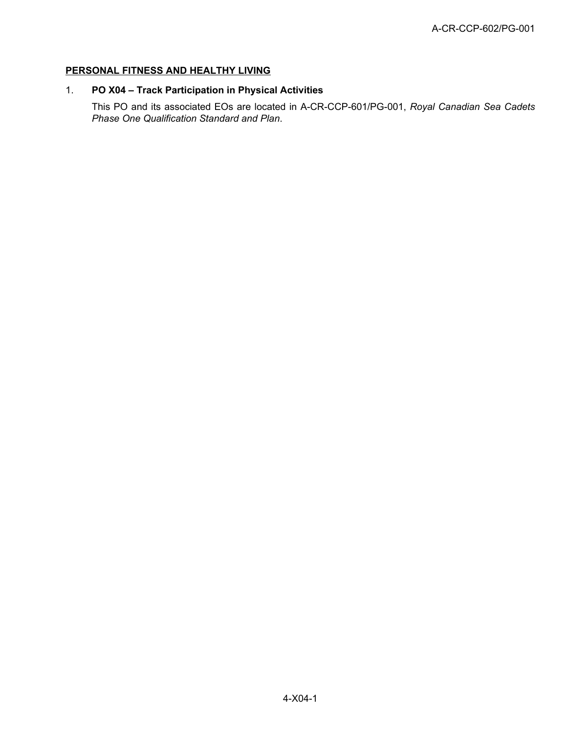# **PERSONAL FITNESS AND HEALTHY LIVING**

#### 1. **PO X04 – Track Participation in Physical Activities**

This PO and its associated EOs are located in A-CR-CCP-601/PG-001, *Royal Canadian Sea Cadets Phase One Qualification Standard and Plan*.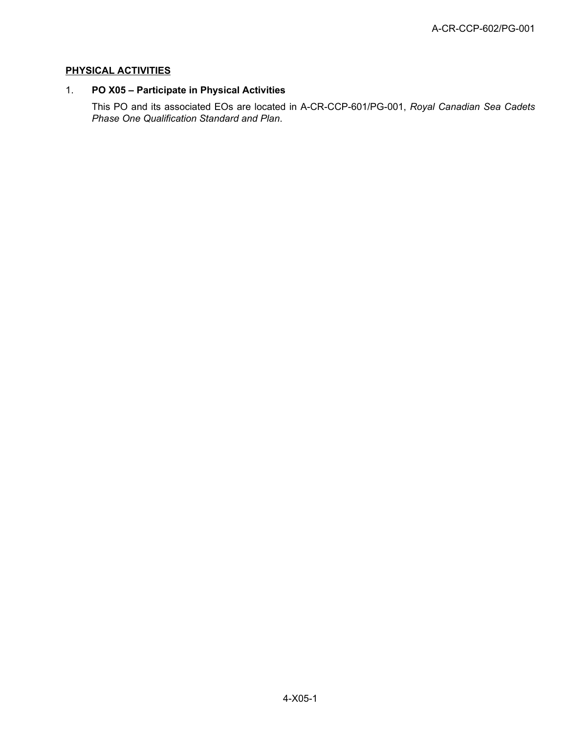### **PHYSICAL ACTIVITIES**

# 1. **PO X05 – Participate in Physical Activities**

This PO and its associated EOs are located in A-CR-CCP-601/PG-001, *Royal Canadian Sea Cadets Phase One Qualification Standard and Plan*.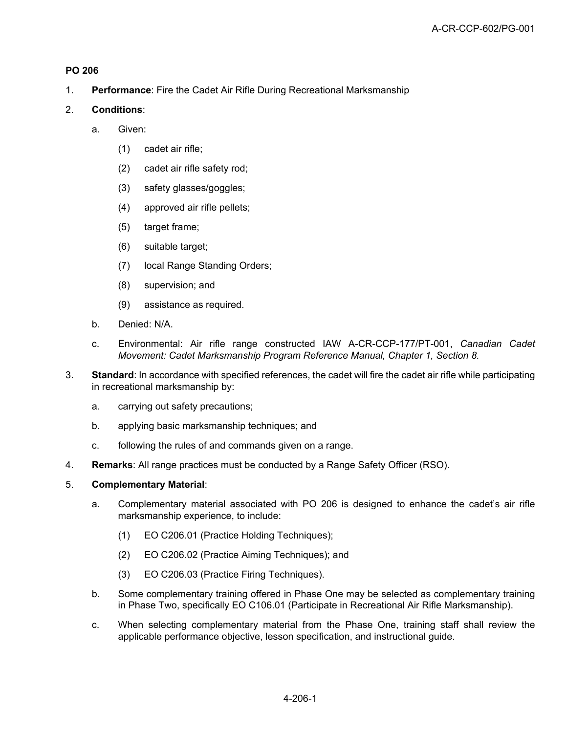## **PO 206**

- 1. **Performance**: Fire the Cadet Air Rifle During Recreational Marksmanship
- 2. **Conditions**:
	- a. Given:
		- (1) cadet air rifle;
		- (2) cadet air rifle safety rod;
		- (3) safety glasses/goggles;
		- (4) approved air rifle pellets;
		- (5) target frame;
		- (6) suitable target;
		- (7) local Range Standing Orders;
		- (8) supervision; and
		- (9) assistance as required.
	- b. Denied: N/A.
	- c. Environmental: Air rifle range constructed IAW A-CR-CCP-177/PT-001, *Canadian Cadet Movement: Cadet Marksmanship Program Reference Manual, Chapter 1, Section 8.*
- 3. **Standard**: In accordance with specified references, the cadet will fire the cadet air rifle while participating in recreational marksmanship by:
	- a. carrying out safety precautions;
	- b. applying basic marksmanship techniques; and
	- c. following the rules of and commands given on a range.
- 4. **Remarks**: All range practices must be conducted by a Range Safety Officer (RSO).

#### 5. **Complementary Material**:

- a. Complementary material associated with PO 206 is designed to enhance the cadet's air rifle marksmanship experience, to include:
	- (1) EO C206.01 (Practice Holding Techniques);
	- (2) EO C206.02 (Practice Aiming Techniques); and
	- (3) EO C206.03 (Practice Firing Techniques).
- b. Some complementary training offered in Phase One may be selected as complementary training in Phase Two, specifically EO C106.01 (Participate in Recreational Air Rifle Marksmanship).
- c. When selecting complementary material from the Phase One, training staff shall review the applicable performance objective, lesson specification, and instructional guide.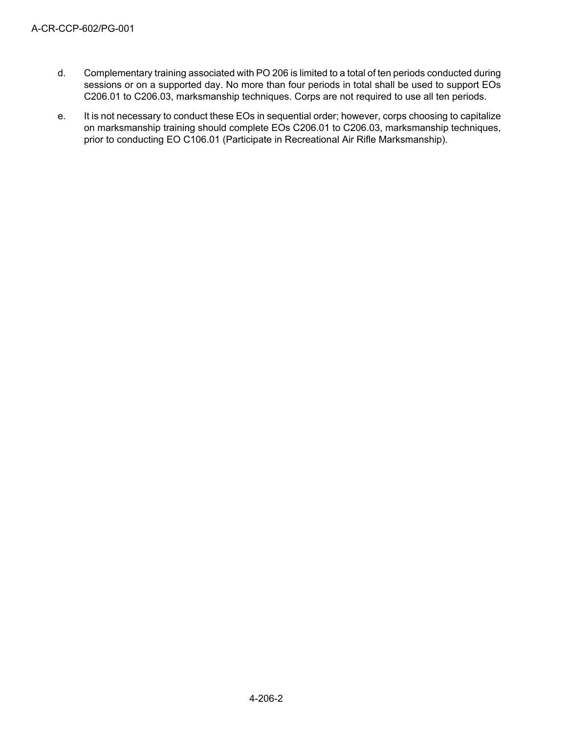- d. Complementary training associated with PO 206 is limited to a total of ten periods conducted during sessions or on a supported day. No more than four periods in total shall be used to support EOs C206.01 to C206.03, marksmanship techniques. Corps are not required to use all ten periods.
- e. It is not necessary to conduct these EOs in sequential order; however, corps choosing to capitalize on marksmanship training should complete EOs C206.01 to C206.03, marksmanship techniques, prior to conducting EO C106.01 (Participate in Recreational Air Rifle Marksmanship).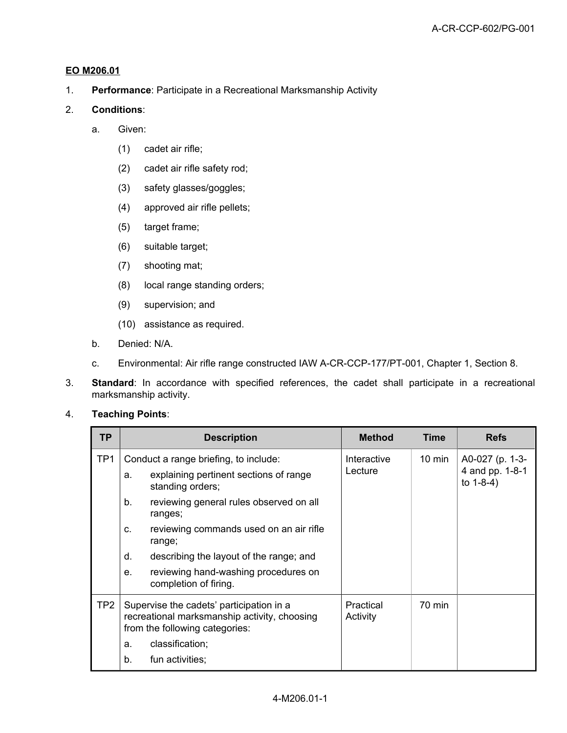## **EO M206.01**

1. **Performance**: Participate in a Recreational Marksmanship Activity

## 2. **Conditions**:

- a. Given:
	- (1) cadet air rifle;
	- (2) cadet air rifle safety rod;
	- (3) safety glasses/goggles;
	- (4) approved air rifle pellets;
	- (5) target frame;
	- (6) suitable target;
	- (7) shooting mat;
	- (8) local range standing orders;
	- (9) supervision; and
	- (10) assistance as required.
- b. Denied: N/A.
- c. Environmental: Air rifle range constructed IAW A-CR-CCP-177/PT-001, Chapter 1, Section 8.
- 3. **Standard**: In accordance with specified references, the cadet shall participate in a recreational marksmanship activity.

## 4. **Teaching Points**:

| ΤP              |    | <b>Description</b>                                                                                                         | <b>Method</b>         | Time             | <b>Refs</b>                     |
|-----------------|----|----------------------------------------------------------------------------------------------------------------------------|-----------------------|------------------|---------------------------------|
| TP1             |    | Conduct a range briefing, to include:                                                                                      | Interactive           | $10 \text{ min}$ | A0-027 (p. 1-3-                 |
|                 | а. | explaining pertinent sections of range<br>standing orders;                                                                 | Lecture               |                  | 4 and pp. 1-8-1<br>to $1-8-4$ ) |
|                 | b. | reviewing general rules observed on all<br>ranges;                                                                         |                       |                  |                                 |
|                 | C. | reviewing commands used on an air rifle<br>range;                                                                          |                       |                  |                                 |
|                 | d. | describing the layout of the range; and                                                                                    |                       |                  |                                 |
|                 | e. | reviewing hand-washing procedures on<br>completion of firing.                                                              |                       |                  |                                 |
| TP <sub>2</sub> |    | Supervise the cadets' participation in a<br>recreational marksmanship activity, choosing<br>from the following categories: | Practical<br>Activity | 70 min           |                                 |
|                 | a. | classification;                                                                                                            |                       |                  |                                 |
|                 | b. | fun activities;                                                                                                            |                       |                  |                                 |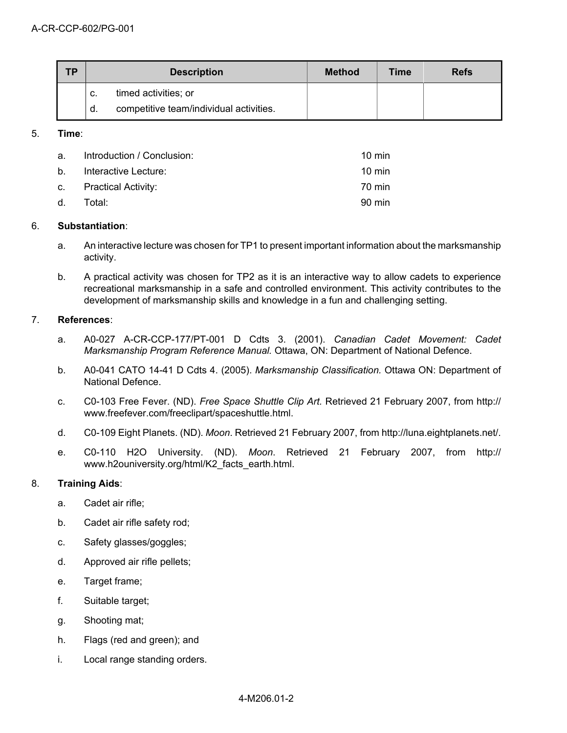| тD |            | <b>Description</b>                                              | <b>Method</b> | Time | <b>Refs</b> |
|----|------------|-----------------------------------------------------------------|---------------|------|-------------|
|    | C.<br>้ d. | timed activities; or<br>competitive team/individual activities. |               |      |             |

### 5. **Time**:

| а. | Introduction / Conclusion: | $10 \text{ min}$ |
|----|----------------------------|------------------|
|    | b. Interactive Lecture:    | $10 \text{ min}$ |
|    | c. Practical Activity:     | 70 min           |
| d. | Total:                     | 90 min           |

### 6. **Substantiation**:

- a. An interactive lecture was chosen for TP1 to present important information about the marksmanship activity.
- b. A practical activity was chosen for TP2 as it is an interactive way to allow cadets to experience recreational marksmanship in a safe and controlled environment. This activity contributes to the development of marksmanship skills and knowledge in a fun and challenging setting.

### 7. **References**:

- a. A0-027 A-CR-CCP-177/PT-001 D Cdts 3. (2001). *Canadian Cadet Movement: Cadet Marksmanship Program Reference Manual.* Ottawa, ON: Department of National Defence.
- b. A0-041 CATO 14-41 D Cdts 4. (2005). *Marksmanship Classification.* Ottawa ON: Department of National Defence.
- c. C0-103 Free Fever. (ND). *Free Space Shuttle Clip Art.* Retrieved 21 February 2007, from http:// www.freefever.com/freeclipart/spaceshuttle.html.
- d. C0-109 Eight Planets. (ND). *Moon*. Retrieved 21 February 2007, from http://luna.eightplanets.net/.
- e. C0-110 H2O University. (ND). *Moon*. Retrieved 21 February 2007, from http:// www.h2ouniversity.org/html/K2\_facts\_earth.html.

# 8. **Training Aids**:

- a. Cadet air rifle;
- b. Cadet air rifle safety rod;
- c. Safety glasses/goggles;
- d. Approved air rifle pellets;
- e. Target frame;
- f. Suitable target;
- g. Shooting mat;
- h. Flags (red and green); and
- i. Local range standing orders.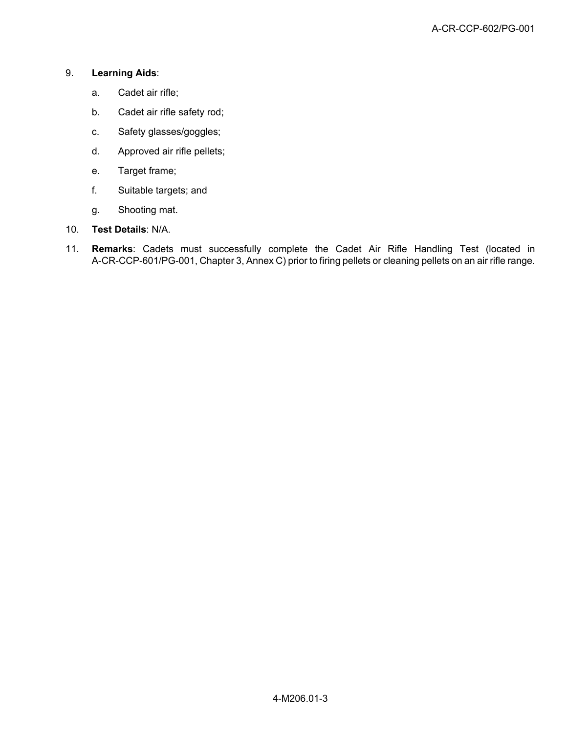# 9. **Learning Aids**:

- a. Cadet air rifle;
- b. Cadet air rifle safety rod;
- c. Safety glasses/goggles;
- d. Approved air rifle pellets;
- e. Target frame;
- f. Suitable targets; and
- g. Shooting mat.
- 10. **Test Details**: N/A.
- 11. **Remarks**: Cadets must successfully complete the Cadet Air Rifle Handling Test (located in A-CR-CCP-601/PG-001, Chapter 3, Annex C) prior to firing pellets or cleaning pellets on an air rifle range.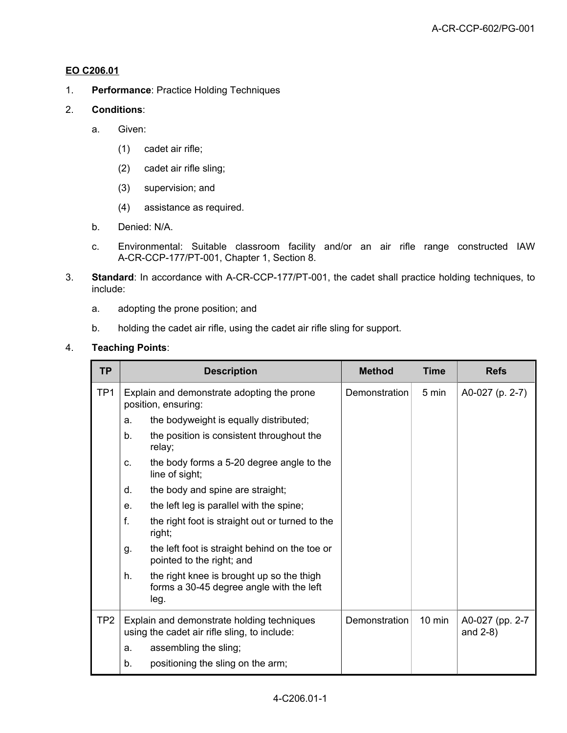## **EO C206.01**

1. **Performance**: Practice Holding Techniques

## 2. **Conditions**:

- a. Given:
	- (1) cadet air rifle;
	- (2) cadet air rifle sling;
	- (3) supervision; and
	- (4) assistance as required.
- b. Denied: N/A.
- c. Environmental: Suitable classroom facility and/or an air rifle range constructed IAW A-CR-CCP-177/PT-001, Chapter 1, Section 8.
- 3. **Standard**: In accordance with A-CR-CCP-177/PT-001, the cadet shall practice holding techniques, to include:
	- a. adopting the prone position; and
	- b. holding the cadet air rifle, using the cadet air rifle sling for support.

#### 4. **Teaching Points**:

| <b>TP</b>       |    | <b>Description</b>                                                                            | <b>Method</b> | <b>Time</b>      | <b>Refs</b>                     |
|-----------------|----|-----------------------------------------------------------------------------------------------|---------------|------------------|---------------------------------|
| TP <sub>1</sub> |    | Explain and demonstrate adopting the prone<br>position, ensuring:                             | Demonstration | 5 min            | A0-027 (p. 2-7)                 |
|                 | a. | the bodyweight is equally distributed;                                                        |               |                  |                                 |
|                 | b. | the position is consistent throughout the<br>relay;                                           |               |                  |                                 |
|                 | C. | the body forms a 5-20 degree angle to the<br>line of sight;                                   |               |                  |                                 |
|                 | d. | the body and spine are straight;                                                              |               |                  |                                 |
|                 | е. | the left leg is parallel with the spine;                                                      |               |                  |                                 |
|                 | f. | the right foot is straight out or turned to the<br>right;                                     |               |                  |                                 |
|                 | g. | the left foot is straight behind on the toe or<br>pointed to the right; and                   |               |                  |                                 |
|                 | h. | the right knee is brought up so the thigh<br>forms a 30-45 degree angle with the left<br>leg. |               |                  |                                 |
| TP <sub>2</sub> |    | Explain and demonstrate holding techniques<br>using the cadet air rifle sling, to include:    | Demonstration | $10 \text{ min}$ | A0-027 (pp. 2-7)<br>and $2-8$ ) |
|                 | a. | assembling the sling;                                                                         |               |                  |                                 |
|                 | b. | positioning the sling on the arm;                                                             |               |                  |                                 |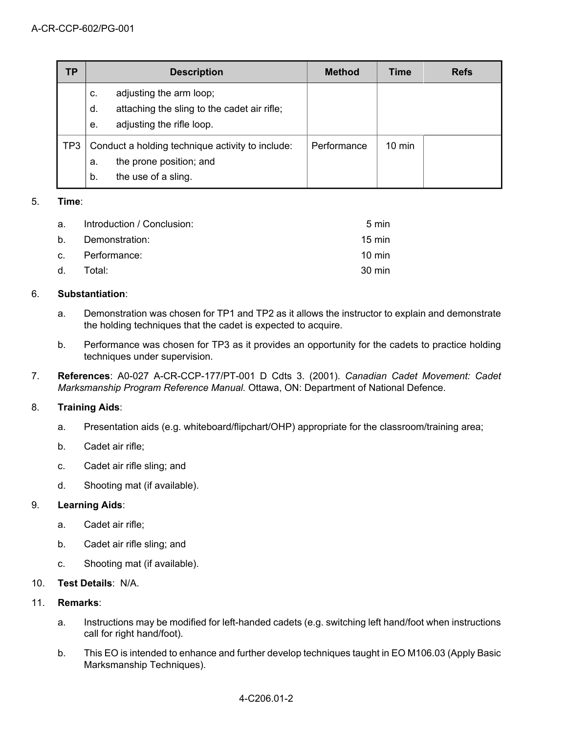| ΤP  | <b>Description</b>                                                                                                      | <b>Method</b> | Time             | <b>Refs</b> |
|-----|-------------------------------------------------------------------------------------------------------------------------|---------------|------------------|-------------|
|     | adjusting the arm loop;<br>C.<br>attaching the sling to the cadet air rifle;<br>' d.<br>adjusting the rifle loop.<br>е. |               |                  |             |
| TP3 | Conduct a holding technique activity to include:<br>the prone position; and<br>a.<br>the use of a sling.<br>b.          | Performance   | $10 \text{ min}$ |             |

### 5. **Time**:

| a. | Introduction / Conclusion: | 5 min            |
|----|----------------------------|------------------|
|    | b. Demonstration:          | $15 \text{ min}$ |
|    | c. Performance:            | 10 min           |
|    | d. Total:                  | 30 min           |

### 6. **Substantiation**:

- a. Demonstration was chosen for TP1 and TP2 as it allows the instructor to explain and demonstrate the holding techniques that the cadet is expected to acquire.
- b. Performance was chosen for TP3 as it provides an opportunity for the cadets to practice holding techniques under supervision.
- 7. **References**: A0-027 A-CR-CCP-177/PT-001 D Cdts 3. (2001). *Canadian Cadet Movement: Cadet Marksmanship Program Reference Manual.* Ottawa, ON: Department of National Defence.

# 8. **Training Aids**:

- a. Presentation aids (e.g. whiteboard/flipchart/OHP) appropriate for the classroom/training area;
- b. Cadet air rifle;
- c. Cadet air rifle sling; and
- d. Shooting mat (if available).

### 9. **Learning Aids**:

- a. Cadet air rifle;
- b. Cadet air rifle sling; and
- c. Shooting mat (if available).
- 10. **Test Details**: N/A.

### 11. **Remarks**:

- a. Instructions may be modified for left-handed cadets (e.g. switching left hand/foot when instructions call for right hand/foot).
- b. This EO is intended to enhance and further develop techniques taught in EO M106.03 (Apply Basic Marksmanship Techniques).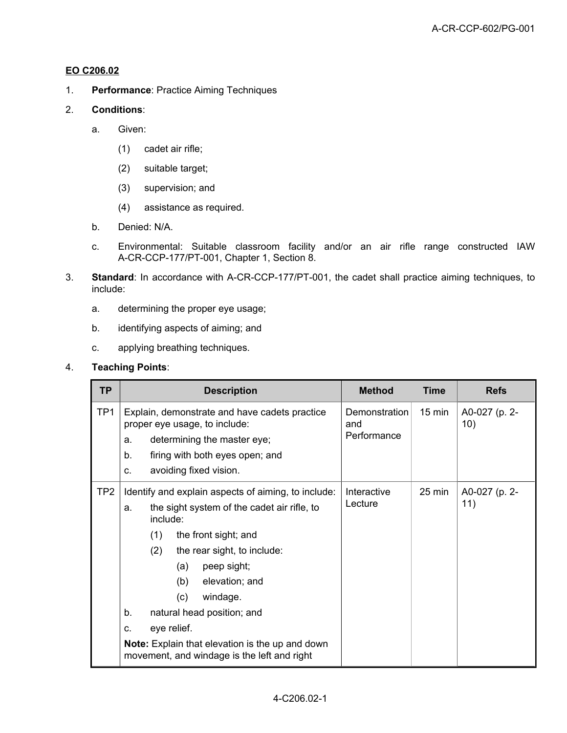## **EO C206.02**

- 1. **Performance**: Practice Aiming Techniques
- 2. **Conditions**:
	- a. Given:
		- (1) cadet air rifle;
		- (2) suitable target;
		- (3) supervision; and
		- (4) assistance as required.
	- b. Denied: N/A.
	- c. Environmental: Suitable classroom facility and/or an air rifle range constructed IAW A-CR-CCP-177/PT-001, Chapter 1, Section 8.
- 3. **Standard**: In accordance with A-CR-CCP-177/PT-001, the cadet shall practice aiming techniques, to include:
	- a. determining the proper eye usage;
	- b. identifying aspects of aiming; and
	- c. applying breathing techniques.
- 4. **Teaching Points**:

| <b>TP</b>       | <b>Description</b>                                                                                                                                                                                                                                                                                                                                                                                                            | <b>Method</b>                       | Time     | <b>Refs</b>          |
|-----------------|-------------------------------------------------------------------------------------------------------------------------------------------------------------------------------------------------------------------------------------------------------------------------------------------------------------------------------------------------------------------------------------------------------------------------------|-------------------------------------|----------|----------------------|
| TP <sub>1</sub> | Explain, demonstrate and have cadets practice<br>proper eye usage, to include:<br>determining the master eye;<br>a.<br>firing with both eyes open; and<br>b.<br>avoiding fixed vision.<br>C.                                                                                                                                                                                                                                  | Demonstration<br>and<br>Performance | $15$ min | A0-027 (p. 2-<br>10) |
| TP <sub>2</sub> | Identify and explain aspects of aiming, to include:<br>the sight system of the cadet air rifle, to<br>a.<br>include:<br>(1)<br>the front sight; and<br>(2)<br>the rear sight, to include:<br>peep sight;<br>(a)<br>elevation; and<br>(b)<br>(c)<br>windage.<br>natural head position; and<br>b.<br>eye relief.<br>C.<br><b>Note:</b> Explain that elevation is the up and down<br>movement, and windage is the left and right | Interactive<br>Lecture              | 25 min   | A0-027 (p. 2-<br>11) |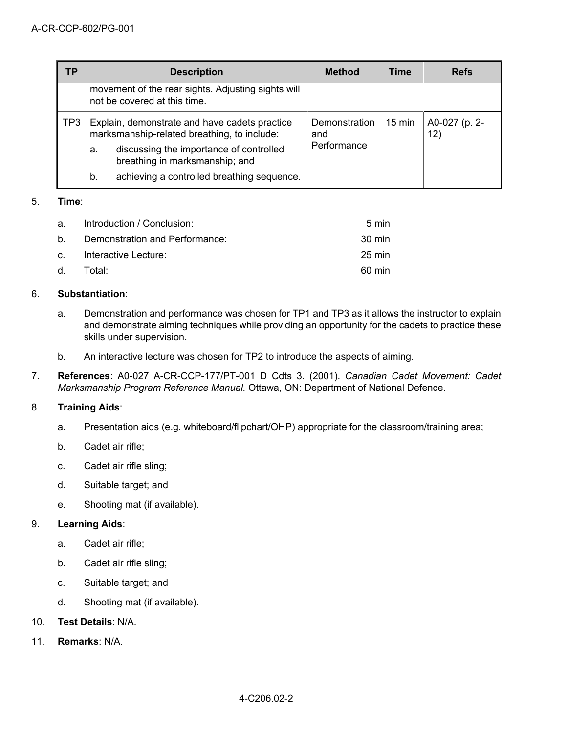| TP  | <b>Description</b>                                                                                                                                                                                                                  | <b>Method</b>                       | Time     | <b>Refs</b>          |
|-----|-------------------------------------------------------------------------------------------------------------------------------------------------------------------------------------------------------------------------------------|-------------------------------------|----------|----------------------|
|     | movement of the rear sights. Adjusting sights will<br>not be covered at this time.                                                                                                                                                  |                                     |          |                      |
| TP3 | Explain, demonstrate and have cadets practice<br>marksmanship-related breathing, to include:<br>discussing the importance of controlled<br>a.<br>breathing in marksmanship; and<br>achieving a controlled breathing sequence.<br>b. | Demonstration<br>and<br>Performance | $15$ min | A0-027 (p. 2-<br>12) |

## 5. **Time**:

| a. Introduction / Conclusion:     | 5 min  |
|-----------------------------------|--------|
| b. Demonstration and Performance: | 30 min |
| c. Interactive Lecture:           | 25 min |
| d. Total:                         | 60 min |

### 6. **Substantiation**:

- a. Demonstration and performance was chosen for TP1 and TP3 as it allows the instructor to explain and demonstrate aiming techniques while providing an opportunity for the cadets to practice these skills under supervision.
- b. An interactive lecture was chosen for TP2 to introduce the aspects of aiming.
- 7. **References**: A0-027 A-CR-CCP-177/PT-001 D Cdts 3. (2001). *Canadian Cadet Movement: Cadet Marksmanship Program Reference Manual.* Ottawa, ON: Department of National Defence.

# 8. **Training Aids**:

- a. Presentation aids (e.g. whiteboard/flipchart/OHP) appropriate for the classroom/training area;
- b. Cadet air rifle;
- c. Cadet air rifle sling;
- d. Suitable target; and
- e. Shooting mat (if available).

### 9. **Learning Aids**:

- a. Cadet air rifle;
- b. Cadet air rifle sling;
- c. Suitable target; and
- d. Shooting mat (if available).
- 10. **Test Details**: N/A.
- 11. **Remarks**: N/A.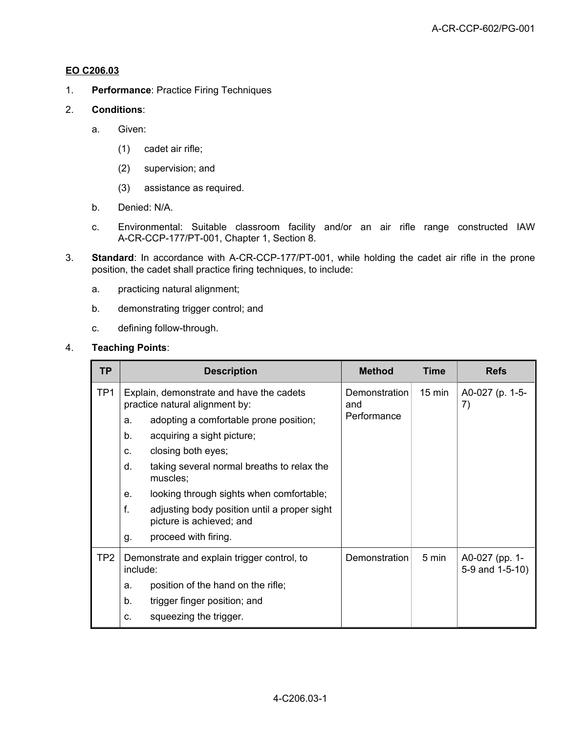### **EO C206.03**

- 1. **Performance**: Practice Firing Techniques
- 2. **Conditions**:
	- a. Given:
		- (1) cadet air rifle;
		- (2) supervision; and
		- (3) assistance as required.
	- b. Denied: N/A.
	- c. Environmental: Suitable classroom facility and/or an air rifle range constructed IAW A-CR-CCP-177/PT-001, Chapter 1, Section 8.
- 3. **Standard**: In accordance with A-CR-CCP-177/PT-001, while holding the cadet air rifle in the prone position, the cadet shall practice firing techniques, to include:
	- a. practicing natural alignment;
	- b. demonstrating trigger control; and
	- c. defining follow-through.

#### 4. **Teaching Points**:

| ΤP              | <b>Description</b>                                                                                                                                                                                                                                                                                                                                                                                                                             | <b>Method</b>                       | Time             | <b>Refs</b>                       |
|-----------------|------------------------------------------------------------------------------------------------------------------------------------------------------------------------------------------------------------------------------------------------------------------------------------------------------------------------------------------------------------------------------------------------------------------------------------------------|-------------------------------------|------------------|-----------------------------------|
| TP <sub>1</sub> | Explain, demonstrate and have the cadets<br>practice natural alignment by:<br>adopting a comfortable prone position;<br>a.<br>acquiring a sight picture;<br>b.<br>closing both eyes;<br>$C_{\cdot}$<br>d.<br>taking several normal breaths to relax the<br>muscles;<br>looking through sights when comfortable;<br>$e_{\cdot}$<br>f.<br>adjusting body position until a proper sight<br>picture is achieved; and<br>proceed with firing.<br>g. | Demonstration<br>and<br>Performance | $15 \text{ min}$ | A0-027 (p. 1-5-<br>7)             |
| TP <sub>2</sub> | Demonstrate and explain trigger control, to<br>include:<br>position of the hand on the rifle;<br>a.<br>b.<br>trigger finger position; and<br>squeezing the trigger.<br>C.                                                                                                                                                                                                                                                                      | Demonstration                       | 5 min            | A0-027 (pp. 1-<br>5-9 and 1-5-10) |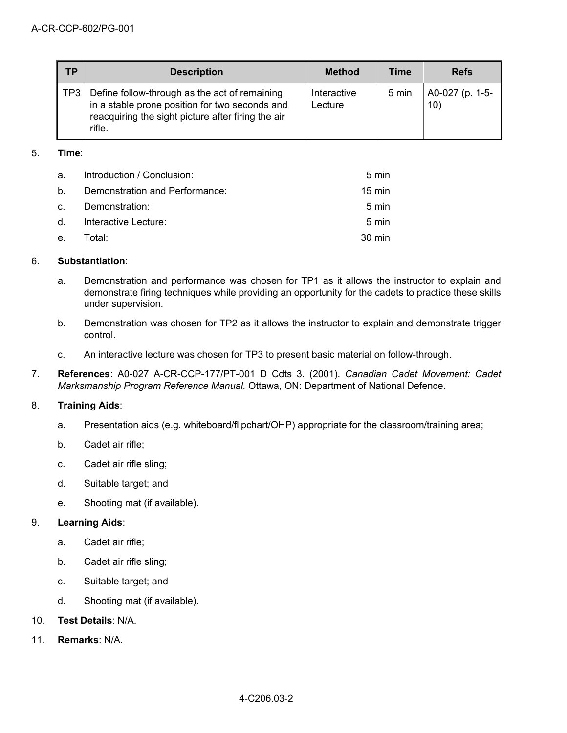| <b>TP</b> | <b>Description</b>                                                                                                                                              | <b>Method</b>          | Time  | <b>Refs</b>            |
|-----------|-----------------------------------------------------------------------------------------------------------------------------------------------------------------|------------------------|-------|------------------------|
| TP3       | Define follow-through as the act of remaining<br>in a stable prone position for two seconds and<br>reacquiring the sight picture after firing the air<br>rifle. | Interactive<br>Lecture | 5 min | A0-027 (p. 1-5-<br>10) |

## 5. **Time**:

| $a_{\cdot}$ | Introduction / Conclusion:     | 5 min            |
|-------------|--------------------------------|------------------|
| $b_{\rm m}$ | Demonstration and Performance: | $15 \text{ min}$ |
|             | c. Demonstration:              | 5 min            |
|             | d. Interactive Lecture:        | 5 min            |
| $e_{1}$     | Total:                         | $30 \text{ min}$ |

### 6. **Substantiation**:

- a. Demonstration and performance was chosen for TP1 as it allows the instructor to explain and demonstrate firing techniques while providing an opportunity for the cadets to practice these skills under supervision.
- b. Demonstration was chosen for TP2 as it allows the instructor to explain and demonstrate trigger control.
- c. An interactive lecture was chosen for TP3 to present basic material on follow-through.
- 7. **References**: A0-027 A-CR-CCP-177/PT-001 D Cdts 3. (2001). *Canadian Cadet Movement: Cadet Marksmanship Program Reference Manual.* Ottawa, ON: Department of National Defence.

### 8. **Training Aids**:

- a. Presentation aids (e.g. whiteboard/flipchart/OHP) appropriate for the classroom/training area;
- b. Cadet air rifle;
- c. Cadet air rifle sling;
- d. Suitable target; and
- e. Shooting mat (if available).

### 9. **Learning Aids**:

- a. Cadet air rifle;
- b. Cadet air rifle sling;
- c. Suitable target; and
- d. Shooting mat (if available).
- 10. **Test Details**: N/A.
- 11. **Remarks**: N/A.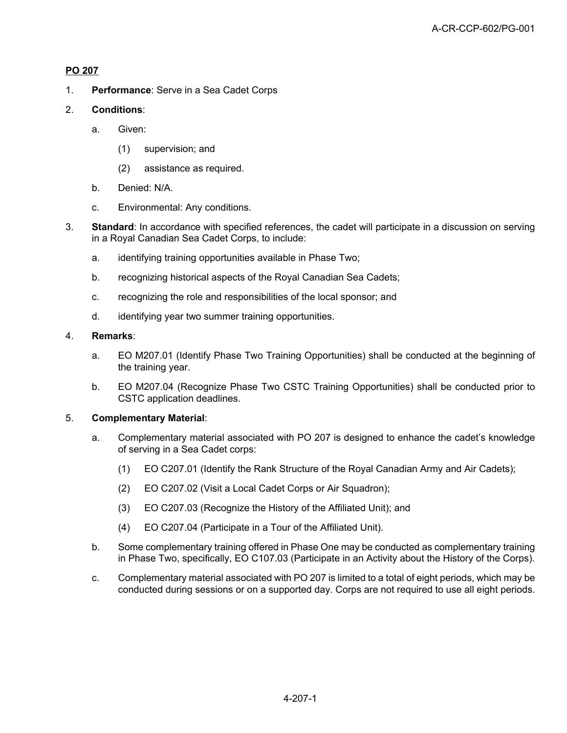## **PO 207**

- 1. **Performance**: Serve in a Sea Cadet Corps
- 2. **Conditions**:
	- a. Given:
		- (1) supervision; and
		- (2) assistance as required.
	- b. Denied: N/A.
	- c. Environmental: Any conditions.
- 3. **Standard**: In accordance with specified references, the cadet will participate in a discussion on serving in a Royal Canadian Sea Cadet Corps, to include:
	- a. identifying training opportunities available in Phase Two;
	- b. recognizing historical aspects of the Royal Canadian Sea Cadets;
	- c. recognizing the role and responsibilities of the local sponsor; and
	- d. identifying year two summer training opportunities.

## 4. **Remarks**:

- a. EO M207.01 (Identify Phase Two Training Opportunities) shall be conducted at the beginning of the training year.
- b. EO M207.04 (Recognize Phase Two CSTC Training Opportunities) shall be conducted prior to CSTC application deadlines.

### 5. **Complementary Material**:

- a. Complementary material associated with PO 207 is designed to enhance the cadet's knowledge of serving in a Sea Cadet corps:
	- (1) EO C207.01 (Identify the Rank Structure of the Royal Canadian Army and Air Cadets);
	- (2) EO C207.02 (Visit a Local Cadet Corps or Air Squadron);
	- (3) EO C207.03 (Recognize the History of the Affiliated Unit); and
	- (4) EO C207.04 (Participate in a Tour of the Affiliated Unit).
- b. Some complementary training offered in Phase One may be conducted as complementary training in Phase Two, specifically, EO C107.03 (Participate in an Activity about the History of the Corps).
- c. Complementary material associated with PO 207 is limited to a total of eight periods, which may be conducted during sessions or on a supported day. Corps are not required to use all eight periods.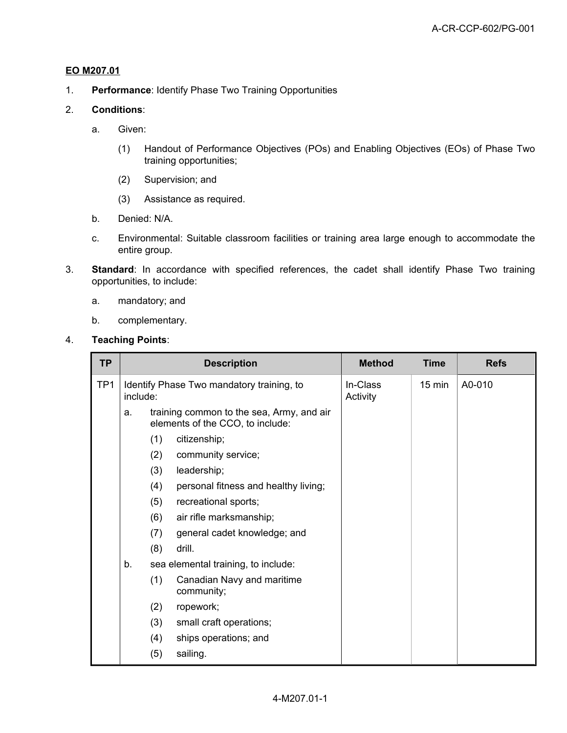### **EO M207.01**

- 1. **Performance**: Identify Phase Two Training Opportunities
- 2. **Conditions**:
	- a. Given:
		- (1) Handout of Performance Objectives (POs) and Enabling Objectives (EOs) of Phase Two training opportunities;
		- (2) Supervision; and
		- (3) Assistance as required.
	- b. Denied: N/A.
	- c. Environmental: Suitable classroom facilities or training area large enough to accommodate the entire group.
- 3. **Standard**: In accordance with specified references, the cadet shall identify Phase Two training opportunities, to include:
	- a. mandatory; and
	- b. complementary.

### 4. **Teaching Points**:

| <b>TP</b>       |          |     | <b>Description</b>                                                            | <b>Method</b>        | <b>Time</b>      | <b>Refs</b> |
|-----------------|----------|-----|-------------------------------------------------------------------------------|----------------------|------------------|-------------|
| TP <sub>1</sub> | include: |     | Identify Phase Two mandatory training, to                                     | In-Class<br>Activity | $15 \text{ min}$ | A0-010      |
|                 | a.       |     | training common to the sea, Army, and air<br>elements of the CCO, to include: |                      |                  |             |
|                 |          | (1) | citizenship;                                                                  |                      |                  |             |
|                 |          | (2) | community service;                                                            |                      |                  |             |
|                 |          | (3) | leadership;                                                                   |                      |                  |             |
|                 |          | (4) | personal fitness and healthy living;                                          |                      |                  |             |
|                 |          | (5) | recreational sports;                                                          |                      |                  |             |
|                 |          | (6) | air rifle marksmanship;                                                       |                      |                  |             |
|                 |          | (7) | general cadet knowledge; and                                                  |                      |                  |             |
|                 |          | (8) | drill.                                                                        |                      |                  |             |
|                 | b.       |     | sea elemental training, to include:                                           |                      |                  |             |
|                 |          | (1) | Canadian Navy and maritime<br>community;                                      |                      |                  |             |
|                 |          | (2) | ropework;                                                                     |                      |                  |             |
|                 |          | (3) | small craft operations;                                                       |                      |                  |             |
|                 |          | (4) | ships operations; and                                                         |                      |                  |             |
|                 |          | (5) | sailing.                                                                      |                      |                  |             |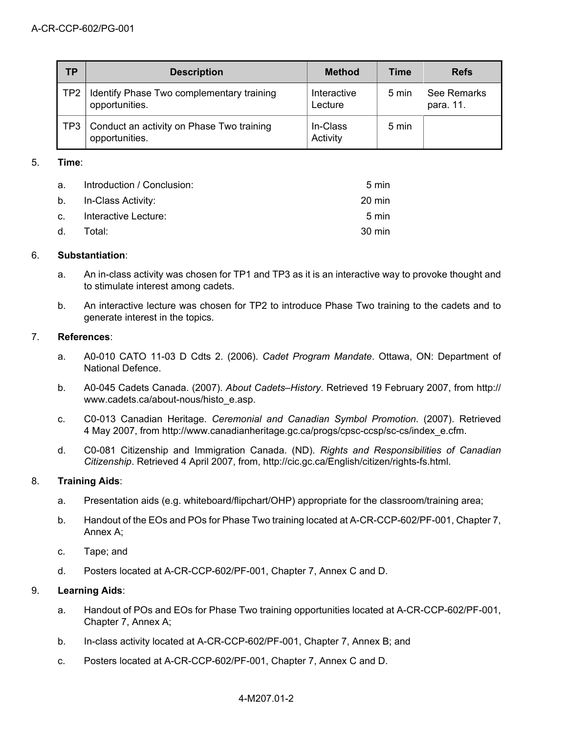| <b>TP</b>       | <b>Description</b>                                          | <b>Method</b>          | Time  | <b>Refs</b>                     |
|-----------------|-------------------------------------------------------------|------------------------|-------|---------------------------------|
| TP <sub>2</sub> | Identify Phase Two complementary training<br>opportunities. | Interactive<br>Lecture | 5 min | <b>See Remarks</b><br>para. 11. |
| TP3             | Conduct an activity on Phase Two training<br>opportunities. | In-Class<br>Activity   | 5 min |                                 |

# 5. **Time**:

|    | a. Introduction / Conclusion: | 5 min  |
|----|-------------------------------|--------|
|    | b. In-Class Activity:         | 20 min |
|    | c. Interactive Lecture:       | 5 min  |
| d. | ⊟ Total:                      | 30 min |

# 6. **Substantiation**:

- a. An in-class activity was chosen for TP1 and TP3 as it is an interactive way to provoke thought and to stimulate interest among cadets.
- b. An interactive lecture was chosen for TP2 to introduce Phase Two training to the cadets and to generate interest in the topics.

# 7. **References**:

- a. A0-010 CATO 11-03 D Cdts 2. (2006). *Cadet Program Mandate*. Ottawa, ON: Department of National Defence.
- b. A0-045 Cadets Canada. (2007). *About Cadets–History*. Retrieved 19 February 2007, from http:// www.cadets.ca/about-nous/histo\_e.asp.
- c. C0-013 Canadian Heritage. *Ceremonial and Canadian Symbol Promotion*. (2007). Retrieved 4 May 2007, from http://www.canadianheritage.gc.ca/progs/cpsc-ccsp/sc-cs/index\_e.cfm.
- d. C0-081 Citizenship and Immigration Canada. (ND). *Rights and Responsibilities of Canadian Citizenship*. Retrieved 4 April 2007, from, http://cic.gc.ca/English/citizen/rights-fs.html.

# 8. **Training Aids**:

- a. Presentation aids (e.g. whiteboard/flipchart/OHP) appropriate for the classroom/training area;
- b. Handout of the EOs and POs for Phase Two training located at A-CR-CCP-602/PF-001, Chapter 7, Annex A;
- c. Tape; and
- d. Posters located at A-CR-CCP-602/PF-001, Chapter 7, Annex C and D.

# 9. **Learning Aids**:

- a. Handout of POs and EOs for Phase Two training opportunities located at A-CR-CCP-602/PF-001, Chapter 7, Annex A;
- b. In-class activity located at A-CR-CCP-602/PF-001, Chapter 7, Annex B; and
- c. Posters located at A-CR-CCP-602/PF-001, Chapter 7, Annex C and D.

### 4-M207.01-2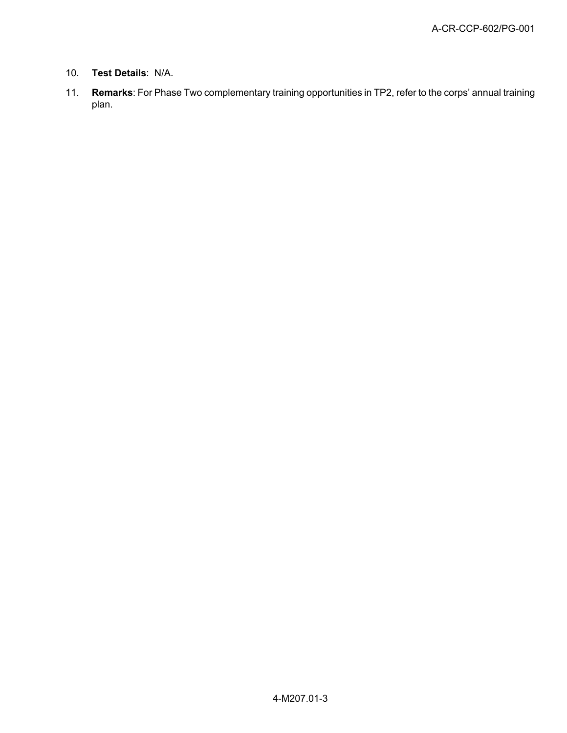- 10. **Test Details**: N/A.
- 11. **Remarks**: For Phase Two complementary training opportunities in TP2, refer to the corps' annual training plan.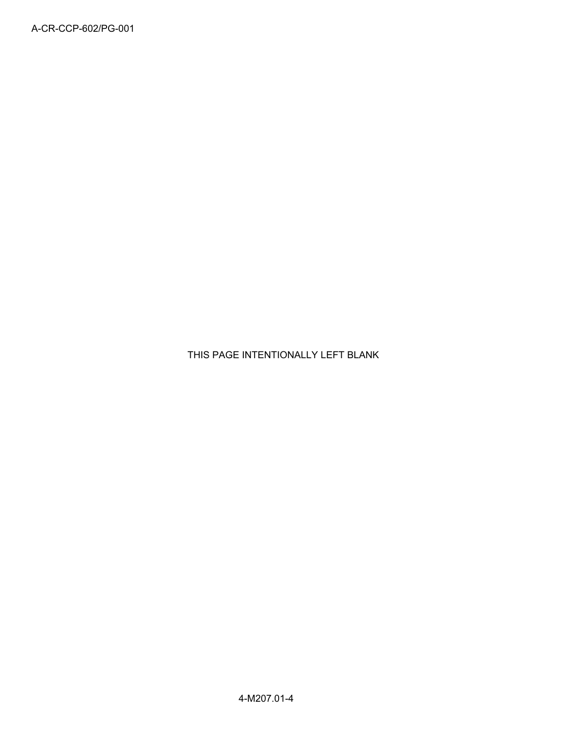THIS PAGE INTENTIONALLY LEFT BLANK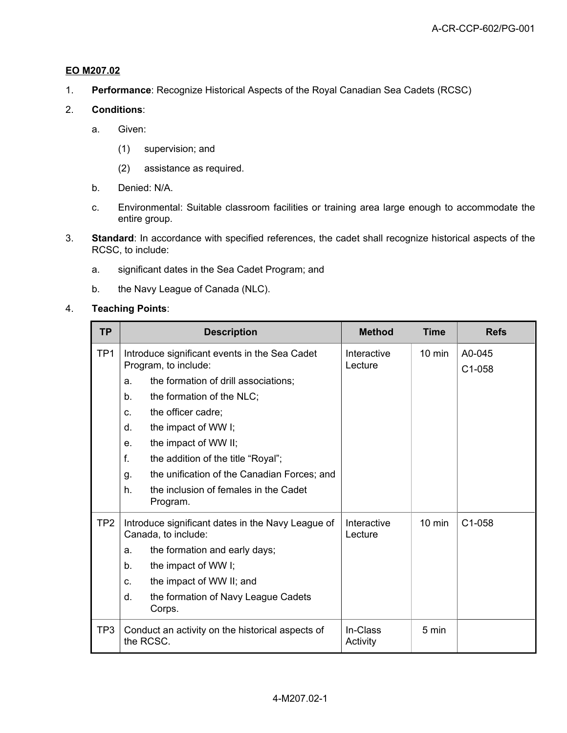### **EO M207.02**

1. **Performance**: Recognize Historical Aspects of the Royal Canadian Sea Cadets (RCSC)

# 2. **Conditions**:

- a. Given:
	- (1) supervision; and
	- (2) assistance as required.
- b. Denied: N/A.
- c. Environmental: Suitable classroom facilities or training area large enough to accommodate the entire group.
- 3. **Standard**: In accordance with specified references, the cadet shall recognize historical aspects of the RCSC, to include:
	- a. significant dates in the Sea Cadet Program; and
	- b. the Navy League of Canada (NLC).

#### 4. **Teaching Points**:

| TP              | <b>Description</b>                                                       | <b>Method</b>          | <b>Time</b>      | <b>Refs</b>        |
|-----------------|--------------------------------------------------------------------------|------------------------|------------------|--------------------|
| TP <sub>1</sub> | Introduce significant events in the Sea Cadet<br>Program, to include:    | Interactive<br>Lecture | $10 \text{ min}$ | A0-045<br>$C1-058$ |
|                 | the formation of drill associations;<br>a.                               |                        |                  |                    |
|                 | the formation of the NLC;<br>b.                                          |                        |                  |                    |
|                 | the officer cadre;<br>$C_{r}$                                            |                        |                  |                    |
|                 | the impact of WW I;<br>d.                                                |                        |                  |                    |
|                 | the impact of WW II;<br>e.                                               |                        |                  |                    |
|                 | f.<br>the addition of the title "Royal";                                 |                        |                  |                    |
|                 | the unification of the Canadian Forces; and<br>g.                        |                        |                  |                    |
|                 | h.<br>the inclusion of females in the Cadet<br>Program.                  |                        |                  |                    |
| TP <sub>2</sub> | Introduce significant dates in the Navy League of<br>Canada, to include: | Interactive<br>Lecture | $10 \text{ min}$ | $C1-058$           |
|                 | the formation and early days;<br>a.                                      |                        |                  |                    |
|                 | the impact of WW I;<br>b.                                                |                        |                  |                    |
|                 | the impact of WW II; and<br>C.                                           |                        |                  |                    |
|                 | the formation of Navy League Cadets<br>d.<br>Corps.                      |                        |                  |                    |
| TP3             | Conduct an activity on the historical aspects of<br>the RCSC.            | In-Class<br>Activity   | 5 min            |                    |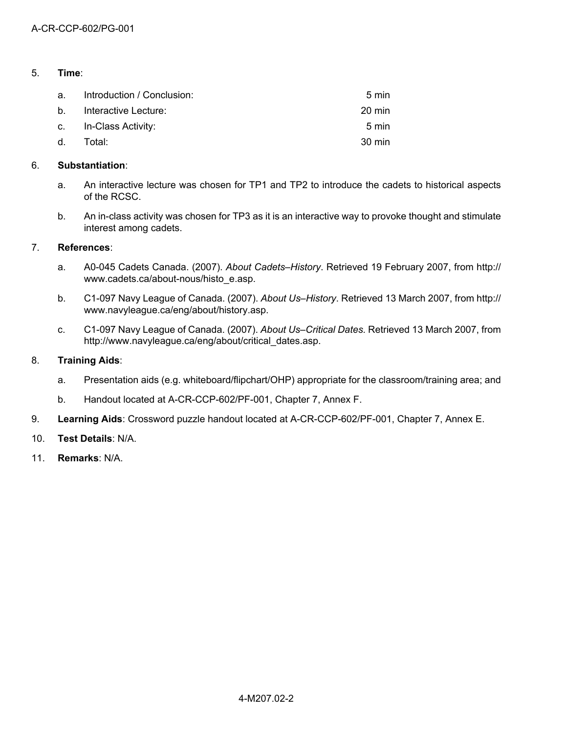# 5. **Time**:

| a. Introduction / Conclusion: | 5 min  |
|-------------------------------|--------|
| b. Interactive Lecture:       | 20 min |
| c. In-Class Activity:         | 5 min  |
| d. Total:                     | 30 min |

### 6. **Substantiation**:

- a. An interactive lecture was chosen for TP1 and TP2 to introduce the cadets to historical aspects of the RCSC.
- b. An in-class activity was chosen for TP3 as it is an interactive way to provoke thought and stimulate interest among cadets.

# 7. **References**:

- a. A0-045 Cadets Canada. (2007). *About Cadets–History*. Retrieved 19 February 2007, from http:// www.cadets.ca/about-nous/histo\_e.asp.
- b. C1-097 Navy League of Canada. (2007). *About Us–History*. Retrieved 13 March 2007, from http:// www.navyleague.ca/eng/about/history.asp.
- c. C1-097 Navy League of Canada. (2007). *About Us–Critical Dates.* Retrieved 13 March 2007, from http://www.navyleague.ca/eng/about/critical\_dates.asp.

# 8. **Training Aids**:

- a. Presentation aids (e.g. whiteboard/flipchart/OHP) appropriate for the classroom/training area; and
- b. Handout located at A-CR-CCP-602/PF-001, Chapter 7, Annex F.
- 9. **Learning Aids**: Crossword puzzle handout located at A-CR-CCP-602/PF-001, Chapter 7, Annex E.
- 10. **Test Details**: N/A.
- 11. **Remarks**: N/A.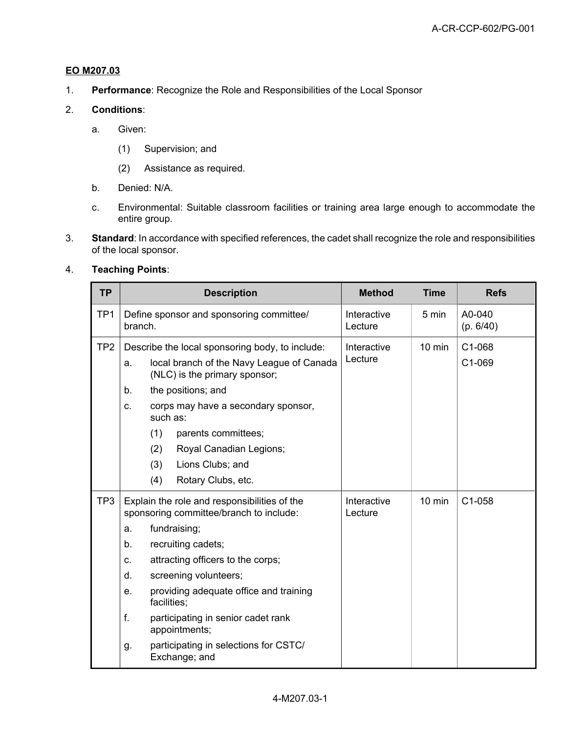### **EO M207.03**

1. **Performance**: Recognize the Role and Responsibilities of the Local Sponsor

# 2. **Conditions**:

- a. Given:
	- (1) Supervision; and
	- (2) Assistance as required.
- b. Denied: N/A.
- c. Environmental: Suitable classroom facilities or training area large enough to accommodate the entire group.
- 3. **Standard**: In accordance with specified references, the cadet shall recognize the role and responsibilities of the local sponsor.

# 4. **Teaching Points**:

| <b>TP</b>       | <b>Description</b>                                                                                                                                                                                                                                                                                                                                                                                              | <b>Method</b>          | <b>Time</b>      | <b>Refs</b>         |
|-----------------|-----------------------------------------------------------------------------------------------------------------------------------------------------------------------------------------------------------------------------------------------------------------------------------------------------------------------------------------------------------------------------------------------------------------|------------------------|------------------|---------------------|
| TP <sub>1</sub> | Define sponsor and sponsoring committee/<br>branch.                                                                                                                                                                                                                                                                                                                                                             | Interactive<br>Lecture | 5 min            | A0-040<br>(p. 6/40) |
| TP <sub>2</sub> | Describe the local sponsoring body, to include:<br>local branch of the Navy League of Canada<br>a.<br>(NLC) is the primary sponsor;<br>the positions; and<br>b.<br>corps may have a secondary sponsor,<br>C.<br>such as:<br>(1)<br>parents committees;<br>Royal Canadian Legions;<br>(2)<br>(3)<br>Lions Clubs; and<br>(4)<br>Rotary Clubs, etc.                                                                | Interactive<br>Lecture | 10 min           | C1-068<br>C1-069    |
| TP3             | Explain the role and responsibilities of the<br>sponsoring committee/branch to include:<br>fundraising;<br>a.<br>recruiting cadets;<br>b.<br>attracting officers to the corps;<br>C.<br>screening volunteers;<br>d.<br>providing adequate office and training<br>е.<br>facilities;<br>f.<br>participating in senior cadet rank<br>appointments;<br>participating in selections for CSTC/<br>g.<br>Exchange; and | Interactive<br>Lecture | $10 \text{ min}$ | $C1-058$            |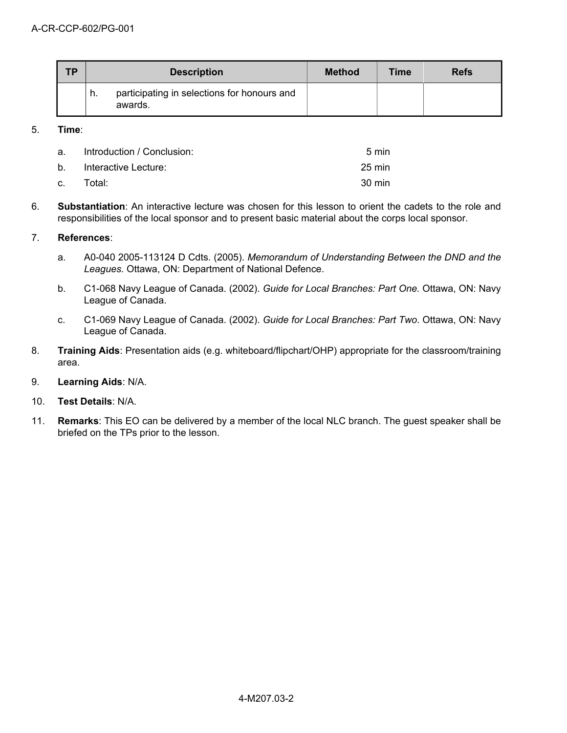| TD |    | <b>Description</b>                                     | <b>Method</b> | Time | <b>Refs</b> |
|----|----|--------------------------------------------------------|---------------|------|-------------|
|    | h. | participating in selections for honours and<br>awards. |               |      |             |

### 5. **Time**:

|                | a. Introduction / Conclusion: | 5 min  |
|----------------|-------------------------------|--------|
|                | b. Interactive Lecture:       | 25 min |
| C <sub>1</sub> | Total:                        | 30 min |

6. **Substantiation**: An interactive lecture was chosen for this lesson to orient the cadets to the role and responsibilities of the local sponsor and to present basic material about the corps local sponsor.

# 7. **References**:

- a. A0-040 2005-113124 D Cdts. (2005). *Memorandum of Understanding Between the DND and the Leagues.* Ottawa, ON: Department of National Defence.
- b. C1-068 Navy League of Canada. (2002). *Guide for Local Branches: Part One.* Ottawa, ON: Navy League of Canada.
- c. C1-069 Navy League of Canada. (2002). *Guide for Local Branches: Part Two*. Ottawa, ON: Navy League of Canada.
- 8. **Training Aids**: Presentation aids (e.g. whiteboard/flipchart/OHP) appropriate for the classroom/training area.
- 9. **Learning Aids**: N/A.
- 10. **Test Details**: N/A.
- 11. **Remarks**: This EO can be delivered by a member of the local NLC branch. The guest speaker shall be briefed on the TPs prior to the lesson.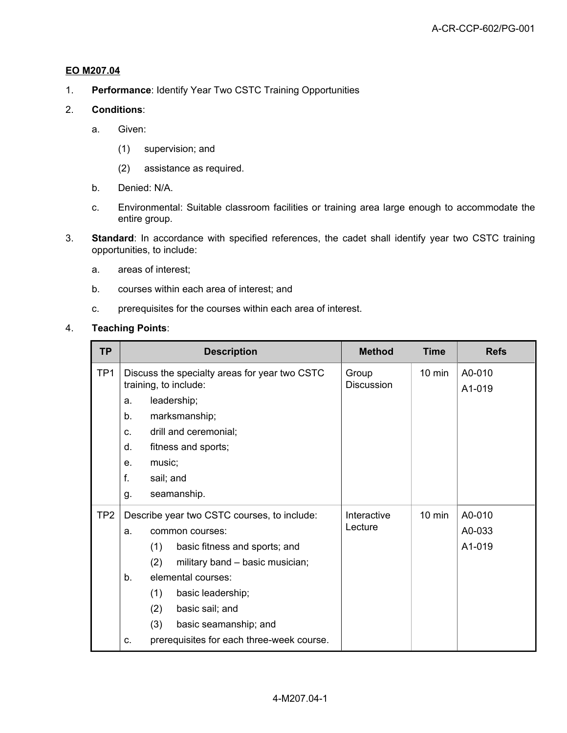### **EO M207.04**

1. **Performance**: Identify Year Two CSTC Training Opportunities

### 2. **Conditions**:

- a. Given:
	- (1) supervision; and
	- (2) assistance as required.
- b. Denied: N/A.
- c. Environmental: Suitable classroom facilities or training area large enough to accommodate the entire group.
- 3. **Standard**: In accordance with specified references, the cadet shall identify year two CSTC training opportunities, to include:
	- a. areas of interest;
	- b. courses within each area of interest; and
	- c. prerequisites for the courses within each area of interest.

#### 4. **Teaching Points**:

| <b>TP</b>       |    | <b>Description</b>                            | <b>Method</b>     | <b>Time</b>      | <b>Refs</b> |
|-----------------|----|-----------------------------------------------|-------------------|------------------|-------------|
| TP <sub>1</sub> |    | Discuss the specialty areas for year two CSTC | Group             | $10 \text{ min}$ | A0-010      |
|                 |    | training, to include:                         | <b>Discussion</b> |                  | A1-019      |
|                 | a. | leadership;                                   |                   |                  |             |
|                 | b. | marksmanship;                                 |                   |                  |             |
|                 | C. | drill and ceremonial;                         |                   |                  |             |
|                 | d. | fitness and sports;                           |                   |                  |             |
|                 | e. | music;                                        |                   |                  |             |
|                 | f. | sail; and                                     |                   |                  |             |
|                 | g. | seamanship.                                   |                   |                  |             |
| TP <sub>2</sub> |    | Describe year two CSTC courses, to include:   | Interactive       | $10$ min         | A0-010      |
|                 | a. | common courses:                               | Lecture           |                  | A0-033      |
|                 |    | (1)<br>basic fitness and sports; and          |                   |                  | A1-019      |
|                 |    | (2)<br>military band - basic musician;        |                   |                  |             |
|                 | b. | elemental courses:                            |                   |                  |             |
|                 |    | (1)<br>basic leadership;                      |                   |                  |             |
|                 |    | (2)<br>basic sail; and                        |                   |                  |             |
|                 |    | (3)<br>basic seamanship; and                  |                   |                  |             |
|                 | C. | prerequisites for each three-week course.     |                   |                  |             |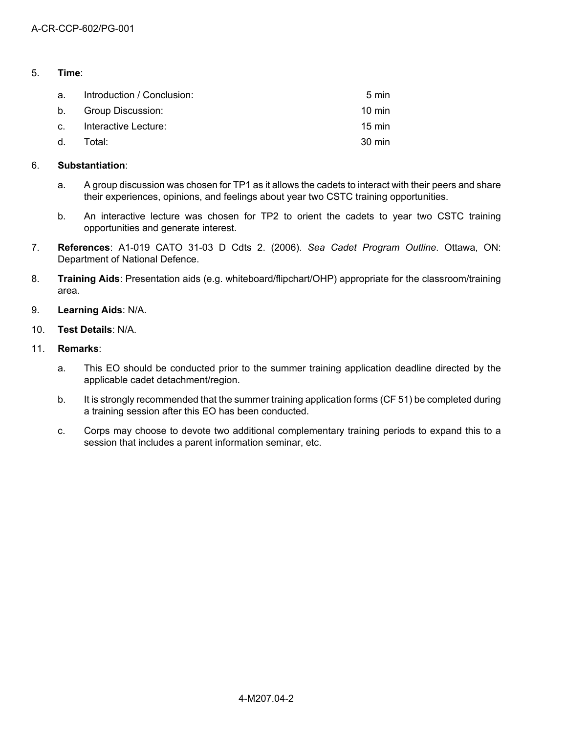# 5. **Time**:

| a. | Introduction / Conclusion: | 5 min  |
|----|----------------------------|--------|
|    | b. Group Discussion:       | 10 min |
|    | c. Interactive Lecture:    | 15 min |
| d. | ⊟Total: ⊺                  | 30 min |

### 6. **Substantiation**:

- a. A group discussion was chosen for TP1 as it allows the cadets to interact with their peers and share their experiences, opinions, and feelings about year two CSTC training opportunities.
- b. An interactive lecture was chosen for TP2 to orient the cadets to year two CSTC training opportunities and generate interest.
- 7. **References**: A1-019 CATO 31-03 D Cdts 2. (2006). *Sea Cadet Program Outline*. Ottawa, ON: Department of National Defence.
- 8. **Training Aids**: Presentation aids (e.g. whiteboard/flipchart/OHP) appropriate for the classroom/training area.
- 9. **Learning Aids**: N/A.
- 10. **Test Details**: N/A.
- 11. **Remarks**:
	- a. This EO should be conducted prior to the summer training application deadline directed by the applicable cadet detachment/region.
	- b. It is strongly recommended that the summer training application forms (CF 51) be completed during a training session after this EO has been conducted.
	- c. Corps may choose to devote two additional complementary training periods to expand this to a session that includes a parent information seminar, etc.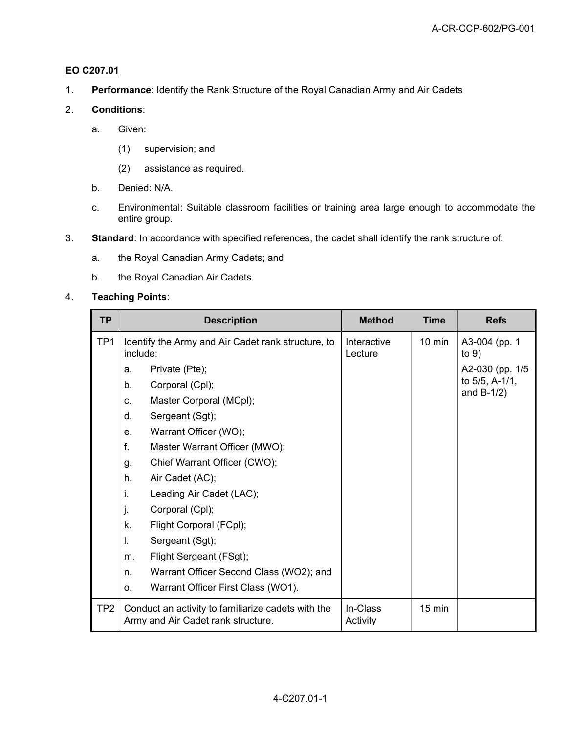### **EO C207.01**

1. **Performance**: Identify the Rank Structure of the Royal Canadian Army and Air Cadets

### 2. **Conditions**:

- a. Given:
	- (1) supervision; and
	- (2) assistance as required.
- b. Denied: N/A.
- c. Environmental: Suitable classroom facilities or training area large enough to accommodate the entire group.
- 3. **Standard**: In accordance with specified references, the cadet shall identify the rank structure of:
	- a. the Royal Canadian Army Cadets; and
	- b. the Royal Canadian Air Cadets.

### 4. **Teaching Points**:

| <b>TP</b>       | <b>Description</b> |                                                                                          | <b>Method</b>          | <b>Time</b>      | <b>Refs</b>              |
|-----------------|--------------------|------------------------------------------------------------------------------------------|------------------------|------------------|--------------------------|
| TP <sub>1</sub> | include:           | Identify the Army and Air Cadet rank structure, to                                       | Interactive<br>Lecture | $10 \text{ min}$ | A3-004 (pp. 1<br>to $9)$ |
|                 | a.                 | Private (Pte);                                                                           |                        |                  | A2-030 (pp. 1/5          |
|                 | b.                 | Corporal (Cpl);                                                                          |                        |                  | to 5/5, A-1/1,           |
|                 | C.                 | Master Corporal (MCpl);                                                                  |                        |                  | and $B-1/2$ )            |
|                 | d.                 | Sergeant (Sgt);                                                                          |                        |                  |                          |
|                 | е.                 | Warrant Officer (WO);                                                                    |                        |                  |                          |
|                 | f.                 | Master Warrant Officer (MWO);                                                            |                        |                  |                          |
|                 | g.                 | Chief Warrant Officer (CWO);                                                             |                        |                  |                          |
|                 | h.                 | Air Cadet (AC);                                                                          |                        |                  |                          |
|                 | i.                 | Leading Air Cadet (LAC);                                                                 |                        |                  |                          |
|                 | j.                 | Corporal (Cpl);                                                                          |                        |                  |                          |
|                 | k.                 | Flight Corporal (FCpl);                                                                  |                        |                  |                          |
|                 | L.                 | Sergeant (Sgt);                                                                          |                        |                  |                          |
|                 | m.                 | Flight Sergeant (FSgt);                                                                  |                        |                  |                          |
|                 | n.                 | Warrant Officer Second Class (WO2); and                                                  |                        |                  |                          |
|                 | 0.                 | Warrant Officer First Class (WO1).                                                       |                        |                  |                          |
| TP <sub>2</sub> |                    | Conduct an activity to familiarize cadets with the<br>Army and Air Cadet rank structure. | In-Class<br>Activity   | $15$ min         |                          |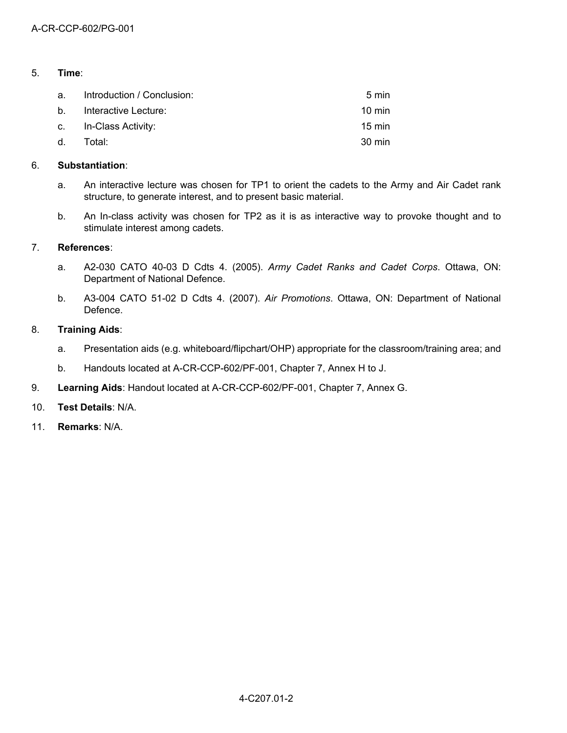# 5. **Time**:

|    | a. Introduction / Conclusion: | 5 min  |
|----|-------------------------------|--------|
|    | b. Interactive Lecture:       | 10 min |
|    | c. In-Class Activity:         | 15 min |
| d. | ⊤otal:                        | 30 min |

### 6. **Substantiation**:

- a. An interactive lecture was chosen for TP1 to orient the cadets to the Army and Air Cadet rank structure, to generate interest, and to present basic material.
- b. An In-class activity was chosen for TP2 as it is as interactive way to provoke thought and to stimulate interest among cadets.

# 7. **References**:

- a. A2-030 CATO 40-03 D Cdts 4. (2005). *Army Cadet Ranks and Cadet Corps*. Ottawa, ON: Department of National Defence.
- b. A3-004 CATO 51-02 D Cdts 4. (2007). *Air Promotions*. Ottawa, ON: Department of National Defence.

# 8. **Training Aids**:

- a. Presentation aids (e.g. whiteboard/flipchart/OHP) appropriate for the classroom/training area; and
- b. Handouts located at A-CR-CCP-602/PF-001, Chapter 7, Annex H to J.
- 9. **Learning Aids**: Handout located at A-CR-CCP-602/PF-001, Chapter 7, Annex G.

### 10. **Test Details**: N/A.

11. **Remarks**: N/A.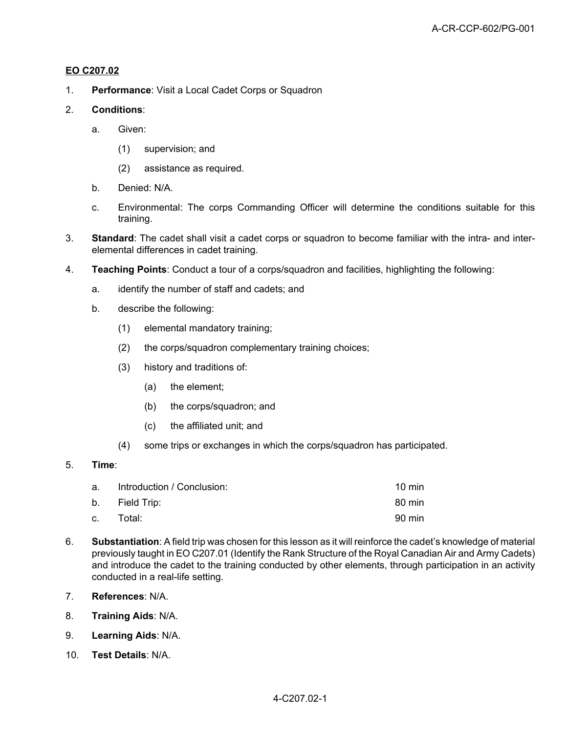# **EO C207.02**

- 1. **Performance**: Visit a Local Cadet Corps or Squadron
- 2. **Conditions**:
	- a. Given:
		- (1) supervision; and
		- (2) assistance as required.
	- b. Denied: N/A.
	- c. Environmental: The corps Commanding Officer will determine the conditions suitable for this training.
- 3. **Standard**: The cadet shall visit a cadet corps or squadron to become familiar with the intra- and interelemental differences in cadet training.
- 4. **Teaching Points**: Conduct a tour of a corps/squadron and facilities, highlighting the following:
	- a. identify the number of staff and cadets; and
	- b. describe the following:
		- (1) elemental mandatory training;
		- (2) the corps/squadron complementary training choices;
		- (3) history and traditions of:
			- (a) the element;
			- (b) the corps/squadron; and
			- (c) the affiliated unit; and
		- (4) some trips or exchanges in which the corps/squadron has participated.

### 5. **Time**:

|                | a. Introduction / Conclusion: | 10 min  |
|----------------|-------------------------------|---------|
|                | b. Field Trip:                | 80 min  |
| C <sub>1</sub> | Total:                        | .90 min |

- 6. **Substantiation**: A field trip was chosen for this lesson as it will reinforce the cadet's knowledge of material previously taught in EO C207.01 (Identify the Rank Structure of the Royal Canadian Air and Army Cadets) and introduce the cadet to the training conducted by other elements, through participation in an activity conducted in a real-life setting.
- 7. **References**: N/A.
- 8. **Training Aids**: N/A.
- 9. **Learning Aids**: N/A.
- 10. **Test Details**: N/A.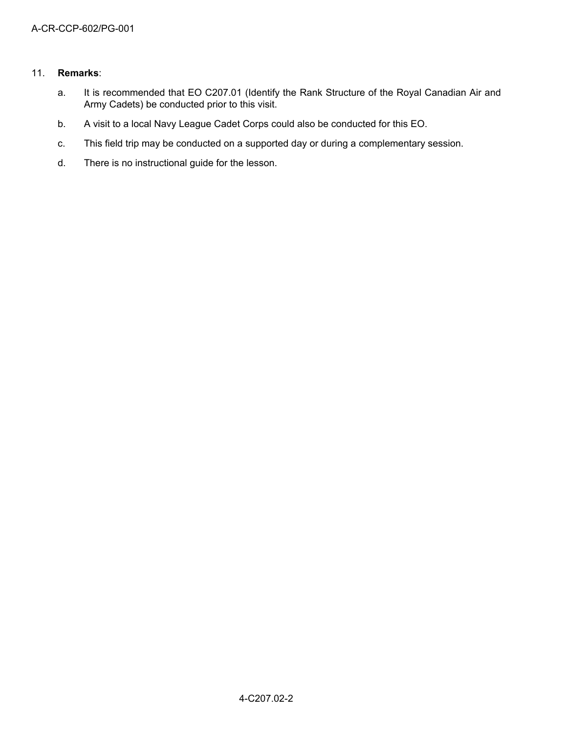# 11. **Remarks**:

- a. It is recommended that EO C207.01 (Identify the Rank Structure of the Royal Canadian Air and Army Cadets) be conducted prior to this visit.
- b. A visit to a local Navy League Cadet Corps could also be conducted for this EO.
- c. This field trip may be conducted on a supported day or during a complementary session.
- d. There is no instructional guide for the lesson.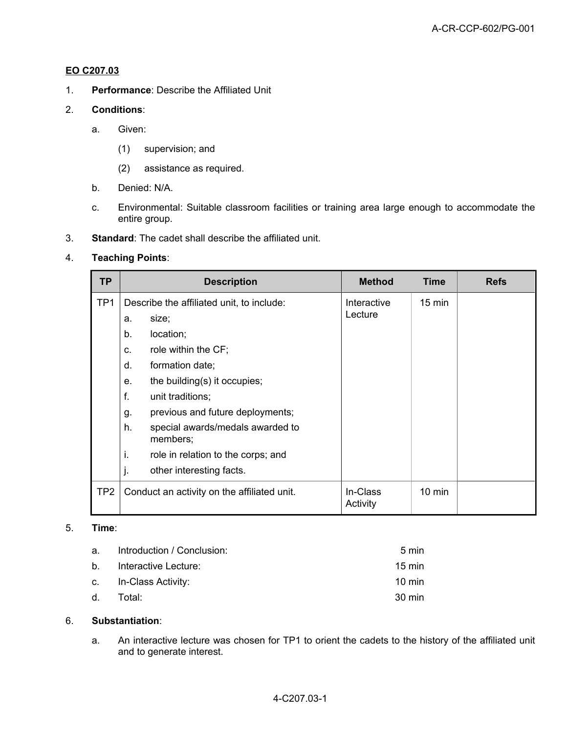# **EO C207.03**

1. **Performance**: Describe the Affiliated Unit

### 2. **Conditions**:

- a. Given:
	- (1) supervision; and
	- (2) assistance as required.
- b. Denied: N/A.
- c. Environmental: Suitable classroom facilities or training area large enough to accommodate the entire group.
- 3. **Standard**: The cadet shall describe the affiliated unit.

### 4. **Teaching Points**:

| ΤP              | <b>Description</b>                                                                                                                                                                                                                                             | <b>Method</b>          | Time             | <b>Refs</b> |
|-----------------|----------------------------------------------------------------------------------------------------------------------------------------------------------------------------------------------------------------------------------------------------------------|------------------------|------------------|-------------|
| TP <sub>1</sub> | Describe the affiliated unit, to include:<br>size;<br>a.<br>location;<br>b.                                                                                                                                                                                    | Interactive<br>Lecture | $15 \text{ min}$ |             |
|                 | role within the CF;<br>C.<br>d.<br>formation date;<br>the building(s) it occupies;<br>е.<br>f.<br>unit traditions;<br>previous and future deployments;<br>g.<br>h.<br>special awards/medals awarded to<br>members;<br>i.<br>role in relation to the corps; and |                        |                  |             |
| TP <sub>2</sub> | j.<br>other interesting facts.<br>Conduct an activity on the affiliated unit.                                                                                                                                                                                  | In-Class<br>Activity   | $10 \text{ min}$ |             |

### 5. **Time**:

| а. | Introduction / Conclusion: | 5 min            |
|----|----------------------------|------------------|
|    | b. Interactive Lecture:    | $15 \text{ min}$ |
|    | c. In-Class Activity:      | $10 \text{ min}$ |
|    | d. Total:                  | 30 min           |

### 6. **Substantiation**:

a. An interactive lecture was chosen for TP1 to orient the cadets to the history of the affiliated unit and to generate interest.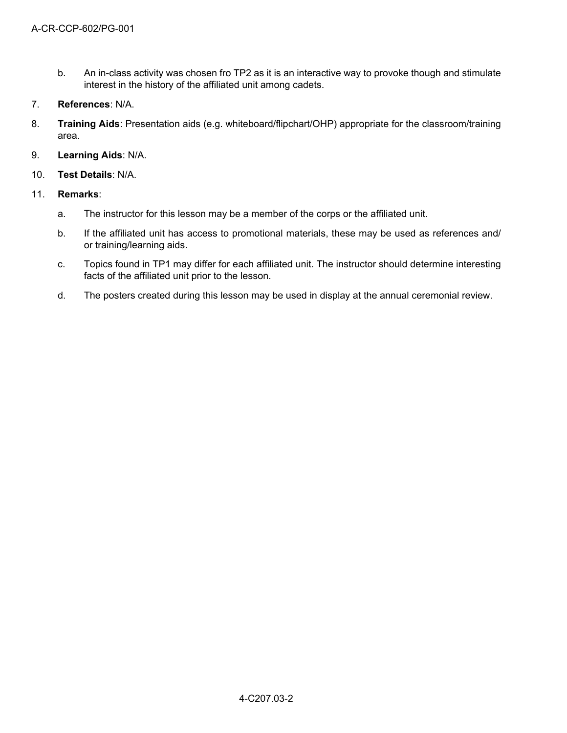- b. An in-class activity was chosen fro TP2 as it is an interactive way to provoke though and stimulate interest in the history of the affiliated unit among cadets.
- 7. **References**: N/A.
- 8. **Training Aids**: Presentation aids (e.g. whiteboard/flipchart/OHP) appropriate for the classroom/training area.
- 9. **Learning Aids**: N/A.
- 10. **Test Details**: N/A.
- 11. **Remarks**:
	- a. The instructor for this lesson may be a member of the corps or the affiliated unit.
	- b. If the affiliated unit has access to promotional materials, these may be used as references and/ or training/learning aids.
	- c. Topics found in TP1 may differ for each affiliated unit. The instructor should determine interesting facts of the affiliated unit prior to the lesson.
	- d. The posters created during this lesson may be used in display at the annual ceremonial review.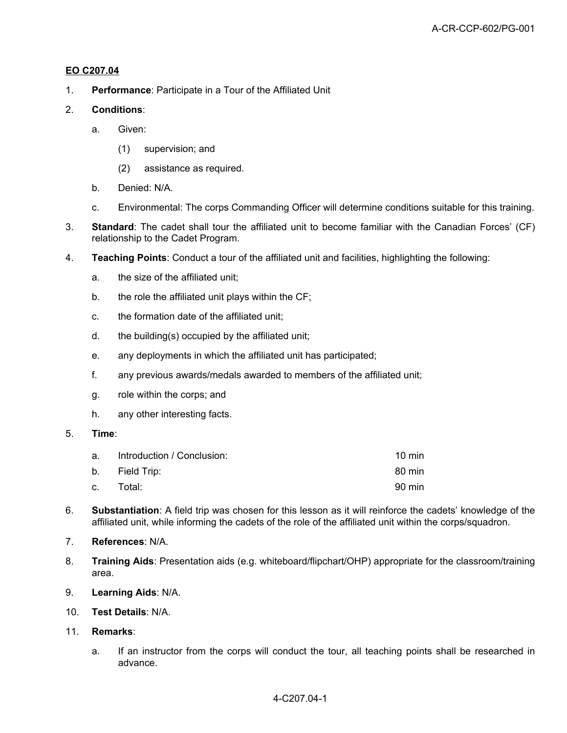# **EO C207.04**

1. **Performance**: Participate in a Tour of the Affiliated Unit

### 2. **Conditions**:

- a. Given:
	- (1) supervision; and
	- (2) assistance as required.
- b. Denied: N/A.
- c. Environmental: The corps Commanding Officer will determine conditions suitable for this training.
- 3. **Standard**: The cadet shall tour the affiliated unit to become familiar with the Canadian Forces' (CF) relationship to the Cadet Program.
- 4. **Teaching Points**: Conduct a tour of the affiliated unit and facilities, highlighting the following:
	- a. the size of the affiliated unit;
	- b. the role the affiliated unit plays within the CF;
	- c. the formation date of the affiliated unit;
	- d. the building(s) occupied by the affiliated unit;
	- e. any deployments in which the affiliated unit has participated;
	- f. any previous awards/medals awarded to members of the affiliated unit;
	- g. role within the corps; and
	- h. any other interesting facts.
- 5. **Time**:

| а. | Introduction / Conclusion: | $10 \text{ min}$ |
|----|----------------------------|------------------|
|    | b. Field Trip:             | 80 min           |
|    | c. Total:                  | 90 min           |

- 6. **Substantiation**: A field trip was chosen for this lesson as it will reinforce the cadets' knowledge of the affiliated unit, while informing the cadets of the role of the affiliated unit within the corps/squadron.
- 7. **References**: N/A.
- 8. **Training Aids**: Presentation aids (e.g. whiteboard/flipchart/OHP) appropriate for the classroom/training area.
- 9. **Learning Aids**: N/A.
- 10. **Test Details**: N/A.
- 11. **Remarks**:
	- a. If an instructor from the corps will conduct the tour, all teaching points shall be researched in advance.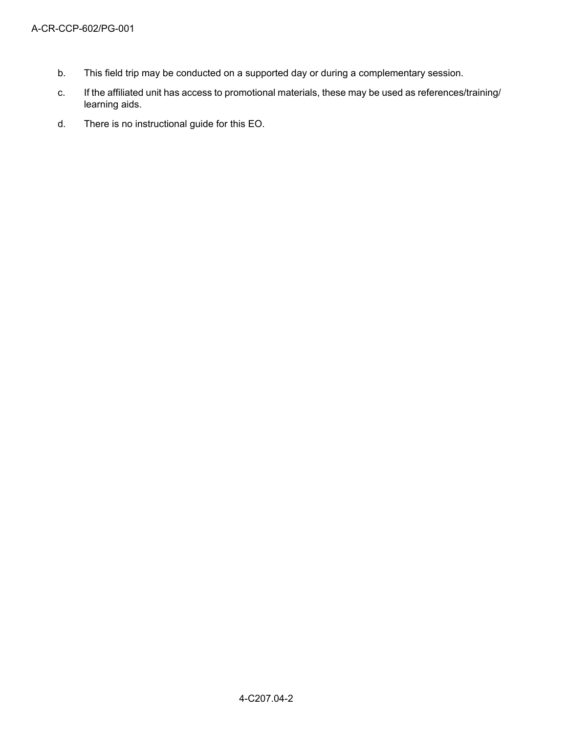# A-CR-CCP-602/PG-001

- b. This field trip may be conducted on a supported day or during a complementary session.
- c. If the affiliated unit has access to promotional materials, these may be used as references/training/ learning aids.
- d. There is no instructional guide for this EO.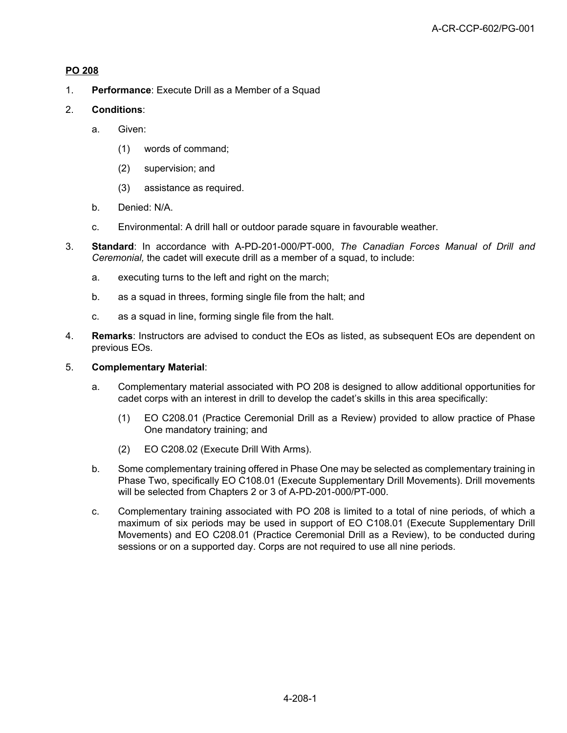### **PO 208**

- 1. **Performance**: Execute Drill as a Member of a Squad
- 2. **Conditions**:
	- a. Given:
		- (1) words of command;
		- (2) supervision; and
		- (3) assistance as required.
	- b. Denied: N/A.
	- c. Environmental: A drill hall or outdoor parade square in favourable weather.
- 3. **Standard**: In accordance with A-PD-201-000/PT-000, *The Canadian Forces Manual of Drill and Ceremonial,* the cadet will execute drill as a member of a squad, to include:
	- a. executing turns to the left and right on the march;
	- b. as a squad in threes, forming single file from the halt; and
	- c. as a squad in line, forming single file from the halt.
- 4. **Remarks**: Instructors are advised to conduct the EOs as listed, as subsequent EOs are dependent on previous EOs.

### 5. **Complementary Material**:

- a. Complementary material associated with PO 208 is designed to allow additional opportunities for cadet corps with an interest in drill to develop the cadet's skills in this area specifically:
	- (1) EO C208.01 (Practice Ceremonial Drill as a Review) provided to allow practice of Phase One mandatory training; and
	- (2) EO C208.02 (Execute Drill With Arms).
- b. Some complementary training offered in Phase One may be selected as complementary training in Phase Two, specifically EO C108.01 (Execute Supplementary Drill Movements). Drill movements will be selected from Chapters 2 or 3 of A-PD-201-000/PT-000.
- c. Complementary training associated with PO 208 is limited to a total of nine periods, of which a maximum of six periods may be used in support of EO C108.01 (Execute Supplementary Drill Movements) and EO C208.01 (Practice Ceremonial Drill as a Review), to be conducted during sessions or on a supported day. Corps are not required to use all nine periods.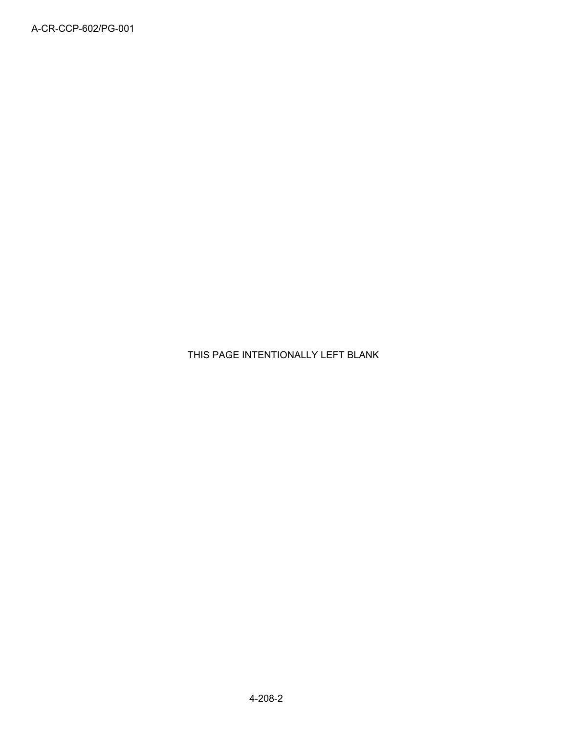THIS PAGE INTENTIONALLY LEFT BLANK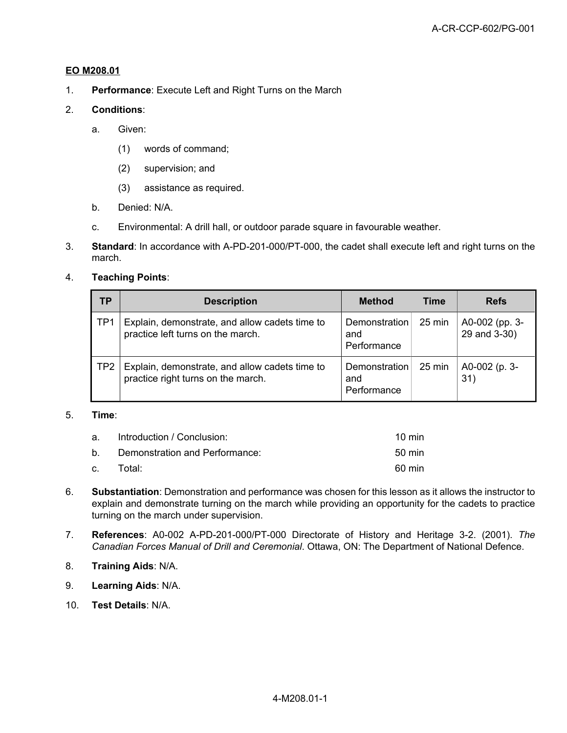### **EO M208.01**

1. **Performance**: Execute Left and Right Turns on the March

# 2. **Conditions**:

- a. Given:
	- (1) words of command;
	- (2) supervision; and
	- (3) assistance as required.
- b. Denied: N/A.
- c. Environmental: A drill hall, or outdoor parade square in favourable weather.
- 3. **Standard**: In accordance with A-PD-201-000/PT-000, the cadet shall execute left and right turns on the march.

# 4. **Teaching Points**:

| <b>TP</b>       | <b>Description</b>                                                                   | <b>Method</b>                              | Time   | <b>Refs</b>                    |
|-----------------|--------------------------------------------------------------------------------------|--------------------------------------------|--------|--------------------------------|
| TP <sub>1</sub> | Explain, demonstrate, and allow cadets time to<br>practice left turns on the march.  | <b>Demonstration</b><br>and<br>Performance | 25 min | A0-002 (pp. 3-<br>29 and 3-30) |
| TP2             | Explain, demonstrate, and allow cadets time to<br>practice right turns on the march. | Demonstration<br>and<br>Performance        | 25 min | A0-002 (p. 3-<br>31)           |

# 5. **Time**:

| а. | Introduction / Conclusion:     | 10 min |
|----|--------------------------------|--------|
| b. | Demonstration and Performance: | 50 min |
| C. | Τotal:                         | 60 min |

- 6. **Substantiation**: Demonstration and performance was chosen for this lesson as it allows the instructor to explain and demonstrate turning on the march while providing an opportunity for the cadets to practice turning on the march under supervision.
- 7. **References**: A0-002 A-PD-201-000/PT-000 Directorate of History and Heritage 3-2. (2001). *The Canadian Forces Manual of Drill and Ceremonial*. Ottawa, ON: The Department of National Defence.
- 8. **Training Aids**: N/A.
- 9. **Learning Aids**: N/A.
- 10. **Test Details**: N/A.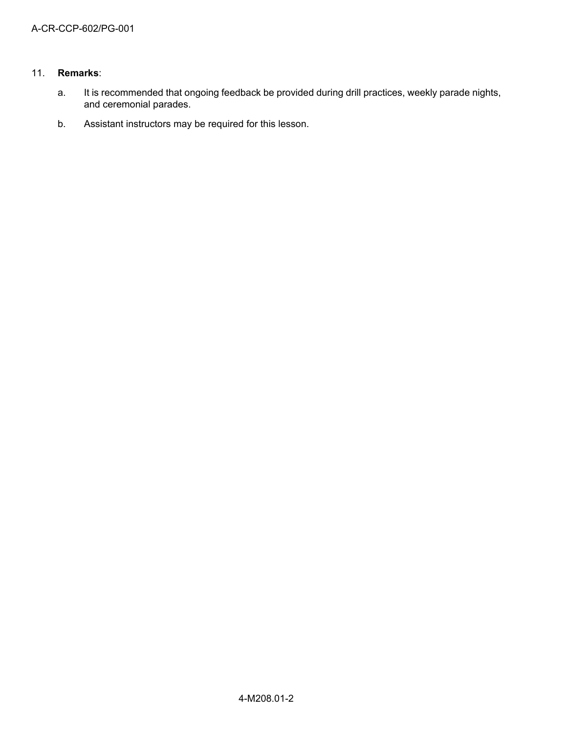# 11. **Remarks**:

- a. It is recommended that ongoing feedback be provided during drill practices, weekly parade nights, and ceremonial parades.
- b. Assistant instructors may be required for this lesson.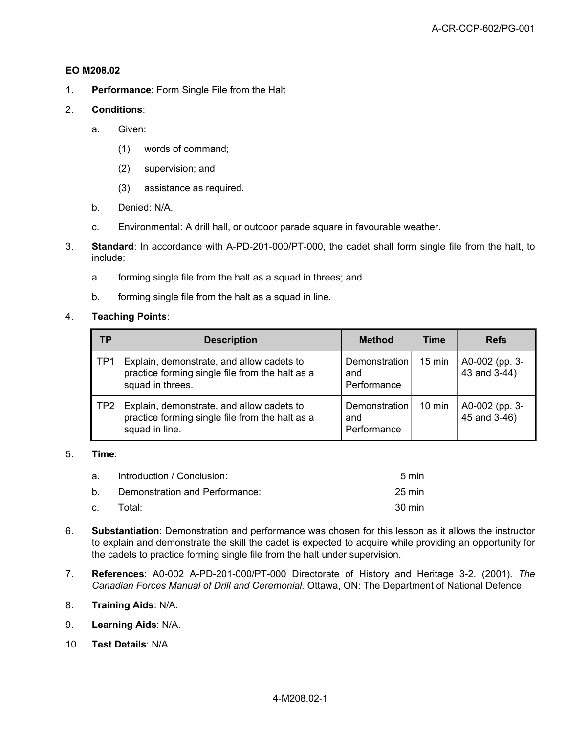### **EO M208.02**

- 1. **Performance**: Form Single File from the Halt
- 2. **Conditions**:
	- a. Given:
		- (1) words of command;
		- (2) supervision; and
		- (3) assistance as required.
	- b. Denied: N/A.
	- c. Environmental: A drill hall, or outdoor parade square in favourable weather.
- 3. **Standard**: In accordance with A-PD-201-000/PT-000, the cadet shall form single file from the halt, to include:
	- a. forming single file from the halt as a squad in threes; and
	- b. forming single file from the halt as a squad in line.
- 4. **Teaching Points**:

| ТP              | <b>Description</b>                                                                                               | <b>Method</b>                       | Time             | <b>Refs</b>                    |
|-----------------|------------------------------------------------------------------------------------------------------------------|-------------------------------------|------------------|--------------------------------|
| TP <sub>1</sub> | Explain, demonstrate, and allow cadets to<br>practice forming single file from the halt as a<br>squad in threes. | Demonstration<br>and<br>Performance | $15 \text{ min}$ | A0-002 (pp. 3-<br>43 and 3-44) |
| TP <sub>2</sub> | Explain, demonstrate, and allow cadets to<br>practice forming single file from the halt as a<br>squad in line.   | Demonstration<br>and<br>Performance | $10 \text{ min}$ | A0-002 (pp. 3-<br>45 and 3-46) |

### 5. **Time**:

| а.   | Introduction / Conclusion:        | $5 \text{ min}$ |
|------|-----------------------------------|-----------------|
|      | b. Demonstration and Performance: | 25 min          |
| C. I | Total:                            | 30 min          |

- 6. **Substantiation**: Demonstration and performance was chosen for this lesson as it allows the instructor to explain and demonstrate the skill the cadet is expected to acquire while providing an opportunity for the cadets to practice forming single file from the halt under supervision.
- 7. **References**: A0-002 A-PD-201-000/PT-000 Directorate of History and Heritage 3-2. (2001). *The Canadian Forces Manual of Drill and Ceremonial.* Ottawa, ON: The Department of National Defence.
- 8. **Training Aids**: N/A.
- 9. **Learning Aids**: N/A.
- 10. **Test Details**: N/A.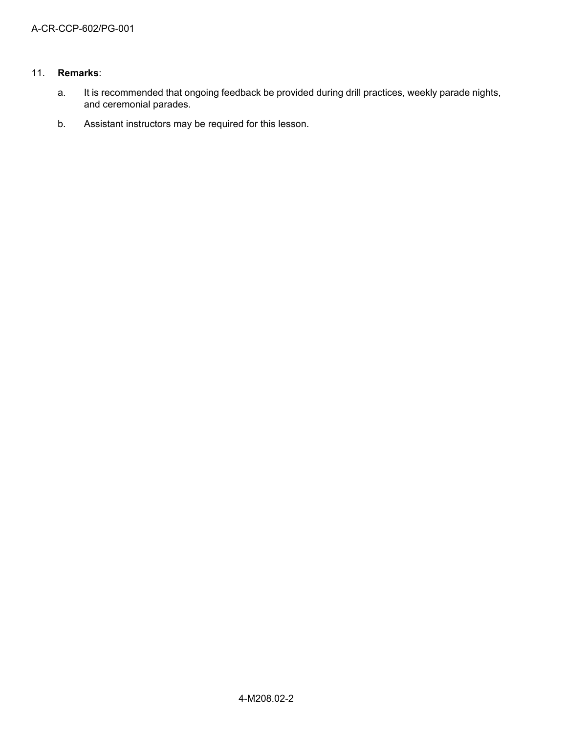# 11. **Remarks**:

- a. It is recommended that ongoing feedback be provided during drill practices, weekly parade nights, and ceremonial parades.
- b. Assistant instructors may be required for this lesson.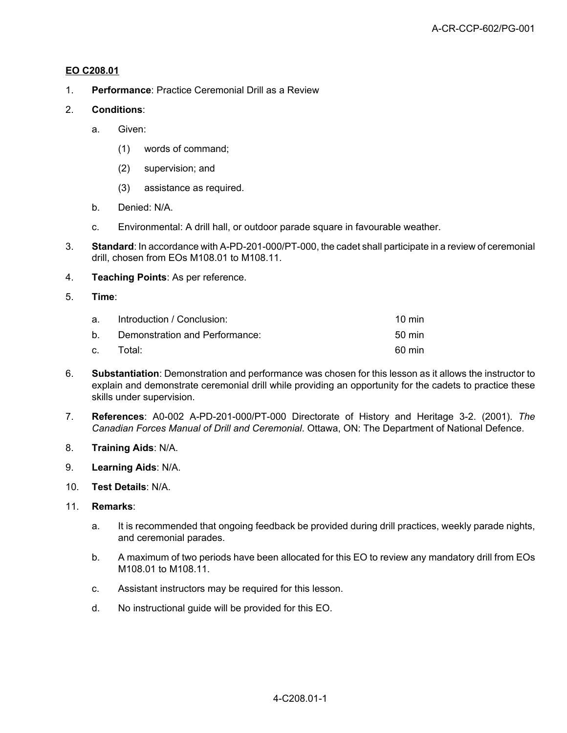### **EO C208.01**

- 1. **Performance**: Practice Ceremonial Drill as a Review
- 2. **Conditions**:
	- a. Given:
		- (1) words of command;
		- (2) supervision; and
		- (3) assistance as required.
	- b. Denied: N/A.
	- c. Environmental: A drill hall, or outdoor parade square in favourable weather.
- 3. **Standard**: In accordance with A-PD-201-000/PT-000, the cadet shall participate in a review of ceremonial drill, chosen from EOs M108.01 to M108.11.
- 4. **Teaching Points**: As per reference.
- 5. **Time**:

|      | a. Introduction / Conclusion:     | $10 \text{ min}$ |
|------|-----------------------------------|------------------|
|      | b. Demonstration and Performance: | 50 min           |
| C. I | Total:                            | 60 min           |

- 6. **Substantiation**: Demonstration and performance was chosen for this lesson as it allows the instructor to explain and demonstrate ceremonial drill while providing an opportunity for the cadets to practice these skills under supervision.
- 7. **References**: A0-002 A-PD-201-000/PT-000 Directorate of History and Heritage 3-2. (2001). *The Canadian Forces Manual of Drill and Ceremonial*. Ottawa, ON: The Department of National Defence.
- 8. **Training Aids**: N/A.
- 9. **Learning Aids**: N/A.
- 10. **Test Details**: N/A.
- 11. **Remarks**:
	- a. It is recommended that ongoing feedback be provided during drill practices, weekly parade nights, and ceremonial parades.
	- b. A maximum of two periods have been allocated for this EO to review any mandatory drill from EOs M108.01 to M108.11.
	- c. Assistant instructors may be required for this lesson.
	- d. No instructional guide will be provided for this EO.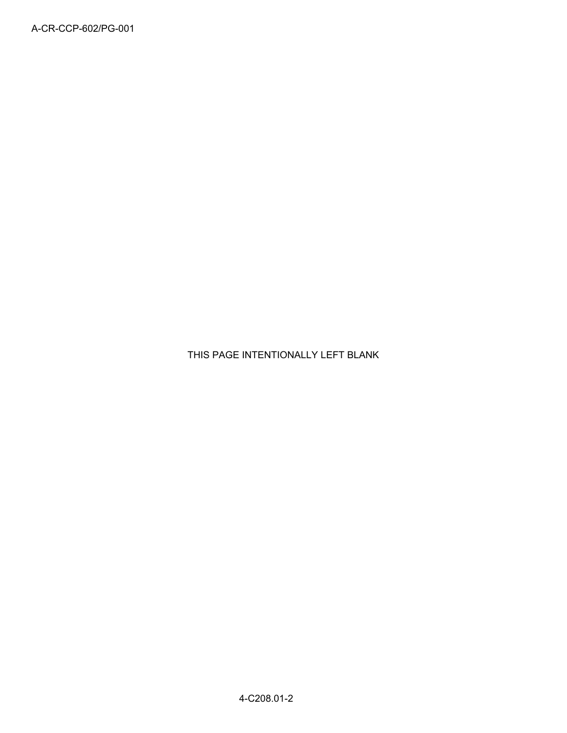THIS PAGE INTENTIONALLY LEFT BLANK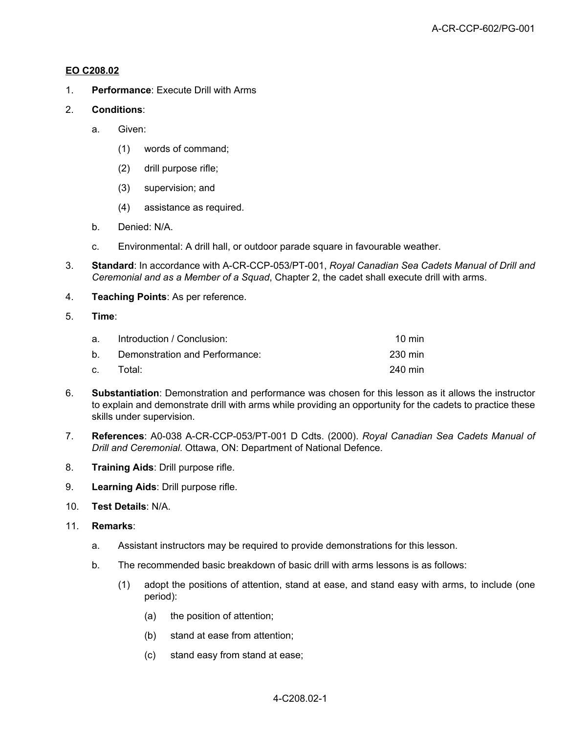### **EO C208.02**

- 1. **Performance**: Execute Drill with Arms
- 2. **Conditions**:
	- a. Given:
		- (1) words of command;
		- (2) drill purpose rifle;
		- (3) supervision; and
		- (4) assistance as required.
	- b. Denied: N/A.
	- c. Environmental: A drill hall, or outdoor parade square in favourable weather.
- 3. **Standard**: In accordance with A-CR-CCP-053/PT-001, *Royal Canadian Sea Cadets Manual of Drill and Ceremonial and as a Member of a Squad*, Chapter 2, the cadet shall execute drill with arms.
- 4. **Teaching Points**: As per reference.
- 5. **Time**:

| а.   | Introduction / Conclusion:     | $10 \text{ min}$ |
|------|--------------------------------|------------------|
| b. I | Demonstration and Performance: | 230 min          |
| C. I | Total:                         | 240 min          |

- 6. **Substantiation**: Demonstration and performance was chosen for this lesson as it allows the instructor to explain and demonstrate drill with arms while providing an opportunity for the cadets to practice these skills under supervision.
- 7. **References**: A0-038 A-CR-CCP-053/PT-001 D Cdts. (2000). *Royal Canadian Sea Cadets Manual of Drill and Ceremonial*. Ottawa, ON: Department of National Defence.
- 8. **Training Aids**: Drill purpose rifle.
- 9. **Learning Aids**: Drill purpose rifle.
- 10. **Test Details**: N/A.
- 11. **Remarks**:
	- a. Assistant instructors may be required to provide demonstrations for this lesson.
	- b. The recommended basic breakdown of basic drill with arms lessons is as follows:
		- (1) adopt the positions of attention, stand at ease, and stand easy with arms, to include (one period):
			- (a) the position of attention;
			- (b) stand at ease from attention;
			- (c) stand easy from stand at ease;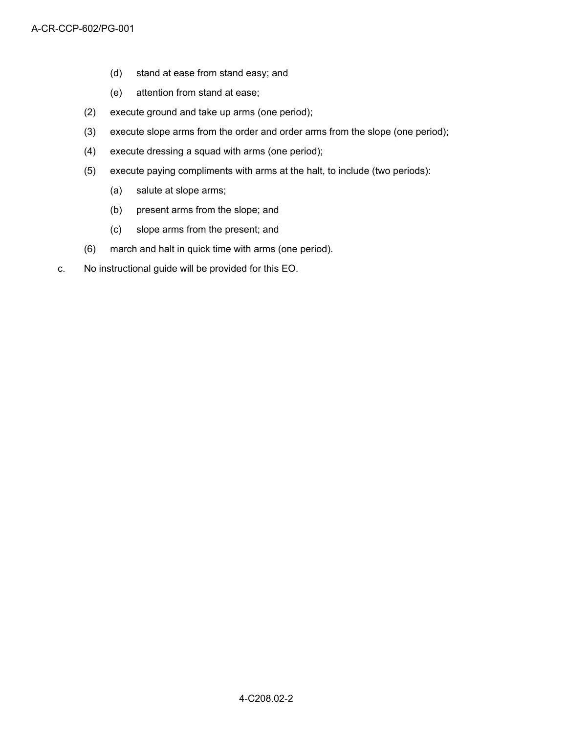- (d) stand at ease from stand easy; and
- (e) attention from stand at ease;
- (2) execute ground and take up arms (one period);
- (3) execute slope arms from the order and order arms from the slope (one period);
- (4) execute dressing a squad with arms (one period);
- (5) execute paying compliments with arms at the halt, to include (two periods):
	- (a) salute at slope arms;
	- (b) present arms from the slope; and
	- (c) slope arms from the present; and
- (6) march and halt in quick time with arms (one period).
- c. No instructional guide will be provided for this EO.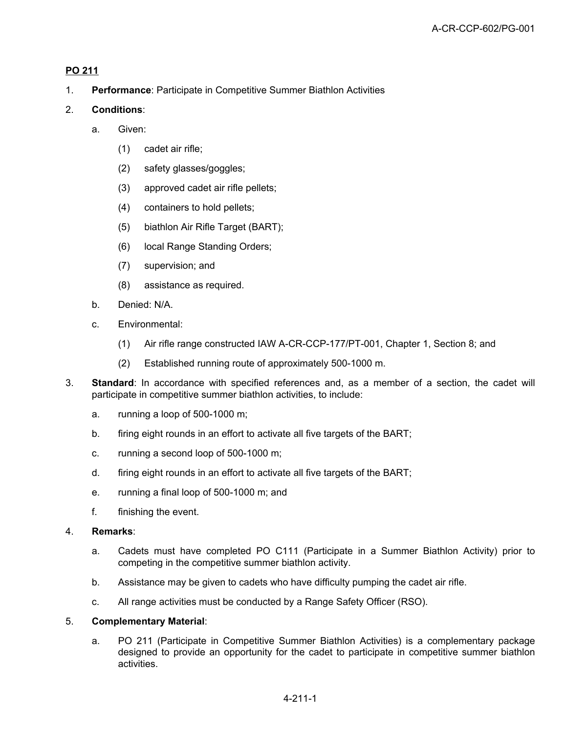# **PO 211**

1. **Performance**: Participate in Competitive Summer Biathlon Activities

# 2. **Conditions**:

- a. Given:
	- (1) cadet air rifle;
	- (2) safety glasses/goggles;
	- (3) approved cadet air rifle pellets;
	- (4) containers to hold pellets;
	- (5) biathlon Air Rifle Target (BART);
	- (6) local Range Standing Orders;
	- (7) supervision; and
	- (8) assistance as required.
- b. Denied: N/A.
- c. Environmental:
	- (1) Air rifle range constructed IAW A-CR-CCP-177/PT-001, Chapter 1, Section 8; and
	- (2) Established running route of approximately 500-1000 m.
- 3. **Standard**: In accordance with specified references and, as a member of a section, the cadet will participate in competitive summer biathlon activities, to include:
	- a. running a loop of 500-1000 m;
	- b. firing eight rounds in an effort to activate all five targets of the BART;
	- c. running a second loop of 500-1000 m;
	- d. firing eight rounds in an effort to activate all five targets of the BART;
	- e. running a final loop of 500-1000 m; and
	- f. finishing the event.

#### 4. **Remarks**:

- a. Cadets must have completed PO C111 (Participate in a Summer Biathlon Activity) prior to competing in the competitive summer biathlon activity.
- b. Assistance may be given to cadets who have difficulty pumping the cadet air rifle.
- c. All range activities must be conducted by a Range Safety Officer (RSO).

#### 5. **Complementary Material**:

a. PO 211 (Participate in Competitive Summer Biathlon Activities) is a complementary package designed to provide an opportunity for the cadet to participate in competitive summer biathlon activities.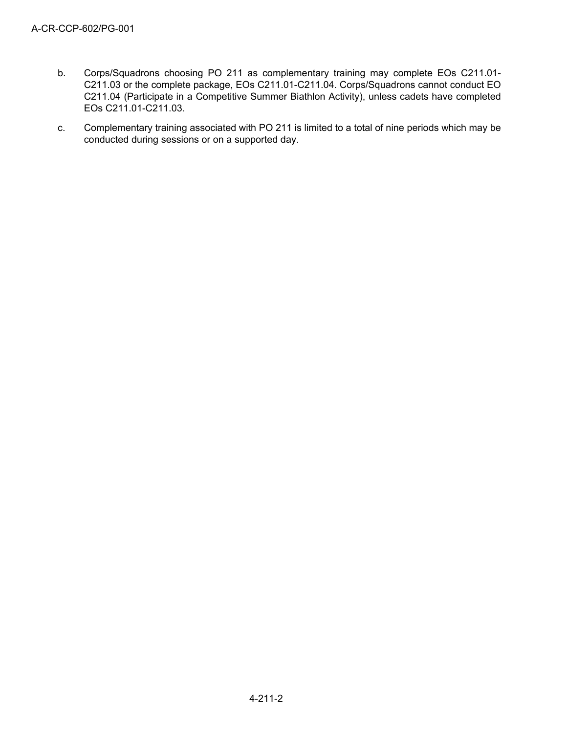- b. Corps/Squadrons choosing PO 211 as complementary training may complete EOs C211.01- C211.03 or the complete package, EOs C211.01-C211.04. Corps/Squadrons cannot conduct EO C211.04 (Participate in a Competitive Summer Biathlon Activity), unless cadets have completed EOs C211.01-C211.03.
- c. Complementary training associated with PO 211 is limited to a total of nine periods which may be conducted during sessions or on a supported day.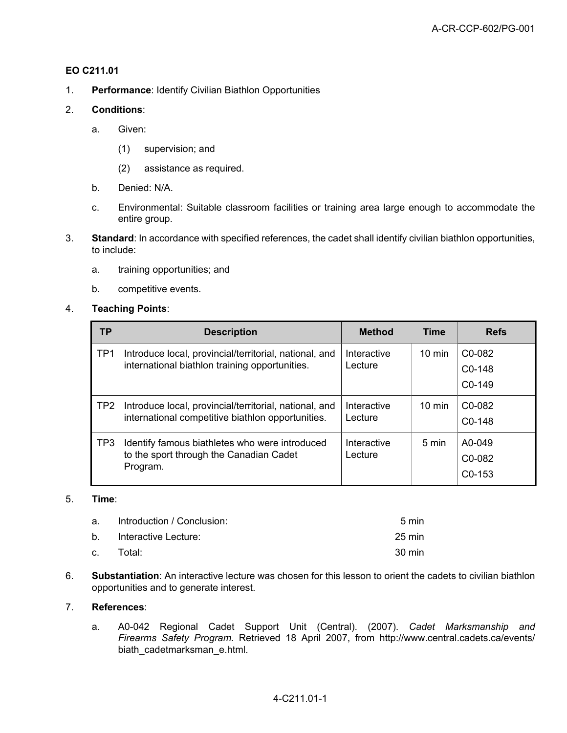# **EO C211.01**

1. **Performance**: Identify Civilian Biathlon Opportunities

### 2. **Conditions**:

- a. Given:
	- (1) supervision; and
	- (2) assistance as required.
- b. Denied: N/A.
- c. Environmental: Suitable classroom facilities or training area large enough to accommodate the entire group.
- 3. **Standard**: In accordance with specified references, the cadet shall identify civilian biathlon opportunities, to include:
	- a. training opportunities; and
	- b. competitive events.

#### 4. **Teaching Points**:

| ΤP              | <b>Description</b>                                                                                          | <b>Method</b>          | <b>Time</b>      | <b>Refs</b>                                            |
|-----------------|-------------------------------------------------------------------------------------------------------------|------------------------|------------------|--------------------------------------------------------|
| TP <sub>1</sub> | Introduce local, provincial/territorial, national, and<br>international biathlon training opportunities.    | Interactive<br>Lecture | $10 \text{ min}$ | C <sub>0</sub> -082<br>C <sub>0</sub> -148<br>$C0-149$ |
| TP <sub>2</sub> | Introduce local, provincial/territorial, national, and<br>international competitive biathlon opportunities. | Interactive<br>Lecture | $10 \text{ min}$ | $C0-082$<br>$C0-148$                                   |
| TP <sub>3</sub> | Identify famous biathletes who were introduced<br>to the sport through the Canadian Cadet<br>Program.       | Interactive<br>Lecture | 5 min            | $A0-049$<br>C <sub>0</sub> -082<br>$CO-153$            |

#### 5. **Time**:

| a. Introduction / Conclusion: | 5 min   |
|-------------------------------|---------|
| b. Interactive Lecture:       | 25 min  |
| c. Total:                     | -30 min |

6. **Substantiation**: An interactive lecture was chosen for this lesson to orient the cadets to civilian biathlon opportunities and to generate interest.

#### 7. **References**:

a. A0-042 Regional Cadet Support Unit (Central). (2007). *Cadet Marksmanship and Firearms Safety Program.* Retrieved 18 April 2007, from http://www.central.cadets.ca/events/ biath\_cadetmarksman\_e.html.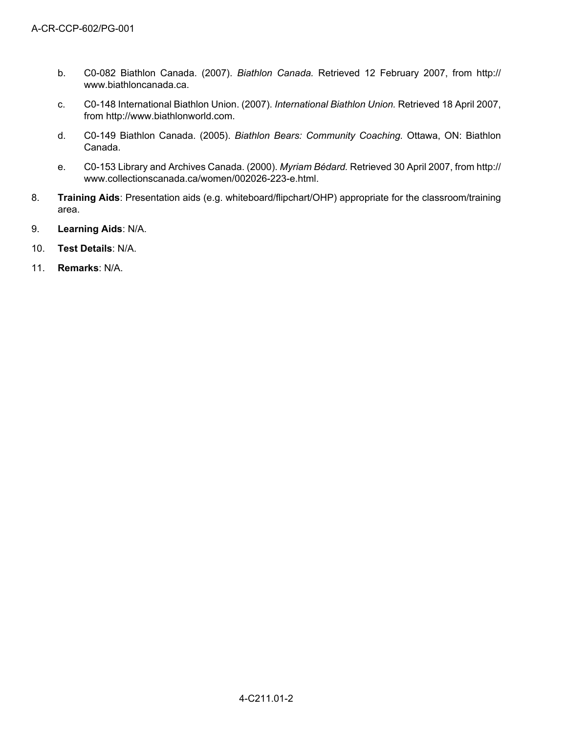- b. C0-082 Biathlon Canada. (2007). *Biathlon Canada.* Retrieved 12 February 2007, from http:// www.biathloncanada.ca.
- c. C0-148 International Biathlon Union. (2007). *International Biathlon Union.* Retrieved 18 April 2007, from http://www.biathlonworld.com.
- d. C0-149 Biathlon Canada. (2005). *Biathlon Bears: Community Coaching.* Ottawa, ON: Biathlon Canada.
- e. C0-153 Library and Archives Canada. (2000). *Myriam Bédard.* Retrieved 30 April 2007, from http:// www.collectionscanada.ca/women/002026-223-e.html.
- 8. **Training Aids**: Presentation aids (e.g. whiteboard/flipchart/OHP) appropriate for the classroom/training area.
- 9. **Learning Aids**: N/A.
- 10. **Test Details**: N/A.
- 11. **Remarks**: N/A.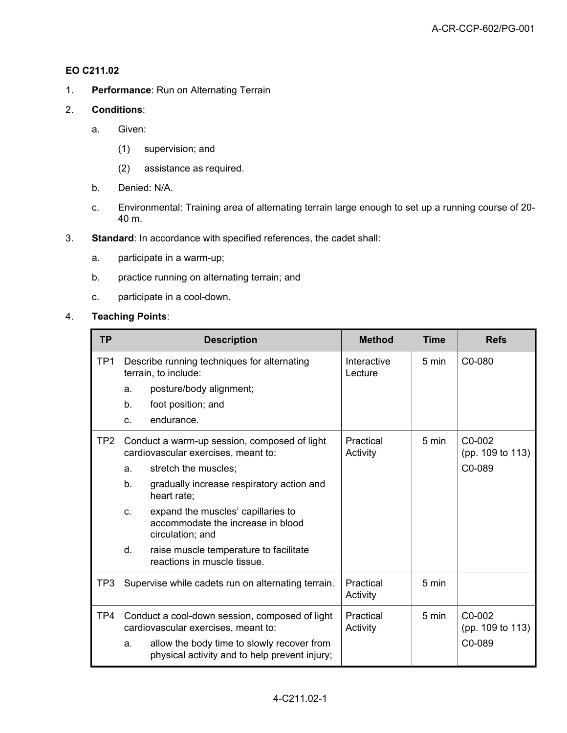# **EO C211.02**

1. **Performance**: Run on Alternating Terrain

### 2. **Conditions**:

- a. Given:
	- (1) supervision; and
	- (2) assistance as required.
- b. Denied: N/A.
- c. Environmental: Training area of alternating terrain large enough to set up a running course of 20- 40 m.
- 3. **Standard**: In accordance with specified references, the cadet shall:
	- a. participate in a warm-up;
	- b. practice running on alternating terrain; and
	- c. participate in a cool-down.

# 4. **Teaching Points**:

| <b>TP</b>       | <b>Description</b>                                                                                | <b>Method</b>          | <b>Time</b>     | <b>Refs</b>                             |
|-----------------|---------------------------------------------------------------------------------------------------|------------------------|-----------------|-----------------------------------------|
| TP <sub>1</sub> | Describe running techniques for alternating<br>terrain, to include:                               | Interactive<br>Lecture | 5 min           | C <sub>0</sub> -08 <sub>0</sub>         |
|                 | posture/body alignment;<br>a.                                                                     |                        |                 |                                         |
|                 | foot position; and<br>b.                                                                          |                        |                 |                                         |
|                 | endurance.<br>C <sub>1</sub>                                                                      |                        |                 |                                         |
| TP <sub>2</sub> | Conduct a warm-up session, composed of light<br>cardiovascular exercises, meant to:               | Practical<br>Activity  | 5 min           | C <sub>0</sub> -002<br>(pp. 109 to 113) |
|                 | stretch the muscles;<br>a.                                                                        |                        |                 | C0-089                                  |
|                 | b.<br>gradually increase respiratory action and<br>heart rate:                                    |                        |                 |                                         |
|                 | expand the muscles' capillaries to<br>C.<br>accommodate the increase in blood<br>circulation; and |                        |                 |                                         |
|                 | raise muscle temperature to facilitate<br>d.<br>reactions in muscle tissue.                       |                        |                 |                                         |
| TP <sub>3</sub> | Supervise while cadets run on alternating terrain.                                                | Practical<br>Activity  | $5 \text{ min}$ |                                         |
| TP4             | Conduct a cool-down session, composed of light<br>cardiovascular exercises, meant to:             | Practical<br>Activity  | 5 min           | C0-002<br>(pp. 109 to 113)              |
|                 | allow the body time to slowly recover from<br>a.<br>physical activity and to help prevent injury; |                        |                 | C0-089                                  |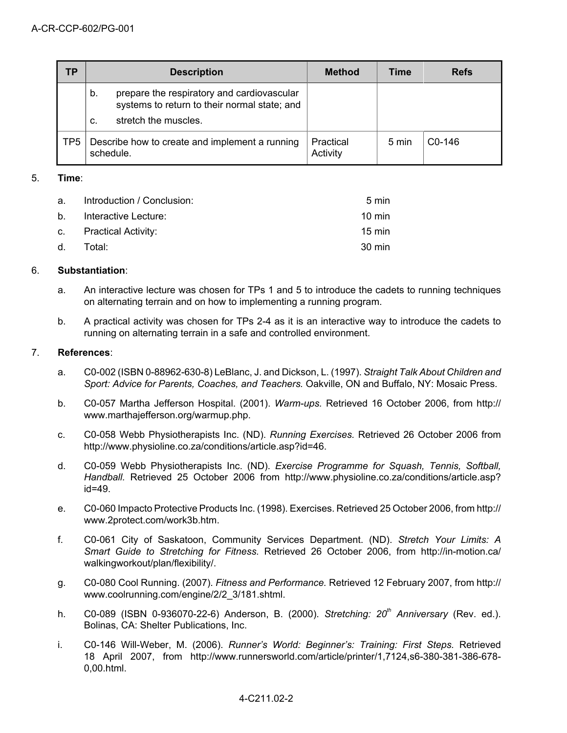| ΤP              | <b>Description</b>                                          |                                                                                                                    | <b>Method</b>         | Time  | <b>Refs</b> |
|-----------------|-------------------------------------------------------------|--------------------------------------------------------------------------------------------------------------------|-----------------------|-------|-------------|
|                 | b.<br>C.                                                    | prepare the respiratory and cardiovascular<br>systems to return to their normal state; and<br>stretch the muscles. |                       |       |             |
| TP <sub>5</sub> | Describe how to create and implement a running<br>schedule. |                                                                                                                    | Practical<br>Activity | 5 min | $C0-146$    |

# 5. **Time**:

| а. | Introduction / Conclusion: | 5 min            |
|----|----------------------------|------------------|
|    | b. Interactive Lecture:    | $10 \text{ min}$ |
|    | c. Practical Activity:     | $15 \text{ min}$ |
| d. | ⊟ Total:                   | 30 min           |

### 6. **Substantiation**:

- a. An interactive lecture was chosen for TPs 1 and 5 to introduce the cadets to running techniques on alternating terrain and on how to implementing a running program.
- b. A practical activity was chosen for TPs 2-4 as it is an interactive way to introduce the cadets to running on alternating terrain in a safe and controlled environment.

# 7. **References**:

- a. C0-002 (ISBN 0-88962-630-8) LeBlanc, J. and Dickson, L. (1997). *Straight Talk About Children and Sport: Advice for Parents, Coaches, and Teachers.* Oakville, ON and Buffalo, NY: Mosaic Press.
- b. C0-057 Martha Jefferson Hospital. (2001). *Warm-ups.* Retrieved 16 October 2006, from http:// www.marthajefferson.org/warmup.php.
- c. C0-058 Webb Physiotherapists Inc. (ND). *Running Exercises.* Retrieved 26 October 2006 from http://www.physioline.co.za/conditions/article.asp?id=46.
- d. C0-059 Webb Physiotherapists Inc. (ND). *Exercise Programme for Squash, Tennis, Softball, Handball.* Retrieved 25 October 2006 from http://www.physioline.co.za/conditions/article.asp? id=49.
- e. C0-060 Impacto Protective Products Inc. (1998). Exercises. Retrieved 25 October 2006, from http:// www.2protect.com/work3b.htm.
- f. C0-061 City of Saskatoon, Community Services Department. (ND). *Stretch Your Limits: A Smart Guide to Stretching for Fitness.* Retrieved 26 October 2006, from http://in-motion.ca/ walkingworkout/plan/flexibility/.
- g. C0-080 Cool Running. (2007). *Fitness and Performance.* Retrieved 12 February 2007, from http:// www.coolrunning.com/engine/2/2\_3/181.shtml.
- h. C0-089 (ISBN 0-936070-22-6) Anderson, B. (2000). *Stretching: 20th Anniversary* (Rev. ed.). Bolinas, CA: Shelter Publications, Inc.
- i. C0-146 Will-Weber, M. (2006). *Runner's World: Beginner's: Training: First Steps.* Retrieved 18 April 2007, from http://www.runnersworld.com/article/printer/1,7124,s6-380-381-386-678- 0,00.html.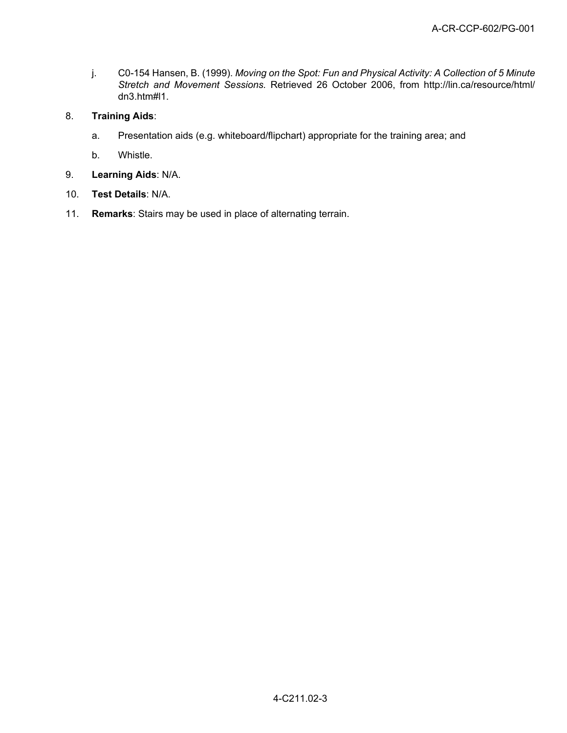j. C0-154 Hansen, B. (1999). *Moving on the Spot: Fun and Physical Activity: A Collection of 5 Minute Stretch and Movement Sessions.* Retrieved 26 October 2006, from http://lin.ca/resource/html/ dn3.htm#l1.

### 8. **Training Aids**:

- a. Presentation aids (e.g. whiteboard/flipchart) appropriate for the training area; and
- b. Whistle.
- 9. **Learning Aids**: N/A.
- 10. **Test Details**: N/A.
- 11. **Remarks**: Stairs may be used in place of alternating terrain.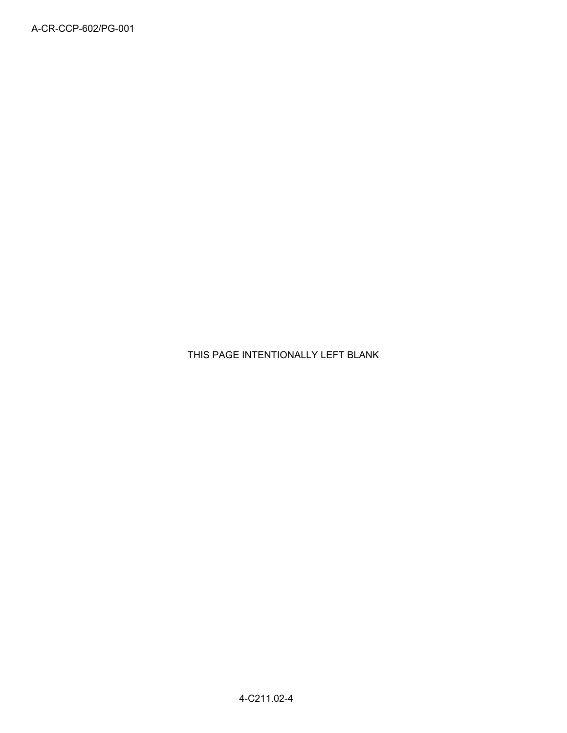THIS PAGE INTENTIONALLY LEFT BLANK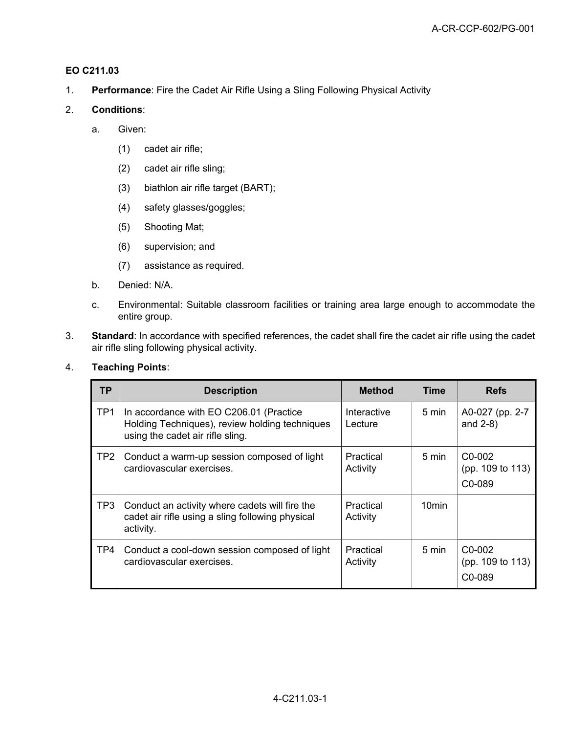# **EO C211.03**

1. **Performance**: Fire the Cadet Air Rifle Using a Sling Following Physical Activity

# 2. **Conditions**:

- a. Given:
	- (1) cadet air rifle;
	- (2) cadet air rifle sling;
	- (3) biathlon air rifle target (BART);
	- (4) safety glasses/goggles;
	- (5) Shooting Mat;
	- (6) supervision; and
	- (7) assistance as required.
- b. Denied: N/A.

4. **Teaching Points**:

- c. Environmental: Suitable classroom facilities or training area large enough to accommodate the entire group.
- 3. **Standard**: In accordance with specified references, the cadet shall fire the cadet air rifle using the cadet air rifle sling following physical activity.

| гD   | <b>Description</b> |
|------|--------------------|
| TD 4 |                    |

| ТP              | <b>Description</b>                                                                                                            | <b>Method</b>          | <b>Time</b>       | <b>Refs</b>                                         |
|-----------------|-------------------------------------------------------------------------------------------------------------------------------|------------------------|-------------------|-----------------------------------------------------|
| TP <sub>1</sub> | In accordance with EO C206.01 (Practice<br>Holding Techniques), review holding techniques<br>using the cadet air rifle sling. | Interactive<br>Lecture | 5 min             | A0-027 (pp. 2-7)<br>and $2-8$ )                     |
| TP <sub>2</sub> | Conduct a warm-up session composed of light<br>cardiovascular exercises.                                                      | Practical<br>Activity  | 5 min             | $CO-002$<br>(pp. 109 to 113)<br>C <sub>0</sub> -089 |
| TP3             | Conduct an activity where cadets will fire the<br>cadet air rifle using a sling following physical<br>activity.               | Practical<br>Activity  | 10 <sub>min</sub> |                                                     |
| TP4             | Conduct a cool-down session composed of light<br>cardiovascular exercises.                                                    | Practical<br>Activity  | 5 min             | $C0-002$<br>(pp. 109 to 113)<br>C <sub>0</sub> -089 |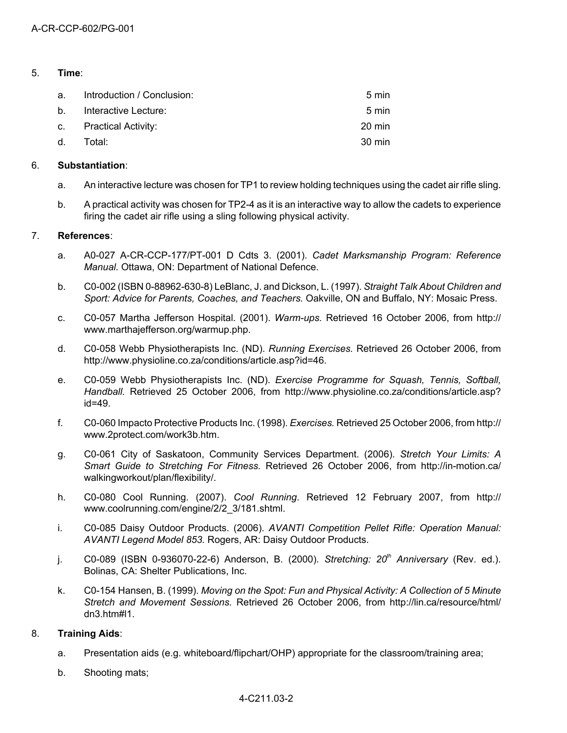### 5. **Time**:

| a. . | Introduction / Conclusion: | 5 min  |
|------|----------------------------|--------|
|      | b. Interactive Lecture:    | 5 min  |
|      | c. Practical Activity:     | 20 min |
|      | d. Total:                  | 30 min |

### 6. **Substantiation**:

- a. An interactive lecture was chosen for TP1 to review holding techniques using the cadet air rifle sling.
- b. A practical activity was chosen for TP2-4 as it is an interactive way to allow the cadets to experience firing the cadet air rifle using a sling following physical activity.

### 7. **References**:

- a. A0-027 A-CR-CCP-177/PT-001 D Cdts 3. (2001). *Cadet Marksmanship Program: Reference Manual.* Ottawa, ON: Department of National Defence.
- b. C0-002 (ISBN 0-88962-630-8) LeBlanc, J. and Dickson, L. (1997). *Straight Talk About Children and Sport: Advice for Parents, Coaches, and Teachers.* Oakville, ON and Buffalo, NY: Mosaic Press.
- c. C0-057 Martha Jefferson Hospital. (2001). *Warm-ups.* Retrieved 16 October 2006, from http:// www.marthajefferson.org/warmup.php.
- d. C0-058 Webb Physiotherapists Inc. (ND). *Running Exercises.* Retrieved 26 October 2006, from http://www.physioline.co.za/conditions/article.asp?id=46.
- e. C0-059 Webb Physiotherapists Inc. (ND). *Exercise Programme for Squash, Tennis, Softball, Handball.* Retrieved 25 October 2006, from http://www.physioline.co.za/conditions/article.asp? id=49.
- f. C0-060 Impacto Protective Products Inc. (1998). *Exercises.* Retrieved 25 October 2006, from http:// www.2protect.com/work3b.htm.
- g. C0-061 City of Saskatoon, Community Services Department. (2006). *Stretch Your Limits: A Smart Guide to Stretching For Fitness.* Retrieved 26 October 2006, from http://in-motion.ca/ walkingworkout/plan/flexibility/.
- h. C0-080 Cool Running. (2007). *Cool Running*. Retrieved 12 February 2007, from http:// www.coolrunning.com/engine/2/2\_3/181.shtml.
- i. C0-085 Daisy Outdoor Products. (2006). *AVANTI Competition Pellet Rifle: Operation Manual: AVANTI Legend Model 853.* Rogers, AR: Daisy Outdoor Products.
- j. C0-089 (ISBN 0-936070-22-6) Anderson, B. (2000). *Stretching: 20th Anniversary* (Rev. ed.). Bolinas, CA: Shelter Publications, Inc.
- k. C0-154 Hansen, B. (1999). *Moving on the Spot: Fun and Physical Activity: A Collection of 5 Minute Stretch and Movement Sessions.* Retrieved 26 October 2006, from http://lin.ca/resource/html/ dn3.htm#l1.

### 8. **Training Aids**:

- a. Presentation aids (e.g. whiteboard/flipchart/OHP) appropriate for the classroom/training area;
- b. Shooting mats;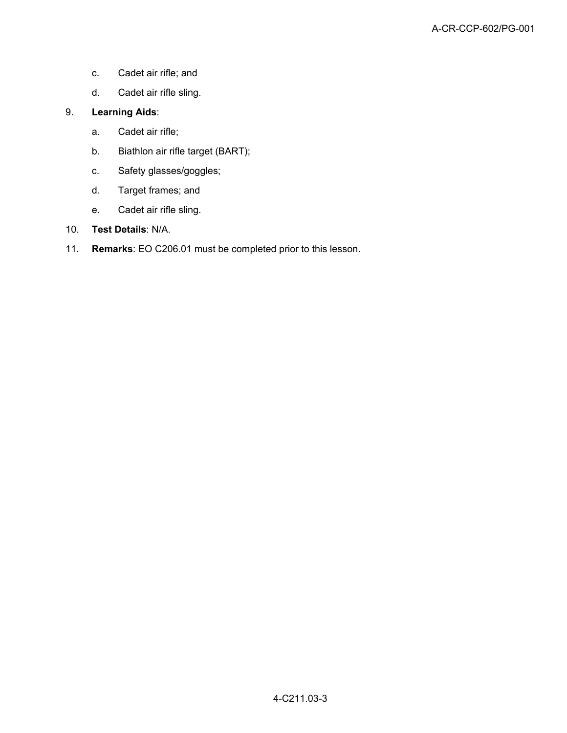- c. Cadet air rifle; and
- d. Cadet air rifle sling.

# 9. **Learning Aids**:

- a. Cadet air rifle;
- b. Biathlon air rifle target (BART);
- c. Safety glasses/goggles;
- d. Target frames; and
- e. Cadet air rifle sling.

# 10. **Test Details**: N/A.

11. **Remarks**: EO C206.01 must be completed prior to this lesson.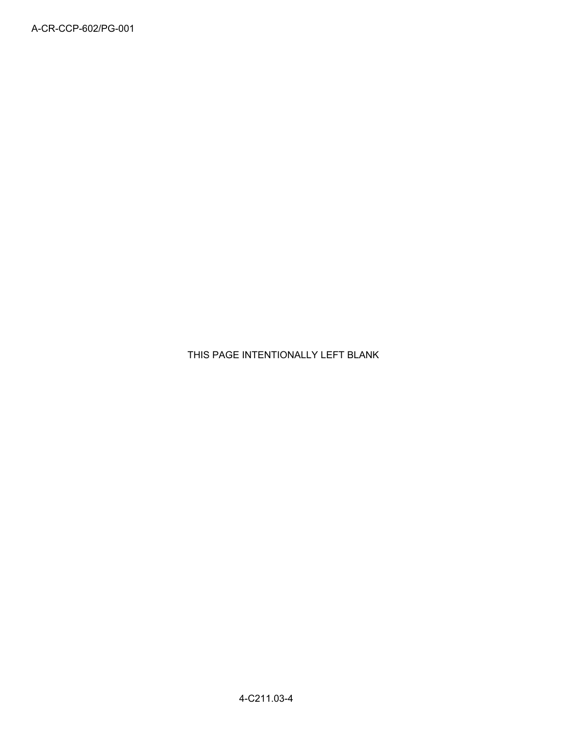THIS PAGE INTENTIONALLY LEFT BLANK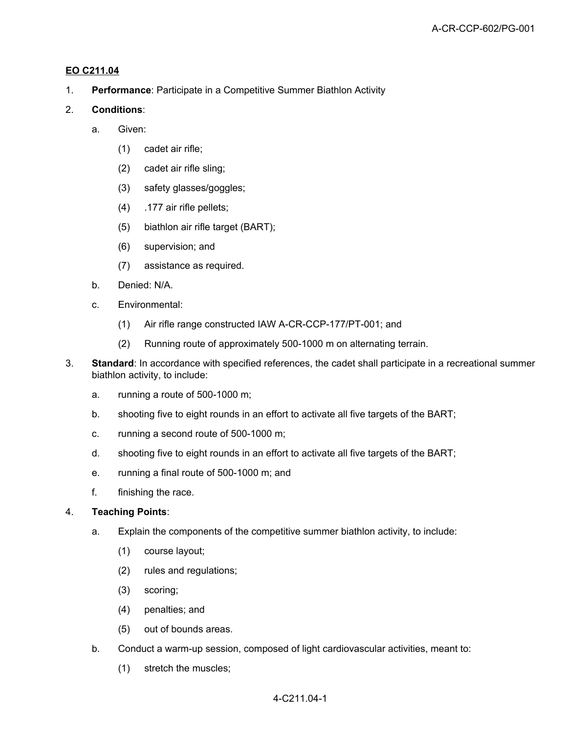# **EO C211.04**

1. **Performance**: Participate in a Competitive Summer Biathlon Activity

## 2. **Conditions**:

- a. Given:
	- (1) cadet air rifle;
	- (2) cadet air rifle sling;
	- (3) safety glasses/goggles;
	- (4) .177 air rifle pellets;
	- (5) biathlon air rifle target (BART);
	- (6) supervision; and
	- (7) assistance as required.
- b. Denied: N/A.
- c. Environmental:
	- (1) Air rifle range constructed IAW A-CR-CCP-177/PT-001; and
	- (2) Running route of approximately 500-1000 m on alternating terrain.
- 3. **Standard**: In accordance with specified references, the cadet shall participate in a recreational summer biathlon activity, to include:
	- a. running a route of 500-1000 m;
	- b. shooting five to eight rounds in an effort to activate all five targets of the BART;
	- c. running a second route of 500-1000 m;
	- d. shooting five to eight rounds in an effort to activate all five targets of the BART;
	- e. running a final route of 500-1000 m; and
	- f. finishing the race.

#### 4. **Teaching Points**:

- a. Explain the components of the competitive summer biathlon activity, to include:
	- (1) course layout;
	- (2) rules and regulations;
	- (3) scoring;
	- (4) penalties; and
	- (5) out of bounds areas.
- b. Conduct a warm-up session, composed of light cardiovascular activities, meant to:
	- (1) stretch the muscles;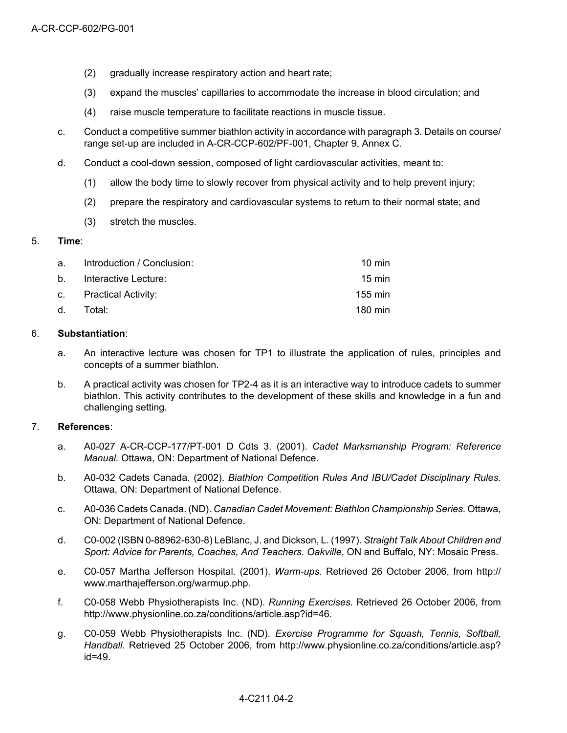- (2) gradually increase respiratory action and heart rate;
- (3) expand the muscles' capillaries to accommodate the increase in blood circulation; and
- (4) raise muscle temperature to facilitate reactions in muscle tissue.
- c. Conduct a competitive summer biathlon activity in accordance with paragraph 3. Details on course/ range set-up are included in A-CR-CCP-602/PF-001, Chapter 9, Annex C.
- d. Conduct a cool-down session, composed of light cardiovascular activities, meant to:
	- (1) allow the body time to slowly recover from physical activity and to help prevent injury;
	- (2) prepare the respiratory and cardiovascular systems to return to their normal state; and
	- (3) stretch the muscles.

#### 5. **Time**:

|      | a. Introduction / Conclusion: | $10 \text{ min}$ |
|------|-------------------------------|------------------|
|      | b. Interactive Lecture:       | $15 \text{ min}$ |
|      | c. Practical Activity:        | 155 min          |
| d. I | ⊟ Total:                      | 180 min          |

### 6. **Substantiation**:

- a. An interactive lecture was chosen for TP1 to illustrate the application of rules, principles and concepts of a summer biathlon.
- b. A practical activity was chosen for TP2-4 as it is an interactive way to introduce cadets to summer biathlon. This activity contributes to the development of these skills and knowledge in a fun and challenging setting.

# 7. **References**:

- a. A0-027 A-CR-CCP-177/PT-001 D Cdts 3. (2001). *Cadet Marksmanship Program: Reference Manual.* Ottawa, ON: Department of National Defence.
- b. A0-032 Cadets Canada. (2002). *Biathlon Competition Rules And IBU/Cadet Disciplinary Rules.* Ottawa, ON: Department of National Defence.
- c. A0-036 Cadets Canada. (ND). *Canadian Cadet Movement: Biathlon Championship Series.* Ottawa, ON: Department of National Defence.
- d. C0-002 (ISBN 0-88962-630-8) LeBlanc, J. and Dickson, L. (1997). *Straight Talk About Children and Sport: Advice for Parents, Coaches, And Teachers. Oakville*, ON and Buffalo, NY: Mosaic Press.
- e. C0-057 Martha Jefferson Hospital. (2001). *Warm-ups.* Retrieved 26 October 2006, from http:// www.marthajefferson.org/warmup.php.
- f. C0-058 Webb Physiotherapists Inc. (ND). *Running Exercises.* Retrieved 26 October 2006, from http://www.physionline.co.za/conditions/article.asp?id=46.
- g. C0-059 Webb Physiotherapists Inc. (ND). *Exercise Programme for Squash, Tennis, Softball, Handball.* Retrieved 25 October 2006, from http://www.physionline.co.za/conditions/article.asp? id=49.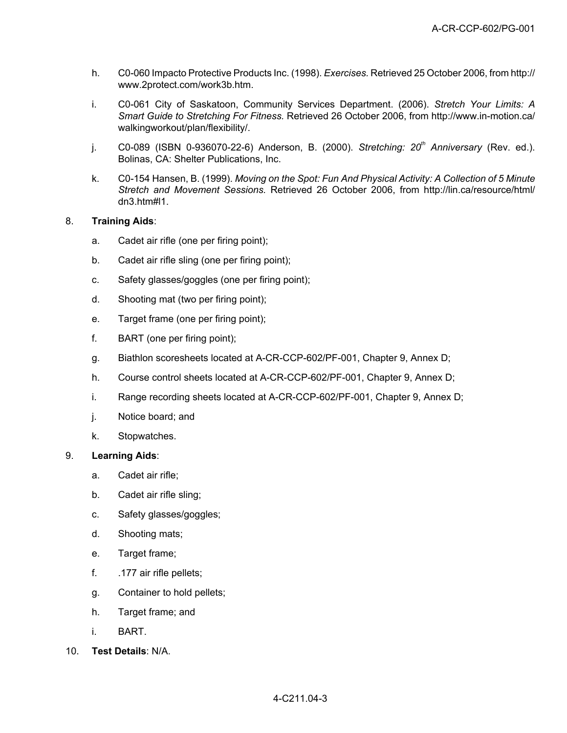- h. C0-060 Impacto Protective Products Inc. (1998). *Exercises.* Retrieved 25 October 2006, from http:// www.2protect.com/work3b.htm.
- i. C0-061 City of Saskatoon, Community Services Department. (2006). *Stretch Your Limits: A Smart Guide to Stretching For Fitness.* Retrieved 26 October 2006, from http://www.in-motion.ca/ walkingworkout/plan/flexibility/.
- j. C0-089 (ISBN 0-936070-22-6) Anderson, B. (2000). *Stretching: 20th Anniversary* (Rev. ed.). Bolinas, CA: Shelter Publications, Inc.
- k. C0-154 Hansen, B. (1999). *Moving on the Spot: Fun And Physical Activity: A Collection of 5 Minute Stretch and Movement Sessions.* Retrieved 26 October 2006, from http://lin.ca/resource/html/ dn3.htm#l1.

### 8. **Training Aids**:

- a. Cadet air rifle (one per firing point);
- b. Cadet air rifle sling (one per firing point);
- c. Safety glasses/goggles (one per firing point);
- d. Shooting mat (two per firing point);
- e. Target frame (one per firing point);
- f. BART (one per firing point);
- g. Biathlon scoresheets located at A-CR-CCP-602/PF-001, Chapter 9, Annex D;
- h. Course control sheets located at A-CR-CCP-602/PF-001, Chapter 9, Annex D;
- i. Range recording sheets located at A-CR-CCP-602/PF-001, Chapter 9, Annex D;
- j. Notice board; and
- k. Stopwatches.

### 9. **Learning Aids**:

- a. Cadet air rifle;
- b. Cadet air rifle sling;
- c. Safety glasses/goggles;
- d. Shooting mats;
- e. Target frame;
- f. .177 air rifle pellets;
- g. Container to hold pellets;
- h. Target frame; and
- i. BART.
- 10. **Test Details**: N/A.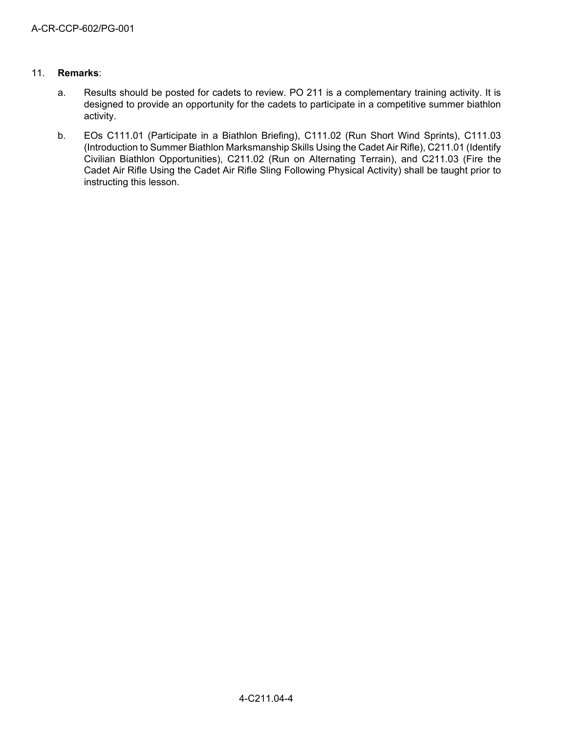# 11. **Remarks**:

- a. Results should be posted for cadets to review. PO 211 is a complementary training activity. It is designed to provide an opportunity for the cadets to participate in a competitive summer biathlon activity.
- b. EOs C111.01 (Participate in a Biathlon Briefing), C111.02 (Run Short Wind Sprints), C111.03 (Introduction to Summer Biathlon Marksmanship Skills Using the Cadet Air Rifle), C211.01 (Identify Civilian Biathlon Opportunities), C211.02 (Run on Alternating Terrain), and C211.03 (Fire the Cadet Air Rifle Using the Cadet Air Rifle Sling Following Physical Activity) shall be taught prior to instructing this lesson.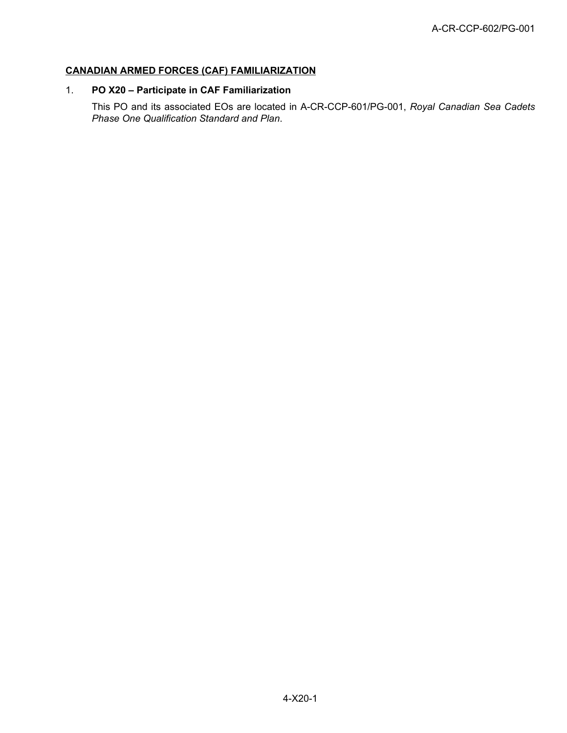### **CANADIAN ARMED FORCES (CAF) FAMILIARIZATION**

#### 1. **PO X20 – Participate in CAF Familiarization**

This PO and its associated EOs are located in A-CR-CCP-601/PG-001, *Royal Canadian Sea Cadets Phase One Qualification Standard and Plan*.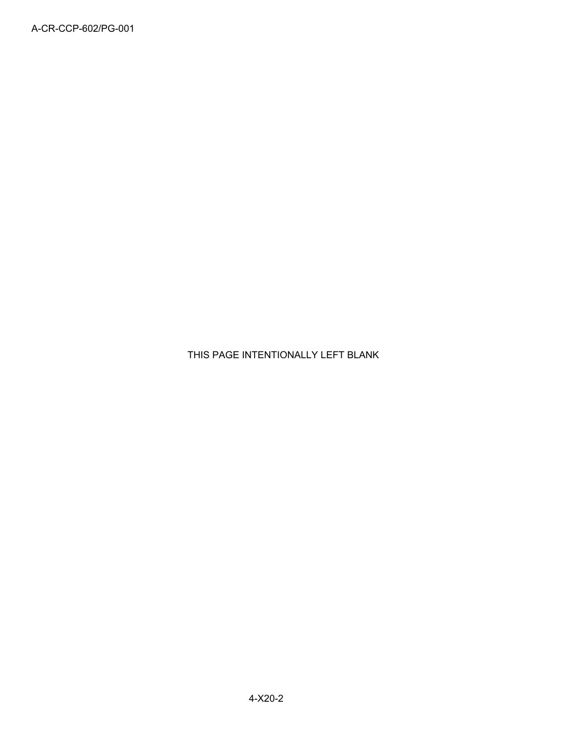THIS PAGE INTENTIONALLY LEFT BLANK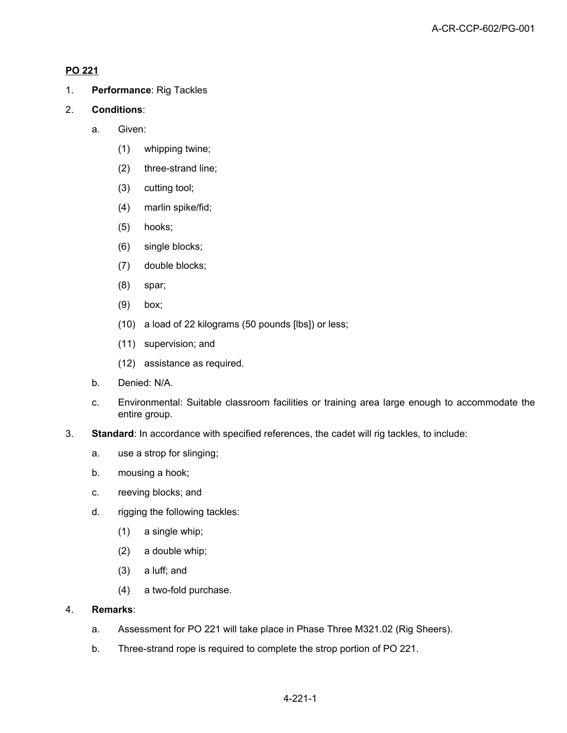## **PO 221**

- 1. **Performance**: Rig Tackles
- 2. **Conditions**:
	- a. Given:
		- (1) whipping twine;
		- (2) three-strand line;
		- (3) cutting tool;
		- (4) marlin spike/fid;
		- (5) hooks;
		- (6) single blocks;
		- (7) double blocks;
		- (8) spar;
		- (9) box;
		- (10) a load of 22 kilograms (50 pounds [lbs]) or less;
		- (11) supervision; and
		- (12) assistance as required.
	- b. Denied: N/A.
	- c. Environmental: Suitable classroom facilities or training area large enough to accommodate the entire group.
- 3. **Standard**: In accordance with specified references, the cadet will rig tackles, to include:
	- a. use a strop for slinging;
	- b. mousing a hook;
	- c. reeving blocks; and
	- d. rigging the following tackles:
		- (1) a single whip;
		- (2) a double whip;
		- (3) a luff; and
		- (4) a two-fold purchase.

# 4. **Remarks**:

- a. Assessment for PO 221 will take place in Phase Three M321.02 (Rig Sheers).
- b. Three-strand rope is required to complete the strop portion of PO 221.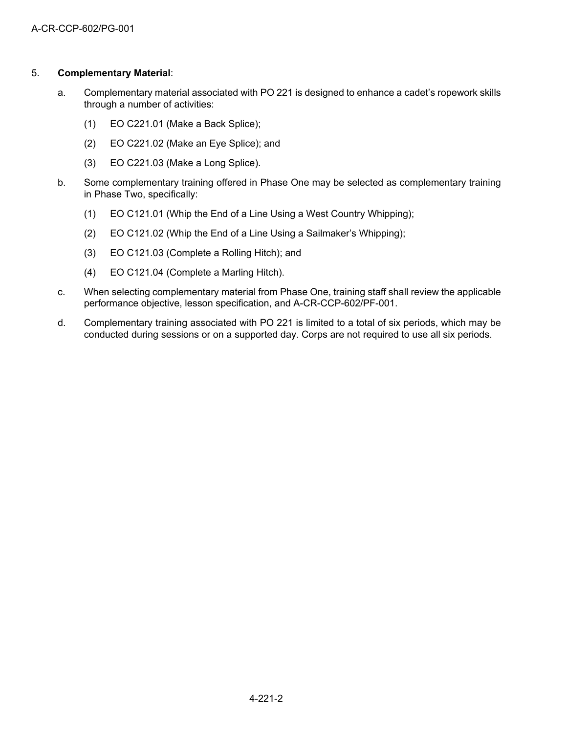# 5. **Complementary Material**:

- a. Complementary material associated with PO 221 is designed to enhance a cadet's ropework skills through a number of activities:
	- (1) EO C221.01 (Make a Back Splice);
	- (2) EO C221.02 (Make an Eye Splice); and
	- (3) EO C221.03 (Make a Long Splice).
- b. Some complementary training offered in Phase One may be selected as complementary training in Phase Two, specifically:
	- (1) EO C121.01 (Whip the End of a Line Using a West Country Whipping);
	- (2) EO C121.02 (Whip the End of a Line Using a Sailmaker's Whipping);
	- (3) EO C121.03 (Complete a Rolling Hitch); and
	- (4) EO C121.04 (Complete a Marling Hitch).
- c. When selecting complementary material from Phase One, training staff shall review the applicable performance objective, lesson specification, and A-CR-CCP-602/PF-001.
- d. Complementary training associated with PO 221 is limited to a total of six periods, which may be conducted during sessions or on a supported day. Corps are not required to use all six periods.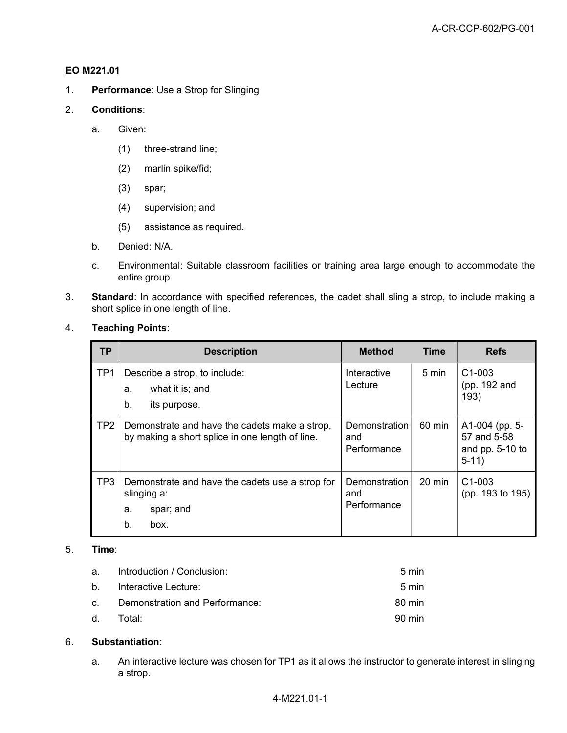# **EO M221.01**

1. **Performance**: Use a Strop for Slinging

## 2. **Conditions**:

- a. Given:
	- (1) three-strand line;
	- (2) marlin spike/fid;
	- (3) spar;
	- (4) supervision; and
	- (5) assistance as required.
- b. Denied: N/A.
- c. Environmental: Suitable classroom facilities or training area large enough to accommodate the entire group.
- 3. **Standard**: In accordance with specified references, the cadet shall sling a strop, to include making a short splice in one length of line.

# 4. **Teaching Points**:

| ΤP              | <b>Description</b>                                                                               | <b>Method</b>                       | <b>Time</b> | <b>Refs</b>                                                   |
|-----------------|--------------------------------------------------------------------------------------------------|-------------------------------------|-------------|---------------------------------------------------------------|
| TP <sub>1</sub> | Describe a strop, to include:<br>what it is; and<br>a.<br>b.<br>its purpose.                     | Interactive<br>Lecture              | 5 min       | C <sub>1</sub> -003<br>(pp. 192 and<br>193)                   |
| TP <sub>2</sub> | Demonstrate and have the cadets make a strop,<br>by making a short splice in one length of line. | Demonstration<br>and<br>Performance | 60 min      | A1-004 (pp. 5-<br>57 and 5-58<br>and $pp. 5-10$ to<br>$5-11)$ |
| TP3             | Demonstrate and have the cadets use a strop for<br>slinging a:<br>spar; and<br>a.<br>b.<br>box.  | Demonstration<br>and<br>Performance | 20 min      | C <sub>1</sub> -003<br>(pp. 193 to 195)                       |

## 5. **Time**:

| a. Introduction / Conclusion:     | 5 min  |
|-----------------------------------|--------|
| b. Interactive Lecture:           | 5 min  |
| c. Demonstration and Performance: | 80 min |
| d. Total:                         | 90 min |

### 6. **Substantiation**:

a. An interactive lecture was chosen for TP1 as it allows the instructor to generate interest in slinging a strop.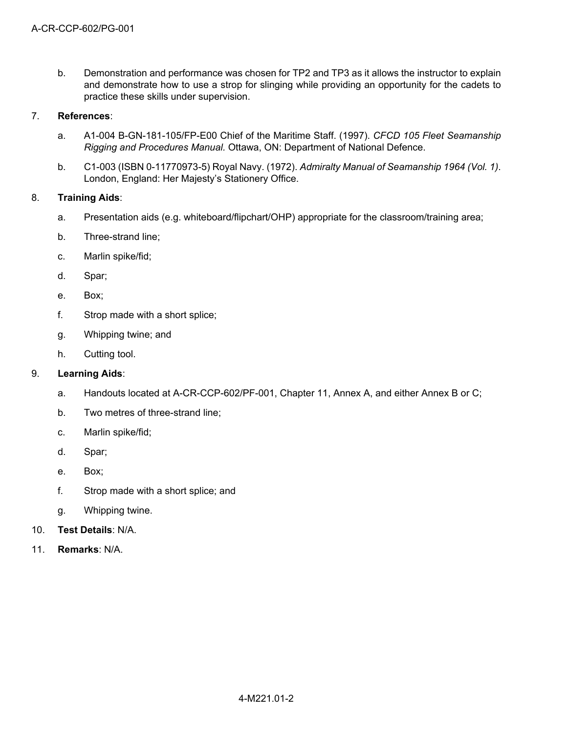b. Demonstration and performance was chosen for TP2 and TP3 as it allows the instructor to explain and demonstrate how to use a strop for slinging while providing an opportunity for the cadets to practice these skills under supervision.

# 7. **References**:

- a. A1-004 B-GN-181-105/FP-E00 Chief of the Maritime Staff. (1997). *CFCD 105 Fleet Seamanship Rigging and Procedures Manual.* Ottawa, ON: Department of National Defence.
- b. C1-003 (ISBN 0-11770973-5) Royal Navy. (1972). *Admiralty Manual of Seamanship 1964 (Vol. 1)*. London, England: Her Majesty's Stationery Office.

# 8. **Training Aids**:

- a. Presentation aids (e.g. whiteboard/flipchart/OHP) appropriate for the classroom/training area;
- b. Three-strand line;
- c. Marlin spike/fid;
- d. Spar;
- e. Box;
- f. Strop made with a short splice;
- g. Whipping twine; and
- h. Cutting tool.

# 9. **Learning Aids**:

- a. Handouts located at A-CR-CCP-602/PF-001, Chapter 11, Annex A, and either Annex B or C;
- b. Two metres of three-strand line;
- c. Marlin spike/fid;
- d. Spar;
- e. Box;
- f. Strop made with a short splice; and
- g. Whipping twine.
- 10. **Test Details**: N/A.
- 11. **Remarks**: N/A.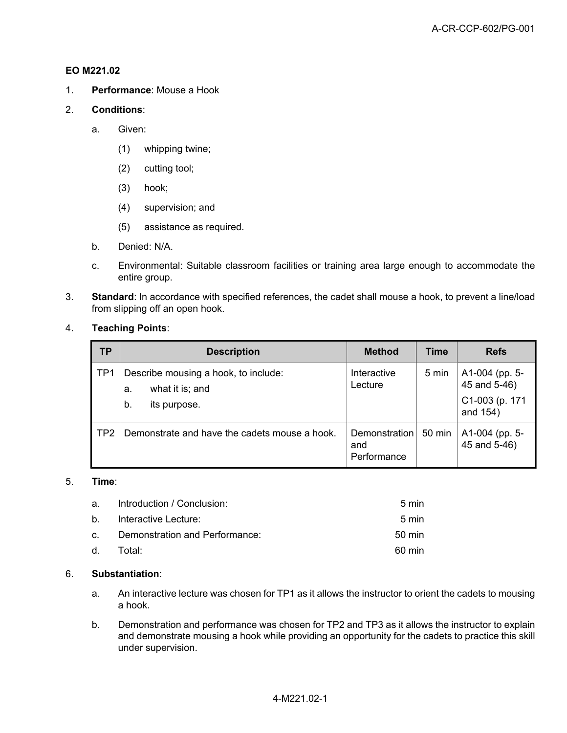### **EO M221.02**

1. **Performance**: Mouse a Hook

### 2. **Conditions**:

- a. Given:
	- (1) whipping twine;
	- (2) cutting tool;
	- (3) hook;
	- (4) supervision; and
	- (5) assistance as required.
- b. Denied: N/A.
- c. Environmental: Suitable classroom facilities or training area large enough to accommodate the entire group.
- 3. **Standard**: In accordance with specified references, the cadet shall mouse a hook, to prevent a line/load from slipping off an open hook.

#### 4. **Teaching Points**:

| TP              | <b>Description</b>                                                                  | <b>Method</b>                       | Time   | <b>Refs</b>                                                  |
|-----------------|-------------------------------------------------------------------------------------|-------------------------------------|--------|--------------------------------------------------------------|
| TP <sub>1</sub> | Describe mousing a hook, to include:<br>what it is; and<br>a.<br>b.<br>its purpose. | Interactive<br>Lecture              | 5 min  | A1-004 (pp. 5-<br>45 and 5-46)<br>C1-003 (p. 171<br>and 154) |
| TP2             | Demonstrate and have the cadets mouse a hook.                                       | Demonstration<br>and<br>Performance | 50 min | A1-004 (pp. 5-<br>45 and 5-46)                               |

#### 5. **Time**:

|                | a. Introduction / Conclusion:  | 5 min  |
|----------------|--------------------------------|--------|
|                | b. Interactive Lecture:        | 5 min  |
| C <sub>1</sub> | Demonstration and Performance: | 50 min |
| d.             | ⊟ Total:                       | 60 min |

#### 6. **Substantiation**:

- a. An interactive lecture was chosen for TP1 as it allows the instructor to orient the cadets to mousing a hook.
- b. Demonstration and performance was chosen for TP2 and TP3 as it allows the instructor to explain and demonstrate mousing a hook while providing an opportunity for the cadets to practice this skill under supervision.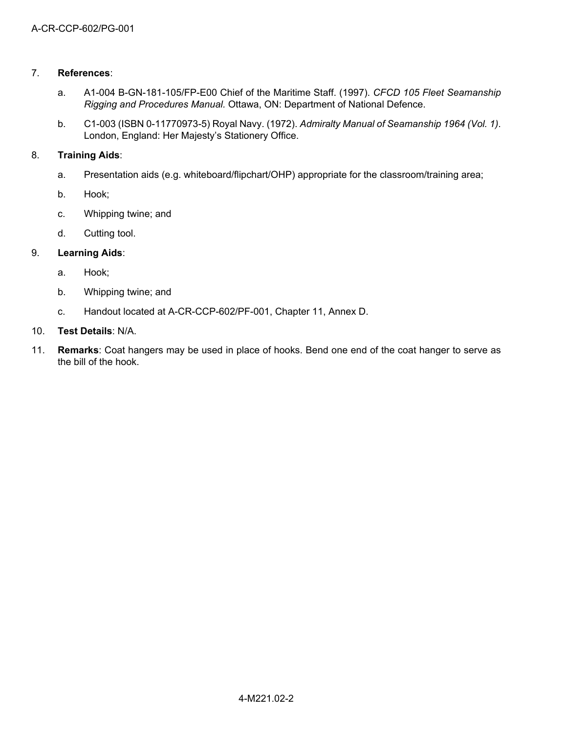# 7. **References**:

- a. A1-004 B-GN-181-105/FP-E00 Chief of the Maritime Staff. (1997). *CFCD 105 Fleet Seamanship Rigging and Procedures Manual.* Ottawa, ON: Department of National Defence.
- b. C1-003 (ISBN 0-11770973-5) Royal Navy. (1972). *Admiralty Manual of Seamanship 1964 (Vol. 1)*. London, England: Her Majesty's Stationery Office.

# 8. **Training Aids**:

- a. Presentation aids (e.g. whiteboard/flipchart/OHP) appropriate for the classroom/training area;
- b. Hook;
- c. Whipping twine; and
- d. Cutting tool.

# 9. **Learning Aids**:

- a. Hook;
- b. Whipping twine; and
- c. Handout located at A-CR-CCP-602/PF-001, Chapter 11, Annex D.

### 10. **Test Details**: N/A.

11. **Remarks**: Coat hangers may be used in place of hooks. Bend one end of the coat hanger to serve as the bill of the hook.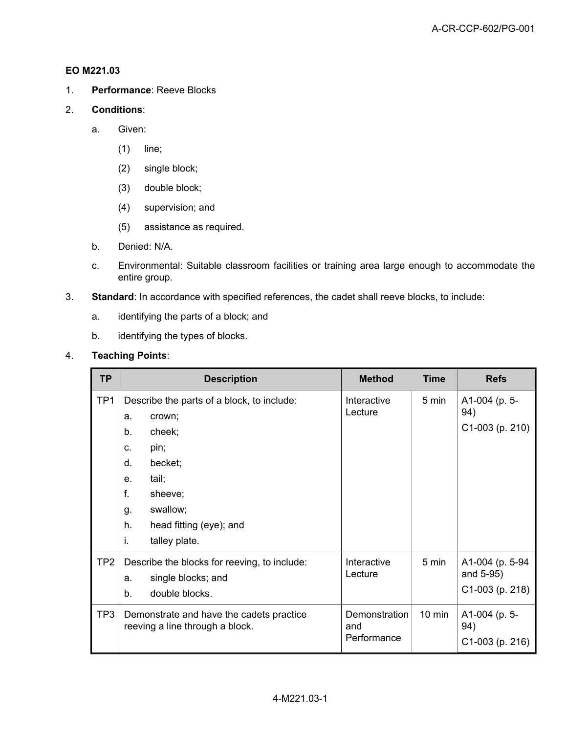# **EO M221.03**

- 1. **Performance**: Reeve Blocks
- 2. **Conditions**:
	- a. Given:
		- (1) line;
		- (2) single block;
		- (3) double block;
		- (4) supervision; and
		- (5) assistance as required.
	- b. Denied: N/A.
	- c. Environmental: Suitable classroom facilities or training area large enough to accommodate the entire group.
- 3. **Standard**: In accordance with specified references, the cadet shall reeve blocks, to include:
	- a. identifying the parts of a block; and
	- b. identifying the types of blocks.

# 4. **Teaching Points**:

| <b>TP</b>       | <b>Description</b>                                                                                                                                                                           | <b>Method</b>                       | <b>Time</b>      | <b>Refs</b>                                        |
|-----------------|----------------------------------------------------------------------------------------------------------------------------------------------------------------------------------------------|-------------------------------------|------------------|----------------------------------------------------|
| TP <sub>1</sub> | Describe the parts of a block, to include:<br>a.<br>crown;<br>b.<br>cheek;<br>C.<br>pin;<br>d.<br>becket;<br>tail;<br>e.<br>f.<br>sheeve;<br>swallow;<br>g.<br>h.<br>head fitting (eye); and | Interactive<br>Lecture              | 5 min            | A1-004 (p. 5-<br>94)<br>C1-003 (p. 210)            |
| TP <sub>2</sub> | i.<br>talley plate.<br>Describe the blocks for reeving, to include:<br>single blocks; and<br>a.<br>double blocks.<br>b <sub>1</sub>                                                          | Interactive<br>Lecture              | 5 min            | A1-004 (p. 5-94)<br>and 5-95)<br>$C1-003$ (p. 218) |
| TP3             | Demonstrate and have the cadets practice<br>reeving a line through a block.                                                                                                                  | Demonstration<br>and<br>Performance | $10 \text{ min}$ | A1-004 (p. 5-<br>94)<br>$C1-003$ (p. 216)          |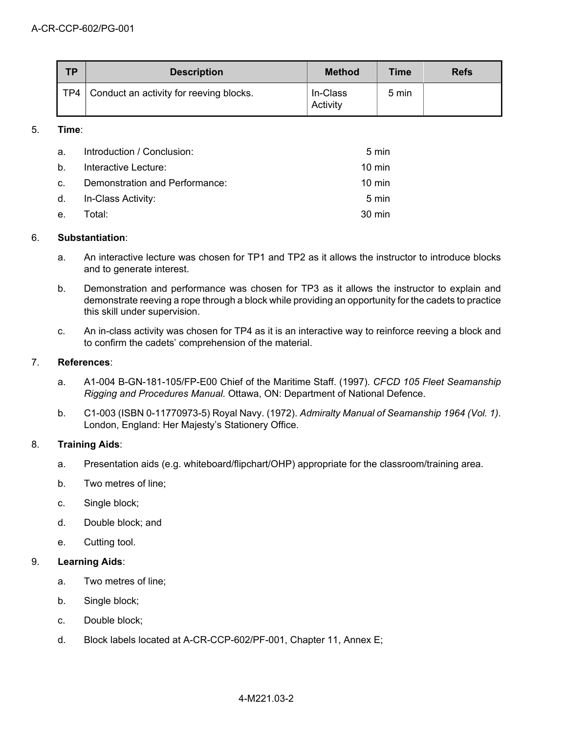| ΤP  | <b>Description</b>                      | <b>Method</b>        | <b>Time</b> | <b>Refs</b> |
|-----|-----------------------------------------|----------------------|-------------|-------------|
| TP4 | Conduct an activity for reeving blocks. | In-Class<br>Activity | 5 min       |             |

## 5. **Time**:

| $a_{\cdot}$    | Introduction / Conclusion:     | 5 min            |
|----------------|--------------------------------|------------------|
| $b_{\rm m}$    | Interactive Lecture:           | $10 \text{ min}$ |
| C <sub>1</sub> | Demonstration and Performance: | $10 \text{ min}$ |
|                | d. In-Class Activity:          | 5 min            |
| $e_{1}$        | Total:                         | 30 min           |

# 6. **Substantiation**:

- a. An interactive lecture was chosen for TP1 and TP2 as it allows the instructor to introduce blocks and to generate interest.
- b. Demonstration and performance was chosen for TP3 as it allows the instructor to explain and demonstrate reeving a rope through a block while providing an opportunity for the cadets to practice this skill under supervision.
- c. An in-class activity was chosen for TP4 as it is an interactive way to reinforce reeving a block and to confirm the cadets' comprehension of the material.

## 7. **References**:

- a. A1-004 B-GN-181-105/FP-E00 Chief of the Maritime Staff. (1997). *CFCD 105 Fleet Seamanship Rigging and Procedures Manual.* Ottawa, ON: Department of National Defence.
- b. C1-003 (ISBN 0-11770973-5) Royal Navy. (1972). *Admiralty Manual of Seamanship 1964 (Vol. 1)*. London, England: Her Majesty's Stationery Office.

# 8. **Training Aids**:

- a. Presentation aids (e.g. whiteboard/flipchart/OHP) appropriate for the classroom/training area.
- b. Two metres of line;
- c. Single block;
- d. Double block; and
- e. Cutting tool.

## 9. **Learning Aids**:

- a. Two metres of line;
- b. Single block;
- c. Double block;
- d. Block labels located at A-CR-CCP-602/PF-001, Chapter 11, Annex E;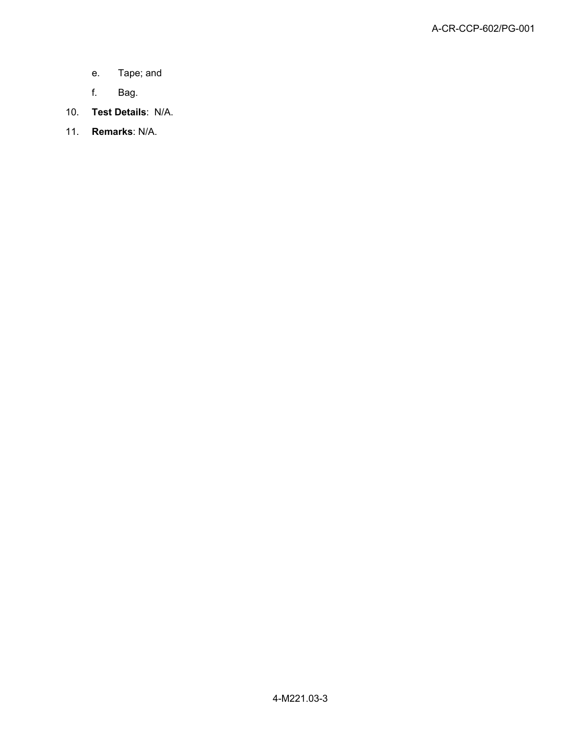- e. Tape; and
- f. Bag.
- 10. **Test Details**: N/A.
- 11. **Remarks**: N/A.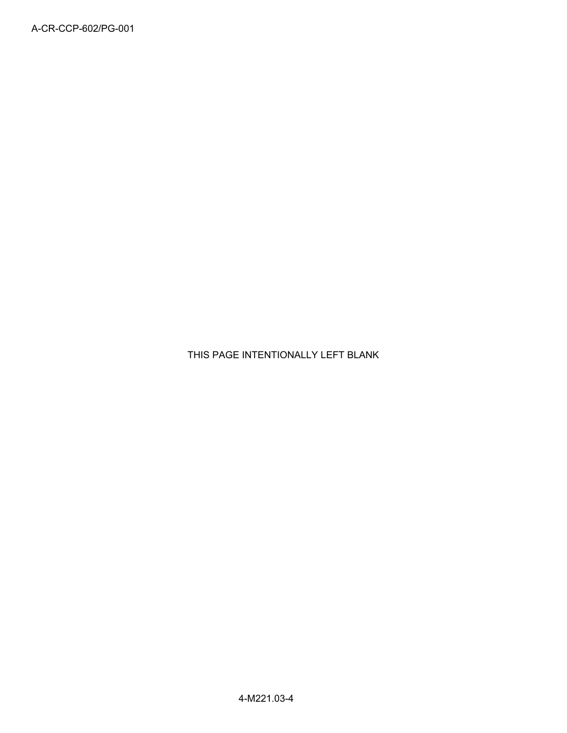THIS PAGE INTENTIONALLY LEFT BLANK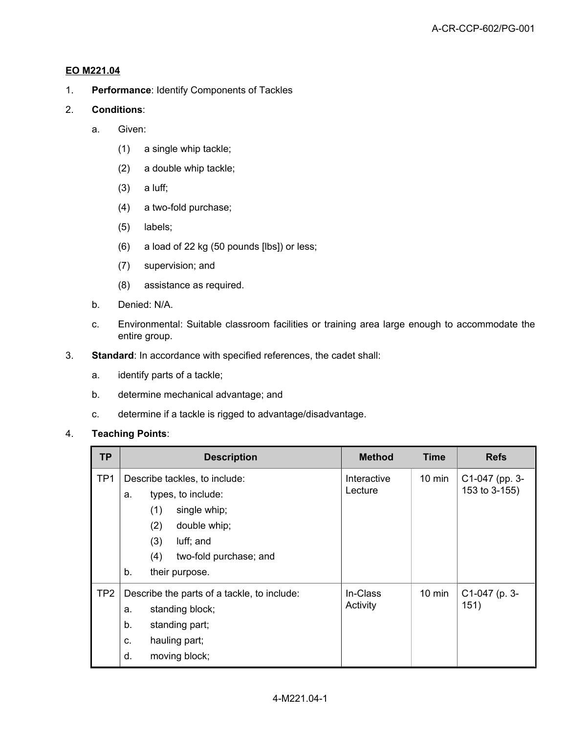## **EO M221.04**

1. **Performance**: Identify Components of Tackles

# 2. **Conditions**:

- a. Given:
	- (1) a single whip tackle;
	- (2) a double whip tackle;
	- (3) a luff;
	- (4) a two-fold purchase;
	- (5) labels;
	- (6) a load of 22 kg (50 pounds [lbs]) or less;
	- (7) supervision; and
	- (8) assistance as required.
- b. Denied: N/A.
- c. Environmental: Suitable classroom facilities or training area large enough to accommodate the entire group.
- 3. **Standard**: In accordance with specified references, the cadet shall:
	- a. identify parts of a tackle;
	- b. determine mechanical advantage; and
	- c. determine if a tackle is rigged to advantage/disadvantage.

### 4. **Teaching Points**:

| <b>TP</b>       | <b>Description</b>                                                                                                                                                                   | <b>Method</b>          | <b>Time</b>      | <b>Refs</b>                       |
|-----------------|--------------------------------------------------------------------------------------------------------------------------------------------------------------------------------------|------------------------|------------------|-----------------------------------|
| TP <sub>1</sub> | Describe tackles, to include:<br>types, to include:<br>a.<br>(1)<br>single whip;<br>(2)<br>double whip;<br>(3)<br>luff; and<br>(4)<br>two-fold purchase; and<br>b.<br>their purpose. | Interactive<br>Lecture | $10 \text{ min}$ | $C1-047$ (pp. 3-<br>153 to 3-155) |
| TP <sub>2</sub> | Describe the parts of a tackle, to include:<br>standing block;<br>a.<br>b.<br>standing part;<br>hauling part;<br>C.<br>d.<br>moving block;                                           | In-Class<br>Activity   | $10 \text{ min}$ | $C1-047$ (p. 3-<br>151)           |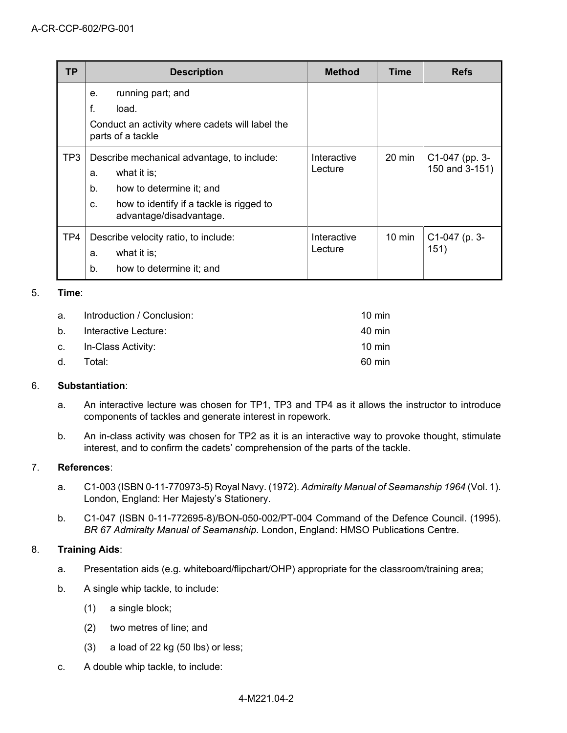| <b>TP</b>       | <b>Description</b>                                                                                                                                                                                  | <b>Method</b>          | Time             | <b>Refs</b>                      |
|-----------------|-----------------------------------------------------------------------------------------------------------------------------------------------------------------------------------------------------|------------------------|------------------|----------------------------------|
|                 | running part; and<br>е.<br>f.<br>load.<br>Conduct an activity where cadets will label the<br>parts of a tackle                                                                                      |                        |                  |                                  |
| TP <sub>3</sub> | Describe mechanical advantage, to include:<br>what it is;<br>a.<br>b <sub>1</sub><br>how to determine it; and<br>how to identify if a tackle is rigged to<br>$C_{\cdot}$<br>advantage/disadvantage. | Interactive<br>Lecture | 20 min           | C1-047 (pp. 3-<br>150 and 3-151) |
| TP4             | Describe velocity ratio, to include:<br>what it is;<br>a.<br>$b$ .<br>how to determine it; and                                                                                                      | Interactive<br>Lecture | $10 \text{ min}$ | $C1-047$ (p. 3-<br>151)          |

# 5. **Time**:

| а. | Introduction / Conclusion: | 10 min |
|----|----------------------------|--------|
|    | b. Interactive Lecture:    | 40 min |
|    | c. In-Class Activity:      | 10 min |
|    | d. Total:                  | 60 min |

### 6. **Substantiation**:

- a. An interactive lecture was chosen for TP1, TP3 and TP4 as it allows the instructor to introduce components of tackles and generate interest in ropework.
- b. An in-class activity was chosen for TP2 as it is an interactive way to provoke thought, stimulate interest, and to confirm the cadets' comprehension of the parts of the tackle.

### 7. **References**:

- a. C1-003 (ISBN 0-11-770973-5) Royal Navy. (1972). *Admiralty Manual of Seamanship 1964* (Vol. 1). London, England: Her Majesty's Stationery.
- b. C1-047 (ISBN 0-11-772695-8)/BON-050-002/PT-004 Command of the Defence Council. (1995). *BR 67 Admiralty Manual of Seamanship*. London, England: HMSO Publications Centre.

## 8. **Training Aids**:

- a. Presentation aids (e.g. whiteboard/flipchart/OHP) appropriate for the classroom/training area;
- b. A single whip tackle, to include:
	- (1) a single block;
	- (2) two metres of line; and
	- (3) a load of 22 kg (50 lbs) or less;
- c. A double whip tackle, to include: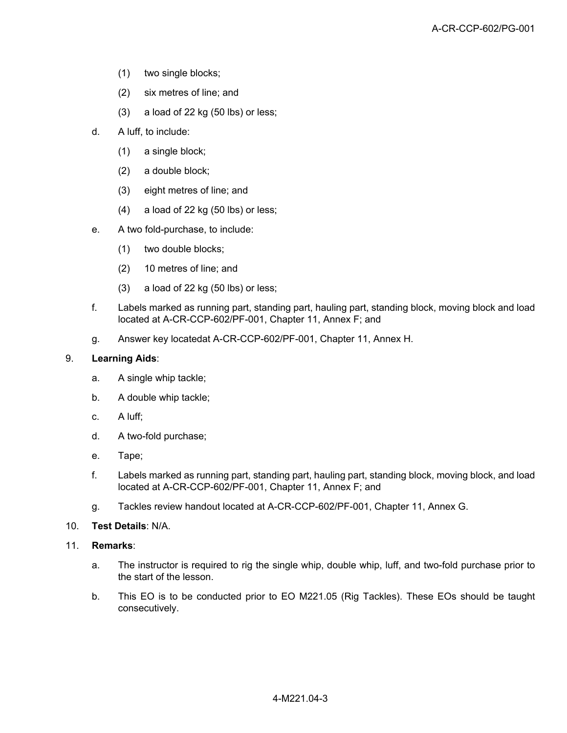- (1) two single blocks;
- (2) six metres of line; and
- (3) a load of 22 kg (50 lbs) or less;
- d. A luff, to include:
	- (1) a single block;
	- (2) a double block;
	- (3) eight metres of line; and
	- (4) a load of 22 kg (50 lbs) or less;
- e. A two fold-purchase, to include:
	- (1) two double blocks;
	- (2) 10 metres of line; and
	- (3) a load of 22 kg (50 lbs) or less;
- f. Labels marked as running part, standing part, hauling part, standing block, moving block and load located at A-CR-CCP-602/PF-001, Chapter 11, Annex F; and
- g. Answer key locatedat A-CR-CCP-602/PF-001, Chapter 11, Annex H.

#### 9. **Learning Aids**:

- a. A single whip tackle;
- b. A double whip tackle;
- c. A luff;
- d. A two-fold purchase;
- e. Tape;
- f. Labels marked as running part, standing part, hauling part, standing block, moving block, and load located at A-CR-CCP-602/PF-001, Chapter 11, Annex F; and
- g. Tackles review handout located at A-CR-CCP-602/PF-001, Chapter 11, Annex G.

### 10. **Test Details**: N/A.

# 11. **Remarks**:

- a. The instructor is required to rig the single whip, double whip, luff, and two-fold purchase prior to the start of the lesson.
- b. This EO is to be conducted prior to EO M221.05 (Rig Tackles). These EOs should be taught consecutively.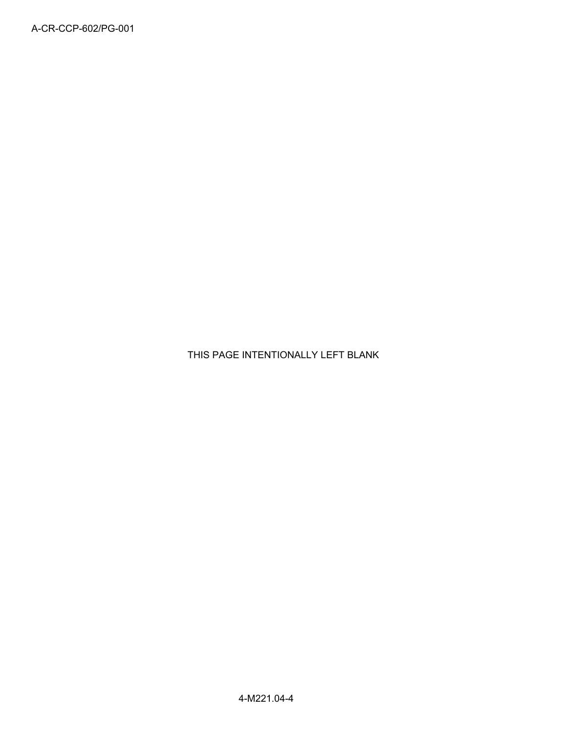THIS PAGE INTENTIONALLY LEFT BLANK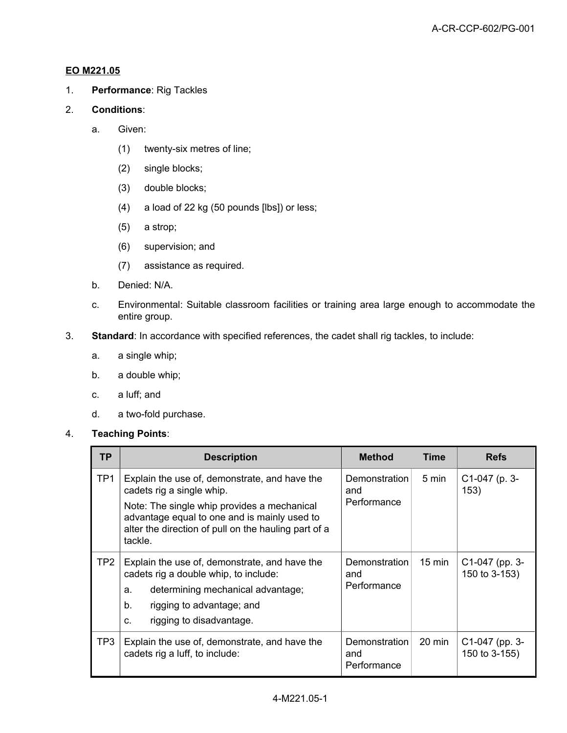# **EO M221.05**

- 1. **Performance**: Rig Tackles
- 2. **Conditions**:
	- a. Given:
		- (1) twenty-six metres of line;
		- (2) single blocks;
		- (3) double blocks;
		- (4) a load of 22 kg (50 pounds [lbs]) or less;
		- (5) a strop;
		- (6) supervision; and
		- (7) assistance as required.
	- b. Denied: N/A.
	- c. Environmental: Suitable classroom facilities or training area large enough to accommodate the entire group.
- 3. **Standard**: In accordance with specified references, the cadet shall rig tackles, to include:
	- a. a single whip;
	- b. a double whip;
	- c. a luff; and
	- d. a two-fold purchase.
- 4. **Teaching Points**:

| ΤP              | <b>Description</b>                                                                                                                                                                                                                           | <b>Method</b>                       | Time             | <b>Refs</b>                       |
|-----------------|----------------------------------------------------------------------------------------------------------------------------------------------------------------------------------------------------------------------------------------------|-------------------------------------|------------------|-----------------------------------|
| TP <sub>1</sub> | Explain the use of, demonstrate, and have the<br>cadets rig a single whip.<br>Note: The single whip provides a mechanical<br>advantage equal to one and is mainly used to<br>alter the direction of pull on the hauling part of a<br>tackle. | Demonstration<br>and<br>Performance | 5 min            | $C1-047$ (p. 3-<br>153)           |
| TP2             | Explain the use of, demonstrate, and have the<br>cadets rig a double whip, to include:<br>determining mechanical advantage;<br>a.<br>b.<br>rigging to advantage; and<br>rigging to disadvantage.<br>C.                                       | Demonstration<br>and<br>Performance | $15 \text{ min}$ | $C1-047$ (pp. 3-<br>150 to 3-153) |
| TP3             | Explain the use of, demonstrate, and have the<br>cadets rig a luff, to include:                                                                                                                                                              | Demonstration<br>and<br>Performance | $20 \text{ min}$ | C1-047 (pp. 3-<br>150 to 3-155)   |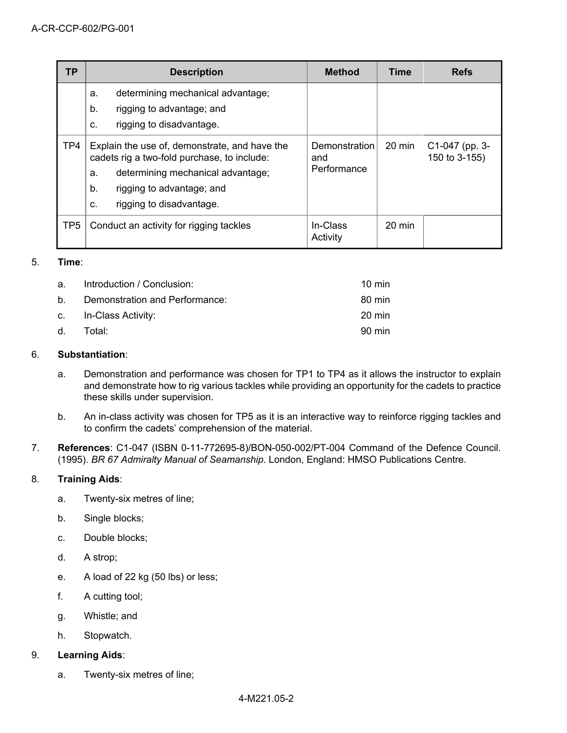| <b>TP</b>       | <b>Description</b>                                                                                                                                                                                           | <b>Method</b>                       | <b>Time</b>      | <b>Refs</b>                       |
|-----------------|--------------------------------------------------------------------------------------------------------------------------------------------------------------------------------------------------------------|-------------------------------------|------------------|-----------------------------------|
|                 | determining mechanical advantage;<br>а.<br>rigging to advantage; and<br>b.<br>rigging to disadvantage.<br>C.                                                                                                 |                                     |                  |                                   |
| TP4             | Explain the use of, demonstrate, and have the<br>cadets rig a two-fold purchase, to include:<br>determining mechanical advantage;<br>a.<br>b.<br>rigging to advantage; and<br>rigging to disadvantage.<br>C. | Demonstration<br>and<br>Performance | $20 \text{ min}$ | $C1-047$ (pp. 3-<br>150 to 3-155) |
| TP <sub>5</sub> | Conduct an activity for rigging tackles                                                                                                                                                                      | In-Class<br>Activity                | $20 \text{ min}$ |                                   |

# 5. **Time**:

|    | a. Introduction / Conclusion:     | $10 \text{ min}$ |
|----|-----------------------------------|------------------|
|    | b. Demonstration and Performance: | 80 min           |
|    | c. In-Class Activity:             | 20 min           |
| d. | ⊟Total: ⊺                         | 90 min           |

# 6. **Substantiation**:

- a. Demonstration and performance was chosen for TP1 to TP4 as it allows the instructor to explain and demonstrate how to rig various tackles while providing an opportunity for the cadets to practice these skills under supervision.
- b. An in-class activity was chosen for TP5 as it is an interactive way to reinforce rigging tackles and to confirm the cadets' comprehension of the material.
- 7. **References**: C1-047 (ISBN 0-11-772695-8)/BON-050-002/PT-004 Command of the Defence Council. (1995). *BR 67 Admiralty Manual of Seamanship*. London, England: HMSO Publications Centre.

# 8. **Training Aids**:

- a. Twenty-six metres of line;
- b. Single blocks;
- c. Double blocks;
- d. A strop;
- e. A load of 22 kg (50 lbs) or less;
- f. A cutting tool;
- g. Whistle; and
- h. Stopwatch.

### 9. **Learning Aids**:

a. Twenty-six metres of line;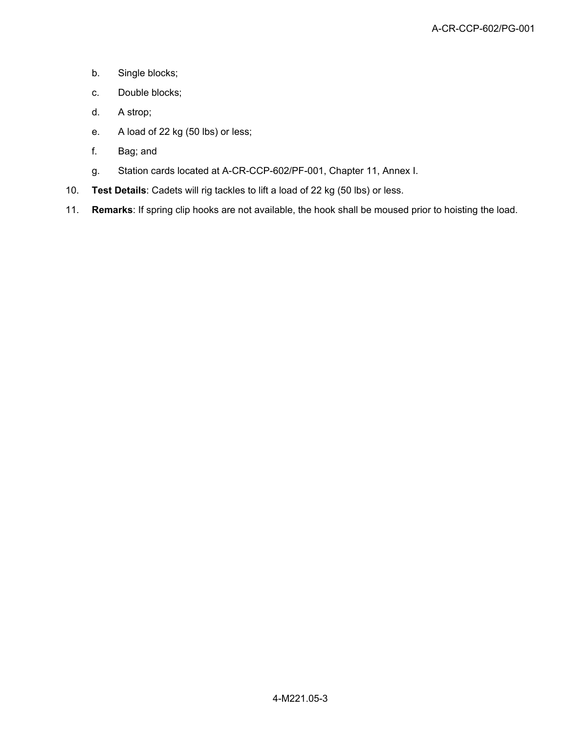- b. Single blocks;
- c. Double blocks;
- d. A strop;
- e. A load of 22 kg (50 lbs) or less;
- f. Bag; and
- g. Station cards located at A-CR-CCP-602/PF-001, Chapter 11, Annex I.
- 10. **Test Details**: Cadets will rig tackles to lift a load of 22 kg (50 lbs) or less.
- 11. **Remarks**: If spring clip hooks are not available, the hook shall be moused prior to hoisting the load.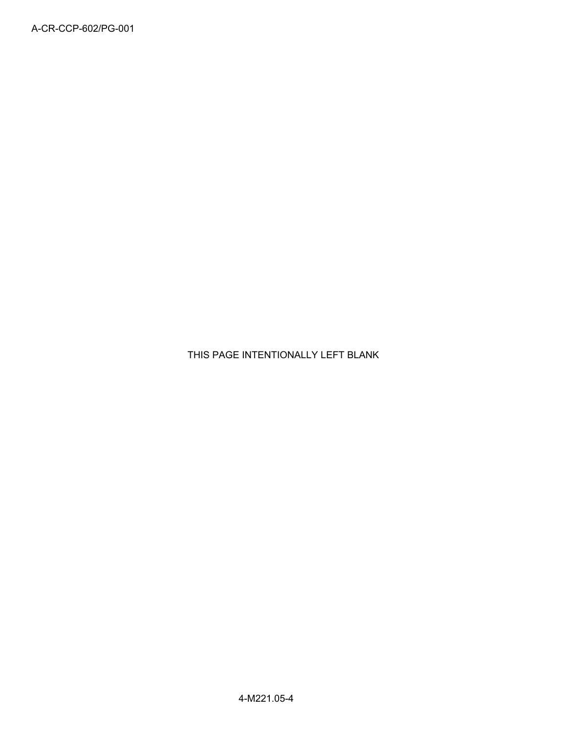THIS PAGE INTENTIONALLY LEFT BLANK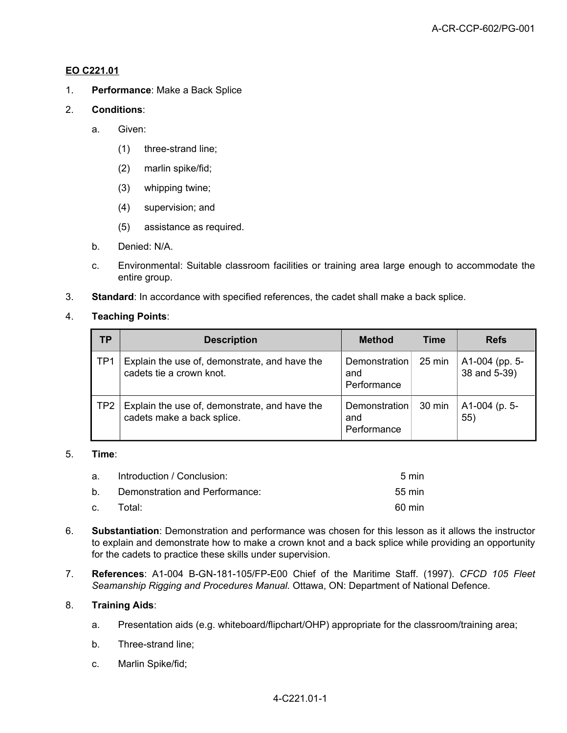## **EO C221.01**

1. **Performance**: Make a Back Splice

### 2. **Conditions**:

- a. Given:
	- (1) three-strand line;
	- (2) marlin spike/fid;
	- (3) whipping twine;
	- (4) supervision; and
	- (5) assistance as required.
- b. Denied: N/A.
- c. Environmental: Suitable classroom facilities or training area large enough to accommodate the entire group.
- 3. **Standard**: In accordance with specified references, the cadet shall make a back splice.
- 4. **Teaching Points**:

| ΤP              | <b>Description</b>                                                          | <b>Method</b>                       | Time   | <b>Refs</b>                    |
|-----------------|-----------------------------------------------------------------------------|-------------------------------------|--------|--------------------------------|
| TP1             | Explain the use of, demonstrate, and have the<br>cadets tie a crown knot.   | Demonstration<br>and<br>Performance | 25 min | A1-004 (pp. 5-<br>38 and 5-39) |
| TP <sub>2</sub> | Explain the use of, demonstrate, and have the<br>cadets make a back splice. | Demonstration<br>and<br>Performance | 30 min | A1-004 (p. 5-<br>55)           |

### 5. **Time**:

| а.   | Introduction / Conclusion:        | 5 min  |
|------|-----------------------------------|--------|
|      | b. Demonstration and Performance: | 55 min |
| C. I | ⊺otal:                            | 60 min |

- 6. **Substantiation**: Demonstration and performance was chosen for this lesson as it allows the instructor to explain and demonstrate how to make a crown knot and a back splice while providing an opportunity for the cadets to practice these skills under supervision.
- 7. **References**: A1-004 B-GN-181-105/FP-E00 Chief of the Maritime Staff. (1997). *CFCD 105 Fleet Seamanship Rigging and Procedures Manual.* Ottawa, ON: Department of National Defence.

### 8. **Training Aids**:

- a. Presentation aids (e.g. whiteboard/flipchart/OHP) appropriate for the classroom/training area;
- b. Three-strand line;
- c. Marlin Spike/fid;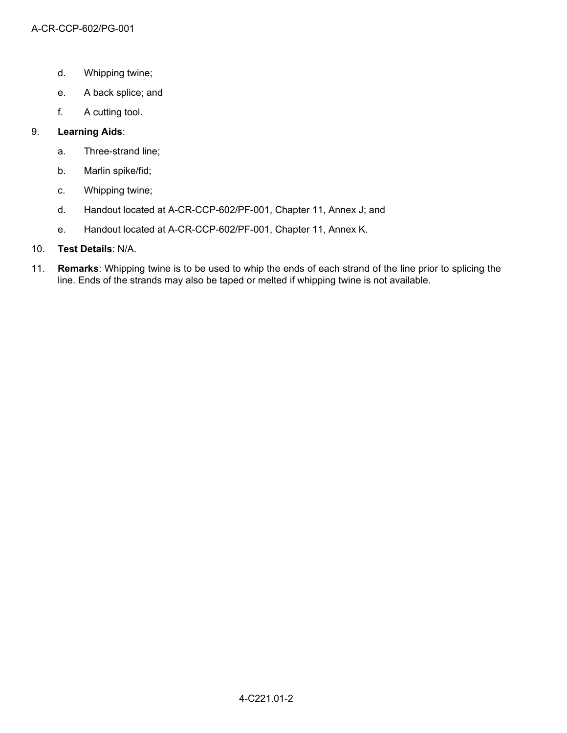- d. Whipping twine;
- e. A back splice; and
- f. A cutting tool.

# 9. **Learning Aids**:

- a. Three-strand line;
- b. Marlin spike/fid;
- c. Whipping twine;
- d. Handout located at A-CR-CCP-602/PF-001, Chapter 11, Annex J; and
- e. Handout located at A-CR-CCP-602/PF-001, Chapter 11, Annex K.

# 10. **Test Details**: N/A.

11. **Remarks**: Whipping twine is to be used to whip the ends of each strand of the line prior to splicing the line. Ends of the strands may also be taped or melted if whipping twine is not available.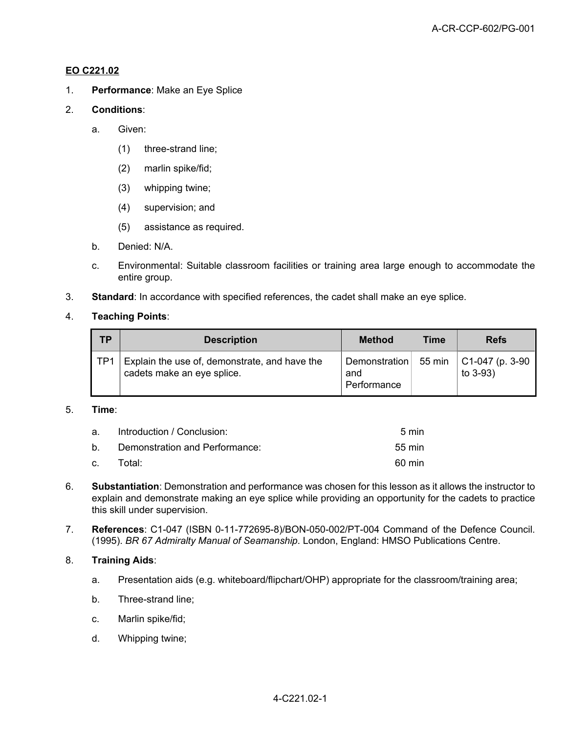## **EO C221.02**

1. **Performance**: Make an Eye Splice

### 2. **Conditions**:

- a. Given:
	- (1) three-strand line;
	- (2) marlin spike/fid;
	- (3) whipping twine;
	- (4) supervision; and
	- (5) assistance as required.
- b. Denied: N/A.
- c. Environmental: Suitable classroom facilities or training area large enough to accommodate the entire group.
- 3. **Standard**: In accordance with specified references, the cadet shall make an eye splice.
- 4. **Teaching Points**:

| <b>TP</b>       | <b>Description</b>                                                          | <b>Method</b>                       | <b>Time</b> | <b>Refs</b>                                   |
|-----------------|-----------------------------------------------------------------------------|-------------------------------------|-------------|-----------------------------------------------|
| TP <sub>1</sub> | Explain the use of, demonstrate, and have the<br>cadets make an eye splice. | Demonstration<br>and<br>Performance |             | 55 min $\vert$ C1-047 (p. 3-90<br>to $3-93$ ) |

## 5. **Time**:

|      | a. Introduction / Conclusion:     | 5 min  |
|------|-----------------------------------|--------|
|      | b. Demonstration and Performance: | 55 min |
| C. I | Total:                            | 60 min |

- 6. **Substantiation**: Demonstration and performance was chosen for this lesson as it allows the instructor to explain and demonstrate making an eye splice while providing an opportunity for the cadets to practice this skill under supervision.
- 7. **References**: C1-047 (ISBN 0-11-772695-8)/BON-050-002/PT-004 Command of the Defence Council. (1995). *BR 67 Admiralty Manual of Seamanship*. London, England: HMSO Publications Centre.

### 8. **Training Aids**:

- a. Presentation aids (e.g. whiteboard/flipchart/OHP) appropriate for the classroom/training area;
- b. Three-strand line;
- c. Marlin spike/fid;
- d. Whipping twine;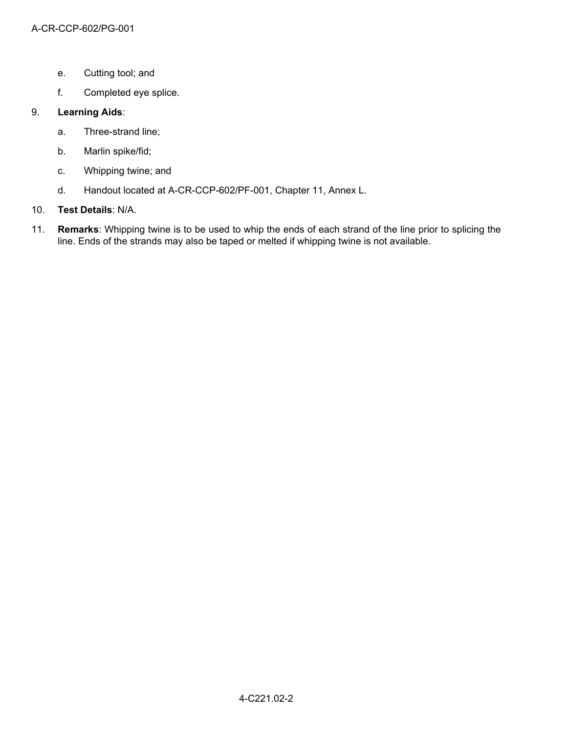- e. Cutting tool; and
- f. Completed eye splice.

## 9. **Learning Aids**:

- a. Three-strand line;
- b. Marlin spike/fid;
- c. Whipping twine; and
- d. Handout located at A-CR-CCP-602/PF-001, Chapter 11, Annex L.

# 10. **Test Details**: N/A.

11. **Remarks**: Whipping twine is to be used to whip the ends of each strand of the line prior to splicing the line. Ends of the strands may also be taped or melted if whipping twine is not available.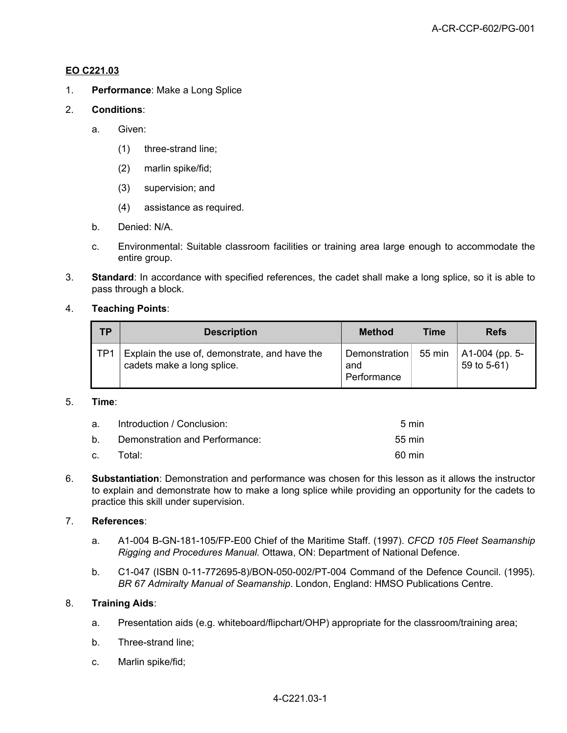# **EO C221.03**

1. **Performance**: Make a Long Splice

## 2. **Conditions**:

- a. Given:
	- (1) three-strand line;
	- (2) marlin spike/fid;
	- (3) supervision; and
	- (4) assistance as required.
- b. Denied: N/A.
- c. Environmental: Suitable classroom facilities or training area large enough to accommodate the entire group.
- 3. **Standard**: In accordance with specified references, the cadet shall make a long splice, so it is able to pass through a block.
- 4. **Teaching Points**:

| <b>TP</b> | <b>Description</b>                                                          | <b>Method</b>                       | Time   | <b>Refs</b>                       |
|-----------|-----------------------------------------------------------------------------|-------------------------------------|--------|-----------------------------------|
| TP1       | Explain the use of, demonstrate, and have the<br>cadets make a long splice. | Demonstration<br>and<br>Performance | 55 min | $ $ A1-004 (pp. 5-<br>59 to 5-61) |

### 5. **Time**:

| а.   | Introduction / Conclusion:     | $5 \text{ min}$ |
|------|--------------------------------|-----------------|
| b.   | Demonstration and Performance: | .55 min         |
| C. I | Total:                         | 60 min          |

6. **Substantiation**: Demonstration and performance was chosen for this lesson as it allows the instructor to explain and demonstrate how to make a long splice while providing an opportunity for the cadets to practice this skill under supervision.

### 7. **References**:

- a. A1-004 B-GN-181-105/FP-E00 Chief of the Maritime Staff. (1997). *CFCD 105 Fleet Seamanship Rigging and Procedures Manual.* Ottawa, ON: Department of National Defence.
- b. C1-047 (ISBN 0-11-772695-8)/BON-050-002/PT-004 Command of the Defence Council. (1995). *BR 67 Admiralty Manual of Seamanship*. London, England: HMSO Publications Centre.

### 8. **Training Aids**:

- a. Presentation aids (e.g. whiteboard/flipchart/OHP) appropriate for the classroom/training area;
- b. Three-strand line;
- c. Marlin spike/fid;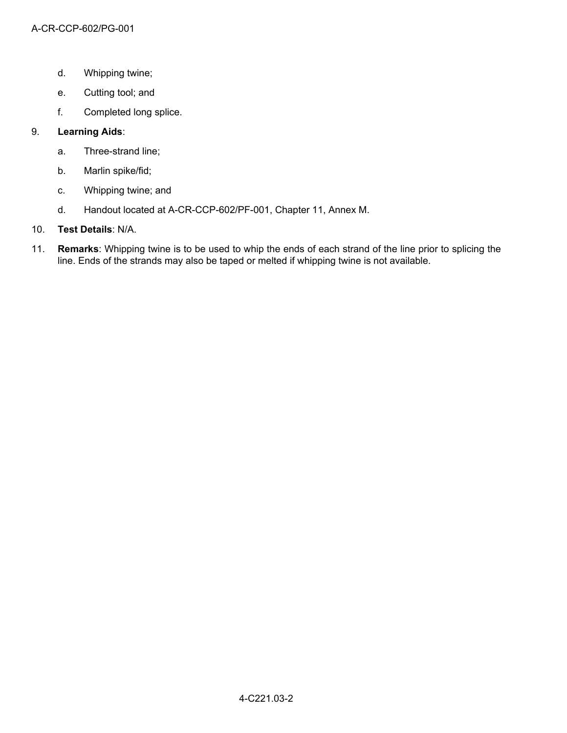- d. Whipping twine;
- e. Cutting tool; and
- f. Completed long splice.

# 9. **Learning Aids**:

- a. Three-strand line;
- b. Marlin spike/fid;
- c. Whipping twine; and
- d. Handout located at A-CR-CCP-602/PF-001, Chapter 11, Annex M.
- 10. **Test Details**: N/A.
- 11. **Remarks**: Whipping twine is to be used to whip the ends of each strand of the line prior to splicing the line. Ends of the strands may also be taped or melted if whipping twine is not available.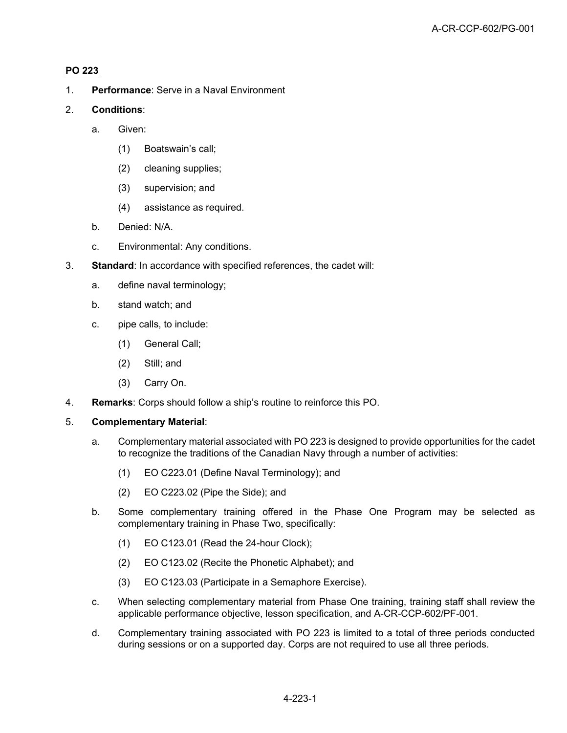# **PO 223**

- 1. **Performance**: Serve in a Naval Environment
- 2. **Conditions**:
	- a. Given:
		- (1) Boatswain's call;
		- (2) cleaning supplies;
		- (3) supervision; and
		- (4) assistance as required.
	- b. Denied: N/A.
	- c. Environmental: Any conditions.
- 3. **Standard**: In accordance with specified references, the cadet will:
	- a. define naval terminology;
	- b. stand watch; and
	- c. pipe calls, to include:
		- (1) General Call;
		- (2) Still; and
		- (3) Carry On.
- 4. **Remarks**: Corps should follow a ship's routine to reinforce this PO.

### 5. **Complementary Material**:

- a. Complementary material associated with PO 223 is designed to provide opportunities for the cadet to recognize the traditions of the Canadian Navy through a number of activities:
	- (1) EO C223.01 (Define Naval Terminology); and
	- (2) EO C223.02 (Pipe the Side); and
- b. Some complementary training offered in the Phase One Program may be selected as complementary training in Phase Two, specifically:
	- (1) EO C123.01 (Read the 24-hour Clock);
	- (2) EO C123.02 (Recite the Phonetic Alphabet); and
	- (3) EO C123.03 (Participate in a Semaphore Exercise).
- c. When selecting complementary material from Phase One training, training staff shall review the applicable performance objective, lesson specification, and A-CR-CCP-602/PF-001.
- d. Complementary training associated with PO 223 is limited to a total of three periods conducted during sessions or on a supported day. Corps are not required to use all three periods.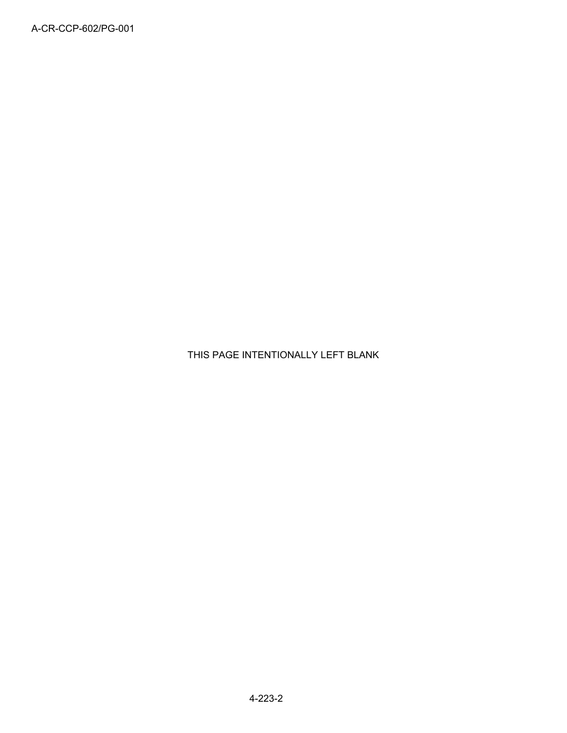THIS PAGE INTENTIONALLY LEFT BLANK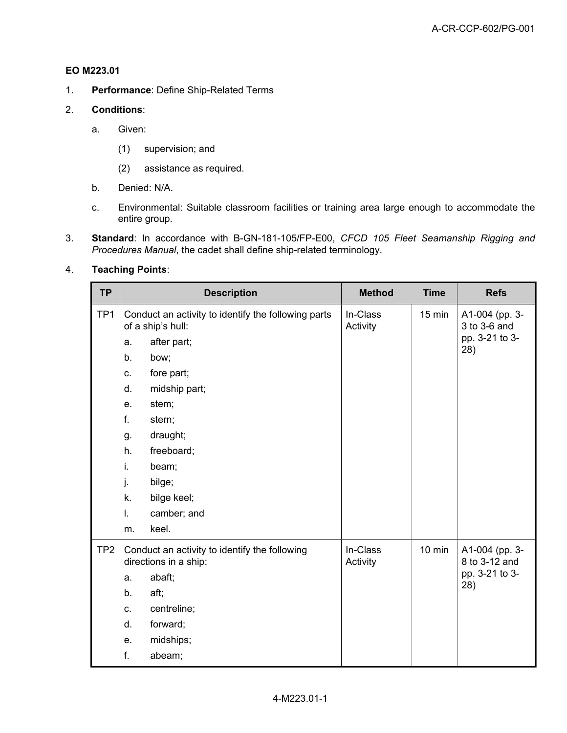1. **Performance**: Define Ship-Related Terms

### 2. **Conditions**:

- a. Given:
	- (1) supervision; and
	- (2) assistance as required.
- b. Denied: N/A.
- c. Environmental: Suitable classroom facilities or training area large enough to accommodate the entire group.
- 3. **Standard**: In accordance with B-GN-181-105/FP-E00, *CFCD 105 Fleet Seamanship Rigging and Procedures Manual*, the cadet shall define ship-related terminology.

# 4. **Teaching Points**:

| <b>TP</b>       | <b>Description</b>                                                       | <b>Method</b>        | <b>Time</b> | <b>Refs</b>                     |
|-----------------|--------------------------------------------------------------------------|----------------------|-------------|---------------------------------|
| TP <sub>1</sub> | Conduct an activity to identify the following parts<br>of a ship's hull: | In-Class<br>Activity | $15$ min    | A1-004 (pp. 3-<br>3 to 3-6 and  |
|                 | after part;<br>a.                                                        |                      |             | pp. 3-21 to 3-<br>28)           |
|                 | bow;<br>b.                                                               |                      |             |                                 |
|                 | fore part;<br>C.                                                         |                      |             |                                 |
|                 | midship part;<br>d.                                                      |                      |             |                                 |
|                 | stem;<br>е.                                                              |                      |             |                                 |
|                 | f.<br>stern;                                                             |                      |             |                                 |
|                 | draught;<br>g.                                                           |                      |             |                                 |
|                 | freeboard;<br>h.                                                         |                      |             |                                 |
|                 | i.<br>beam;                                                              |                      |             |                                 |
|                 | j.<br>bilge;                                                             |                      |             |                                 |
|                 | k.<br>bilge keel;                                                        |                      |             |                                 |
|                 | camber; and<br>I.                                                        |                      |             |                                 |
|                 | keel.<br>m.                                                              |                      |             |                                 |
| TP <sub>2</sub> | Conduct an activity to identify the following<br>directions in a ship:   | In-Class<br>Activity | $10$ min    | A1-004 (pp. 3-<br>8 to 3-12 and |
|                 | abaft;<br>a.                                                             |                      |             | pp. 3-21 to 3-                  |
|                 | aft;<br>b.                                                               |                      |             | 28)                             |
|                 | centreline;<br>C.                                                        |                      |             |                                 |
|                 | forward;<br>d.                                                           |                      |             |                                 |
|                 | midships;<br>е.                                                          |                      |             |                                 |
|                 | f.<br>abeam;                                                             |                      |             |                                 |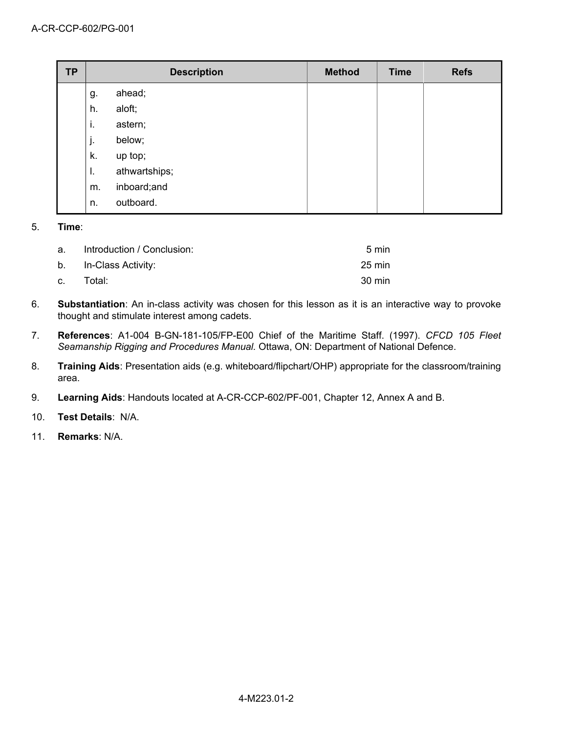| <b>TP</b> |    | <b>Description</b> | <b>Method</b> | <b>Time</b> | <b>Refs</b> |
|-----------|----|--------------------|---------------|-------------|-------------|
|           | g. | ahead;             |               |             |             |
|           | h. | aloft;             |               |             |             |
|           | i. | astern;            |               |             |             |
|           | j. | below;             |               |             |             |
|           | k. | up top;            |               |             |             |
|           | I. | athwartships;      |               |             |             |
|           | m. | inboard;and        |               |             |             |
|           | n. | outboard.          |               |             |             |

5. **Time**:

| а.             | Introduction / Conclusion: | 5 min  |
|----------------|----------------------------|--------|
|                | b. In-Class Activity:      | 25 min |
| C <sub>1</sub> | Total:                     | 30 min |

- 6. **Substantiation**: An in-class activity was chosen for this lesson as it is an interactive way to provoke thought and stimulate interest among cadets.
- 7. **References**: A1-004 B-GN-181-105/FP-E00 Chief of the Maritime Staff. (1997). *CFCD 105 Fleet Seamanship Rigging and Procedures Manual.* Ottawa, ON: Department of National Defence.
- 8. **Training Aids**: Presentation aids (e.g. whiteboard/flipchart/OHP) appropriate for the classroom/training area.
- 9. **Learning Aids**: Handouts located at A-CR-CCP-602/PF-001, Chapter 12, Annex A and B.
- 10. **Test Details**: N/A.
- 11. **Remarks**: N/A.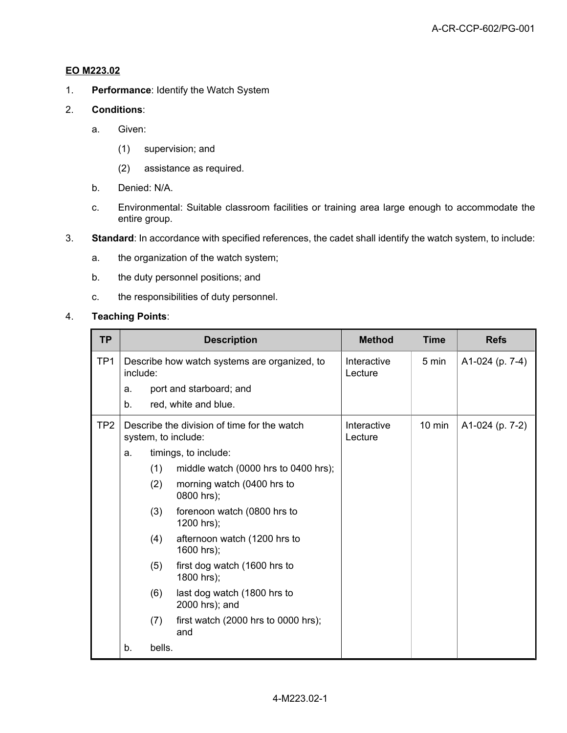1. **Performance**: Identify the Watch System

### 2. **Conditions**:

- a. Given:
	- (1) supervision; and
	- (2) assistance as required.
- b. Denied: N/A.
- c. Environmental: Suitable classroom facilities or training area large enough to accommodate the entire group.
- 3. **Standard**: In accordance with specified references, the cadet shall identify the watch system, to include:
	- a. the organization of the watch system;
	- b. the duty personnel positions; and
	- c. the responsibilities of duty personnel.

#### 4. **Teaching Points**:

| <b>TP</b>       |          |        | <b>Description</b>                                                 | <b>Method</b>          | <b>Time</b> | <b>Refs</b>     |
|-----------------|----------|--------|--------------------------------------------------------------------|------------------------|-------------|-----------------|
| TP <sub>1</sub> | include: |        | Describe how watch systems are organized, to                       | Interactive<br>Lecture | 5 min       | A1-024 (p. 7-4) |
|                 | a.       |        | port and starboard; and                                            |                        |             |                 |
|                 | b.       |        | red, white and blue.                                               |                        |             |                 |
| TP <sub>2</sub> |          |        | Describe the division of time for the watch<br>system, to include: | Interactive<br>Lecture | 10 min      | A1-024 (p. 7-2) |
|                 | a.       |        | timings, to include:                                               |                        |             |                 |
|                 |          | (1)    | middle watch (0000 hrs to 0400 hrs);                               |                        |             |                 |
|                 |          | (2)    | morning watch (0400 hrs to<br>0800 hrs);                           |                        |             |                 |
|                 |          | (3)    | forenoon watch (0800 hrs to<br>1200 hrs);                          |                        |             |                 |
|                 |          | (4)    | afternoon watch (1200 hrs to<br>1600 hrs);                         |                        |             |                 |
|                 |          | (5)    | first dog watch (1600 hrs to<br>1800 hrs);                         |                        |             |                 |
|                 |          | (6)    | last dog watch (1800 hrs to<br>2000 hrs); and                      |                        |             |                 |
|                 |          | (7)    | first watch (2000 hrs to 0000 hrs);<br>and                         |                        |             |                 |
|                 | b.       | bells. |                                                                    |                        |             |                 |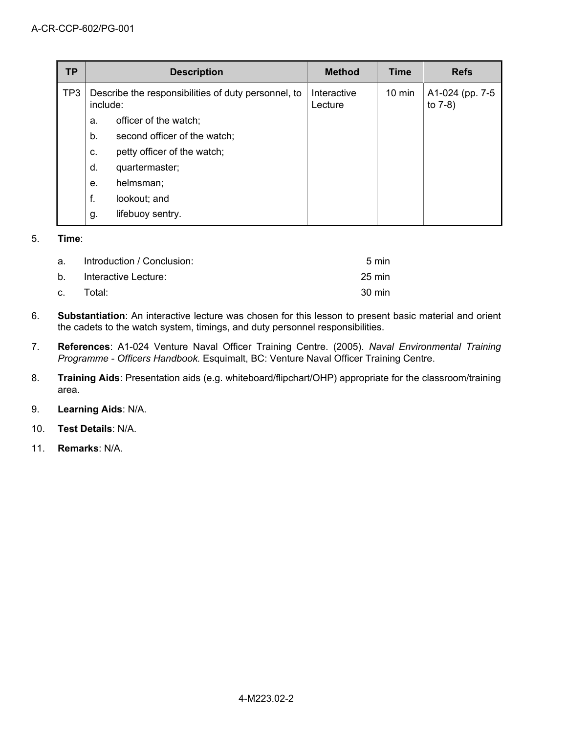| TP  |          | <b>Description</b>                                  | <b>Method</b>          | <b>Time</b>      | <b>Refs</b>                   |
|-----|----------|-----------------------------------------------------|------------------------|------------------|-------------------------------|
| TP3 | include: | Describe the responsibilities of duty personnel, to | Interactive<br>Lecture | $10 \text{ min}$ | A1-024 (pp. 7-5<br>to $7-8$ ) |
|     | a.       | officer of the watch;                               |                        |                  |                               |
|     | b.       | second officer of the watch;                        |                        |                  |                               |
|     | C.       | petty officer of the watch;                         |                        |                  |                               |
|     | d.       | quartermaster;                                      |                        |                  |                               |
|     | е.       | helmsman;                                           |                        |                  |                               |
|     | f.       | lookout; and                                        |                        |                  |                               |
|     | g.       | lifebuoy sentry.                                    |                        |                  |                               |

### 5. **Time**:

| a. Introduction / Conclusion: | 5 min   |
|-------------------------------|---------|
| b. Interactive Lecture:       | 25 min  |
| c. Total:                     | .30 min |

- 6. **Substantiation**: An interactive lecture was chosen for this lesson to present basic material and orient the cadets to the watch system, timings, and duty personnel responsibilities.
- 7. **References**: A1-024 Venture Naval Officer Training Centre. (2005). *Naval Environmental Training Programme - Officers Handbook.* Esquimalt, BC: Venture Naval Officer Training Centre.
- 8. **Training Aids**: Presentation aids (e.g. whiteboard/flipchart/OHP) appropriate for the classroom/training area.
- 9. **Learning Aids**: N/A.
- 10. **Test Details**: N/A.
- 11. **Remarks**: N/A.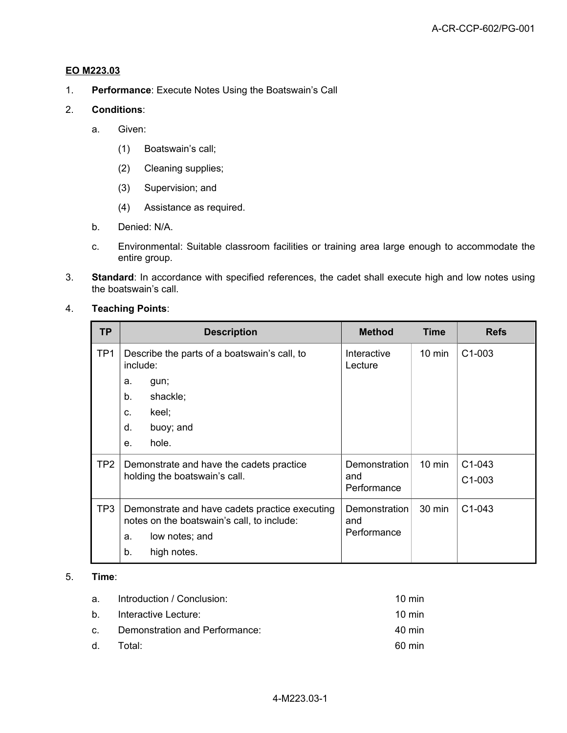1. **Performance**: Execute Notes Using the Boatswain's Call

# 2. **Conditions**:

- a. Given:
	- (1) Boatswain's call;
	- (2) Cleaning supplies;
	- (3) Supervision; and
	- (4) Assistance as required.
- b. Denied: N/A.
- c. Environmental: Suitable classroom facilities or training area large enough to accommodate the entire group.
- 3. **Standard**: In accordance with specified references, the cadet shall execute high and low notes using the boatswain's call.

#### 4. **Teaching Points**:

| ΤP              | <b>Description</b>                                                                           | <b>Method</b>          | <b>Time</b>      | <b>Refs</b> |
|-----------------|----------------------------------------------------------------------------------------------|------------------------|------------------|-------------|
| TP <sub>1</sub> | Describe the parts of a boatswain's call, to<br>include:                                     | Interactive<br>Lecture | $10 \text{ min}$ | $C1-003$    |
|                 | gun;<br>a.                                                                                   |                        |                  |             |
|                 | shackle;<br>b.                                                                               |                        |                  |             |
|                 | keel;<br>C.                                                                                  |                        |                  |             |
|                 | d.<br>buoy; and                                                                              |                        |                  |             |
|                 | hole.<br>e <sub>1</sub>                                                                      |                        |                  |             |
| TP <sub>2</sub> | Demonstrate and have the cadets practice                                                     | Demonstration          | $10 \text{ min}$ | $C1-043$    |
|                 | holding the boatswain's call.                                                                | and<br>Performance     |                  | $C1-003$    |
| TP3             | Demonstrate and have cadets practice executing<br>notes on the boatswain's call, to include: | Demonstration<br>and   | $30 \text{ min}$ | $C1-043$    |
|                 | low notes; and<br>a.                                                                         | Performance            |                  |             |
|                 | b.<br>high notes.                                                                            |                        |                  |             |

# 5. **Time**:

| а. | Introduction / Conclusion:        | $10 \text{ min}$ |
|----|-----------------------------------|------------------|
|    | b. Interactive Lecture:           | $10 \text{ min}$ |
|    | c. Demonstration and Performance: | 40 min           |
|    | d. Total:                         | 60 min           |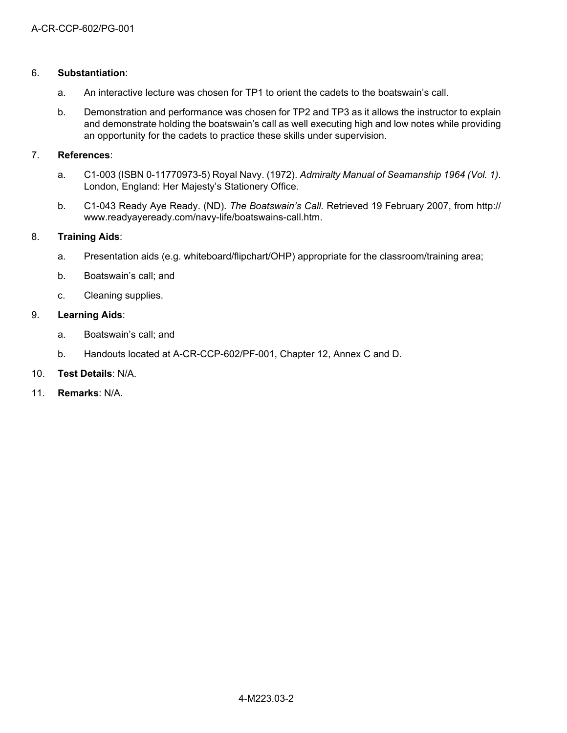# 6. **Substantiation**:

- a. An interactive lecture was chosen for TP1 to orient the cadets to the boatswain's call.
- b. Demonstration and performance was chosen for TP2 and TP3 as it allows the instructor to explain and demonstrate holding the boatswain's call as well executing high and low notes while providing an opportunity for the cadets to practice these skills under supervision.

### 7. **References**:

- a. C1-003 (ISBN 0-11770973-5) Royal Navy. (1972). *Admiralty Manual of Seamanship 1964 (Vol. 1)*. London, England: Her Majesty's Stationery Office.
- b. C1-043 Ready Aye Ready. (ND). *The Boatswain's Call.* Retrieved 19 February 2007, from http:// www.readyayeready.com/navy-life/boatswains-call.htm.

### 8. **Training Aids**:

- a. Presentation aids (e.g. whiteboard/flipchart/OHP) appropriate for the classroom/training area;
- b. Boatswain's call; and
- c. Cleaning supplies.

#### 9. **Learning Aids**:

- a. Boatswain's call; and
- b. Handouts located at A-CR-CCP-602/PF-001, Chapter 12, Annex C and D.
- 10. **Test Details**: N/A.
- 11. **Remarks**: N/A.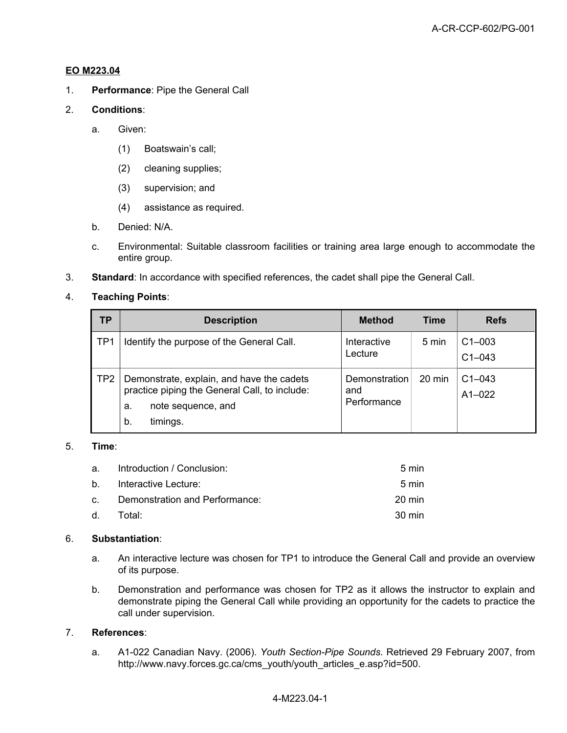- 1. **Performance**: Pipe the General Call
- 2. **Conditions**:
	- a. Given:
		- (1) Boatswain's call;
		- (2) cleaning supplies;
		- (3) supervision; and
		- (4) assistance as required.
	- b. Denied: N/A.
	- c. Environmental: Suitable classroom facilities or training area large enough to accommodate the entire group.
- 3. **Standard**: In accordance with specified references, the cadet shall pipe the General Call.

# 4. **Teaching Points**:

| ΤP              | <b>Description</b>                                                                                                                       | <b>Method</b>                       | Time             | <b>Refs</b>              |
|-----------------|------------------------------------------------------------------------------------------------------------------------------------------|-------------------------------------|------------------|--------------------------|
| TP <sub>1</sub> | Identify the purpose of the General Call.                                                                                                | Interactive<br>Lecture              | 5 min            | $C1 - 003$<br>$C1 - 043$ |
| TP <sub>2</sub> | Demonstrate, explain, and have the cadets<br>practice piping the General Call, to include:<br>note sequence, and<br>a.<br>timings.<br>b. | Demonstration<br>and<br>Performance | $20 \text{ min}$ | $C1 - 043$<br>$A1 - 022$ |

# 5. **Time**:

| a. Introduction / Conclusion:     | 5 min  |
|-----------------------------------|--------|
| b. Interactive Lecture:           | 5 min  |
| c. Demonstration and Performance: | 20 min |
| d. Total:                         | 30 min |
|                                   |        |

### 6. **Substantiation**:

- a. An interactive lecture was chosen for TP1 to introduce the General Call and provide an overview of its purpose.
- b. Demonstration and performance was chosen for TP2 as it allows the instructor to explain and demonstrate piping the General Call while providing an opportunity for the cadets to practice the call under supervision.

# 7. **References**:

a. A1-022 Canadian Navy. (2006). *Youth Section-Pipe Sounds*. Retrieved 29 February 2007, from http://www.navy.forces.gc.ca/cms\_youth/youth\_articles\_e.asp?id=500.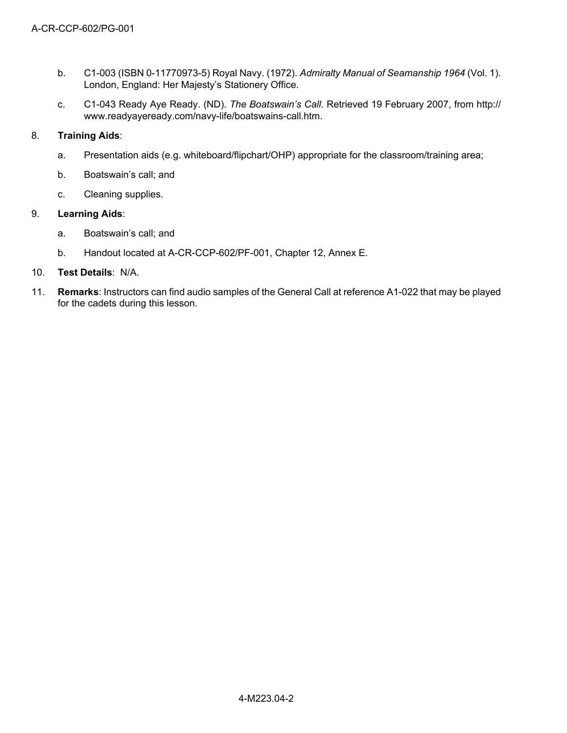- b. C1-003 (ISBN 0-11770973-5) Royal Navy. (1972). *Admiralty Manual of Seamanship 1964* (Vol. 1). London, England: Her Majesty's Stationery Office.
- c. C1-043 Ready Aye Ready. (ND). *The Boatswain's Call*. Retrieved 19 February 2007, from http:// www.readyayeready.com/navy-life/boatswains-call.htm.

# 8. **Training Aids**:

- a. Presentation aids (e.g. whiteboard/flipchart/OHP) appropriate for the classroom/training area;
- b. Boatswain's call; and
- c. Cleaning supplies.

# 9. **Learning Aids**:

- a. Boatswain's call; and
- b. Handout located at A-CR-CCP-602/PF-001, Chapter 12, Annex E.

# 10. **Test Details**: N/A.

11. **Remarks**: Instructors can find audio samples of the General Call at reference A1-022 that may be played for the cadets during this lesson.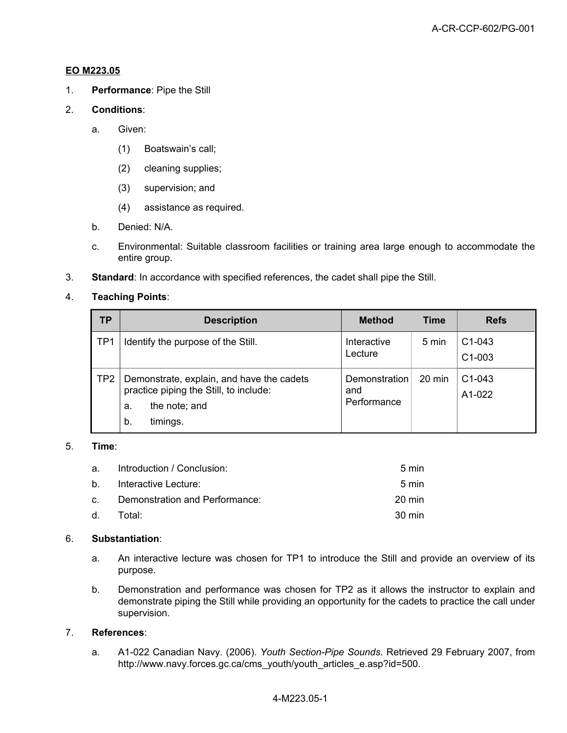- 1. **Performance**: Pipe the Still
- 2. **Conditions**:
	- a. Given:
		- (1) Boatswain's call;
		- (2) cleaning supplies;
		- (3) supervision; and
		- (4) assistance as required.
	- b. Denied: N/A.
	- c. Environmental: Suitable classroom facilities or training area large enough to accommodate the entire group.
- 3. **Standard**: In accordance with specified references, the cadet shall pipe the Still.

# 4. **Teaching Points**:

| ΤP              | <b>Description</b>                                                                                                           | <b>Method</b>                       | <b>Time</b>      | <b>Refs</b>          |
|-----------------|------------------------------------------------------------------------------------------------------------------------------|-------------------------------------|------------------|----------------------|
| TP1             | Identify the purpose of the Still.                                                                                           | Interactive<br>Lecture              | 5 min            | $C1-043$<br>C1-003   |
| TP <sub>2</sub> | Demonstrate, explain, and have the cadets<br>practice piping the Still, to include:<br>the note; and<br>a.<br>timings.<br>b. | Demonstration<br>and<br>Performance | $20 \text{ min}$ | $C1-043$<br>$A1-022$ |

### 5. **Time**:

| 5 min            |
|------------------|
| 20 min           |
| $30 \text{ min}$ |
|                  |

### 6. **Substantiation**:

- a. An interactive lecture was chosen for TP1 to introduce the Still and provide an overview of its purpose.
- b. Demonstration and performance was chosen for TP2 as it allows the instructor to explain and demonstrate piping the Still while providing an opportunity for the cadets to practice the call under supervision.

# 7. **References**:

a. A1-022 Canadian Navy. (2006). *Youth Section-Pipe Sounds*. Retrieved 29 February 2007, from http://www.navy.forces.gc.ca/cms\_youth/youth\_articles\_e.asp?id=500.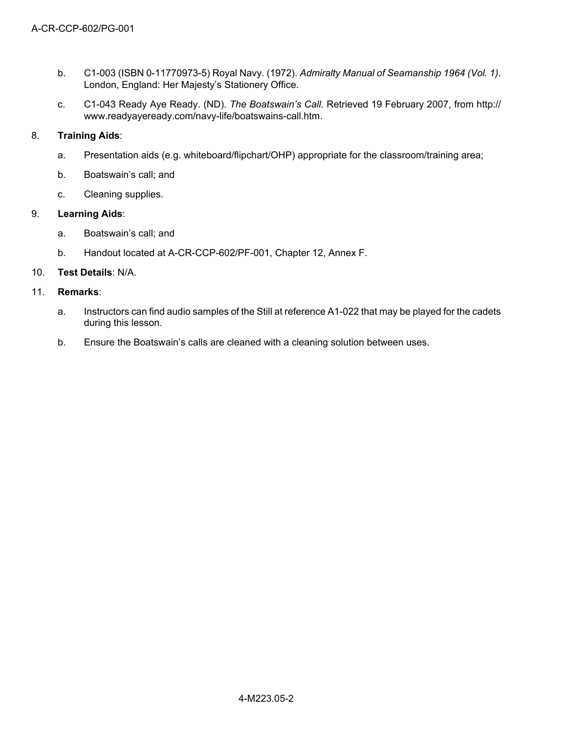- b. C1-003 (ISBN 0-11770973-5) Royal Navy. (1972). *Admiralty Manual of Seamanship 1964 (Vol. 1)*. London, England: Her Majesty's Stationery Office.
- c. C1-043 Ready Aye Ready. (ND). *The Boatswain's Call.* Retrieved 19 February 2007, from http:// www.readyayeready.com/navy-life/boatswains-call.htm.

# 8. **Training Aids**:

- a. Presentation aids (e.g. whiteboard/flipchart/OHP) appropriate for the classroom/training area;
- b. Boatswain's call; and
- c. Cleaning supplies.

# 9. **Learning Aids**:

- a. Boatswain's call; and
- b. Handout located at A-CR-CCP-602/PF-001, Chapter 12, Annex F.

### 10. **Test Details**: N/A.

### 11. **Remarks**:

- a. Instructors can find audio samples of the Still at reference A1-022 that may be played for the cadets during this lesson.
- b. Ensure the Boatswain's calls are cleaned with a cleaning solution between uses.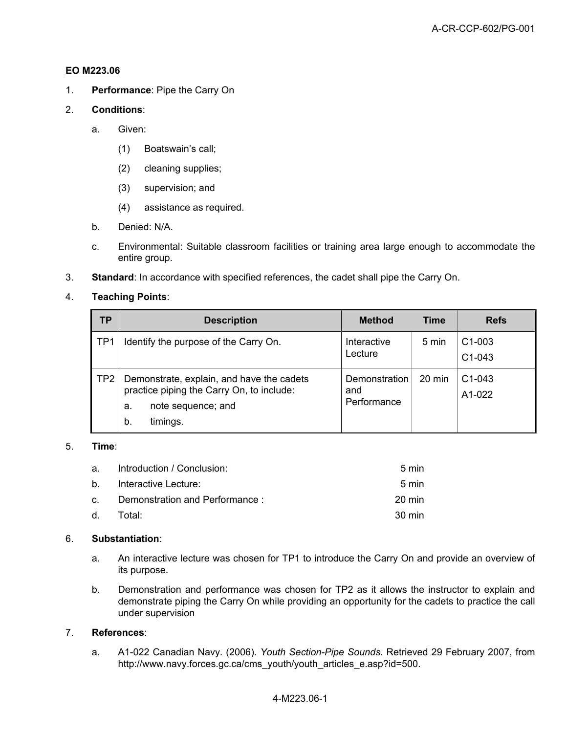- 1. **Performance**: Pipe the Carry On
- 2. **Conditions**:
	- a. Given:
		- (1) Boatswain's call;
		- (2) cleaning supplies;
		- (3) supervision; and
		- (4) assistance as required.
	- b. Denied: N/A.
	- c. Environmental: Suitable classroom facilities or training area large enough to accommodate the entire group.
- 3. **Standard**: In accordance with specified references, the cadet shall pipe the Carry On.

# 4. **Teaching Points**:

| ΤP  | <b>Description</b>                                                                                                                   | <b>Method</b>                       | Time             | <b>Refs</b>                     |
|-----|--------------------------------------------------------------------------------------------------------------------------------------|-------------------------------------|------------------|---------------------------------|
| TP1 | Identify the purpose of the Carry On.                                                                                                | Interactive<br>Lecture              | 5 min            | C <sub>1</sub> -003<br>$C1-043$ |
| TP2 | Demonstrate, explain, and have the cadets<br>practice piping the Carry On, to include:<br>note sequence; and<br>а.<br>timings.<br>b. | Demonstration<br>and<br>Performance | $20 \text{ min}$ | $C1-043$<br>A1-022              |

# 5. **Time**:

| 5 min  |
|--------|
| 5 min  |
| 20 min |
| 30 min |
|        |

### 6. **Substantiation**:

- a. An interactive lecture was chosen for TP1 to introduce the Carry On and provide an overview of its purpose.
- b. Demonstration and performance was chosen for TP2 as it allows the instructor to explain and demonstrate piping the Carry On while providing an opportunity for the cadets to practice the call under supervision

# 7. **References**:

a. A1-022 Canadian Navy. (2006). *Youth Section-Pipe Sounds.* Retrieved 29 February 2007, from http://www.navy.forces.gc.ca/cms\_youth/youth\_articles\_e.asp?id=500.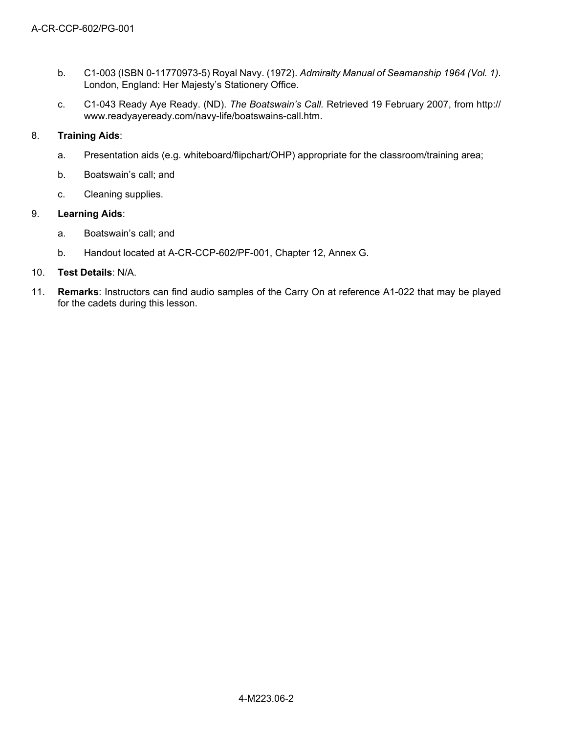- b. C1-003 (ISBN 0-11770973-5) Royal Navy. (1972). *Admiralty Manual of Seamanship 1964 (Vol. 1)*. London, England: Her Majesty's Stationery Office.
- c. C1-043 Ready Aye Ready. (ND). *The Boatswain's Call.* Retrieved 19 February 2007, from http:// www.readyayeready.com/navy-life/boatswains-call.htm.

# 8. **Training Aids**:

- a. Presentation aids (e.g. whiteboard/flipchart/OHP) appropriate for the classroom/training area;
- b. Boatswain's call; and
- c. Cleaning supplies.

# 9. **Learning Aids**:

- a. Boatswain's call; and
- b. Handout located at A-CR-CCP-602/PF-001, Chapter 12, Annex G.

# 10. **Test Details**: N/A.

11. **Remarks**: Instructors can find audio samples of the Carry On at reference A1-022 that may be played for the cadets during this lesson.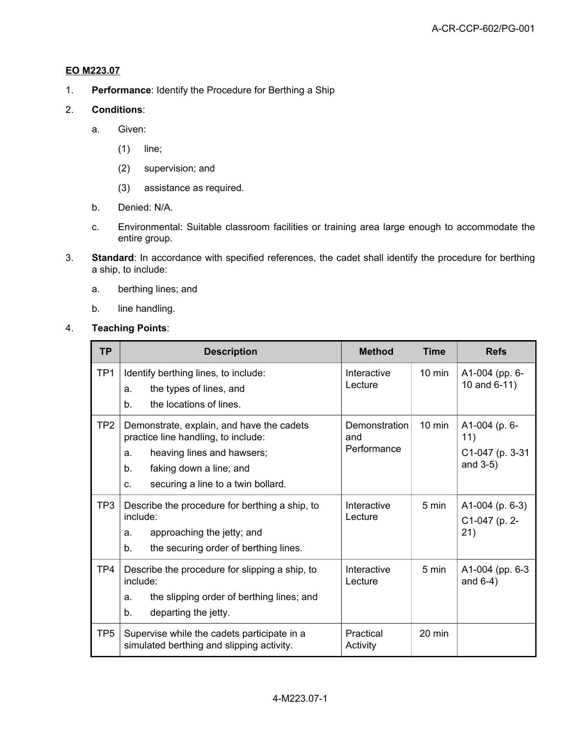1. **Performance**: Identify the Procedure for Berthing a Ship

### 2. **Conditions**:

- a. Given:
	- (1) line;
	- (2) supervision; and
	- (3) assistance as required.
- b. Denied: N/A.
- c. Environmental: Suitable classroom facilities or training area large enough to accommodate the entire group.
- 3. **Standard**: In accordance with specified references, the cadet shall identify the procedure for berthing a ship, to include:
	- a. berthing lines; and
	- b. line handling.

#### 4. **Teaching Points**:

| <b>TP</b>       | <b>Description</b>                                                                                                                                                                                   | <b>Method</b>                       | <b>Time</b>      | <b>Refs</b>                                            |
|-----------------|------------------------------------------------------------------------------------------------------------------------------------------------------------------------------------------------------|-------------------------------------|------------------|--------------------------------------------------------|
| TP <sub>1</sub> | Identify berthing lines, to include:<br>the types of lines, and<br>a.<br>the locations of lines.<br>b.                                                                                               | Interactive<br>Lecture              | $10 \text{ min}$ | A1-004 (pp. 6-<br>10 and 6-11)                         |
| TP <sub>2</sub> | Demonstrate, explain, and have the cadets<br>practice line handling, to include:<br>heaving lines and hawsers;<br>a.<br>$b$ .<br>faking down a line; and<br>securing a line to a twin bollard.<br>C. | Demonstration<br>and<br>Performance | $10 \text{ min}$ | A1-004 (p. 6-<br>11)<br>C1-047 (p. 3-31<br>and $3-5$ ) |
| TP3             | Describe the procedure for berthing a ship, to<br>include:<br>approaching the jetty; and<br>a.<br>the securing order of berthing lines.<br>b.                                                        | Interactive<br>Lecture              | 5 min            | A1-004 (p. $6-3$ )<br>C1-047 (p. 2-<br>21)             |
| TP4             | Describe the procedure for slipping a ship, to<br>include:<br>the slipping order of berthing lines; and<br>a.<br>b.<br>departing the jetty.                                                          | Interactive<br>Lecture              | 5 min            | A1-004 (pp. 6-3)<br>and $6-4$ )                        |
| TP <sub>5</sub> | Supervise while the cadets participate in a<br>simulated berthing and slipping activity.                                                                                                             | Practical<br>Activity               | 20 min           |                                                        |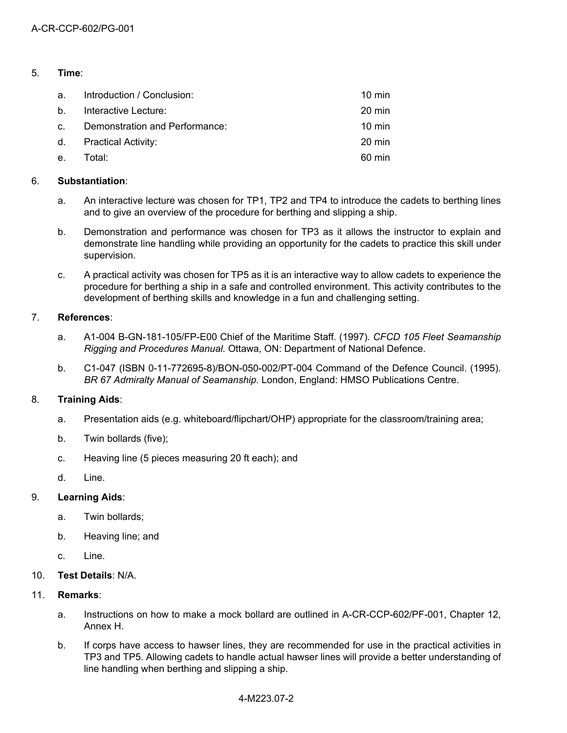# 5. **Time**:

| Introduction / Conclusion:     | $10 \text{ min}$ |
|--------------------------------|------------------|
| b. Interactive Lecture:        | $20 \text{ min}$ |
| Demonstration and Performance: | $10 \text{ min}$ |
| d. Practical Activity:         | $20 \text{ min}$ |
| Total:                         | $60 \text{ min}$ |
|                                |                  |

### 6. **Substantiation**:

- a. An interactive lecture was chosen for TP1, TP2 and TP4 to introduce the cadets to berthing lines and to give an overview of the procedure for berthing and slipping a ship.
- b. Demonstration and performance was chosen for TP3 as it allows the instructor to explain and demonstrate line handling while providing an opportunity for the cadets to practice this skill under supervision.
- c. A practical activity was chosen for TP5 as it is an interactive way to allow cadets to experience the procedure for berthing a ship in a safe and controlled environment. This activity contributes to the development of berthing skills and knowledge in a fun and challenging setting.

# 7. **References**:

- a. A1-004 B-GN-181-105/FP-E00 Chief of the Maritime Staff. (1997). *CFCD 105 Fleet Seamanship Rigging and Procedures Manual.* Ottawa, ON: Department of National Defence.
- b. C1-047 (ISBN 0-11-772695-8)/BON-050-002/PT-004 Command of the Defence Council. (1995). *BR 67 Admiralty Manual of Seamanship*. London, England: HMSO Publications Centre.

## 8. **Training Aids**:

- a. Presentation aids (e.g. whiteboard/flipchart/OHP) appropriate for the classroom/training area;
- b. Twin bollards (five);
- c. Heaving line (5 pieces measuring 20 ft each); and
- d. Line.

### 9. **Learning Aids**:

- a. Twin bollards;
- b. Heaving line; and
- c. Line.
- 10. **Test Details**: N/A.

# 11. **Remarks**:

- a. Instructions on how to make a mock bollard are outlined in A-CR-CCP-602/PF-001, Chapter 12, Annex H.
- b. If corps have access to hawser lines, they are recommended for use in the practical activities in TP3 and TP5. Allowing cadets to handle actual hawser lines will provide a better understanding of line handling when berthing and slipping a ship.

#### 4-M223.07-2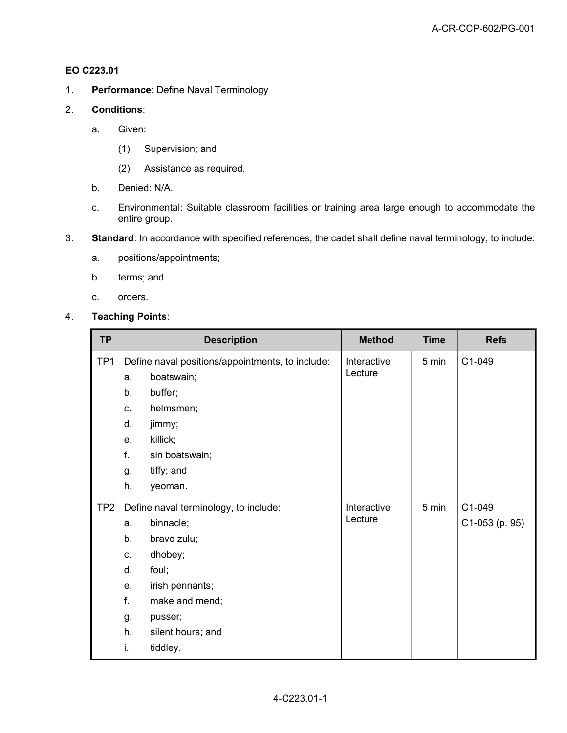## **EO C223.01**

1. **Performance**: Define Naval Terminology

## 2. **Conditions**:

- a. Given:
	- (1) Supervision; and
	- (2) Assistance as required.
- b. Denied: N/A.
- c. Environmental: Suitable classroom facilities or training area large enough to accommodate the entire group.
- 3. **Standard**: In accordance with specified references, the cadet shall define naval terminology, to include:
	- a. positions/appointments;
	- b. terms; and
	- c. orders.

# 4. **Teaching Points**:

| <b>TP</b>       |                  | <b>Description</b>                               | <b>Method</b> | <b>Time</b> | <b>Refs</b>    |
|-----------------|------------------|--------------------------------------------------|---------------|-------------|----------------|
| TP <sub>1</sub> |                  | Define naval positions/appointments, to include: | Interactive   | 5 min       | C1-049         |
|                 | a.               | boatswain;                                       | Lecture       |             |                |
|                 | buffer;<br>b.    |                                                  |               |             |                |
|                 | C.               | helmsmen;                                        |               |             |                |
|                 | d.<br>jimmy;     |                                                  |               |             |                |
|                 | killick;<br>е.   |                                                  |               |             |                |
|                 | f.               | sin boatswain;                                   |               |             |                |
|                 | tiffy; and<br>g. |                                                  |               |             |                |
|                 | h.<br>yeoman.    |                                                  |               |             |                |
| TP <sub>2</sub> |                  | Define naval terminology, to include:            | Interactive   | 5 min       | C1-049         |
|                 | binnacle;<br>a.  |                                                  | Lecture       |             | C1-053 (p. 95) |
|                 | b.               | bravo zulu;                                      |               |             |                |
|                 | dhobey;<br>C.    |                                                  |               |             |                |
|                 | foul;<br>d.      |                                                  |               |             |                |
|                 | е.               | irish pennants;                                  |               |             |                |
|                 | f.               | make and mend;                                   |               |             |                |
|                 | pusser;<br>g.    |                                                  |               |             |                |
|                 | h.               | silent hours; and                                |               |             |                |
|                 | i.<br>tiddley.   |                                                  |               |             |                |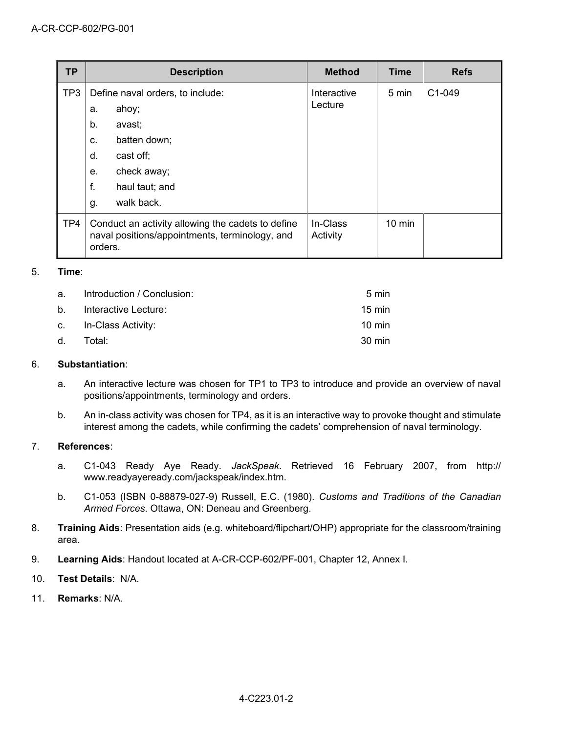| TP              | <b>Description</b>                                                                                                            | <b>Method</b>          | <b>Time</b>      | <b>Refs</b> |
|-----------------|-------------------------------------------------------------------------------------------------------------------------------|------------------------|------------------|-------------|
| TP <sub>3</sub> | Define naval orders, to include:<br>ahoy;<br>a.<br>b.<br>avast;<br>batten down;<br>C.<br>d.<br>cast off;<br>check away;<br>e. | Interactive<br>Lecture | 5 min            | C1-049      |
|                 | f.<br>haul taut; and<br>walk back.<br>g.                                                                                      |                        |                  |             |
| TP4             | Conduct an activity allowing the cadets to define<br>naval positions/appointments, terminology, and<br>orders.                | In-Class<br>Activity   | $10 \text{ min}$ |             |

# 5. **Time**:

| a. Introduction / Conclusion: | 5 min            |
|-------------------------------|------------------|
| b. Interactive Lecture:       | $15 \text{ min}$ |
| c. In-Class Activity:         | $10 \text{ min}$ |
| d. Total:                     | 30 min           |

# 6. **Substantiation**:

- a. An interactive lecture was chosen for TP1 to TP3 to introduce and provide an overview of naval positions/appointments, terminology and orders.
- b. An in-class activity was chosen for TP4, as it is an interactive way to provoke thought and stimulate interest among the cadets, while confirming the cadets' comprehension of naval terminology.

# 7. **References**:

- a. C1-043 Ready Aye Ready. *JackSpeak*. Retrieved 16 February 2007, from http:// www.readyayeready.com/jackspeak/index.htm.
- b. C1-053 (ISBN 0-88879-027-9) Russell, E.C. (1980). *Customs and Traditions of the Canadian Armed Forces*. Ottawa, ON: Deneau and Greenberg.
- 8. **Training Aids**: Presentation aids (e.g. whiteboard/flipchart/OHP) appropriate for the classroom/training area.
- 9. **Learning Aids**: Handout located at A-CR-CCP-602/PF-001, Chapter 12, Annex I.
- 10. **Test Details**: N/A.
- 11. **Remarks**: N/A.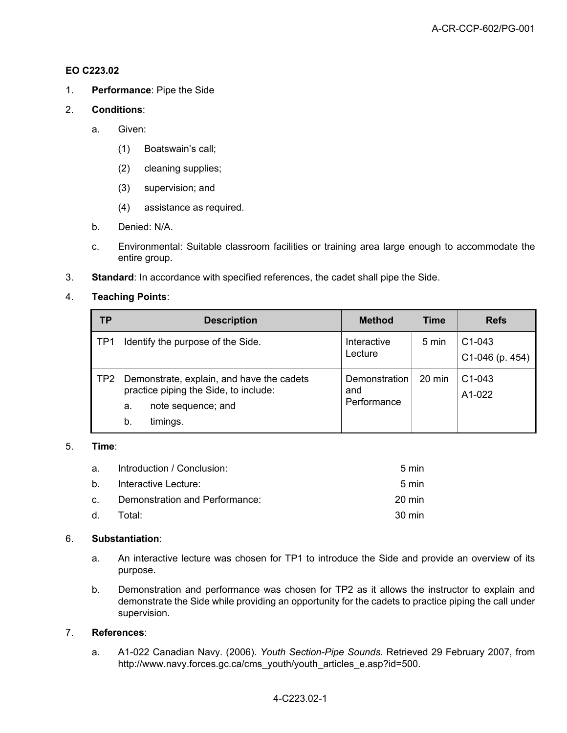# **EO C223.02**

- 1. **Performance**: Pipe the Side
- 2. **Conditions**:
	- a. Given:
		- (1) Boatswain's call;
		- (2) cleaning supplies;
		- (3) supervision; and
		- (4) assistance as required.
	- b. Denied: N/A.
	- c. Environmental: Suitable classroom facilities or training area large enough to accommodate the entire group.
- 3. **Standard**: In accordance with specified references, the cadet shall pipe the Side.

# 4. **Teaching Points**:

| ΤP              | <b>Description</b>                                                                                                               | <b>Method</b>                       | Time             | <b>Refs</b>                 |
|-----------------|----------------------------------------------------------------------------------------------------------------------------------|-------------------------------------|------------------|-----------------------------|
| TP1             | Identify the purpose of the Side.                                                                                                | Interactive<br>Lecture              | 5 min            | $C1-043$<br>C1-046 (p. 454) |
| TP <sub>2</sub> | Demonstrate, explain, and have the cadets<br>practice piping the Side, to include:<br>note sequence; and<br>а.<br>timings.<br>b. | Demonstration<br>and<br>Performance | $20 \text{ min}$ | $C1-043$<br>A1-022          |

# 5. **Time**:

| 5 min            |
|------------------|
| 20 min           |
| $30 \text{ min}$ |
|                  |

### 6. **Substantiation**:

- a. An interactive lecture was chosen for TP1 to introduce the Side and provide an overview of its purpose.
- b. Demonstration and performance was chosen for TP2 as it allows the instructor to explain and demonstrate the Side while providing an opportunity for the cadets to practice piping the call under supervision.

# 7. **References**:

a. A1-022 Canadian Navy. (2006). *Youth Section-Pipe Sounds.* Retrieved 29 February 2007, from http://www.navy.forces.gc.ca/cms\_youth/youth\_articles\_e.asp?id=500.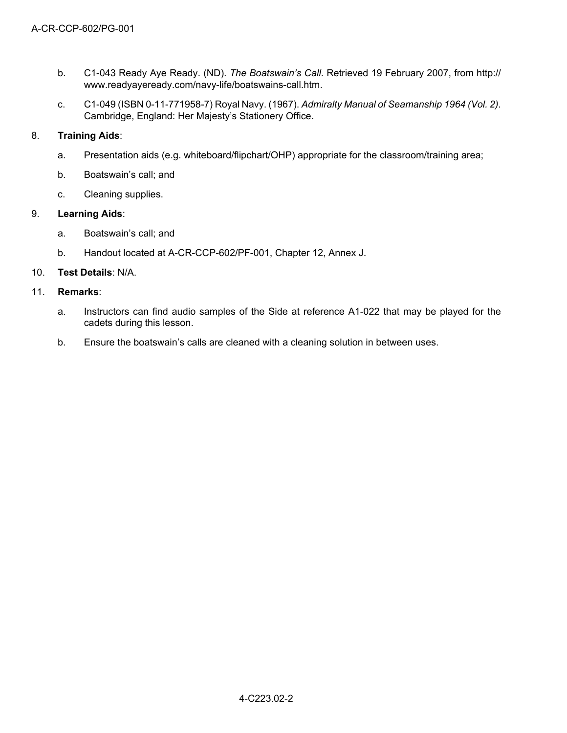- b. C1-043 Ready Aye Ready. (ND). *The Boatswain's Call*. Retrieved 19 February 2007, from http:// www.readyayeready.com/navy-life/boatswains-call.htm.
- c. C1-049 (ISBN 0-11-771958-7) Royal Navy. (1967). *Admiralty Manual of Seamanship 1964 (Vol. 2)*. Cambridge, England: Her Majesty's Stationery Office.

# 8. **Training Aids**:

- a. Presentation aids (e.g. whiteboard/flipchart/OHP) appropriate for the classroom/training area;
- b. Boatswain's call; and
- c. Cleaning supplies.

# 9. **Learning Aids**:

- a. Boatswain's call; and
- b. Handout located at A-CR-CCP-602/PF-001, Chapter 12, Annex J.

### 10. **Test Details**: N/A.

### 11. **Remarks**:

- a. Instructors can find audio samples of the Side at reference A1-022 that may be played for the cadets during this lesson.
- b. Ensure the boatswain's calls are cleaned with a cleaning solution in between uses.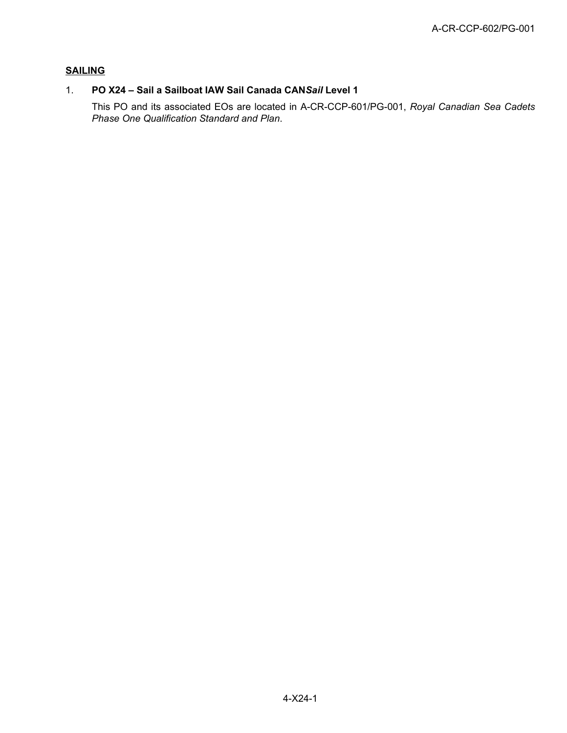## **SAILING**

# 1. **PO X24 – Sail a Sailboat IAW Sail Canada CAN***Sail* **Level 1**

This PO and its associated EOs are located in A-CR-CCP-601/PG-001, *Royal Canadian Sea Cadets Phase One Qualification Standard and Plan*.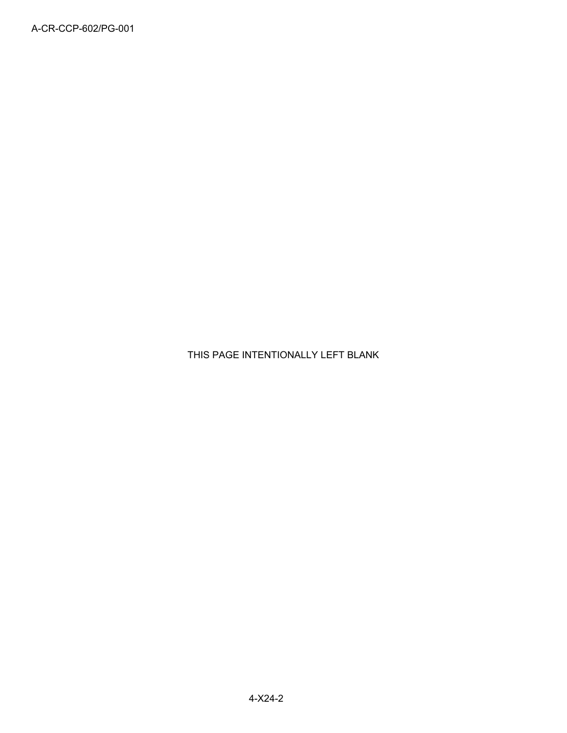THIS PAGE INTENTIONALLY LEFT BLANK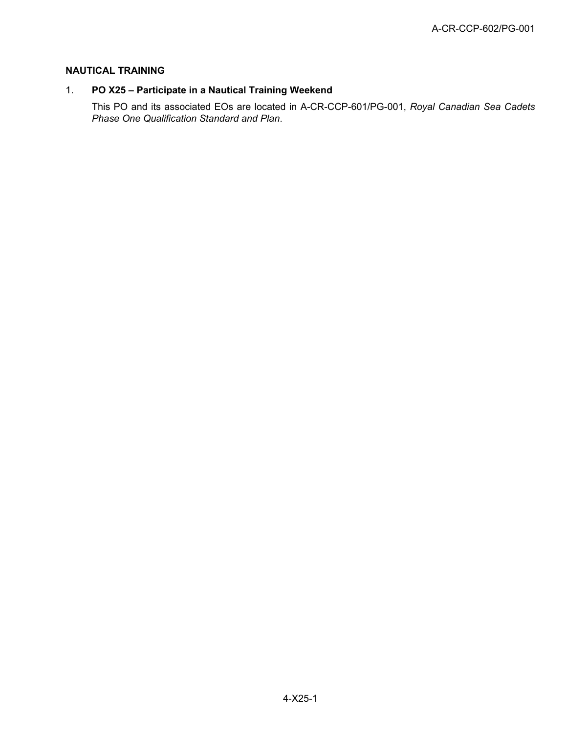### **NAUTICAL TRAINING**

# 1. **PO X25 – Participate in a Nautical Training Weekend**

This PO and its associated EOs are located in A-CR-CCP-601/PG-001, *Royal Canadian Sea Cadets Phase One Qualification Standard and Plan*.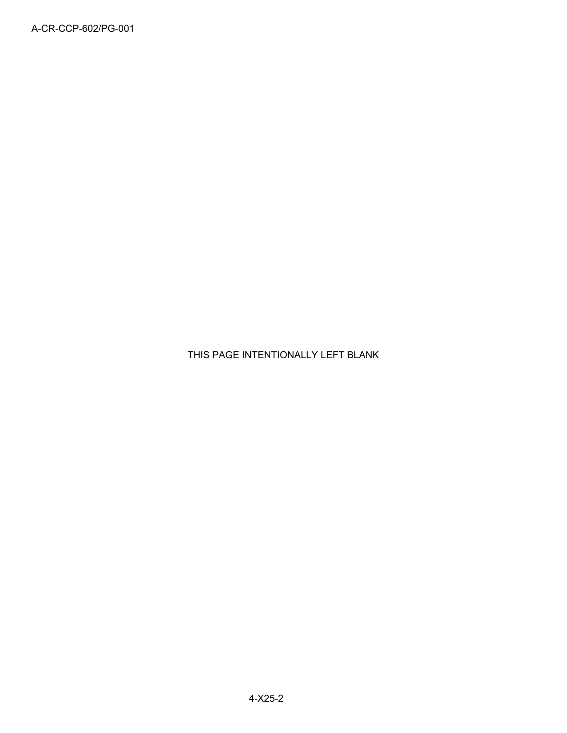THIS PAGE INTENTIONALLY LEFT BLANK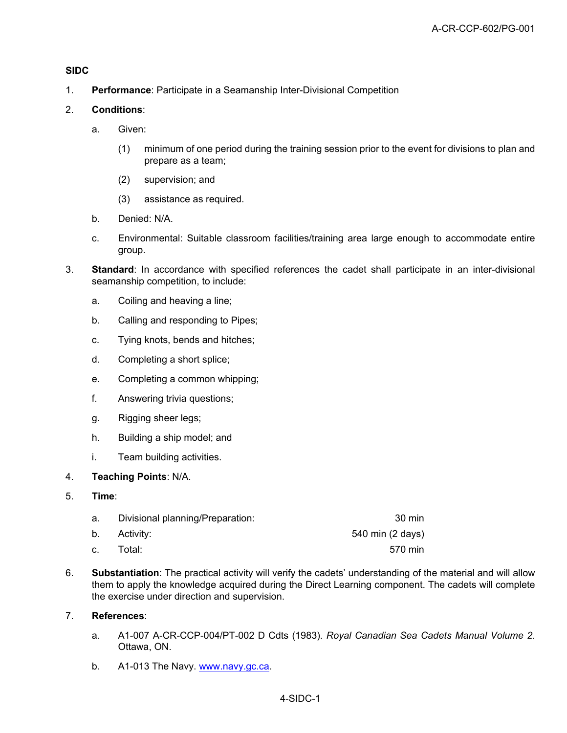# **SIDC**

- 1. **Performance**: Participate in a Seamanship Inter-Divisional Competition
- 2. **Conditions**:
	- a. Given:
		- (1) minimum of one period during the training session prior to the event for divisions to plan and prepare as a team;
		- (2) supervision; and
		- (3) assistance as required.
	- b. Denied: N/A.
	- c. Environmental: Suitable classroom facilities/training area large enough to accommodate entire group.
- 3. **Standard**: In accordance with specified references the cadet shall participate in an inter-divisional seamanship competition, to include:
	- a. Coiling and heaving a line;
	- b. Calling and responding to Pipes;
	- c. Tying knots, bends and hitches;
	- d. Completing a short splice;
	- e. Completing a common whipping;
	- f. Answering trivia questions;
	- g. Rigging sheer legs;
	- h. Building a ship model; and
	- i. Team building activities.
- 4. **Teaching Points**: N/A.
- 5. **Time**:

| а. | Divisional planning/Preparation: | 30 min           |
|----|----------------------------------|------------------|
|    | b. Activity:                     | 540 min (2 days) |
| C. | Total:                           | 570 min          |

6. **Substantiation**: The practical activity will verify the cadets' understanding of the material and will allow them to apply the knowledge acquired during the Direct Learning component. The cadets will complete the exercise under direction and supervision.

## 7. **References**:

- a. A1-007 A-CR-CCP-004/PT-002 D Cdts (1983). *Royal Canadian Sea Cadets Manual Volume 2.* Ottawa, ON.
- b. A1-013 The Navy. www.navy.gc.ca.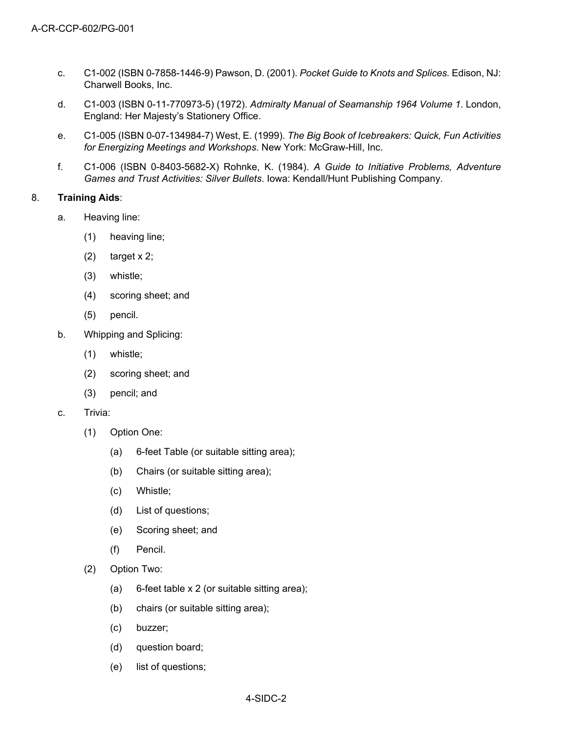- c. C1-002 (ISBN 0-7858-1446-9) Pawson, D. (2001). *Pocket Guide to Knots and Splices.* Edison, NJ: Charwell Books, Inc.
- d. C1-003 (ISBN 0-11-770973-5) (1972). *Admiralty Manual of Seamanship 1964 Volume 1*. London, England: Her Majesty's Stationery Office.
- e. C1-005 (ISBN 0-07-134984-7) West, E. (1999). *The Big Book of Icebreakers: Quick, Fun Activities for Energizing Meetings and Workshops*. New York: McGraw-Hill, Inc.
- f. C1-006 (ISBN 0-8403-5682-X) Rohnke, K. (1984). *A Guide to Initiative Problems, Adventure Games and Trust Activities: Silver Bullets*. Iowa: Kendall/Hunt Publishing Company.

# 8. **Training Aids**:

- a. Heaving line:
	- (1) heaving line;
	- (2) target x 2;
	- (3) whistle;
	- (4) scoring sheet; and
	- (5) pencil.
- b. Whipping and Splicing:
	- (1) whistle;
	- (2) scoring sheet; and
	- (3) pencil; and
- c. Trivia:
	- (1) Option One:
		- (a) 6-feet Table (or suitable sitting area);
		- (b) Chairs (or suitable sitting area);
		- (c) Whistle;
		- (d) List of questions;
		- (e) Scoring sheet; and
		- (f) Pencil.
	- (2) Option Two:
		- (a) 6-feet table x 2 (or suitable sitting area);
		- (b) chairs (or suitable sitting area);
		- (c) buzzer;
		- (d) question board;
		- (e) list of questions;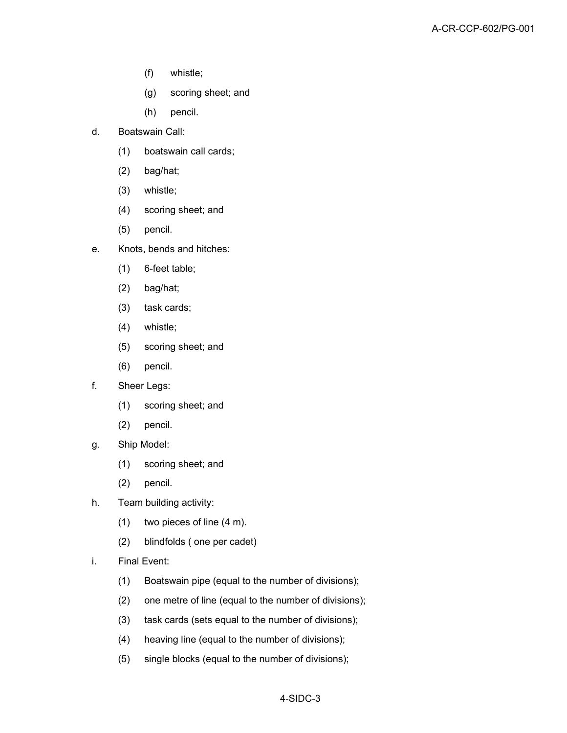- (f) whistle;
- (g) scoring sheet; and
- (h) pencil.
- d. Boatswain Call:
	- (1) boatswain call cards;
	- (2) bag/hat;
	- (3) whistle;
	- (4) scoring sheet; and
	- (5) pencil.
- e. Knots, bends and hitches:
	- (1) 6-feet table;
	- (2) bag/hat;
	- (3) task cards;
	- (4) whistle;
	- (5) scoring sheet; and
	- (6) pencil.
- f. Sheer Legs:
	- (1) scoring sheet; and
	- (2) pencil.
- g. Ship Model:
	- (1) scoring sheet; and
	- (2) pencil.
- h. Team building activity:
	- (1) two pieces of line (4 m).
	- (2) blindfolds ( one per cadet)
- i. Final Event:
	- (1) Boatswain pipe (equal to the number of divisions);
	- (2) one metre of line (equal to the number of divisions);
	- (3) task cards (sets equal to the number of divisions);
	- (4) heaving line (equal to the number of divisions);
	- (5) single blocks (equal to the number of divisions);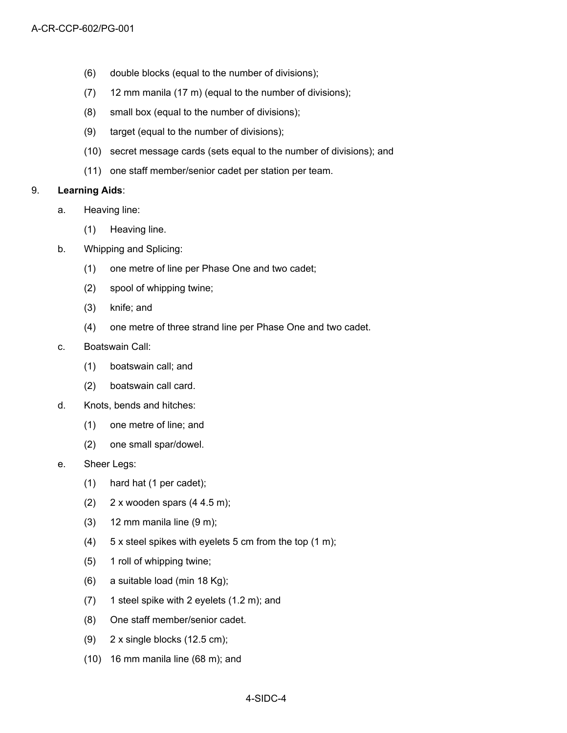- (6) double blocks (equal to the number of divisions);
- (7) 12 mm manila (17 m) (equal to the number of divisions);
- (8) small box (equal to the number of divisions);
- (9) target (equal to the number of divisions);
- (10) secret message cards (sets equal to the number of divisions); and
- (11) one staff member/senior cadet per station per team.

#### 9. **Learning Aids**:

- a. Heaving line:
	- (1) Heaving line.
- b. Whipping and Splicing:
	- (1) one metre of line per Phase One and two cadet;
	- (2) spool of whipping twine;
	- (3) knife; and
	- (4) one metre of three strand line per Phase One and two cadet.
- c. Boatswain Call:
	- (1) boatswain call; and
	- (2) boatswain call card.
- d. Knots, bends and hitches:
	- (1) one metre of line; and
	- (2) one small spar/dowel.
- e. Sheer Legs:
	- (1) hard hat (1 per cadet);
	- (2)  $2 \times$  wooden spars (4 4.5 m);
	- $(3)$  12 mm manila line  $(9 \text{ m})$ ;
	- $(4)$  5 x steel spikes with eyelets 5 cm from the top  $(1 \text{ m})$ ;
	- (5) 1 roll of whipping twine;
	- (6) a suitable load (min 18 Kg);
	- (7) 1 steel spike with 2 eyelets (1.2 m); and
	- (8) One staff member/senior cadet.
	- (9) 2 x single blocks (12.5 cm);
	- (10) 16 mm manila line (68 m); and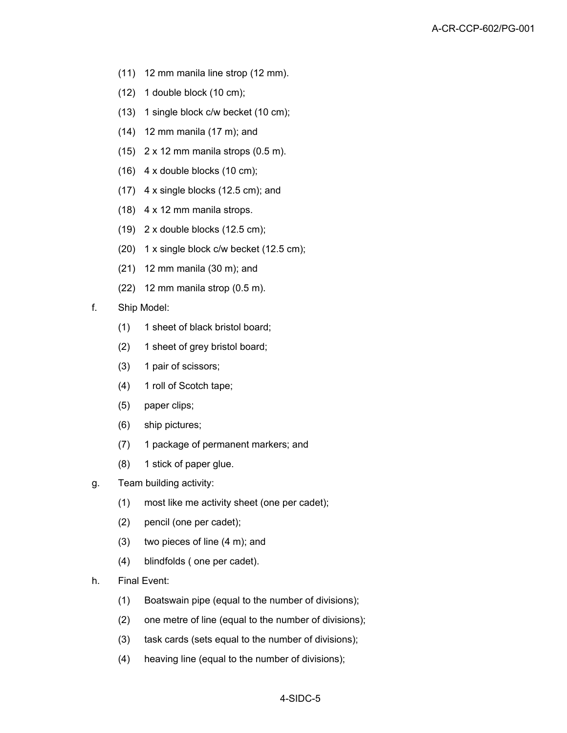- (11) 12 mm manila line strop (12 mm).
- (12) 1 double block (10 cm);
- (13) 1 single block c/w becket (10 cm);
- (14) 12 mm manila (17 m); and
- (15) 2 x 12 mm manila strops (0.5 m).
- (16) 4 x double blocks (10 cm);
- (17) 4 x single blocks (12.5 cm); and
- (18) 4 x 12 mm manila strops.
- $(19)$  2 x double blocks  $(12.5 \text{ cm})$ ;
- (20) 1 x single block c/w becket (12.5 cm);
- (21) 12 mm manila (30 m); and
- (22) 12 mm manila strop (0.5 m).
- f. Ship Model:
	- (1) 1 sheet of black bristol board;
	- (2) 1 sheet of grey bristol board;
	- (3) 1 pair of scissors;
	- (4) 1 roll of Scotch tape;
	- (5) paper clips;
	- (6) ship pictures;
	- (7) 1 package of permanent markers; and
	- (8) 1 stick of paper glue.
- g. Team building activity:
	- (1) most like me activity sheet (one per cadet);
	- (2) pencil (one per cadet);
	- (3) two pieces of line (4 m); and
	- (4) blindfolds ( one per cadet).
- h. Final Event:
	- (1) Boatswain pipe (equal to the number of divisions);
	- (2) one metre of line (equal to the number of divisions);
	- (3) task cards (sets equal to the number of divisions);
	- (4) heaving line (equal to the number of divisions);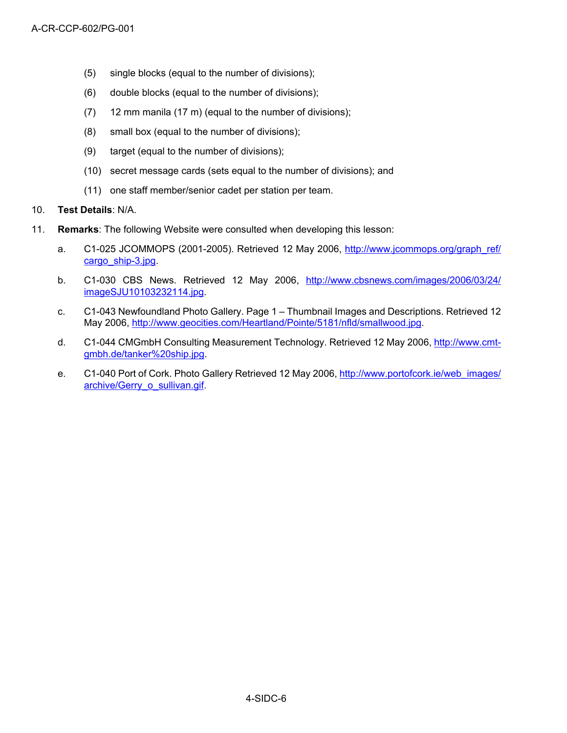- (5) single blocks (equal to the number of divisions);
- (6) double blocks (equal to the number of divisions);
- (7) 12 mm manila (17 m) (equal to the number of divisions);
- (8) small box (equal to the number of divisions);
- (9) target (equal to the number of divisions);
- (10) secret message cards (sets equal to the number of divisions); and
- (11) one staff member/senior cadet per station per team.

### 10. **Test Details**: N/A.

- 11. **Remarks**: The following Website were consulted when developing this lesson:
	- a. C1-025 JCOMMOPS (2001-2005). Retrieved 12 May 2006, http://www.jcommops.org/graph\_ref/ cargo\_ship-3.jpg.
	- b. C1-030 CBS News. Retrieved 12 May 2006, http://www.cbsnews.com/images/2006/03/24/ imageSJU10103232114.jpg.
	- c. C1-043 Newfoundland Photo Gallery. Page 1 Thumbnail Images and Descriptions. Retrieved 12 May 2006, http://www.geocities.com/Heartland/Pointe/5181/nfld/smallwood.jpg.
	- d. C1-044 CMGmbH Consulting Measurement Technology. Retrieved 12 May 2006, http://www.cmtgmbh.de/tanker%20ship.jpg.
	- e. C1-040 Port of Cork. Photo Gallery Retrieved 12 May 2006, http://www.portofcork.ie/web\_images/ archive/Gerry\_o\_sullivan.gif.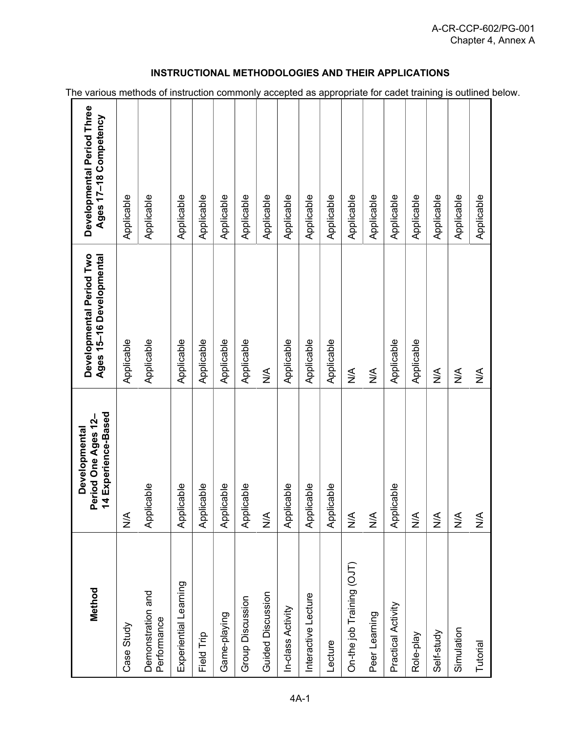# **INSTRUCTIONAL METHODOLOGIES AND THEIR APPLICATIONS**

The various methods of instruction commonly accepted as appropriate for cadet training is outlined below.

| Method                           | 14 Experience-Based<br>Period One Ages 12-<br><b>Developmental</b> | Ages 15-16 Developmental<br>Developmental Period Two | Developmental Period Three<br>Ages 17-18 Competency |
|----------------------------------|--------------------------------------------------------------------|------------------------------------------------------|-----------------------------------------------------|
| Case Study                       | $\frac{1}{2}$                                                      | Applicable                                           | Applicable                                          |
| Demonstration and<br>Performance | Applicable                                                         | Applicable                                           | Applicable                                          |
| Experiential Learning            | Applicable                                                         | Applicable                                           | Applicable                                          |
| Field Trip                       | Applicable                                                         | Applicable                                           | Applicable                                          |
| Game-playing                     | Applicable                                                         | Applicable                                           | Applicable                                          |
| Group Discussion                 | Applicable                                                         | Applicable                                           | Applicable                                          |
| <b>Guided Discussion</b>         | ≸                                                                  | ⋚                                                    | Applicable                                          |
| In-class Activity                | Applicable                                                         | Applicable                                           | Applicable                                          |
| Interactive Lecture              | Applicable                                                         | Applicable                                           | Applicable                                          |
| Lecture                          | Applicable                                                         | Applicable                                           | Applicable                                          |
| On-the job Training $(OJT)$      | ₹<br>ž                                                             | $\frac{1}{2}$                                        | Applicable                                          |
| Peer Learning                    | $\frac{1}{2}$                                                      | $\frac{1}{2}$                                        | Applicable                                          |
| Practical Activity               | Applicable                                                         | Applicable                                           | Applicable                                          |
| Role-play                        | $\frac{1}{2}$                                                      | Applicable                                           | Applicable                                          |
| Self-study                       | $\frac{1}{2}$                                                      | ⋚                                                    | Applicable                                          |
| Simulation                       | $\frac{1}{2}$                                                      | $\frac{1}{2}$                                        | Applicable                                          |
| Tutorial                         | $\frac{4}{2}$                                                      | ⋚                                                    | Applicable                                          |
|                                  |                                                                    |                                                      |                                                     |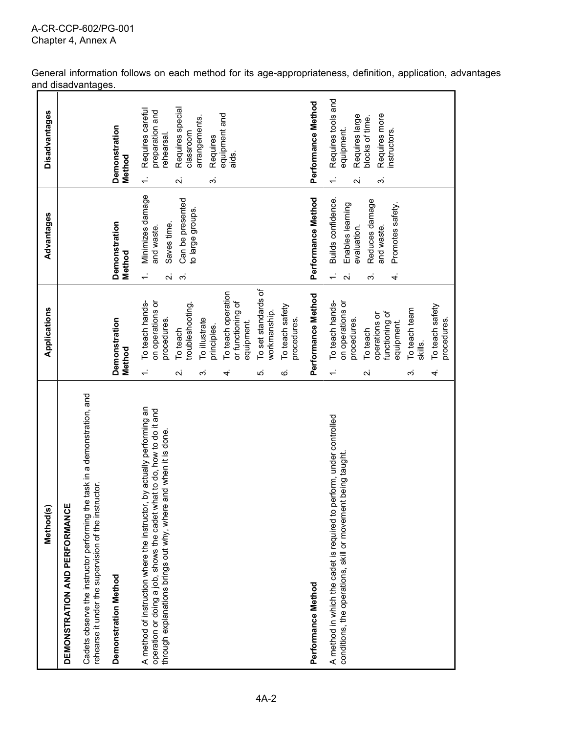| Method(s)                                                                                                                                                                                                               | Applications                                                                                                                                                                                                                                                                                           | Advantages                                                                                                                          | Disadvantages                                                                                                                                                                                          |
|-------------------------------------------------------------------------------------------------------------------------------------------------------------------------------------------------------------------------|--------------------------------------------------------------------------------------------------------------------------------------------------------------------------------------------------------------------------------------------------------------------------------------------------------|-------------------------------------------------------------------------------------------------------------------------------------|--------------------------------------------------------------------------------------------------------------------------------------------------------------------------------------------------------|
| DEMONSTRATION AND PERFORMANCE                                                                                                                                                                                           |                                                                                                                                                                                                                                                                                                        |                                                                                                                                     |                                                                                                                                                                                                        |
| Cadets observe the instructor performing the task in a demonstration, and<br>rehearse it under the supervision of the instructor.                                                                                       |                                                                                                                                                                                                                                                                                                        |                                                                                                                                     |                                                                                                                                                                                                        |
| Demonstration Method                                                                                                                                                                                                    | Demonstration<br>Method                                                                                                                                                                                                                                                                                | Demonstration<br>Method                                                                                                             | Demonstration<br>Method                                                                                                                                                                                |
| A method of instruction where the instructor, by actually performing an<br>operation or doing a job, shows the cadet what to do, how to do it and<br>and when it is done.<br>through explanations brings out why, where | To set standards of<br>To teach operation<br>To teach hands-<br>on operations or<br>or functioning of<br>troubleshooting.<br>To teach safety<br>workmanship.<br>To illustrate<br>procedures.<br>procedures.<br>equipment.<br>principles.<br>To teach<br>$\dot{\circ}$<br>$\mathbf{a}$<br>ιó.<br>ო<br>4 | Minimizes damage<br>Can be presented<br>to large groups.<br>Saves time.<br>and waste.<br>$\div$<br>$\mathbf{\dot{q}}$<br>က          | Requires special<br>Requires careful<br>preparation and<br>equipment and<br>arrangements.<br>classroom<br>rehearsal.<br>Requires<br>aids.<br>$\div$<br>$\dot{\mathfrak{S}}$<br>$\overline{\mathbf{v}}$ |
| Performance Method                                                                                                                                                                                                      | Performance Method                                                                                                                                                                                                                                                                                     | Performance Method                                                                                                                  | Performance Method                                                                                                                                                                                     |
| A method in which the cadet is required to perform, under controlled<br>conditions, the operations, skill or movement being taught                                                                                      | on operations or<br>To teach hands-<br>To teach safety<br>To teach team<br>functioning of<br>operations or<br>procedures.<br>procedures<br>equipment.<br>To teach<br>skills.<br>$\div$<br>4.<br>$\mathbf{a}$<br>က                                                                                      | Builds confidence.<br>Reduces damage<br>Enables learning<br>Promotes safety.<br>evaluation.<br>and waste.<br>$\div$<br>4<br>ო<br>ςi | Requires tools and<br>Requires more<br>Requires large<br>blocks of time.<br>equipment.<br>nstructors.<br>$\div$<br>$\dot{\mathfrak{S}}$<br>$\overline{\mathbf{v}}$                                     |

General information follows on each method for its age-appropriateness, definition, application, advantages and disadvantages.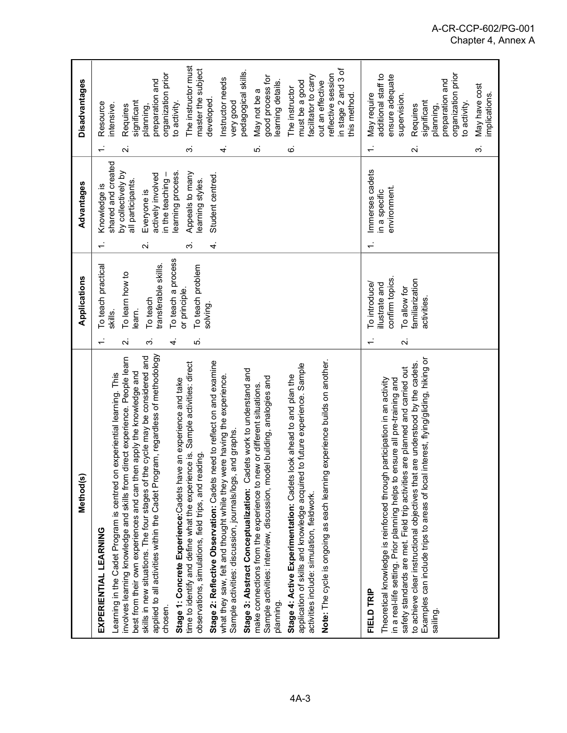| Method(s)                                                                                                                                                                                                                                                                                                                                                                                                                                                                                                                                                                                                                                                                                                                                                                                                                                                                                                                                                                                                             | Applications                                                                                                                                                                                          | Advantages                                                                                                                                                                                                                                               | Disadvantages                                                                                                                                                                                                                                                                              |
|-----------------------------------------------------------------------------------------------------------------------------------------------------------------------------------------------------------------------------------------------------------------------------------------------------------------------------------------------------------------------------------------------------------------------------------------------------------------------------------------------------------------------------------------------------------------------------------------------------------------------------------------------------------------------------------------------------------------------------------------------------------------------------------------------------------------------------------------------------------------------------------------------------------------------------------------------------------------------------------------------------------------------|-------------------------------------------------------------------------------------------------------------------------------------------------------------------------------------------------------|----------------------------------------------------------------------------------------------------------------------------------------------------------------------------------------------------------------------------------------------------------|--------------------------------------------------------------------------------------------------------------------------------------------------------------------------------------------------------------------------------------------------------------------------------------------|
| applied to all activities within the Cadet Program, regardless of methodology<br>skills in new situations. The four stages of the cycle may be considered and<br>involves learning knowledge and skills from direct experience. People learn<br>Stage 2: Reflective Observation: Cadets need to reflect on and examine<br>time to identify and define what the experience is. Sample activities: direct<br>Stage 3: Abstract Conceptualization: Cadets work to understand and<br>best from their own experiences and can then apply the knowledge and<br>Learning in the Cadet Program is centred on experiential learning. This<br>what they saw, felt and thought while they were having the experience<br>e an experience and take<br>make connections from the experience to new or different situations.<br>and graphs.<br>observations, simulations, field trips, and reading.<br>Stage 1: Concrete Experience:Cadets have<br>Sample activities: discussion, journals/logs,<br>EXPERIENTIAL LEARNING<br>chosen. | To teach a process<br>transferable skills.<br>To teach practical<br>To teach problem<br>To learn how to<br>or principle.<br>To teach<br>solving.<br>learn.<br>skills.<br>$\div$<br>က<br>4<br>ທ່<br>Ń۰ | shared and created<br>earning process.<br>by collectively by<br>Appeals to many<br>actively involved<br>n the teaching -<br>Student centred.<br>earning styles.<br>all participants<br>Knowledge is<br>Everyone is<br>$\overline{\mathbf{v}}$<br>4.<br>က | The instructor must<br>master the subject<br>pedagogical skills.<br>organization prior<br>Instructor needs<br>preparation and<br>May not be a<br>developed<br>significant<br>to activity.<br>very good<br>Resource<br>intensive.<br>Requires<br>planning,<br>$\div$<br>ທ່<br>4.<br>Ń٠<br>က |
| Note: The cycle is ongoing as each learning experience builds on another.<br>to future experience. Sample<br>Stage 4: Active Experimentation: Cadets look ahead to and plan the<br>Sample activities: interview, discussion, model building, analogies and<br>application of skills and knowledge acquired<br>activities include: simulation, fieldwork.<br>planning.                                                                                                                                                                                                                                                                                                                                                                                                                                                                                                                                                                                                                                                 |                                                                                                                                                                                                       |                                                                                                                                                                                                                                                          | in stage 2 and 3 of<br>reflective session<br>facilitator to carry<br>good process for<br>learning details.<br>must be a good<br>out an effective<br>The instructor<br>this method.<br>Ġ                                                                                                    |
| interest, flying/gliding, hiking or<br>are understood by the cadets.<br>safety standards are met. Field trip activities are planned and carried out<br>participation in an activity<br>in a real-life setting. Prior planning helps to ensure all pre-training and<br>Theoretical knowledge is reinforced through<br>to achieve clear instructional objectives that<br>Examples can include trips to areas of local<br>FIELD TRIP<br>sailing.                                                                                                                                                                                                                                                                                                                                                                                                                                                                                                                                                                         | confirm topics<br>familiarization<br>To introduce/<br>illustrate and<br>To allow for<br>activities<br>$\overline{\mathsf{N}}$                                                                         | Immerses cadets<br>environment.<br>in a specific                                                                                                                                                                                                         | organization prior<br>additional staff to<br>ensure adequate<br>preparation and<br>May have cost<br>May require<br>supervision.<br>implications.<br>significant<br>to activity.<br>Requires<br>planning,<br>$\overline{\mathsf{N}}$<br>က                                                   |

# A-CR-CCP-602/PG-001 Chapter 4, Annex A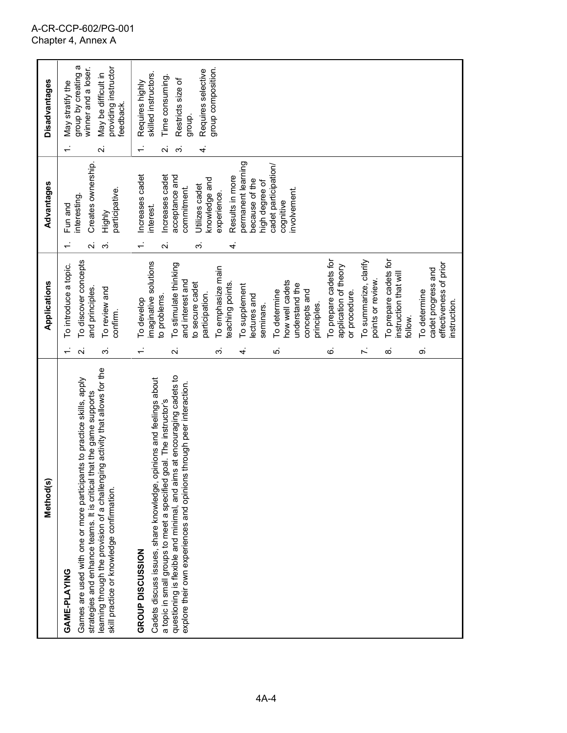| Method(s)                                                                                                                                                                                                                                                                                                       |                                                                | Applications                                                                                                                                                                                                                                                                                                                                                                                                                                                                                                                                                  |                                              | Advantages                                                                                                                                                                                                                                                           |                         | Disadvantages                                                                                                                        |
|-----------------------------------------------------------------------------------------------------------------------------------------------------------------------------------------------------------------------------------------------------------------------------------------------------------------|----------------------------------------------------------------|---------------------------------------------------------------------------------------------------------------------------------------------------------------------------------------------------------------------------------------------------------------------------------------------------------------------------------------------------------------------------------------------------------------------------------------------------------------------------------------------------------------------------------------------------------------|----------------------------------------------|----------------------------------------------------------------------------------------------------------------------------------------------------------------------------------------------------------------------------------------------------------------------|-------------------------|--------------------------------------------------------------------------------------------------------------------------------------|
| learning through the provision of a challenging activity that allows for the<br>Games are used with one or more participants to practice skills, apply<br>at the game supports<br>strategies and enhance teams. It is critical th<br>skill practice or knowledge confirmation.<br>GAME-PLAYING                  | $\div$<br>$\overline{\mathsf{N}}$<br>က                         | To discover concepts<br>To introduce a topic.<br>To review and<br>and principles<br>confirm.                                                                                                                                                                                                                                                                                                                                                                                                                                                                  | $\overline{\mathsf{N}}$<br>÷<br>က            | Creates ownership.<br>participative.<br>interesting<br>Fun and<br>Highly                                                                                                                                                                                             | $\overline{\mathbf{u}}$ | group by creating a<br>winner and a loser.<br>providing instructor<br>May be difficult in<br>May stratify the<br>feedback.           |
| questioning is flexible and minimal, and aims at encouraging cadets to<br>Cadets discuss issues, share knowledge, opinions and feelings about<br>explore their own experiences and opinions through peer interaction.<br>a topic in small groups to meet a specified goal. The instructor's<br>GROUP DISCUSSION | Z.<br>တဲ<br>က<br>ທ່<br>6<br>ထ<br>$\overline{\mathsf{N}}$<br>4. | To prepare cadets for<br>To prepare cadets for<br>To summarize, clarify<br>imaginative solutions<br>effectiveness of prior<br>To stimulate thinking<br>application of theory<br>To emphasize main<br>cadet progress and<br>instruction that will<br>points or review.<br>and interest and<br>how well cadets<br>to secure cadet<br>teaching points<br>understand the<br>To supplement<br>To determine<br>concepts and<br>To determine<br>or procedure.<br>participation.<br>lectures and<br>to problems.<br>To develop<br>principles.<br>seminars.<br>follow. | $\div$<br>$\overline{\mathsf{N}}$<br>4.<br>က | permanent learning<br>cadet participation/<br>Increases cadet<br>Increases cadet<br>acceptance and<br>Results in more<br>knowledge and<br>because of the<br>high degree of<br>Utilizes cadet<br>commitment.<br>involvement.<br>experience.<br>cognitive<br>interest. | 4.<br>က<br>Νi           | group composition.<br>Requires selective<br>skilled instructors.<br>Time consuming<br>Restricts size of<br>Requires highly<br>group. |
|                                                                                                                                                                                                                                                                                                                 |                                                                | nstruction.                                                                                                                                                                                                                                                                                                                                                                                                                                                                                                                                                   |                                              |                                                                                                                                                                                                                                                                      |                         |                                                                                                                                      |

A-CR-CCP-602/PG-001 Chapter 4, Annex A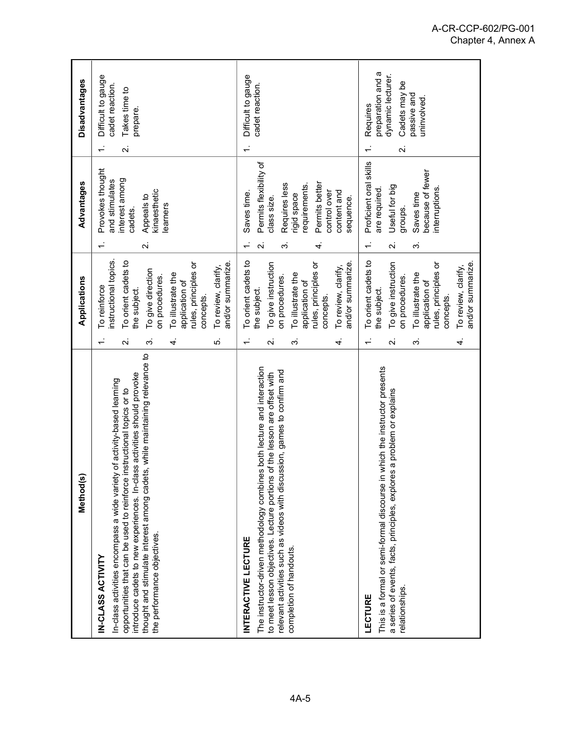| Method(s)                                                                                                                                                                                                                                                                                                                                                          |                                              | Applications                                                                                                                                                                                                                                |                                           | Advantages                                                                                                                                                          |                                   | Disadvantages                                                                                     |
|--------------------------------------------------------------------------------------------------------------------------------------------------------------------------------------------------------------------------------------------------------------------------------------------------------------------------------------------------------------------|----------------------------------------------|---------------------------------------------------------------------------------------------------------------------------------------------------------------------------------------------------------------------------------------------|-------------------------------------------|---------------------------------------------------------------------------------------------------------------------------------------------------------------------|-----------------------------------|---------------------------------------------------------------------------------------------------|
| thought and stimulate interest among cadets, while maintaining relevance to<br>introduce cadets to new experiences. In-class activities should provoke<br>In-class activities encompass a wide variety of activity-based learning<br>instructional topics or to<br>opportunities that can be used to reinforce<br>the performance objectives.<br>IN-CLASS ACTIVITY | $\overline{\mathsf{N}}$<br>က<br>4.<br>ΓÓ.    | instructional topics.<br>To orient cadets to<br>rules, principles or<br>and/or summarize.<br>To review, clarify,<br>To give direction<br>To illustrate the<br>on procedures.<br>application of<br>To reinforce<br>the subject.<br>concepts. | $\overline{\mathbf{v}}$                   | Provokes thought<br>interest among<br>and stimulates<br>kinaesthetic<br>Appeals to<br>earners<br>cadets.                                                            | $\div$<br>$\overline{\mathsf{N}}$ | Difficult to gauge<br>cadet reaction.<br>Takes time to<br>prepare.                                |
| s both lecture and interaction<br>ssion, games to confirm and<br>of the lesson are offset with<br>The instructor-driven methodology combine<br>to meet lesson objectives. Lecture portions<br>relevant activities such as videos with discu<br><b>INTERACTIVE LECTURE</b><br>completion of handouts.                                                               | $\div$<br>$\overline{\mathsf{N}}$<br>က<br>4. | To orient cadets to<br>and/or summarize.<br>To give instruction<br>rules, principles or<br>To review, clarify,<br>To illustrate the<br>on procedures.<br>application of<br>the subject.<br>concepts.                                        | ςi<br>4.<br>ო<br>$\overline{\phantom{0}}$ | Permits flexibility of<br>Permits better<br>Requires less<br>requirements.<br>control over<br>content and<br>Saves time.<br>rigid space<br>sequence.<br>class size. | $\div$                            | Difficult to gauge<br>cadet reaction.                                                             |
| This is a formal or semi-formal discourse in which the instructor presents<br>a series of events, facts, principles, explores a problem or explains<br>relationships.<br>LECTURE                                                                                                                                                                                   | 4.<br>$\overline{\mathbf{a}}$<br>က           | To orient cadets to<br>To give instruction<br>rules, principles or<br>and/or summarize.<br>To review, clarify,<br>To illustrate the<br>on procedures.<br>application of<br>the subject.<br>concepts.                                        | $\div$<br>က<br>$\overline{\mathsf{N}}$    | Proficient oral skills<br>because of fewer<br>Useful for big<br>are required.<br>interruptions.<br>Saves time<br>groups.                                            | $\div$<br>$\overline{\mathsf{N}}$ | preparation and a<br>dynamic lecturer.<br>Cadets may be<br>passive and<br>uninvolved.<br>Requires |